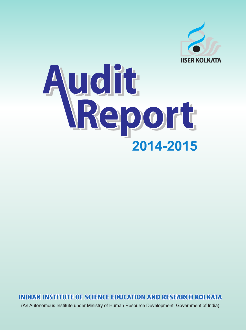

# udit 2014-2015

**INDIAN INSTITUTE OF SCIENCE EDUCATION AND RESEARCH KOLKATA** 

(An Autonomous Institute under Ministry of Human Resource Development, Government of India)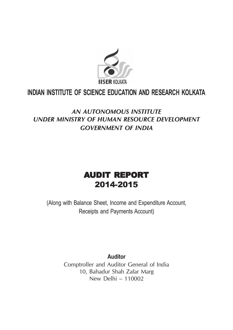

## **INDIAN INSTITUTE OF SCIENCE EDUCATION AND RESEARCH KOLKATA**

## *AN AUTONOMOUS INSTITUTE UNDER MINISTRY OF HUMAN RESOURCE DEVELOPMENT GOVERNMENT OF INDIA*

## AUDIT REPORT 2014-2015

(Along with Balance Sheet, Income and Expenditure Account, Receipts and Payments Account)

> **Auditor** Comptroller and Auditor General of India 10, Bahadur Shah Zafar Marg New Delhi – 110002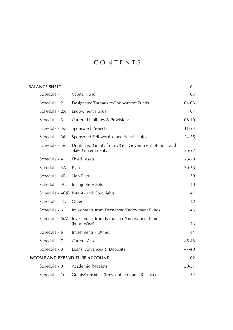## C O N T E N T S

| <b>BALANCE SHEET</b>                  |                                                                                 | 01        |
|---------------------------------------|---------------------------------------------------------------------------------|-----------|
| Schedule - 1                          | Capital Fund                                                                    | 03        |
| Schedule - 2                          | Designated/Earmarked/Endowment Funds                                            | 04-06     |
| Schedule - 2A                         | <b>Endowment Funds</b>                                                          | 07        |
| Schedule - 3                          | <b>Current Liabilities &amp; Provisions</b>                                     | $08-10$   |
| Schedule - 3(a)                       | <b>Sponsored Projects</b>                                                       | $11 - 23$ |
| Schedule - 3(b)                       | Sponsored Fellowships and Scholarships                                          | $24 - 25$ |
| Schedule - $3(c)$                     | Unutilized Grants from UGC, Government of India and<br><b>State Governments</b> | $26 - 27$ |
| Schedule - 4                          | <b>Fixed Assets</b>                                                             | 28-29     |
| Schedule - 4A                         | Plan                                                                            | 30-38     |
| Schedule - 4B                         | Non-Plan                                                                        | 39        |
| Schedule - 4C                         | Intangible Assets                                                               | 40        |
|                                       | Schedule - 4C(i) Patents and Copyrights                                         | 41        |
| Schedule - 4D                         | Others                                                                          | 42        |
| Schedule - 5                          | Investments from Earmarked/Endowment Funds                                      | 43        |
| Schedule - 5(A)                       | Investments from Earmarked/Endowment Funds<br>(Fund Wise)                       | 43        |
| Schedule - 6                          | Investments - Others                                                            | 44        |
| Schedule - 7                          | <b>Current Assets</b>                                                           | 45-46     |
| Schedule - 8                          | Loans, Advances & Deposits                                                      | 47-49     |
| <b>INCOME AND EXPENDITURE ACCOUNT</b> |                                                                                 | 02        |
| Schedule - 9                          | Academic Receipts                                                               | $50 - 51$ |
| Schedule - 10                         | Grants/Subsidies (Irrevocable Grants Received)                                  | 52        |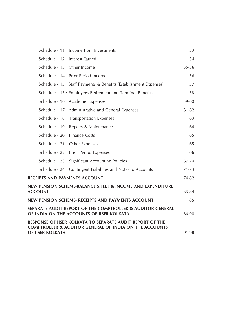|                               | Schedule - 11 Income from Investments                                                                                          | 53        |
|-------------------------------|--------------------------------------------------------------------------------------------------------------------------------|-----------|
|                               | Schedule - 12 Interest Earned                                                                                                  | 54        |
| Schedule - 13 Other Income    |                                                                                                                                | 55-56     |
|                               | Schedule - 14 Prior Period Income                                                                                              | 56        |
|                               | Schedule - 15 Staff Payments & Benefits (Establishment Expenses)                                                               | 57        |
|                               | Schedule - 15A Employees Retirement and Terminal Benefits                                                                      | 58        |
|                               | Schedule - 16 Academic Expenses                                                                                                | 59-60     |
|                               | Schedule - 17 Administrative and General Expenses                                                                              | 61-62     |
| Schedule - 18                 | <b>Transportation Expenses</b>                                                                                                 | 63        |
| Schedule - 19                 | Repairs & Maintenance                                                                                                          | 64        |
| Schedule - 20 Finance Costs   |                                                                                                                                | 65        |
| Schedule - 21                 | Other Expenses                                                                                                                 | 65        |
| Schedule - 22                 | <b>Prior Period Expenses</b>                                                                                                   | 66        |
| Schedule - 23                 | <b>Significant Accounting Policies</b>                                                                                         | 67-70     |
| Schedule - 24                 | Contingent Liabilities and Notes to Accounts                                                                                   | $71 - 73$ |
| RECEIPTS AND PAYMENTS ACCOUNT |                                                                                                                                | 74-82     |
| <b>ACCOUNT</b>                | NEW PENSION SCHEME-BALANCE SHEET & INCOME AND EXPENDITURE                                                                      | 83-84     |
|                               | NEW PENSION SCHEME- RECEIPTS AND PAYMENTS ACCOUNT                                                                              | 85        |
|                               | SEPARATE AUDIT REPORT OF THE COMPTROLLER & AUDITOR GENERAL<br>OF INDIA ON THE ACCOUNTS OF IISER KOLKATA                        | 86-90     |
|                               | RESPONSE OF IISER KOLKATA TO SEPARATE AUDIT REPORT OF THE<br><b>COMPTROLLER &amp; AUDITOR GENERAL OF INDIA ON THE ACCOUNTS</b> |           |
| OF IISER KOLKATA              |                                                                                                                                | 91-98     |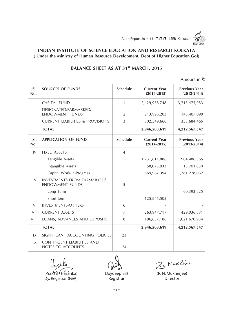

#### **INDIAN INSTITUTE OF SCIENCE EDUCATION AND RESEARCH KOLKATA ( Under the Ministry of Human Resource Development, Dept.of Higher Education,GoI)**

#### **BALANCE SHEET AS AT 31<sup>ST</sup> MARCH, 2015**

(Amount in  $\bar{\tau}$ )

| SI.<br>No.   | <b>SOURCES OF FUNDS</b>                                       | <b>Schedule</b> | <b>Current Year</b><br>$(2014 - 2015)$ | <b>Previous Year</b><br>$(2013 - 2014)$ |
|--------------|---------------------------------------------------------------|-----------------|----------------------------------------|-----------------------------------------|
| T            | <b>CAPITAL FUND</b>                                           | $\mathbf{1}$    | 2,429,958,748                          | 3,715,475,983                           |
| $\mathbf{H}$ | DESIGNATED/EARMARKED/<br><b>ENDOWMENT FUNDS</b>               | $\overline{2}$  | 213,995,203                            | 143,407,099                             |
| Ш            | <b>CURRENT LIABILITIES &amp; PROVISIONS</b>                   | 3               | 302,549,668                            | 353,684,465                             |
|              | <b>TOTAL</b>                                                  |                 | 2,946,503,619                          | 4,212,567,547                           |
| SI.<br>No.   | <b>APPLICATION OF FUND</b>                                    | <b>Schedule</b> | <b>Current Year</b><br>$(2014 - 2015)$ | <b>Previous Year</b><br>$(2013 - 2014)$ |
| IV           | <b>FIXED ASSETS</b>                                           | $\overline{4}$  |                                        |                                         |
|              | <b>Tangible Assets</b>                                        |                 | 1,731,811,886                          | 904,486,365                             |
|              | Intangible Assets                                             |                 | 58,073,933                             | 15,701,830                              |
|              | Capital Work-In-Progress                                      |                 | 569,967,394                            | 1,781,278,062                           |
| V            | <b>INVESTMENTS FROM EARMARKED/</b><br><b>ENDOWMENT FUNDS</b>  | 5               |                                        |                                         |
|              | Long Term                                                     |                 |                                        | 60,393,825                              |
|              | Short term                                                    |                 | 125,845,503                            |                                         |
| VI           | <b>INVESTMENTS-OTHERS</b>                                     | 6               |                                        |                                         |
| VII          | <b>CURRENT ASSETS</b>                                         | 7               | 263,947,717                            | 429,036,531                             |
| VIII         | LOANS, ADVANCES AND DEPOSITS                                  | 8               | 196,857,186                            | 1,021,670,934                           |
|              | <b>TOTAL</b>                                                  |                 | 2,946,503,619                          | 4,212,567,547                           |
| 1X           | SIGNIFICANT ACCOUNTING POLICIES                               | 23              |                                        |                                         |
| $\chi$       | <b>CONTINGENT LIABILITIES AND</b><br><b>NOTES TO ACCOUNTS</b> | 24              |                                        |                                         |

(Prakash Hazarika) (Joydeep Sil) (R. N. Mukherjee) Dy. Registrar (F&A) Registrar Registrar Director

R.s. Mukhign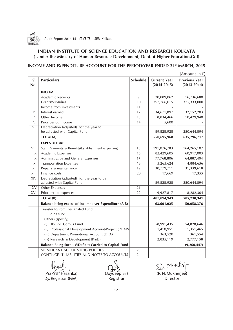

#### **INDIAN INSTITUTE OF SCIENCE EDUCATION AND RESEARCH KOLKATA ( Under the Ministry of Human Resource Development, Dept.of Higher Education,GoI)**

#### **INCOME AND EXPENDITURE ACCOUNT FOR THE PERIOD/YEAR ENDED 31st MARCH, 2015**

|                |                                                                          |                 |                                        | $(A$ mount in ₹)                        |
|----------------|--------------------------------------------------------------------------|-----------------|----------------------------------------|-----------------------------------------|
| SI.<br>No.     | <b>Particulars</b>                                                       | <b>Schedule</b> | <b>Current Year</b><br>$(2014 - 2015)$ | <b>Previous Year</b><br>$(2013 - 2014)$ |
|                | <b>INCOME</b>                                                            |                 |                                        |                                         |
| I              | Academic Receipts                                                        | 9               | 20,089,062                             | 16,736,680                              |
| Ш              | Grants/Subsidies                                                         | 10              | 397,266,015                            | 325,333,000                             |
| $\mathbf{III}$ | Income from investments                                                  | 11              |                                        |                                         |
| IV             | Interest earned                                                          | 12              | 34,671,897                             | 32,152,203                              |
| $\vee$         | Other Income                                                             | 13              | 8,834,466                              | 10,429,940                              |
| VI             | Prior period Income                                                      | 14              | 5,600                                  |                                         |
| VII            | Depreciation (adjusted) for the year to                                  |                 |                                        |                                         |
|                | be adjusted with Capital Fund                                            |                 | 89,828,928                             | 250,644,894                             |
|                | <b>TOTAL(A)</b>                                                          |                 | 550,695,968                            | 635,296,717                             |
|                | <b>EXPENDITURE</b>                                                       |                 |                                        |                                         |
| VIII           | Staff Payments & Benefits(Establishment expenses)                        | 15              | 191,076,783                            | 164,265,107                             |
| IX             | Academic Expenses                                                        | 16              | 82,429,605                             | 60,917,003                              |
| X              | Administrative and General Expenses                                      | 17              | 77,768,806                             | 64,887,404                              |
| XI             | <b>Transportation Expenses</b>                                           | 18              | 5,265,624                              | 4,884,656                               |
| XII            | Repairs & maintenance                                                    | 19              | 30,779,711                             | 31,339,618                              |
| XIII           | Finance costs                                                            | 20              | 17,669                                 | 17,355                                  |
| XIV            | Depreciation (adjusted) for the year to be<br>adjusted with Capital Fund | 4               | 89,828,928                             | 250,644,894                             |
| XV             | <b>Other Expenses</b>                                                    | 21              |                                        |                                         |
| XVI            | Prior period expenses                                                    | 22              | 9,927,817                              | 8,282,304                               |
|                | <b>TOTAL(B)</b>                                                          |                 | 487,094,943                            | 585,238,341                             |
|                | Balance being excess of Income over Expenditure (A-B)                    |                 | 63,601,025                             | 50,058,376                              |
|                | Transfer to/from Designated Fund                                         |                 |                                        |                                         |
|                | <b>Building fund</b>                                                     |                 |                                        |                                         |
|                | Others (specify)                                                         |                 |                                        |                                         |
|                | <b>IISER-K Corpus Fund</b><br>(i)                                        |                 | 58,991,435                             | 54,828,646                              |
|                | (ii) Professional Development Account-Project (PDAP)                     |                 | 1,410,951                              | 1,351,465                               |
|                | (iii) Department Promotional Account (DPA)                               |                 | 363,520                                | 361,554                                 |
|                | (iv) Research & Development (R&D)                                        |                 | 2,835,119                              | 2,777,158                               |
|                | Balance Being Surplus/(Deficit) Carried to Capital Fund                  |                 |                                        | (9, 260, 447)                           |
|                | SIGNIFICANT ACCOUNTING POLICIES                                          | 23              |                                        |                                         |
|                | CONTINGENT LIABILITIES AND NOTES TO ACCOUNTS                             | 24              |                                        |                                         |

(Prakash Hazarika) (Joydeep Sil) (R. N. Mukherjee)

Dy. Registrar (F&A) Registrar Registrar Director

 $R_{2n}$  M.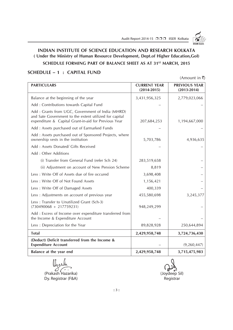

#### **INDIAN INSTITUTE OF SCIENCE EDUCATION AND RESEARCH KOLKATA ( Under the Ministry of Human Resource Development, Dept.of Higher Education,GoI)**

#### **SCHEDULE FORMING PART OF BALANCE SHEET AS AT 31<sup>ST</sup> MARCH, 2015**

#### **SCHEDULE – 1 : CAPITAL FUND**

(Amount in  $\bar{\bar{\mathbf{z}}}$ )

| <b>PARTICULARS</b>                                                                                                                                                  | <b>CURRENT YEAR</b><br>$(2014 - 2015)$ | <b>PREVIOUS YEAR</b><br>$(2013 - 2014)$ |
|---------------------------------------------------------------------------------------------------------------------------------------------------------------------|----------------------------------------|-----------------------------------------|
| Balance at the beginning of the year                                                                                                                                | 3,431,956,325                          | 2,779,023,066                           |
| Add: Contributions towards Capital Fund                                                                                                                             |                                        |                                         |
| Add : Grants from UGC, Government of India (MHRD)<br>and Sate Government to the extent utilized for capital<br>expenditure & Capital Grant-in-aid for Previous Year | 207,684,253                            | 1,194,667,000                           |
| Add: Assets purchased out of Earmarked Funds                                                                                                                        |                                        |                                         |
| Add: Assets purchased out of Sponsored Projects, where<br>ownership vests in the institution                                                                        | 5,703,786                              | 4,936,635                               |
| Add: Assets Donated/ Gifts Received                                                                                                                                 |                                        |                                         |
| Add: Other Additions                                                                                                                                                |                                        |                                         |
| (i) Transfer from General Fund (refer Sch 24)                                                                                                                       | 283,519,658                            |                                         |
| (ii) Adjustment on account of New Pension Scheme                                                                                                                    | 8,819                                  |                                         |
| Less: Write Off of Assets due of fire occured                                                                                                                       | 3,698,408                              |                                         |
| Less: Write Off of Not Found Assets                                                                                                                                 | 1,156,421                              |                                         |
| Less : Write Off of Damaged Assets                                                                                                                                  | 400,339                                |                                         |
| Less : Adjustments on account of previous year                                                                                                                      | 455,580,698                            | 3,245,377                               |
| Less: Transfer to Unutilized Grant (Sch-3)<br>$(730490068 + 217759231)$                                                                                             | 948,249,299                            |                                         |
| Add: Excess of Income over expenditure transferred from<br>the Income & Expenditure Account                                                                         |                                        |                                         |
| Less: Depreciation for the Year                                                                                                                                     | 89,828,928                             | 250,644,894                             |
| <b>Total</b>                                                                                                                                                        | 2,429,958,748                          | 3,724,736,430                           |
| (Deduct) Deficit transferred from the Income &<br><b>Expenditure Account</b>                                                                                        |                                        | (9, 260, 447)                           |
| Balance at the year end                                                                                                                                             | 2,429,958,748                          | 3,715,475,983                           |

(Prakash Hazarika) (Joydeep Sil) Dy. Registrar (F&A) and a set of the control of the Registrar Registrar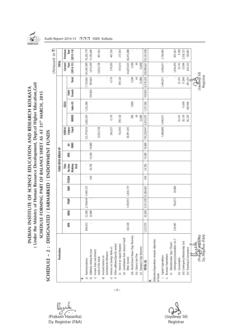(Under the Ministry of Human Resource Development, Dept.of Higher Education, Gol) **( Under the Ministry of Human Resource Development, Dept.of Higher Education,GoI)** INDIAN INSTITUTE OF SCIENCE EDUCATION AND RESEARCH KOLKATA **INDIAN INSTITUTE OF SCIENCE EDUCATION AND RESEARCH KOLKATA** SCHEDULE FORMING PART OF BALANCE SHEET AS AT 31ST MARCH, 2015 **SCHEDULE FORMING PART OF BALANCE SHEET AS AT 31ST MARCH, 2015** SCHEDULE - 2 : DESIGNATED / EARMARKED / ENDOWMENT FUNDS **SCHEDULE – 2 : DESIGNATED / EARMARKED / ENDOWMENT FUNDS**

| Particulars                                                                      |           |        |                      |                     |       |                        | FUND-WISE BREAK UP |             |                       |                |              |                 |               | TOTAL                   |                       |
|----------------------------------------------------------------------------------|-----------|--------|----------------------|---------------------|-------|------------------------|--------------------|-------------|-----------------------|----------------|--------------|-----------------|---------------|-------------------------|-----------------------|
|                                                                                  |           |        |                      |                     |       | Thin                   |                    |             | <b>IISER-K</b>        |                | <b>CESSI</b> |                 |               | Current                 | Previous              |
|                                                                                  | DPA       | NINIR  | <b>PDAP</b>          | R&D                 | FESEM | Section<br>Making<br>Š | XRD                | GC-<br>IRMS | Corpus<br>Fund        | <b>MHRD</b>    | Indo-US      | French<br>Indo- | <b>Total</b>  | $(2014 - 15)$<br>Year   | Year<br>$(2013 - 14)$ |
| Opening balance<br>a)<br>⋖                                                       | 864,453   | 22,500 | 2,140,644            | 9,449,723           | t,    |                        |                    |             | 123,774,934 5,602,459 |                | 1,552,386    |                 | 7,154,845     | 143,407,099             | 76,205,179            |
| Additions during the year<br>$\overline{a}$                                      |           | 22,800 |                      |                     | 450   | 24,796                 | 15,500             | 10,000      |                       |                |              | 939,853         | 939,853       | 1,013,399               | 11,595,069            |
| Income from investments<br>made of the funds<br>$\circ$                          |           |        |                      |                     |       |                        |                    |             | 12,052,758            |                |              |                 |               | 12,052,758              | 841,422               |
| investnments/Advances<br>Accrued interest on<br>$\widehat{\mathtt{d}}$           |           |        |                      |                     |       |                        |                    |             |                       |                |              |                 |               |                         |                       |
| Interest on Savings Bank a/c<br>$\widehat{e}$                                    |           |        |                      |                     |       |                        |                    |             | 266,327               | 4,176          |              |                 | 4,176         | 270,503                 | 467,556               |
| Other additions(Specify nature)<br>$\overline{t}$                                |           |        |                      |                     |       |                        |                    |             |                       |                |              |                 |               |                         |                       |
| (i) Interest on Liquid Deposits                                                  |           |        |                      |                     |       |                        |                    |             | 153,493               | 394,120        |              |                 | 394,120       | 547,613                 | 217,924               |
| (ii) Contribution from General Fund/<br>Other Income                             | 363,520   |        |                      | 1,410,951 2,835,119 |       |                        |                    |             | 58,991,435            |                |              |                 |               | 63,601,025              | 66,013,888            |
| (iii) Hostel/Guest House Chgs Recovery                                           |           |        |                      |                     |       |                        |                    |             |                       | 200            | 5,000        |                 | 5,200         | 5,200                   |                       |
| (iv) Library Late Fine                                                           |           |        |                      |                     |       |                        |                    |             |                       | $\mathfrak{A}$ |              |                 | $\mathcal{Z}$ | $\mathfrak{g}$          |                       |
| (v) Transport Chgs Recovery                                                      |           |        |                      |                     |       |                        |                    |             |                       | 12,000         |              |                 | 12,000        | 12,000                  |                       |
| TOTAL (A)                                                                        | 1,227,973 | 45,300 | 3,551,595 12,284,842 |                     | 450   | 24,796                 | 15,500             | 10,000      | 195,238,947           | 6,013,019      | 1,557,386    | 939,853         | 8,510,258     | 220,909,661 155,341,038 |                       |
| Utilisation/Expenditure towards objectives<br>i. Capital Expenditure<br>of funds |           |        |                      |                     |       |                        |                    |             | 1,040,800 1,444,011   |                |              |                 | 1,444,011     | 2,484,811               | 3,764,604             |
| (i) Administrative Exps "(Travel,<br>ii. Revenue Expenditure                     |           |        |                      |                     |       |                        |                    |             |                       |                |              |                 |               |                         |                       |
| Contingency, Consumables etc.)"                                                  | 234,481   |        | 782,011              | 20,000              |       |                        |                    |             |                       |                |              |                 |               | 1,036,492               | 855,363               |
| (ii) Consumables                                                                 |           |        |                      |                     |       |                        |                    |             |                       | 55,741         |              |                 | 55,741        | 55,741                  | 9,180                 |
| (iii) Contingency/Mentorship Cost                                                |           |        |                      |                     |       |                        |                    |             |                       | 26,154         | 11,690       |                 | 37,844        | 37,844                  | 2,558,125             |
| (iv) Traveling & Conveyance                                                      |           |        |                      |                     |       |                        |                    |             |                       | 85,329         | 605,906      |                 | 691,235       | 691,235                 | 150,007               |
| azarika<br>(Praka                                                                |           |        |                      |                     |       |                        |                    |             |                       |                |              |                 | Orthus Sill   |                         |                       |
| Dy. Registrar (F&A)                                                              |           |        |                      |                     |       |                        |                    |             |                       |                |              |                 | Registrar     |                         |                       |

Audit Report 2014-15 □□□ IISER Kolkata

 $:: 4 ::$ 

 $O(\sqrt{N})$  (Prakash Hazarika) (Joydeep Sil) Dy. Registrar (F&A) Registrar (F&A)

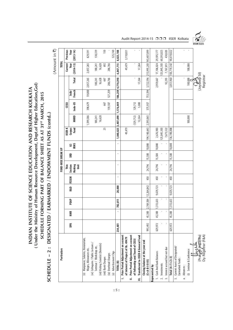INDIAN INSTITUTE OF SCIENCE EDUCATION AND RESEARCH KOLKATA<br>(Under the Ministry of Human Resource Development, Dept.of Higher Education, Gol) **( Under the Ministry of Human Resource Development, Dept.of Higher Education,GoI) INDIAN INSTITUTE OF SCIENCE EDUCATION AND RESEARCH KOLKATA** SCHEDULE FORMING PART OF BALANCE SHEET AS AT 31ST MARCH, 2015 **SCHEDULE FORMING PART OF BALANCE SHEET AS AT 31ST MARCH, 2015**

SCHEDULE - 2: DESIGNATED / EARMARKED / ENDOWMENT FUNDS (contd..) **SCHEDULE – 2 : DESIGNATED / EARMARKED / ENDOWMENT FUNDS (contd..)**

| Audit Report 2014-15 □□□ IISER Kolkata |  |  |
|----------------------------------------|--|--|



|    | Particulars                                                                  |         |        |                |                        |              |                   | FUND-WISE BREAK UP |            |                       |             |           |                |                   | TOTAL                                     |                       |
|----|------------------------------------------------------------------------------|---------|--------|----------------|------------------------|--------------|-------------------|--------------------|------------|-----------------------|-------------|-----------|----------------|-------------------|-------------------------------------------|-----------------------|
|    |                                                                              |         |        |                |                        |              | Thin              |                    |            | <b>IISER-K</b>        |             | ន្ទា      |                |                   | Current                                   | Previous              |
|    |                                                                              | DPA     | NINIR  | PDAP           | <b>R&amp;D</b>         | <b>FESEM</b> | Section<br>Making | XRD                | IRMS<br>نئ | <b>Fund</b><br>Corpus | <b>MHRD</b> | Indo-US   | French<br>lnd• | <b>Total</b>      | $(2014 - 15)$<br>Year                     | Year<br>$(2013 - 14)$ |
|    |                                                                              |         |        |                |                        |              | jsit              |                    |            |                       |             |           |                |                   |                                           |                       |
|    | (v) Manpower, Salaries, Honorarium,<br>Wages, Allowances etc.                |         |        |                |                        |              |                   |                    |            |                       | 1,599,586   | 398,679   | 59,000         | 2,057,265         | 2,057,265                                 | 829,591               |
|    | (vi) Colloquim / Public Lectures                                             |         |        |                |                        |              |                   |                    |            |                       |             |           |                |                   |                                           |                       |
|    | Seminar / Workshop etc.                                                      |         |        |                |                        |              |                   |                    |            |                       | 180,241     |           |                | 180,241           | 180,241                                   | 130,339               |
|    | (vii) Visiting Scientist (Domestic)                                          |         |        |                |                        |              |                   |                    |            |                       | 16,628      |           |                | 16,628            | 16,628                                    |                       |
|    | (viii) Bank Charges                                                          |         |        |                |                        |              |                   |                    |            | 25                    |             | 667       |                | 667               | 692                                       | 150                   |
|    | (ix) Overhead Charges                                                        |         |        |                |                        |              |                   |                    |            |                       |             | 159,507   | 127,259        | 286,766           | 286,766                                   |                       |
|    | (x) Advertisement Chgs                                                       |         |        |                |                        |              |                   |                    |            |                       |             |           |                |                   |                                           | 525,749               |
|    | TOTAL (B)                                                                    | 234,481 |        | 782,011        | 20,000                 | ٠            |                   | ٠                  |            | 1,040,825 3,407,690   |             | 1,176,449 |                | 186,259 4,770,398 | 6,847,715                                 | 8,823,108             |
|    | I. Prior Period Adjustment on account<br>of Interest of Project of Rs. 49479 |         |        |                |                        |              |                   |                    |            | 49,479                |             |           |                |                   | 49,479                                    | 3,110,831             |
|    | II. Prior Period Adjustment on account<br>of Fellowship and Travel of CESSI  |         |        |                |                        |              |                   |                    |            |                       | (129, 712)  | 129,712   |                |                   |                                           | $\mathbf{r}$          |
|    | III. Transferred to IISER-K General Fund                                     |         |        |                |                        |              |                   |                    |            |                       | 12,264      | 5,000     |                | 17,264            | 17,264                                    |                       |
|    | Closing balance at the year end<br>$(11-11-8-8-1)$                           | 993,492 | 45,300 |                | 2,769,584   12,264,842 | 450          | 24,796            | 15,500             | 10,000     | 194, 148, 643         | 2,593,065   | 375,937   |                |                   | 753,594 3,722,596 213,995,203 143,407,099 |                       |
|    | epresented by                                                                |         |        |                |                        |              |                   |                    |            |                       |             |           |                |                   |                                           |                       |
|    | 1. Cash And Bank Balances                                                    | 629,972 | 45,300 | 1,313,633      | 9,429,723              | 450          | 24,796            | 15,500             | 10,000     | 2,676,983             |             |           |                | 2,959,667         | 17,106,024 29,595,177                     |                       |
|    | 2. Investments                                                               |         |        |                |                        |              |                   |                    |            | 125,845,503           |             |           |                |                   | 125,845,503 60,393,825                    |                       |
|    | 3. Interest accrued but not due                                              |         |        | $\blacksquare$ |                        |              |                   |                    |            | 7,675,522             |             |           |                | 92,293            | 7,767,815                                 | 430,020               |
|    | Total $(4=1+2+3)$                                                            | 629,972 | 45,300 | 1,313,633      | 9,429,723              | 450          | 24,796            | 15,500             | 10,000     | 136,198,008           |             |           |                | 3,051,960         | 150,719,342                               | 90,419,022            |
| 5  | Current Assets of Designated/<br>Earmarked Funds:                            |         |        |                |                        |              |                   |                    |            |                       |             |           |                |                   |                                           |                       |
| a. | Advances:                                                                    |         |        |                |                        |              |                   |                    |            |                       |             |           |                |                   |                                           | ï                     |
|    | (i) Seminar & Conference                                                     |         |        |                |                        |              |                   |                    |            |                       | 100,000     |           |                | 100,000           | 100,000                                   |                       |
|    | (Prakash Hazarika)                                                           |         |        |                |                        |              |                   |                    |            |                       |             |           |                | (Joydeep Sil)     |                                           |                       |
|    | Dy. Registrar (F&A)                                                          |         |        |                |                        |              |                   |                    |            |                       |             |           |                | Registrar         |                                           |                       |
|    |                                                                              |         |        |                |                        |              |                   |                    |            |                       |             |           |                |                   |                                           |                       |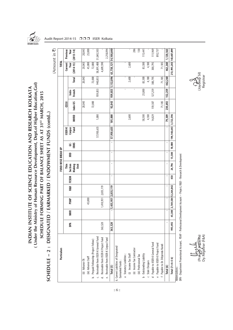

**INDIAN INSTITUTE OF SCIENCE EDUCATION AND RESEARCH KOLKATA ( Under the Ministry of Human Resource Development, Dept.of Higher Education,GoI) SCHEDULE FORMING PART OF BALANCE SHEET AS AT 31ST MARCH, 2015**

(Under the Ministry of Human Resource Development, Dept.of Higher Education, Gol) INDIAN INSTITUTE OF SCIENCE EDUCATION AND RESEARCH KOLKATA

SCHEDULE FORMING PART OF BALANCE SHEET AS AT 31ST MARCH, 2015

|                                                                                                                                         |         |              |                             |           |       |                |                    |             |                                  |             |              |         |                   |                         | (Amount in 3) |
|-----------------------------------------------------------------------------------------------------------------------------------------|---------|--------------|-----------------------------|-----------|-------|----------------|--------------------|-------------|----------------------------------|-------------|--------------|---------|-------------------|-------------------------|---------------|
| Particulars                                                                                                                             |         |              |                             |           |       |                | FUND-WISE BREAK UP |             |                                  |             |              |         |                   | TOTAL                   |               |
|                                                                                                                                         |         |              |                             |           |       | Thin           |                    |             | <b>IISER-K</b>                   |             | <b>CESSI</b> |         |                   | <b>Current</b>          | Previous      |
|                                                                                                                                         | DРД     | <b>NIMIR</b> | PDAP                        | R&D       | FESEM | Section        | XRD                | نج          |                                  |             |              | lndo-   |                   | Year                    | Year          |
|                                                                                                                                         |         |              |                             |           |       | Making<br>Unit |                    | <b>IRMS</b> | Corpus<br>Fund                   | <b>MHRD</b> | Indo-US      | French  | <b>Total</b>      | $(2014 - 15)$           | $(2013 - 14)$ |
| (ii) Advance TA                                                                                                                         |         |              |                             |           |       |                |                    |             |                                  |             | 20,043       |         | 20,043            | 20,043                  | 20,043        |
| (iii) Advance Staff                                                                                                                     |         |              | 45,000                      |           |       |                |                    |             |                                  |             |              |         |                   | 45,000                  | 25,000        |
| b. Prepaid Fellowship (Project Fellow)                                                                                                  |         |              |                             |           |       |                |                    |             |                                  |             | 72,000       |         | 72,000            | 72,000                  |               |
| c. Receivable from IISER-K General Fund                                                                                                 |         |              |                             |           |       |                |                    |             | 57,950,635                       | 1,000       |              | 939,853 | 940,853           | 58,891,488              | 51,845,503    |
| d. Receivable from IISER-K Project Fund                                                                                                 | 363,520 |              | 1,410,951                   | 2,835,119 |       |                |                    |             |                                  |             |              |         |                   | 4,609,590               |               |
| Receivable from IISER-K Corpus Fund<br>نه                                                                                               |         |              |                             |           |       |                |                    |             |                                  |             |              |         |                   |                         | 2,218,094     |
| Total (5)                                                                                                                               | 363,520 |              | $- 1,455,951 2,835,119$     |           | ٠     |                | ×                  |             | 57,950,635                       | 101,000     | 92,043       |         | 939,853 1,132,896 | 63,738,121 54,108,640   |               |
| 6. Current Liabilities of Designated/<br>Earmarked Funds:                                                                               |         |              |                             |           |       |                |                    |             |                                  |             |              |         |                   |                         |               |
| a Statutory Liabilities:                                                                                                                |         |              |                             |           |       |                |                    |             |                                  |             |              | f,      |                   |                         |               |
| (i) Income Tax Staff                                                                                                                    |         |              |                             |           |       |                |                    |             |                                  | 2,600       |              |         | 2,600             | 2,600                   |               |
| (ii) Income Tax Contractor                                                                                                              |         |              |                             |           |       |                |                    |             |                                  |             |              |         |                   |                         | 286           |
| (iii) Professional Tax                                                                                                                  |         |              |                             |           |       |                |                    |             |                                  |             |              |         |                   |                         | 130           |
| b Outstanding Liability                                                                                                                 |         |              |                             |           |       |                |                    |             |                                  | 58,500      |              | 25,000  | 83,500            | 83,500                  | 115,441       |
| c Stale Cheques                                                                                                                         |         |              |                             |           |       |                |                    |             |                                  | 4,180       |              |         | 4,180             | 4,180                   |               |
| Payable to IISER-K General Fund                                                                                                         |         |              |                             |           |       |                |                    |             |                                  | 14,029      | 159,507      | 127,259 | 300,795           | 300,795                 | 111,969       |
| e Payable to IISER-K Project Fund                                                                                                       |         |              |                             |           |       |                |                    |             |                                  |             |              |         |                   |                         | 892,737       |
| f Payable to Dr. Dibyendu Nandi                                                                                                         |         |              |                             |           |       |                |                    |             |                                  |             | 71,185       |         | 71,185            | 71,185                  |               |
| Total (6)                                                                                                                               |         |              |                             |           |       |                |                    |             |                                  | 79,309      | 230,692      | 152,259 | 462,260           | 462,260                 | 1,120,563     |
| Total $(7=4+5-6)$                                                                                                                       | 993,492 |              | 45,300 2,769,584 12,264,842 |           | 450   | 24,796         | 15,500             |             | 10,000   194,148,643   3,722,596 |             |              |         |                   | 213,995,203 143,407,099 |               |
| DPA - Department Promotional Account, PDAP - Professional Development Account - Project, R&D - Research & Development<br>Abbreviations: |         |              |                             |           |       |                |                    |             |                                  |             |              |         |                   |                         |               |

Dy. Registrar (F&A)

(Prak

(Prak*ash Haz*ārīka) (Joydeep Sil) Dy. Registrar (F&A) Registrar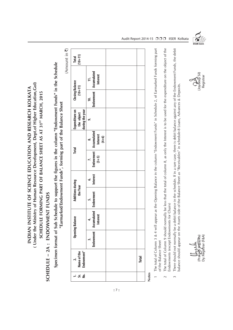( Under the Ministry of Human Resource Development, Dept.of Higher Education, Gol) **( Under the Ministry of Human Resource Development, Dept.of Higher Education,GoI)** INDIAN INSTITUTE OF SCIENCE EDUCATION AND RESEARCH KOLKATA **INDIAN INSTITUTE OF SCIENCE EDUCATION AND RESEARCH KOLKATA** SCHEDULE FORMING PART OF BALANCE SHEET AS AT 31<sup>ST</sup> MARCH, 2015 **SCHEDULE FORMING PART OF BALANCE SHEET AS AT 31ST MARCH, 2015**

## SCHEDULE - 2A : ENDOWMENT FUNDS **SCHEDULE – 2A : ENDOWMENT FUNDS**

Specimen format of Sub Schedule to support the figures in the column "Endowment Funds" in the Schedule **Specimen format of Sub Schedule to support the figures in the column "Endowment Funds" in the Schedule** "Earmarked/Endowment Funds", forming part of the Balance Sheet **"Earmarked/Endowment Funds", forming part of the Balance Sheet** (Amount in ₹) (Amount in  $\bar{z}$ )

| Interest<br>.<br>ف                            | <b>Endowment</b><br><u>ທ່</u> |                              | $\ddot{ }$      | <b>Opening Balance</b><br>Endowment |
|-----------------------------------------------|-------------------------------|------------------------------|-----------------|-------------------------------------|
| Endowment Accumulated<br>(3+5) Interest<br>r. |                               |                              | <b>Interest</b> | Accumulated                         |
|                                               |                               | Additions during<br>the Year |                 |                                     |

**Notes**

- The total of Column 3 & 4 will appear as the Opening Balance in the column "Endowment Funds" in Schedule 2, of Earmarked Funds forming part 1 The total of Column 3 & 4 will appear as the Opening Balance in the column "Endowment Funds" in Schedule 2, of Earmarked Funds forming part of the Balance Sheet of the Balance Sheet
	- The total of Column 9 should normally be less that the total of column 8, as only the Interest is to be used for the expenditure on the object of the 2 The total of Column 9 should normally be less that the total of column 8, as only the Interest is to be used for the expenditure on the object of the Endowments (except Endowments for Chairs) Endowments (except Endowments for Chairs)  $\sim$
- There should not normally be a debit balance in the schedule. If in a rare case, there is debit balance against any of the Endowment Funds, the debit 3 There should not normally be a debit balance in the schedule. If in a rare case, there is debit balance against any of the Endowment Funds, the debit palance should appear on the Assets side of the Balance Sheet as "Receivables" in schedule-8 Loans, Advances & Deposits. balance should appear on the Assets side of the Balance Sheet as "Receivables" in schedule-8 Loans, Advances & Deposits.  $\tilde{ }$

(Prak*ash Haz*ārīka) (Joydeep Sil) **Dy. Registrar (F&A)** 



Audit Report 2014-15 □□□ IISER Kolkata

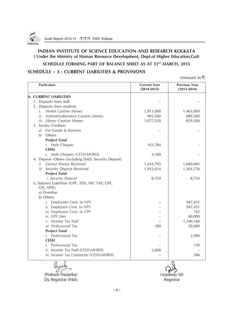

#### **INDIAN INSTITUTE OF SCIENCE EDUCATION AND RESEARCH KOLKATA ( Under the Ministry of Human Resource Development, Dept.of Higher Education,GoI)**

**SCHEDULE FORMING PART OF BALANCE SHEET AS AT 31ST MARCH, 2015** 

#### **SCHEDULE – 3 : CURRENT LIABILITIES & PROVISIONS**

(Amount in  $\bar{\tau}$ )

| <b>Particulars</b>                                   | <b>Current Year</b><br>$(2014 - 2015)$ | <b>Previous Year</b><br>$(2013 - 2014)$ |
|------------------------------------------------------|----------------------------------------|-----------------------------------------|
| <b>A. CURRENT LIABILITIES</b>                        |                                        |                                         |
| 1. Deposits from staff                               |                                        |                                         |
| 2. Deposits from students                            |                                        |                                         |
| i. Hostel Caution Money                              | 1,911,000                              | 1,463,000                               |
| ii. Institute/Laboratory Caution Money               | 905,500                                | 689,500                                 |
| iii. Library Caution Money                           | 1,077,520                              | 859,500                                 |
| 3. Sundry Creditors                                  |                                        |                                         |
| a) For Goods & Services                              |                                        |                                         |
| b) Others                                            |                                        |                                         |
| <b>Project Fund</b>                                  |                                        |                                         |
| <i>i.</i> Stale Cheques                              | 163,784                                |                                         |
| <b>CESSI</b>                                         |                                        |                                         |
| <i>i.</i> Stale Cheques (CESSI-MHRD)                 | 4,180                                  |                                         |
| 4. Deposit -Others (including EMD, Security Deposit) |                                        |                                         |
| i) Earnest Money Received                            | 1,435,793                              | 1,680,085                               |
| ii) Security Deposit Received                        | 1,932,614                              | 1,305,776                               |
| <b>Project Fund</b>                                  |                                        |                                         |
| i. Security Deposit                                  | 8,754                                  | 8,754                                   |
| 5. Statuory Liabilities (GPF, TDS, WC TAX, CPF,      |                                        |                                         |
| GIS, NPS):                                           |                                        |                                         |
| a) Overdue                                           |                                        |                                         |
| b) Others                                            |                                        |                                         |
| Employees Cont. to NPS<br>i.                         |                                        | 947,431                                 |
| ii. Employers Cont. to NPS                           |                                        | 947,431                                 |
| iii. Employees Cont. to CPF                          |                                        | 742                                     |
| iv. GPF Lien                                         |                                        | 60,000                                  |
| v. Income Tax Staff                                  |                                        | 1,340,166                               |
| vi. Professional Tax                                 | 180                                    | 29,680                                  |
| <b>Project Fund</b>                                  |                                        |                                         |
| i. Professional Tax                                  |                                        | 2,990                                   |
| <b>CESSI</b>                                         |                                        |                                         |
| Professional Tax<br>i.                               |                                        | 130                                     |
| ii. Income Tax Staff (CESSI-MHRD)                    | 2,600                                  |                                         |
| iii. Income Tax Contractor (CESSI-MHRD)              |                                        | 286                                     |

(Prakash Hazarika) (Joydeep Sil) Dy. Registrar (F&A) and a set of the control of the Registrar Registrar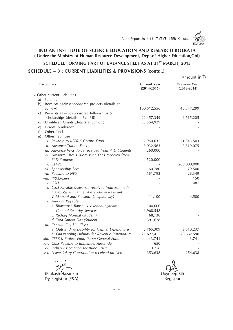

#### **INDIAN INSTITUTE OF SCIENCE EDUCATION AND RESEARCH KOLKATA ( Under the Ministry of Human Resource Development, Dept.of Higher Education,GoI)**

#### **SCHEDULE FORMING PART OF BALANCE SHEET AS AT 31<sup>ST</sup> MARCH, 2015**

#### **SCHEDULE – 3 : CURRENT LIABILITIES & PROVISIONS (contd..)**

(Amount in  $\bar{x}$ )

| <b>Particulars</b>           |                                                    | <b>Current Year</b><br>$(2014 - 2015)$ | <b>Previous Year</b><br>$(2013 - 2014)$ |
|------------------------------|----------------------------------------------------|----------------------------------------|-----------------------------------------|
| 6. Other current Liabilities |                                                    |                                        |                                         |
| Salaries<br>a)               |                                                    |                                        |                                         |
|                              | b) Receipts against sponsored projects (details at |                                        |                                         |
| $Sch-3A)$                    |                                                    | 100,512,556                            | 45,847,299                              |
| C)                           | Receipts against sponsored fellowships &           |                                        |                                         |
|                              | scholarships (details at Sch-3B)                   | 22,457,349                             | 4,615,205                               |
| $\mathbf{d}$                 | Unutilised Grants (details at Sch-3C)              | 55,554,929                             |                                         |
| e)                           | Grants in advance                                  |                                        |                                         |
| Other funds<br>f             |                                                    |                                        |                                         |
| g)                           | Other liabilities                                  |                                        |                                         |
|                              | i. Payable to IISER-K Corpus Fund                  | 57,950,635                             | 51,845,503                              |
|                              | ii. Advance Tuition Fees                           | 3,032,563                              | 2,319,075                               |
|                              | iii. Advance Viva Voice received from PhD Students | 260,000                                |                                         |
|                              | iv. Advance Thesis Submission Fees received from   |                                        |                                         |
|                              | <b>PhD</b> Students                                | 520,000                                |                                         |
| v. CPWD                      |                                                    |                                        | 200,000,000                             |
|                              | vi. Sponsorship Fees                               | 60,780                                 | 79,500                                  |
|                              | vii. Payable to NPS                                | 181,793                                | 28,349                                  |
|                              | viii. PRMS-Lien                                    |                                        | 150                                     |
| ix. GSLI                     |                                                    |                                        | 481                                     |
|                              | x. GSLI Payable (Advance received from Somnath     |                                        |                                         |
|                              | Dasgupta, Immanuel Alexander & Ravikant            |                                        |                                         |
|                              | Valdamani and Prasanth C Upadhyay)                 | 11,100                                 | 4,500                                   |
|                              | xi. Amount Payable :                               |                                        |                                         |
|                              | a. Bhavatosh Bansal & V Mahalinganam               | 100,000                                |                                         |
|                              | b. General Security Services                       | 1,968,548                              |                                         |
|                              | c. Richarj Mondal (Student)                        | 68,738                                 |                                         |
|                              | d. Tara Sankar Das (Student)                       | 391,628                                |                                         |
|                              | xii. Outstanding Liability :                       |                                        |                                         |
|                              | a. Outstanding Liability for Capital Expenditure   | 2,765,309                              | 3,610,237                               |
|                              | b. Outstanding Liability for Revenue Expenditure   | 21,627,412                             | 20,662,590                              |
|                              | xiii. IISER-K Project Fund (From General Fund)     | 43,741                                 | 43,741                                  |
|                              | xiv. CMS Payable to Immanuel Alexander             | 650                                    |                                         |
|                              | xv. Indian Association for Blind Trust             | 3,750                                  |                                         |
|                              | xvi. Leave Salary Contribution received on Lien    | 353,638                                | 254,638                                 |
|                              |                                                    |                                        |                                         |

Dy. Registrar (F&A) Registrar (F&A)

(Prakash Hazarika) (Joydeep Sil)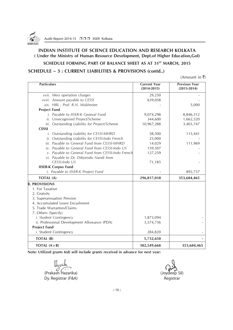

#### **INDIAN INSTITUTE OF SCIENCE EDUCATION AND RESEARCH KOLKATA ( Under the Ministry of Human Resource Development, Dept.of Higher Education,GoI)**

#### **SCHEDULE FORMING PART OF BALANCE SHEET AS AT 31ST MARCH, 2015**

#### **SCHEDULE – 3 : CURRENT LIABILITIES & PROVISIONS (contd..)**

(Amount in  $\bar{\bar{\mathbf{z}}}$ )

| <b>Particulars</b>                                | <b>Current Year</b><br>$(2014 - 2015)$ | <b>Previous Year</b><br>$(2013 - 2014)$ |
|---------------------------------------------------|----------------------------------------|-----------------------------------------|
| xvii. Mess operation charges                      | 29,250                                 |                                         |
| xviii. Amount payable to CESSI                    | 639,058                                |                                         |
| xix. HBL : Prof. R.N. Mukherjee                   |                                        | 5,000                                   |
| <b>Project Fund</b>                               |                                        |                                         |
| i. Payable to IISER-K General Fund                | 9,074,298                              | 8,846,312                               |
| ii. Unrecognised Project/Scheme                   | 344,600                                | 1,662,520                               |
| iii. Outstanding Liability for Project/Scheme     | 10,967,288                             | 3,403,747                               |
| <b>CESSI</b>                                      |                                        |                                         |
| i. Outstanding Liability for CESSI-MHRD           | 58,500                                 | 115,441                                 |
| ii. Outstanding Liability for CESSI-Indo French   | 25,000                                 |                                         |
| iii. Payable to General Fund from CESSI-MHRD      | 14,029                                 | 111,969                                 |
| iv. Payable to General Fund from CESSI-Indo US    | 159,507                                |                                         |
| v. Payable to General Fund from CESSI-Indo French | 127,259                                |                                         |
| vi. Payable to Dr. Dibyendu Nandi from            |                                        |                                         |
| CESSI-Indo US                                     | 71,185                                 |                                         |
| <b>IISER-K Corpus Fund</b>                        |                                        |                                         |
| i. Payable to IISER-K Project Fund                |                                        | 892,737                                 |
| TOTAL (A)                                         | 296,817,018                            | 353,684,465                             |
| <b>B. PROVISIONS</b>                              |                                        |                                         |
| 1. For Taxation                                   |                                        |                                         |
| 2. Gratuity                                       |                                        |                                         |
| 3. Superannuation Pension                         |                                        |                                         |
| 4. Accumulated Leave Encashment                   |                                        |                                         |
| 5. Trade Warranties/Claims                        |                                        |                                         |
| 7. Others (Specify)                               |                                        |                                         |
| i. Student Contingency                            | 1,873,094                              |                                         |
| ii. Professional Development Allowance (PDA)      | 3,574,736                              |                                         |
| <b>Project Fund</b>                               |                                        |                                         |
| <i>i</i> . Student Contingency                    | 284,820                                |                                         |
| TOTAL (B)                                         | 5,732,650                              |                                         |
| <b>TOTAL</b> $(A + B)$                            | 302,549,668                            | 353,684,465                             |

**Note: Utilized grants 6(d) will include grants received in advance for next year:**

(Prakash Hazarika) (Joydeep Sil) Dy. Registrar (F&A) and a set of the control of the Registrar Registrar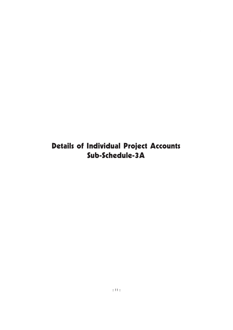## Details of Individual Project Accounts Sub-Schedule-3A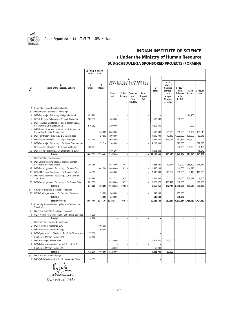

## **INDIAN INSTITUTE OF SCIENCE ( Under the Ministry of Human Resource**

#### **SUB-SCHEDULE-3A SPONSORED PROJECTS (FORMING**

|                     |                                                                                     | Opening Balance<br>as on 1.04.14 |                   |                 |                      |                                            |                           |            |                                                                     |                                              |                        |                 |
|---------------------|-------------------------------------------------------------------------------------|----------------------------------|-------------------|-----------------|----------------------|--------------------------------------------|---------------------------|------------|---------------------------------------------------------------------|----------------------------------------------|------------------------|-----------------|
|                     |                                                                                     |                                  |                   |                 |                      | 5.                                         |                           |            |                                                                     |                                              |                        |                 |
| 1.                  | 2.                                                                                  | 3.                               | 4.                |                 | RECEIPTS/RECOVERIES/ |                                            | INCOMEDURING THE YEAR     |            | Man-<br>power /                                                     |                                              |                        |                 |
| SI.<br>No.          | Name of the Project / Scheme                                                        | Credit                           | <b>Debits</b>     | Grant<br>in aid | Other<br>Income      | Transfe-<br>rred<br>from<br><b>IISER-K</b> | Inter-<br>Project<br>Trf. | 6<br>Total | <b>Salaries</b><br>Honora-<br>rium<br>wages<br>Allowan-<br>ces etc. | Fellow-<br>ship<br>Scholar-<br>ship<br>& HRA | Fixed<br><b>Assets</b> | Consum-<br>able |
| Α                   | Externally Funded Faculty Fellowship                                                |                                  |                   |                 |                      |                                            |                           |            |                                                                     |                                              |                        |                 |
| (i)                 | Department of Science & Technology                                                  |                                  |                   |                 |                      |                                            |                           |            |                                                                     |                                              |                        |                 |
| 1                   | DST-Ramanujan Fellowship - Dibyendu Nandi                                           | 475,999                          |                   |                 |                      |                                            |                           |            |                                                                     |                                              | 94,400                 |                 |
| $\overline{2}$      | DST-J. C. Bose Fellowship - Somnath Dasqupta                                        | 903.317                          |                   | 500.000         |                      |                                            |                           | 500.000    |                                                                     | 300.000                                      |                        |                 |
| 3                   | DST-Financial assistance for award of Ramanujan<br>Fellowship to Dr. Siddhartha Lal | 516,062                          |                   | 1,200,000       |                      |                                            |                           | 1.200.000  |                                                                     |                                              | 11,999                 |                 |
| $\overline{4}$      | DST-Financial aasistance for award of Ramanujan<br>Fellowship-Dr. Raja Shunmugam    |                                  | 1,748,289         | 3,500,000       |                      |                                            |                           | 3,500,000  | 228,000                                                             | 950,000                                      | 99,654                 | 425,546         |
| 5                   | DST-Ramanujan FellowshipDr. Sutapa Bose                                             |                                  | 20.802            | 1.800.000       |                      |                                            |                           | 1.800.000  | 77.419                                                              | 1.020.000                                    | 128,990                | 69.948          |
| $6\phantom{a}$      | DST-Inspire FellowshipDr. Argha Banerjee                                            | 307,690                          |                   | 1,691,680       |                      |                                            |                           | 1,691,680  | 169,727                                                             | 997,134                                      | 180,600                |                 |
| 8                   | DST-Ramanujan FellowshipDr. Guha Dharmaranjan                                       |                                  | 27,314            | 2,100,000       |                      |                                            |                           | 2,100,000  |                                                                     | 1,020,000                                    |                        | 692,895         |
| g                   | DST-Inspire FellowshipDr. Mithun Mukherjee                                          | 1,400,484                        |                   |                 |                      |                                            |                           |            |                                                                     | 960,000                                      | 209,900                | 6,450           |
| 10                  | DST-Inspire FellowshipDr. Shibananda Biswas                                         |                                  |                   | 1,396,208       |                      |                                            |                           | 1,396,208  |                                                                     |                                              |                        | 18,270          |
|                     | Total (i)                                                                           | 3.603.552                        | 1,796,405         | 12,187,888      | $\overline{a}$       | J.                                         | $\overline{\phantom{a}}$  | 12,187,888 | 475.146                                                             | 5,247,134                                    | 725,543                | 1,213,109       |
| (ii)<br>11          | Department of Bio Technology<br>DBT-Cellular and Molecular Ramalingaswami           |                                  |                   |                 |                      |                                            |                           |            |                                                                     |                                              |                        |                 |
|                     | Fellowship -Dr. Mohit Prasad                                                        | 255,186                          |                   | 1,543,000       | 15,081               |                                            |                           | 1,558,081  | 49,774                                                              | 1,110,000                                    | 285,509                | 306,117         |
| 12                  | DBT-Ramalingaswami FellowshipDr. Koel Das                                           |                                  | 402,296           | 1,480,000       | 15,139               |                                            |                           | 1,495,139  |                                                                     | 1,110,000                                    | 114,870                |                 |
| 13                  | DBT-ICT-Energy BioscienceDr. Supratim Datta                                         | 46,355                           |                   | 1,400,000       |                      |                                            |                           | 1.400.000  | 249.522                                                             | 900.000                                      | 1,440                  | 146,500         |
| 14                  | DBT-Ramalingaswami FellowshipDr. Rituparna<br>Sinha Roy                             | 384,880                          |                   | 1,517,323       | 36,741               |                                            |                           | 1,554,064  |                                                                     | 1,110,000                                    | 357,797                | 6,505           |
| 15                  | DBT-Ramalingaswami FellowshipDr. Rupak Datta                                        | 261.507                          |                   | 1.620.000       | 30.972               |                                            |                           | 1.650.972  | 193,419                                                             | 1,110,000                                    |                        | 118.908         |
|                     | Total (ii)                                                                          | 947,928                          | 402.296           | 7,560,323       | 97,933               | L,                                         | $\ddot{\phantom{a}}$      | 7,658,256  | 492,715                                                             | 5,340,000                                    | 759,616                | 578,030         |
| (iii)               | Council of Scientific & Industrial Research                                         |                                  |                   |                 |                      |                                            |                           |            |                                                                     |                                              |                        |                 |
| 16                  | CSIR-Bhatnagar AwardDr. Soumitro Banerjee                                           |                                  | 75,000            | 540,000         |                      |                                            |                           | 540,000    |                                                                     | 285,000                                      |                        |                 |
|                     | Total (iii)                                                                         |                                  | 75,000            | 540,000         |                      | ÷,                                         | $\blacksquare$            | 540,000    |                                                                     | 285,000                                      |                        |                 |
|                     | Total (A=i+ii+iii)                                                                  | 4,551,480                        | 2,273,701         | 20.288.211      | 97,933               | Ĭ.                                         | ÷,                        | 20,386,144 | 967,861                                                             | 0,872,134 1,485,159                          |                        | 1,791,139       |
| B                   | Externally Funded Workshop/Seminer/Conference/<br>Travel, etc.                      |                                  |                   |                 |                      |                                            |                           |            |                                                                     |                                              |                        |                 |
| (i)                 | Council of Scientific & Industrial Research                                         |                                  |                   |                 |                      |                                            |                           |            |                                                                     |                                              |                        |                 |
| 1                   | CSIR-Workshop & Symposium-Dr.Soumitro Banerjee                                      | 8,000                            |                   |                 |                      |                                            |                           |            |                                                                     |                                              |                        |                 |
|                     | Total (i)                                                                           | 8,000                            |                   |                 |                      | Ĭ.                                         | Ĭ.                        |            | ÷,                                                                  |                                              |                        |                 |
| (ii)                | Department of Science & Technology                                                  |                                  |                   |                 |                      |                                            |                           |            |                                                                     |                                              |                        |                 |
| $\overline{2}$<br>3 | DST-Indo Brazil Workshop 2010                                                       |                                  | 100,000<br>60.000 |                 |                      |                                            |                           |            |                                                                     |                                              |                        |                 |
| $\overline{4}$      | DST-Frontiers in Modern Biology                                                     |                                  |                   |                 |                      |                                            |                           |            |                                                                     |                                              |                        |                 |
| 5                   | DST-Symposium on BioeffectDr. Guha Dharmaranjan<br>Frontiers in Modern Biology-2012 | 57,030<br>75,000                 |                   |                 |                      |                                            |                           |            |                                                                     |                                              |                        |                 |
| 6                   | DST-Ramanujan Review Meet                                                           |                                  |                   | 1,375,000       |                      |                                            |                           | 1,375,000  | 33,000                                                              |                                              |                        |                 |
| $\overline{7}$      | DST-Asian Academy Seminar and School 2015                                           |                                  |                   |                 |                      |                                            |                           |            |                                                                     |                                              |                        |                 |
| 8                   | Frontiers in Modern Biology-2014                                                    |                                  |                   | 50,000          |                      |                                            |                           | 50,000     |                                                                     |                                              |                        |                 |
|                     | Total (iii)                                                                         | 132,030                          | 160,000           | 1,425,000       |                      | Ĭ.                                         | Ĭ.                        | 1,425,000  | 33,000                                                              |                                              |                        |                 |
| (iv)                | Department of Atomic Energy                                                         |                                  |                   |                 |                      |                                            |                           |            |                                                                     |                                              |                        |                 |
| 9                   | DAE-(NBHM)-Winter SchollDr. Kaneenika Sinha                                         | 116,132                          |                   |                 |                      |                                            |                           |            |                                                                     |                                              |                        |                 |
|                     |                                                                                     |                                  |                   |                 |                      |                                            |                           |            |                                                                     |                                              |                        |                 |

oudu ╙ (Prakash Hazarika)

Dy. Registrar (F&A)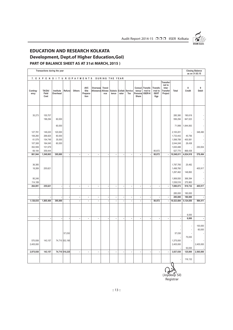

## **EDUCATION AND RESEARCH KOLKATA Development, Dept.of Higher Education,GoI)**

#### **PART OF BALANCE SHEET AS AT 31st MARCH, 2015 )**

|                                                              | Transactions during the year                                   |                                       |                          |                          |                                        |                                      |     |                          |                          |                          |                             |                                              |                                              |                                                            |                                                                          |                                         | <b>Closing Balance</b><br>as on 31.03.15 |
|--------------------------------------------------------------|----------------------------------------------------------------|---------------------------------------|--------------------------|--------------------------|----------------------------------------|--------------------------------------|-----|--------------------------|--------------------------|--------------------------|-----------------------------|----------------------------------------------|----------------------------------------------|------------------------------------------------------------|--------------------------------------------------------------------------|-----------------------------------------|------------------------------------------|
|                                                              | 7. EXPENDITURE/PAYMENTS DURING THE YEAR                        |                                       |                          |                          |                                        |                                      |     |                          |                          |                          |                             |                                              |                                              |                                                            |                                                                          |                                         |                                          |
| Conting-<br>ency                                             | TA/DA/<br>Field<br>Cost                                        | Institute<br>Overhead                 | Refund                   | Others                   | <b>AVC</b><br>Site<br>Prepara-<br>tion | Overseas Travel<br>Allowance Allowa- | nce | Subsis-<br>tence         | rator                    | Collab-Service<br>Tex    | tancy/<br>Personal<br>Share | Consul-Transfe-<br>rred to<br><b>IISER-K</b> | Transfe-<br>rred to<br><b>ISI/IIT</b><br>Kgp | Transfer-<br>red to<br>Inter<br><b>Transfer</b><br>Project | Total                                                                    | 8<br>Credit                             | 9<br>Debit                               |
| 35,273                                                       | 155,707<br>196,294                                             | 60,000<br>60,000                      |                          |                          |                                        |                                      |     |                          |                          |                          |                             |                                              |                                              |                                                            | 285,380<br>556,294<br>71,999                                             | 190,619<br>847,023<br>1,644,063         |                                          |
| 127,781<br>108,260<br>61,579<br>107,308<br>352,559<br>69,184 | 149,220<br>268,825<br>154,749<br>164,045<br>101,579<br>359,444 | 120,000<br>60,000<br>35,000<br>60,000 |                          |                          |                                        |                                      |     |                          |                          |                          |                             |                                              | 80,872                                       |                                                            | 2,100,201<br>1,733,442<br>1,598,789<br>2,044,248<br>1,630,488<br>527,770 | 45,756<br>400,581<br>28,438<br>868,438  | 348,490<br>230,004                       |
| 861,944                                                      | 1,549,863                                                      | 395,000                               |                          | $\overline{\phantom{a}}$ | $\blacksquare$                         | $\overline{\phantom{a}}$             | l,  | $\blacksquare$           | l,                       | ÷,                       | $\blacksquare$              |                                              | 80,872                                       |                                                            | 10,548,611                                                               | 4,024,918                               | 578,494                                  |
| 36,385<br>18,269<br>95,248<br>114,189                        | 255,621                                                        |                                       |                          |                          |                                        |                                      |     |                          |                          |                          |                             |                                              |                                              |                                                            | 1,787,785<br>1,498,760<br>1,297,462<br>1,569,550<br>1,536,516            | 25,482<br>148,893<br>369,394<br>375,963 | 405,917                                  |
| 264,091                                                      | 255,621                                                        | $\overline{\phantom{a}}$              |                          | $\overline{\phantom{a}}$ | $\overline{\phantom{a}}$               | $\blacksquare$                       | ٠   | $\blacksquare$           | $\ddot{\phantom{0}}$     | $\overline{\phantom{a}}$ | $\overline{\phantom{a}}$    | ×,                                           | $\overline{\phantom{a}}$                     | $\overline{\phantom{a}}$                                   | 7,690,073                                                                | 919,732                                 | 405,917                                  |
|                                                              |                                                                |                                       |                          | $\blacksquare$           | $\blacksquare$                         | $\overline{\phantom{a}}$             |     | $\overline{\phantom{a}}$ | ÷                        | ×,                       | $\overline{\phantom{a}}$    |                                              | ÷                                            | $\overline{\phantom{a}}$                                   | 285,000<br>285,000                                                       | 180,000<br>180,000                      |                                          |
| 1,126,035                                                    | 1,805,484                                                      | 395,000                               |                          | $\overline{\phantom{a}}$ | $\blacksquare$                         | $\blacksquare$                       | ÷,  | $\overline{\phantom{a}}$ | $\overline{\phantom{a}}$ | $\overline{\phantom{a}}$ | $\overline{\phantom{a}}$    | $\overline{\phantom{a}}$                     | 80,872                                       | $\blacksquare$                                             | 18,523,684                                                               | 5,124,650                               | 984,411                                  |
| Ĭ.                                                           | ÷                                                              | ÷,                                    |                          | $\overline{\phantom{a}}$ | $\blacksquare$                         | ÷,                                   | ÷,  | $\blacksquare$           | ÷,                       | $\overline{\phantom{a}}$ | $\overline{\phantom{a}}$    | ÷,                                           | $\overline{\phantom{a}}$                     | $\overline{\phantom{a}}$                                   | $\blacksquare$                                                           | 8,000<br>8,000                          | $\cdot$                                  |
|                                                              |                                                                |                                       |                          |                          |                                        |                                      |     |                          |                          |                          |                             |                                              |                                              |                                                            |                                                                          |                                         |                                          |
| 570,938<br>2,405,000                                         | 143,157                                                        |                                       | 57,030<br>74,710 553,195 |                          |                                        |                                      |     |                          |                          |                          |                             |                                              |                                              |                                                            | 57,030<br>1,375,000<br>2,405,000                                         | ×,<br>×,<br>75,000<br>50,000            | 100,000<br>60,000<br>2,405,000           |
| 2,975,938                                                    | 143,157                                                        |                                       | 74,710 610,225           | $\blacksquare$           | $\blacksquare$                         | ÷,                                   | ٠   | $\blacksquare$           | l,                       | ×                        | $\ddot{\phantom{0}}$        | ÷,                                           | $\blacksquare$                               | l,                                                         | 3,837,030                                                                | 125,000                                 | 2,565,000                                |
|                                                              |                                                                |                                       |                          |                          |                                        |                                      |     |                          |                          |                          |                             |                                              |                                              |                                                            |                                                                          | 116,132                                 |                                          |

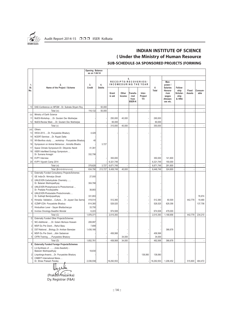

#### **INDIAN INSTITUTE OF SCIENCE ( Under the Ministry of Human Resource SUB-SCHEDULE-3A SPONSORED PROJECTS (FORMING**

#### 10 DAE-Conference on MFQM - Dr. Subrata Shyam Roy | 50,000 - | 116,132 50,000 - | - | - | - | - | - | - | -(v) Ministry of Earth Science 11 MoES-Workshop…..Dr. Goutam Dev Mukheriee - - - - - - 250,000 40,000 - - 290,000 12 MoES-Review Meet....Dr. Goutam Dev Mukherjee - - - - 60,000 - - 60,000 - 60,000 Total (v) - - 310,000 40,000 - - 350,000 - - - - (vi) Others 13 IWOA 2013.....Dr. Punyasloke Bhadury  $4.429$ 14 NCERT-Seminar....Dr. Rupak Datta 15 WII-Benthos study.......workshop - Punyasloke Bhadury 40 16 Symposium on Animal Behaviour...Anindita Bhadra | 3,727 17 Space Climate Symposium-Dr. Dibyendu Nandi 41,361 18 | IISER InterMeet Ecology Symposium... Dr. Sumana Annagiri 332.798 19 KVPY Interview - - 350,000 350,000 141,800 20 KVPY Vijyoshi Camp 2014 - - 6,321,749 6,321,749 150,000 - | 378,628| 3,727| 6,671,749| - | - | - | 6,671,749| 291,800 | - | - | -Total (B=i+ii+iii+iv+v+vi) 634,790 213,727 8,406,749 40,000 - - 8,446,749 324,800 - - - C Externally Funded Consultancy Projects/Schemes 1 GE India-Dr. Nirmalya Ghosh 27,000 2 UNILEVER-Carbohydrate Chemistry...... Dr. Balaram Mukhopadhyay 304,768 3 UNILEVER-Photophysical & Photochemical... Dr. Pradipta Purukayastha 38,883 - 4 UNILEVER-Photostable Photochromatic…. Dr. Subhajit Bandyopadhyay 331,853 - - - - - - - - - 76,974 5 Himedia- Validation….Culture…. Dr. Jayasri Das Sarma 419,514 512,360 - - 512,360 60,500 442,779 19,480 6 ICZMP-CDA- Punyasloke Bhadury 814,380 528,525 - 528,525 629,356 529,356 137,756  $7$  Hindusthan Lever - Sayan Bhattacharyya  $33,750$ 8 Invictus Oncology-Swadhin Mondal **6,223** 974,508 - 974,508 479,000 Total (C) 1,976,371 - 2,015,393 - - 2,015,393 1,168,856 - 442,779 234,210 D Externally Funded Other Projects/Schemes NIC-Additional......Dr. Golam Mortuza Hossain 208,897 2 MSIF-Du Pre Grant....Rahul Basu 1999 - 1,698 3 DST-National....Biology..Dr. Anirban Banerjee 1,436,166 - - - - - - - 366,678 4 MSIF-Du Pre Grant....Jibin Sadasivan - - - - - - - 458,568 - - - - - 458,568 CIFRI-Training……Punyasloke Bhadury - - - - 34,000 34,000 Total (D) 1,652,761 - 458,568 34,000 - - 492,568 366,678 - - - **E Externally Funded Foreign Projects/Schemes** 1 LU-Synthesis of ……..(Indo-Swedish) - Balaram Mukhopadhyay 18,830 2 Linpokings-Arsenic....Dr. Punyasloke Bhadury | | | | | | | | | | | | | | | 138,060 | 138,060 3 CIMMYT-International Maize... Dr. Shree Prakash Pandey 2,036,558 16,292,553 - 16,292,553 1,206,452 515,800 484,472 **Opening Balance as on 1.04.14 Man-1. 2. 3. 4. power / I N C O M E D U R I N G T H E Y E A R Sl. Name of the Project / Scheme Credit Debits 6 Salaries Fellow-No. Total Honora- ship Fixed Consum-Grant Other Transfe- Inter- rium Scholar- Assets able** in aid | Income | rred | Project | | wages | ship **from** Trf. **allowan- & HRA**<br>ISER-K **Trf. Ces etc. 8.** ces etc. **5. R E C E I P T S / R E C O V E R I E S /**

Ungula (Prakash Hazarika)

Dy. Registrar (F&A)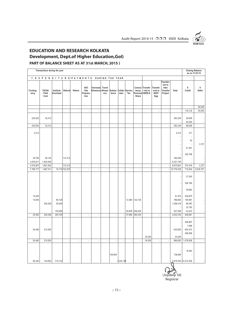

## **EDUCATION AND RESEARCH KOLKATA Development, Dept.of Higher Education,GoI)**

#### **PART OF BALANCE SHEET AS AT 31st MARCH, 2015 )**

|                     | Transactions during the year |                             |                |           |                                        |                               |               |                          |          |                       |                          |                                                |                                              |                                                            |                                           | <b>Closing Balance</b><br>as on 31.03.15         |            |
|---------------------|------------------------------|-----------------------------|----------------|-----------|----------------------------------------|-------------------------------|---------------|--------------------------|----------|-----------------------|--------------------------|------------------------------------------------|----------------------------------------------|------------------------------------------------------------|-------------------------------------------|--------------------------------------------------|------------|
|                     | 7. EXPENDITURE/PAYMENTS      |                             |                |           |                                        |                               |               | DURING THE YEAR          |          |                       |                          |                                                |                                              |                                                            |                                           |                                                  |            |
| Conting-<br>ency    | TA/DA/<br>Field<br>Cost      | Institute<br>Overhead       | Refund         | Others    | <b>AVC</b><br>Site<br>Prepara-<br>tion | Overseas<br>Allowance Allowa- | Travel<br>nce | Subsis-<br>tence         | rator    | Collab-Service<br>Tex | tancy/<br>Share          | Consul-Transfe-<br>rred to<br>Personal IISER-K | Transfe-<br>rred to<br><b>ISI/IIT</b><br>Kgp | Transfer-<br>red to<br>Inter<br><b>Transfer</b><br>Project | Total                                     | 8<br>Credit                                      | 9<br>Debit |
|                     |                              |                             |                |           |                                        |                               |               |                          |          |                       |                          |                                                |                                              |                                                            | ÷,                                        | $\overline{\phantom{a}}$                         | 50,000     |
|                     |                              |                             |                | ł,        | $\overline{\phantom{a}}$               | $\overline{\phantom{a}}$      |               | i,                       |          | i,                    | $\overline{\phantom{a}}$ |                                                | ÷,                                           | $\bar{z}$                                                  | $\overline{\phantom{a}}$                  | 116,132                                          | 50,000     |
| 230,932             | 32,412                       |                             |                |           |                                        |                               |               |                          |          |                       |                          |                                                |                                              |                                                            | 263,344                                   | 26,656<br>60,000                                 |            |
| 230,932             | 32,412                       |                             |                | ÷,        | $\Box$                                 | $\overline{\phantom{a}}$      |               | $\blacksquare$           |          | $\blacksquare$        | ÷,                       |                                                | $\overline{\phantom{a}}$                     | $\bar{z}$                                                  | 263,344                                   | 86,656                                           |            |
| 4,212               |                              |                             |                |           |                                        |                               |               |                          |          |                       |                          |                                                |                                              |                                                            | 4,212                                     | 217<br>40                                        |            |
|                     |                              |                             |                |           |                                        |                               |               |                          |          |                       |                          |                                                |                                              |                                                            |                                           | 41,361                                           | 3,727      |
| 39,784<br>4,535,911 | 56,104<br>1,635,838          |                             | 112,312        |           |                                        |                               |               |                          |          |                       |                          |                                                |                                              |                                                            | 350,000<br>6,321,749                      | 332,798<br>$\sim$                                |            |
| 4,579,907           | 1,691,942                    |                             | 112,312        | $\bar{z}$ | $\overline{\phantom{a}}$               | $\blacksquare$                |               | $\overline{\phantom{a}}$ |          | i,                    | $\overline{\phantom{a}}$ |                                                | $\overline{\phantom{a}}$                     | $\overline{\phantom{a}}$                                   | 6,675,961                                 | 374,416                                          | 3,727      |
| 7,786,777           | 1,867,511                    |                             | 74,710 722,537 | ł,        | $\overline{\phantom{a}}$               | ÷,                            |               | ł,                       |          | ÷,                    | ł,                       |                                                | $\overline{\phantom{a}}$                     | $\overline{\phantom{a}}$                                   | 10,776,335                                | 710,204                                          | 2,618,727  |
|                     |                              |                             |                |           |                                        |                               |               |                          |          |                       |                          |                                                |                                              |                                                            |                                           | 27,000<br>304,768<br>38,883                      |            |
| 15,000<br>10,500    | 439,306                      | 89,129<br>50,000<br>154,600 |                |           |                                        |                               |               |                          |          | 12,360<br>45,608      | 132,135<br>258,300       |                                                |                                              |                                                            | 91,974<br>766,883<br>1,256,418<br>937,508 | 239,879<br>164,991<br>86,487<br>33,750<br>43,223 |            |
| 25,500              | 439,306                      | 293,729                     |                | ÷,        | $\overline{\phantom{a}}$               | $\overline{\phantom{a}}$      |               | ÷,                       |          | 57,968                | 390,435                  |                                                | ÷,                                           | $\bar{z}$                                                  | 3,052,783                                 | 938,981                                          |            |
| 50,465              | 215,550                      |                             |                |           |                                        |                               |               |                          |          |                       |                          | 34,000                                         |                                              |                                                            | 632,693<br>34,000                         | 208,897<br>7,698<br>803,473<br>458,568           |            |
| 50,465              | 215,550                      |                             |                | ×,        | $\overline{\phantom{a}}$               | $\overline{\phantom{a}}$      |               | ÷,                       |          | ÷,                    | ÷,                       | 34,000                                         | $\overline{\phantom{a}}$                     | $\overline{\phantom{a}}$                                   | 666,693                                   | 1,478,636                                        |            |
| 60,240              | 134,693                      | 314,312                     |                |           |                                        |                               |               | 138,060                  | ,202,796 |                       |                          |                                                |                                              |                                                            | 138,060                                   | 18,830<br>÷.<br>3,918,765 14,410,346             |            |

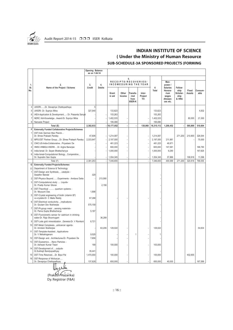

#### **INDIAN INSTITUTE OF SCIENCE ( Under the Ministry of Human Resource SUB-SCHEDULE-3A SPONSORED PROJECTS (FORMING**

|                |                                                                                           | <b>Opening Balance</b><br>as on 1.04.14 |                     |                        |                      |                                            |                           |                        |                                                  |                                   |                 |                   |
|----------------|-------------------------------------------------------------------------------------------|-----------------------------------------|---------------------|------------------------|----------------------|--------------------------------------------|---------------------------|------------------------|--------------------------------------------------|-----------------------------------|-----------------|-------------------|
|                |                                                                                           |                                         |                     |                        | RECEIPTS/RECOVERIES/ | 5.                                         |                           |                        | Man-                                             |                                   |                 |                   |
| 1.<br>SI.      | 2.<br>Name of the Project / Scheme                                                        | 3.<br>Credit                            | 4.<br><b>Debits</b> |                        |                      |                                            | INCOMEDURING THE YEAR     | 6                      | power /<br><b>Salaries</b>                       | Fellow-                           |                 |                   |
| No.            |                                                                                           |                                         |                     | Grant<br>in aid        | Other<br>Income      | Transfe-<br>rred<br>from<br><b>IISER-K</b> | Inter-<br>Project<br>Trf. | Total                  | Honora-<br>rium<br>wages<br>Allowan-<br>ces etc. | ship<br>Scholar-<br>ship<br>& HRA | Fixed<br>Assets | Consum-<br>able   |
| 4              | UKIERIDr. Devapriya Chattopadhaya                                                         | 5                                       |                     |                        |                      |                                            |                           |                        |                                                  |                                   |                 |                   |
| 5              | UKIERI- Dr. Supriyo Mitra                                                                 | 327,540                                 |                     | 133,623                |                      |                                            |                           | 133,623                |                                                  |                                   |                 | 4,832             |
| 6              | IAEA-Application & Development- Dr. Prasanta Sanyal                                       |                                         |                     | 153,263                |                      |                                            |                           | 153,263                |                                                  |                                   |                 |                   |
| $\overline{7}$ | NERC IAA-KnowledgeAward-Dr. Supriyo Mitra                                                 |                                         |                     | 1,402,533              |                      |                                            |                           | 1,402,533              |                                                  |                                   | 80,000          | 21,300            |
| 8              | Namaste Project                                                                           |                                         |                     | 195,080                |                      |                                            |                           | 195,080                |                                                  |                                   |                 |                   |
|                | Total (E)                                                                                 | 2,382,933                               |                     | 18,177,052             | ÷,                   | J.                                         | 138,060                   | 18,315,112             | 1,206,452                                        |                                   | 595,800         | 510,604           |
| F              | <b>Externally Funded Collaborative Projects/Schemes</b>                                   |                                         |                     |                        |                      |                                            |                           |                        |                                                  |                                   |                 |                   |
| 1              | DST-Indo German Max Planck                                                                |                                         |                     |                        |                      |                                            |                           |                        |                                                  |                                   |                 |                   |
| $\overline{2}$ | Dr. Shree Prakash Pandey                                                                  | 47,606<br>2,333,647                     |                     | 1,214,087<br>2,197,000 |                      |                                            |                           | 1,214,087<br>2,197,000 | 211,981                                          | 271,200                           | 210,900         | 326,544<br>75,000 |
| 3              | MPG-DST Partner GroupDr. Shree Prakash Pandey<br>CNIC:US-India-CollaborativePriyadarsi De |                                         |                     | 481,223                |                      |                                            |                           | 481,223                | 48,871                                           |                                   |                 |                   |
| 4              | IIMSC-HNBGU-IISERKDr. Argha Banerjee                                                      |                                         |                     | 600,000                |                      |                                            | l,                        | 600,000                | 147,581                                          |                                   |                 | 188,790           |
| 5              | India-Isreal: Dr. Sayan Bhattacharyya                                                     |                                         |                     | 1,000,000              |                      |                                            | í,                        | 1,000,000              | 9,290                                            |                                   |                 | 197,625           |
| 6              | India-Isreal-Computational BiologyComperative                                             |                                         |                     |                        |                      |                                            |                           |                        |                                                  |                                   |                 |                   |
|                | Dr. Supratim Sen Gupta                                                                    |                                         |                     | 1,554,345              |                      |                                            |                           | 1,554,345              | 37,866                                           |                                   | 109.918         | 11,096            |
|                | Total (F)                                                                                 | 2,381,253                               |                     | 7,046,655              |                      |                                            | J,                        | 7,046,655              | 455,589                                          | 271,200                           | 320,818         | 799,055           |
| G              | <b>Externally Funded Projects/Schemes</b>                                                 |                                         |                     |                        |                      |                                            |                           |                        |                                                  |                                   |                 |                   |
| (i)            | Department of Science & Technology                                                        |                                         |                     |                        |                      |                                            |                           |                        |                                                  |                                   |                 |                   |
| 1              | DST-Design and Synthesiscatalysis -<br>Swadhin Mandal                                     | 329                                     |                     |                        |                      |                                            |                           |                        |                                                  |                                   |                 |                   |
| $\overline{2}$ | DST-Physics BeyondExperiments - Amitava Datta                                             |                                         | 213,590             |                        |                      |                                            |                           |                        |                                                  |                                   |                 |                   |
| 3              | DST-Computational study  Liquids-<br>Dr. Pradip Kumar Ghorai                              |                                         | 2,158               |                        |                      |                                            |                           |                        |                                                  |                                   |                 |                   |
| 4              | DST-Theoritical  quantum systems -<br>Dr. Mousumi Das                                     | 1,698                                   |                     |                        |                      |                                            |                           |                        |                                                  |                                   |                 |                   |
| 5              | DST-Crystal engineering of biotin (vitamin B7)<br>co-crystals-Dr. C Malla Reddy           | 67,288                                  |                     |                        |                      |                                            |                           |                        |                                                  |                                   |                 |                   |
| 6              | DST-Electrical conductivityimplications-<br>Dr. Goutam Dev Mukherjee                      | 575,158                                 |                     |                        |                      |                                            |                           |                        |                                                  |                                   |                 |                   |
| 7              | DST-Pt-group metal sensing materials-<br>Dr. Parna Gupta Bhattacharya                     | 5,187                                   |                     |                        |                      |                                            |                           |                        |                                                  |                                   |                 |                   |
| 8              | DST-Flurorometric sensor for cadmium in drinking<br>water-Dr. Raja Shunmugam              |                                         | 36,289              |                        |                      |                                            |                           |                        |                                                  |                                   |                 |                   |
| 9              | DST-Lode gold mineralization Genesis-Dr. V Ravikant                                       | 6,721                                   |                     |                        |                      |                                            |                           |                        |                                                  |                                   |                 |                   |
| 10             | DST-Metal Complexesanticancer agents-<br>Dr. Arindam Mukherjee                            |                                         | 63,206              | 129,022                |                      |                                            |                           | 129,022                |                                                  |                                   |                 | 54,834            |
| 11             | DST-Template-AssistedApplications-<br>Dr. V Mahalinganam                                  | 9,529                                   |                     |                        |                      | 1                                          |                           | 1                      |                                                  |                                   |                 |                   |
| 12             | DST-Design andArchitectures-Dr. Priyadarsi De                                             | 7,656                                   |                     |                        |                      |                                            |                           |                        |                                                  |                                   |                 |                   |
| 13             | DST-DyanamicsNano Particles -<br>Dr. Ashwani Kumar Tiwari                                 | 189                                     |                     | 100,000                |                      |                                            |                           | 100,000                |                                                  |                                   |                 |                   |
| 14             | DST-Development ofoutputs-<br>Dr.Subhajit Bandyopadhyay                                   | 35,441                                  |                     |                        |                      |                                            |                           |                        |                                                  |                                   |                 |                   |
| 15             | DST-Time ResolvedDr. Bipul Pal                                                            | 1,470,000                               |                     | 100,000                |                      |                                            |                           | 100,000                |                                                  |                                   | 402,655         |                   |
| 16             | DST-Response of Molluscan<br>Dr. Devapriya Chattopadhyay                                  | 137.828                                 |                     | 650.000                |                      |                                            |                           | 650,000                | 40.000                                           |                                   |                 | 187,599           |

ينللن (Prakash Hazarika)

Dy. Registrar (F&A)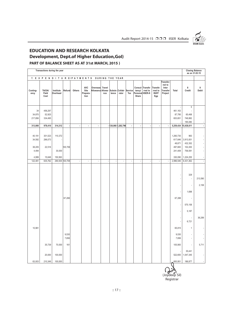

## **EDUCATION AND RESEARCH KOLKATA Development, Dept.of Higher Education,GoI)**

#### **PART OF BALANCE SHEET AS AT 31st MARCH, 2015 )**

|                                     | Transactions during the year |                       |                       |                          |                                        |                               |                          |                          |                          |                |                          |                                                |                                              |                                                            |                                                      | <b>Closing Balance</b><br>as on 31.03.15          |                          |
|-------------------------------------|------------------------------|-----------------------|-----------------------|--------------------------|----------------------------------------|-------------------------------|--------------------------|--------------------------|--------------------------|----------------|--------------------------|------------------------------------------------|----------------------------------------------|------------------------------------------------------------|------------------------------------------------------|---------------------------------------------------|--------------------------|
|                                     | 7. EXPENDITURE/PAYMENTS      |                       |                       |                          |                                        |                               | DURING THE YEAR          |                          |                          |                |                          |                                                |                                              |                                                            |                                                      |                                                   |                          |
| Conting-<br>ency                    | TA/DA/<br>Field<br>Cost      | Institute<br>Overhead | Refund                | Others                   | <b>AVC</b><br>Site<br>Prepara-<br>tion | Overseas<br>Allowance Allowa- | Travel<br>nce            | Subsis-<br>tence         | Collab-<br>rator         | Service<br>Tex | tancy/<br>Share          | Consul-Transfe-<br>rred to<br>Personal IISER-K | Transfe-<br>rred to<br><b>ISI/IIT</b><br>Kgp | Transfer-<br>red to<br>Inter<br><b>Transfer</b><br>Project | Total                                                | 8<br>Credit                                       | 9<br>Debit               |
| 34<br>34,870<br>217,856             | 456,297<br>52,925<br>334,495 |                       |                       |                          |                                        |                               |                          |                          |                          |                |                          |                                                |                                              |                                                            | 461,163<br>87,795<br>653,651                         | 5<br>l,<br>65,468<br>748,882<br>195,080           |                          |
| 313,000                             | 978,410                      | 314,312               |                       | $\overline{\phantom{a}}$ | $\blacksquare$                         | $\overline{\phantom{a}}$      |                          |                          | $-138,060$ 1,202,796     | $\blacksquare$ | $\overline{\phantom{a}}$ | ÷,                                             | $\overline{\phantom{a}}$                     |                                                            | 5,259,434 15,438,611                                 |                                                   | $\overline{\phantom{a}}$ |
| 40,191<br>34,592<br>38,205<br>4,494 | 301,523<br>296,073<br>22,518 | 110,372<br>30,000     | 100,706               |                          |                                        |                               |                          |                          |                          |                |                          |                                                |                                              |                                                            | 1,260,730<br>617,646<br>48,871<br>497,800<br>241,409 | 963<br>3,913,001<br>432,352<br>102,200<br>758,591 |                          |
| 4,999                               | 15,648                       | 150,563               |                       |                          |                                        |                               |                          |                          |                          |                |                          |                                                |                                              |                                                            | 330,090                                              | 1,224,255                                         |                          |
| 122,481                             | 635,762                      | 290,935 100,706       |                       | $\overline{\phantom{a}}$ | $\mathbb{Z}$                           | $\bar{\phantom{a}}$           | $\overline{\phantom{a}}$ | $\overline{\phantom{a}}$ | $\overline{\phantom{a}}$ | ÷.             | $\overline{\phantom{a}}$ | ÷,                                             | $\overline{\phantom{a}}$                     | $\overline{\phantom{a}}$                                   | 2,996,546                                            | 6,431,362                                         | $\overline{\phantom{a}}$ |
|                                     |                              |                       | 67,288                |                          |                                        |                               |                          |                          |                          |                |                          |                                                |                                              |                                                            | 67,288                                               | 329<br>ł,<br>÷,<br>1,698                          | 213,590<br>2,158         |
|                                     |                              |                       |                       |                          |                                        |                               |                          |                          |                          |                |                          |                                                |                                              |                                                            |                                                      | 575,158                                           |                          |
|                                     |                              |                       |                       |                          |                                        |                               |                          |                          |                          |                |                          |                                                |                                              |                                                            |                                                      | 5,187                                             |                          |
|                                     |                              |                       |                       |                          |                                        |                               |                          |                          |                          |                |                          |                                                |                                              |                                                            | ÷.                                                   | 6,721                                             | 36,289                   |
| 10,981                              |                              |                       |                       |                          |                                        |                               |                          |                          |                          |                |                          |                                                |                                              |                                                            | 65,815                                               | $\mathbf{1}$                                      |                          |
|                                     | 35,739                       | 70,000                | 9,530<br>7,656<br>161 |                          |                                        |                               |                          |                          |                          |                |                          |                                                |                                              |                                                            | 9,530<br>7,656<br>105,900                            | ä,<br>٠<br>i,                                     | 5,711                    |
|                                     | 20,000                       | 100,000               |                       |                          |                                        |                               |                          |                          |                          |                |                          |                                                |                                              |                                                            | 522,655                                              | 35,441<br>1,047,345                               |                          |
| 63,003                              | 210,349                      | 100,000               |                       |                          |                                        |                               |                          |                          |                          |                |                          |                                                |                                              |                                                            | 600,951                                              | 186,877                                           |                          |

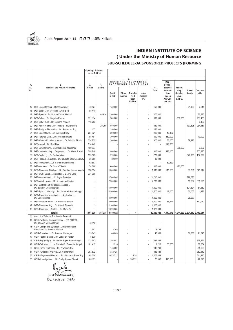

#### **INDIAN INSTITUTE OF SCIENCE ( Under the Ministry of Human Resource SUB-SCHEDULE-3A SPONSORED PROJECTS (FORMING**

|            |                                                                            | <b>Opening Balance</b><br>as on 1.04.14 |               |                 |                            |                                            |                           |            |                                                                     |                                              |                        |                 |
|------------|----------------------------------------------------------------------------|-----------------------------------------|---------------|-----------------|----------------------------|--------------------------------------------|---------------------------|------------|---------------------------------------------------------------------|----------------------------------------------|------------------------|-----------------|
| 1.         | 2.                                                                         | 3.                                      | 4.            |                 | 5.<br>RECEIPTS/RECOVERIES/ |                                            | INCOMEDURING THE YEAR     |            | Man-<br>power /                                                     |                                              |                        |                 |
| SI.<br>No. | Name of the Project / Scheme                                               | Credit                                  | <b>Debits</b> | Grant<br>in aid | Other<br>Income            | Transfe-<br>rred<br>from<br><b>IISER-K</b> | Inter-<br>Project<br>Trf. | 6<br>Total | <b>Salaries</b><br>Honora-<br>rium<br>wages<br>Allowan-<br>ces etc. | Fellow-<br>ship<br>Scholar-<br>ship<br>& HRA | Fixed<br><b>Assets</b> | Consum-<br>able |
| 17         | DST-UnderstandingDebasish Koley                                            | 40,424                                  |               | 150,000         |                            |                                            | ÷,                        | 150,000    |                                                                     |                                              | 21,000                 | 7,514           |
| 18         | DST-StableDr. Meelinda Kumar Bera                                          | 98,418                                  |               |                 |                            |                                            |                           |            |                                                                     |                                              |                        |                 |
| 19         | DST-SpectralDr. Prasun Kumar Mandal                                        |                                         | 40.836        | 200.000         |                            |                                            |                           | 200.000    |                                                                     |                                              |                        | 25.775          |
| 20         | DST-SelenoDr. Snigdha Panda                                                | 531,114                                 |               | 300,000         |                            |                                            |                           | 300,000    |                                                                     | 506,333                                      |                        | 201,406         |
| 21         | DST-BehaviouralDr. Sumana Annagiri                                         | 116,253                                 |               |                 |                            |                                            |                           |            |                                                                     |                                              |                        | 9,190           |
| 22         | DST-NanosystemsDr. Pradipta Purukayastha                                   |                                         | 29,259        | 550,000         |                            |                                            |                           | 550,000    |                                                                     |                                              | 137,625                | 234,457         |
| 23         | DST-Study of ElectronicsDr. Satyabrata Raj                                 | 11,127                                  |               | 250,000         |                            |                                            |                           | 250,000    |                                                                     |                                              |                        |                 |
| 24         | DST-OxometalateDr. Soumyajit Roy                                           | 204,821                                 |               | 200,000         |                            |                                            | ÷.                        | 200,000    | 10,487                                                              |                                              |                        |                 |
| 25         | DST-Parental CareDr. Anindita Bhadra                                       | 95,461                                  |               | 300,000         |                            |                                            | ÷,                        | 300,000    | 162,000                                                             |                                              |                        | 10,920          |
| 26         | DST-Women Excellence AwardDr. Anindita Bhadra                              | 324,835                                 |               | 300,000         |                            |                                            |                           | 300,000    | 32,000                                                              |                                              | 39,976                 |                 |
| 27         | DST-NeuralDr. Koel Das                                                     | 514,447                                 |               |                 |                            |                                            |                           |            | 249,600                                                             |                                              |                        |                 |
| 28         | DST-DevelopmentDr. Madhumita Mukherjee                                     | 409,507                                 |               |                 |                            |                                            |                           |            |                                                                     | 385,000                                      |                        | 3,397           |
| 29         | DST-UnderstandingOogenesis Dr. Mohit Prasad                                | 209,840                                 |               | 800,000         |                            |                                            |                           | 800,000    | 192,000                                                             |                                              |                        | 800,380         |
| 30         | DST-ExploringDr. Partha Mitra                                              | 535,525                                 |               | 270,000         |                            |                                            |                           | 270,000    |                                                                     |                                              | 626,905                | 102,079         |
| 31         | DST-Pallback EquationDr. Saugata Bandyopadhyay                             | 36,659                                  |               | 80,000          |                            |                                            |                           | 80,000     |                                                                     |                                              |                        |                 |
| 32         | DST-PhotochemiDr. Sayan Bhattacharyya                                      | 52,693                                  |               |                 |                            |                                            |                           |            | 82.529                                                              |                                              |                        |                 |
| 33         | DST-MechanisDr. Sweta Tripathi                                             | 74,668                                  |               | 600,000         |                            |                                            |                           | 600,000    |                                                                     | 420,000                                      |                        |                 |
| 34         | DST-Abnornmal CatalystsDr. Swadhin Kumar Mondal                            | 156,554                                 |               | 1,000,000       |                            |                                            | J.                        | 1,000,000  | 215,685                                                             |                                              | 63,201                 | 545,912         |
| 35         | DST-WOS- VisualIntegration Dr. Pei Lang                                    | 331,659                                 |               |                 |                            |                                            |                           |            |                                                                     |                                              |                        |                 |
| 36         | DST-MeasurementDr. Argha Banerjee                                          |                                         |               | 1,700,000       |                            |                                            |                           | 1,700,000  |                                                                     |                                              | 879,585                |                 |
| 37         | DST-MetalAgentDr. Arindam Mukherjee                                        |                                         |               | 2,200,000       |                            |                                            |                           | 2,200,000  |                                                                     |                                              | 13,504                 | 303,525         |
| 38         | DST-Synthesis of the oligosaccarides<br>Dr. Balaram Mukhopadhyay           |                                         |               | 1,500,000       |                            |                                            |                           | 1,500,000  |                                                                     |                                              | 601,824                | 61,360          |
| 39         | DST-SpatialHimalayaDr. Kathakali Bhattacharyya                             |                                         |               | 1,500,000       |                            |                                            | ÷.                        | 1,500,000  | 48,000                                                              |                                              | 60,000                 | 1,126           |
| 40         | DST-Theoritical InvestigationApplication<br>Dr. Mousumi Das                |                                         |               | 1,890,000       |                            |                                            |                           | 1,890,000  |                                                                     |                                              | 25,537                 |                 |
| 41         | DST-Molecular LevelDr. Prasanta Sanyal                                     |                                         |               | 3,000,000       |                            |                                            | ł,                        | 3,000,000  | 85,677                                                              |                                              |                        | 170,040         |
| 42         | DST-BioprospectingDr. Manojit Debnath                                      |                                         |               | 1,100,000       |                            |                                            |                           | 1,100,000  |                                                                     |                                              |                        |                 |
| 43         | DST-TheoriticalStretchDr. Rumi De                                          |                                         |               | 1,020,000       |                            |                                            |                           | 1,020,000  |                                                                     |                                              |                        |                 |
|            | Total (i)                                                                  | 6,061,029                               | 385,338       | 19,889,022      | J.                         | $\mathbf{1}$                               | l,                        | 19,889,023 | 1,117,978                                                           | 1,311,333 2,871,812 2,719,514                |                        |                 |
| (ii)       | Council of Science & Industrial Research                                   |                                         |               |                 |                            |                                            |                           |            |                                                                     |                                              |                        |                 |
| 44         | CSIR-Synthesis Hexasaccharide  031 NRT36S-<br>Dr. Balaram Mukhopadhyay     | 48,418                                  |               |                 |                            |                                            |                           |            |                                                                     |                                              |                        |                 |
| 45         | CSIR-Design and Synthesis  Hydroamination<br>Reactions- Dr. Swadhin Mandal | 1,661                                   |               | 3,765           |                            |                                            |                           | 3,765      |                                                                     |                                              |                        |                 |
| 46         | CSIR-TransitionDr. Arindam Mukherjee                                       | 39,945                                  |               | 48,889          |                            |                                            |                           | 48,889     |                                                                     |                                              | 36,336                 | 21,545          |
| 47         | CSIR-Peptide BasedDr. Debasish Halder                                      | 5,508                                   |               |                 |                            |                                            |                           |            |                                                                     |                                              |                        |                 |
| 48         | CSIR-Ru(II)/OS(II)Dr. Parna Gupta Bhattacharyya                            | 172,662                                 |               | 292,883         |                            |                                            |                           | 292,883    |                                                                     |                                              |                        | 329,261         |
| 49         | CSIR-Calcretes onto Climate-Dr. Prasanta Sanyal                            | 161,417                                 |               | 1,210           |                            |                                            |                           | 1,210      | 60,000                                                              |                                              |                        | 88,834          |
| 50         | CSIR-Green SynthesisDr. Priyadarsi De                                      |                                         |               | 146,290         |                            |                                            |                           | 146,290    |                                                                     |                                              |                        | 85,923          |
| 51         | CSIR-Functional AnalysisDr. Sankar Maiti                                   | 267,572                                 |               | 332,428         |                            |                                            |                           | 332,428    |                                                                     |                                              |                        | 252,542         |
| 52         | CSIR- Engineered Nature Dr. Rituparna Sinha Roy                            | 88,308                                  |               | 1,073,713       |                            | 1,935                                      |                           | 1,075,648  |                                                                     |                                              |                        | 641,130         |
| 53         | CSIR- InvestigationDr. Pradip Kumar Ghorai                                 | 86,129                                  |               |                 |                            | 78,832                                     |                           | 78,832     | 128,000                                                             |                                              |                        | 22,023          |
|            |                                                                            |                                         |               |                 |                            |                                            |                           |            |                                                                     |                                              |                        |                 |

other (Prakash Hazarika) Dy. Registrar (F&A)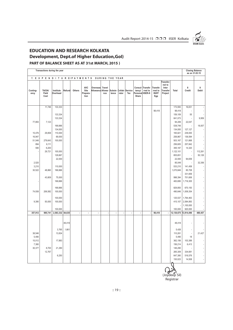

## **EDUCATION AND RESEARCH KOLKATA Development, Dept.of Higher Education,GoI)**

#### **PART OF BALANCE SHEET AS AT 31st MARCH, 2015 )**

|                                                                                                                                                                                                                                                                                                                                                                                                                                                |                           | as on 31.03.15 |
|------------------------------------------------------------------------------------------------------------------------------------------------------------------------------------------------------------------------------------------------------------------------------------------------------------------------------------------------------------------------------------------------------------------------------------------------|---------------------------|----------------|
| 7. EXPENDITURE/PAYMENTS<br>DURING THE YEAR                                                                                                                                                                                                                                                                                                                                                                                                     |                           |                |
| Transfer-<br>red to<br><b>AVC</b><br>Travel<br>Transfe-<br>Inter<br>Overseas<br>Consul-<br>Transfe-<br>TA/DA/<br>Conting-<br>Institute<br>Refund<br>Others<br>Site<br>Allowance Allowa-<br>Subsis-<br>Collab-<br>Service<br>tancy/<br>rred to<br>rred to<br><b>Transfer</b><br>Total<br>Field<br>Overhead<br>tence<br>rator<br>Tex<br>Personal IISER-K<br><b>ISI/IIT</b><br>Project<br>Prepara-<br>nce<br>ency<br>Cost<br>tion<br>Share<br>Kgp | 8<br>9<br>Credit<br>Debit |                |
| 11,746<br>133,333<br>173,593                                                                                                                                                                                                                                                                                                                                                                                                                   | 16,831                    |                |
| 98,418<br>98,418                                                                                                                                                                                                                                                                                                                                                                                                                               |                           |                |
| 133,334<br>159,109                                                                                                                                                                                                                                                                                                                                                                                                                             | 55                        |                |
| 133,334<br>841,073                                                                                                                                                                                                                                                                                                                                                                                                                             |                           | 9,959          |
| 77,893<br>94,206<br>7,123                                                                                                                                                                                                                                                                                                                                                                                                                      | 22,047                    |                |
| 166,666<br>538,748                                                                                                                                                                                                                                                                                                                                                                                                                             |                           | 18,007         |
| 134,000<br>134,000                                                                                                                                                                                                                                                                                                                                                                                                                             | 127,127                   |                |
| 110,000<br>15,476<br>29,858<br>165,821                                                                                                                                                                                                                                                                                                                                                                                                         | 239,000                   |                |
| 16,947<br>69,000<br>258,867                                                                                                                                                                                                                                                                                                                                                                                                                    | 136,594                   |                |
| 51,548<br>279,643<br>100,000<br>503,167                                                                                                                                                                                                                                                                                                                                                                                                        | 121,668                   |                |
| 894<br>6,111<br>256,605                                                                                                                                                                                                                                                                                                                                                                                                                        | 257,842                   |                |
| 6,200<br>590<br>395,187                                                                                                                                                                                                                                                                                                                                                                                                                        | 14,320                    |                |
| 29,721<br>100,000<br>1,122,101                                                                                                                                                                                                                                                                                                                                                                                                                 | 112,261<br>×.             |                |
| 126,667<br>855,651                                                                                                                                                                                                                                                                                                                                                                                                                             |                           | 50,126         |
| 22,000<br>22,000                                                                                                                                                                                                                                                                                                                                                                                                                               | 94,659                    |                |
| 2,520<br>85,049                                                                                                                                                                                                                                                                                                                                                                                                                                |                           | 32,356         |
| 3,210<br>110,000<br>533,210                                                                                                                                                                                                                                                                                                                                                                                                                    | 141,458                   |                |
| 30,522<br>166,666<br>48,860<br>1,070,846                                                                                                                                                                                                                                                                                                                                                                                                       | 85,708                    |                |
|                                                                                                                                                                                                                                                                                                                                                                                                                                                | 331,659                   |                |
| 43,809<br>75,000<br>998,394                                                                                                                                                                                                                                                                                                                                                                                                                    | 701,606                   |                |
| 166,666<br>483,695                                                                                                                                                                                                                                                                                                                                                                                                                             | 1,716,305                 |                |
| 166,666<br>829,850                                                                                                                                                                                                                                                                                                                                                                                                                             | 670,150                   |                |
| 74,938<br>206,582<br>100,000<br>490,646                                                                                                                                                                                                                                                                                                                                                                                                        | 1,009,354                 |                |
|                                                                                                                                                                                                                                                                                                                                                                                                                                                |                           |                |
| 100,000<br>125,537                                                                                                                                                                                                                                                                                                                                                                                                                             | 1,764,463                 |                |
| 9,390<br>50,000<br>100,000<br>415,107                                                                                                                                                                                                                                                                                                                                                                                                          | 2,584,893                 |                |
|                                                                                                                                                                                                                                                                                                                                                                                                                                                | 1,100,000                 |                |
| 100,000<br>100,000                                                                                                                                                                                                                                                                                                                                                                                                                             | 920,000                   |                |
| 2,583,332 84,635<br>357,912<br>985,741<br>98,418<br>12,130,675 13,914,496<br>$\overline{\phantom{a}}$<br>$\blacksquare$<br>$\blacksquare$<br>$\blacksquare$<br>$\blacksquare$<br>÷,<br>÷,<br>÷,<br>$\overline{\phantom{a}}$                                                                                                                                                                                                                    | 480,457                   |                |
|                                                                                                                                                                                                                                                                                                                                                                                                                                                |                           |                |
| 48,418                                                                                                                                                                                                                                                                                                                                                                                                                                         |                           |                |
| 48,418                                                                                                                                                                                                                                                                                                                                                                                                                                         |                           |                |
| 1,661<br>3,765<br>5,426                                                                                                                                                                                                                                                                                                                                                                                                                        |                           |                |
| 38,546<br>13,834<br>110,261                                                                                                                                                                                                                                                                                                                                                                                                                    | 21,427<br>÷.              |                |
| 5,490<br>5,490                                                                                                                                                                                                                                                                                                                                                                                                                                 | 18                        |                |
| 15,012<br>17,883<br>362,156                                                                                                                                                                                                                                                                                                                                                                                                                    | 103,389                   |                |
| 7,380<br>156,214                                                                                                                                                                                                                                                                                                                                                                                                                               | 6,413                     |                |
| 30,377<br>8,700<br>21,290<br>146,290                                                                                                                                                                                                                                                                                                                                                                                                           |                           |                |
| 12,767<br>265,309                                                                                                                                                                                                                                                                                                                                                                                                                              | 334,691                   |                |
| 6,250<br>647,380                                                                                                                                                                                                                                                                                                                                                                                                                               | 516,576                   |                |
| 150,023                                                                                                                                                                                                                                                                                                                                                                                                                                        | 14,938                    |                |

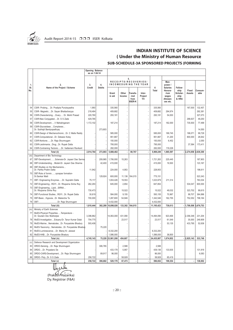

#### **INDIAN INSTITUTE OF SCIENCE ( Under the Ministry of Human Resource SUB-SCHEDULE-3A SPONSORED PROJECTS (FORMING**

|              |                                                                   | <b>Opening Balance</b><br>as on 1.04.14 |               |                   |                      |                                            |                           |            |                                                                     |                                              |                        |                 |
|--------------|-------------------------------------------------------------------|-----------------------------------------|---------------|-------------------|----------------------|--------------------------------------------|---------------------------|------------|---------------------------------------------------------------------|----------------------------------------------|------------------------|-----------------|
| $\mathbf{1}$ | $\overline{2}$                                                    | 3.                                      | 4.            |                   | RECEIPTS/RECOVERIES/ | 5.                                         | INCOMEDURING THE YEAR     |            | Man-<br>power /                                                     |                                              |                        |                 |
| SI.<br>No.   | Name of the Project / Scheme                                      | Credit                                  | <b>Debits</b> | Grant<br>in aid   | Other<br>Income      | Transfe-<br>rred<br>from<br><b>IISER-K</b> | Inter-<br>Project<br>Trf. | 6<br>Total | <b>Salaries</b><br>Honora-<br>rium<br>wages<br>Allowan-<br>ces etc. | Fellow-<br>ship<br>Scholar-<br>ship<br>& HRA | Fixed<br><b>Assets</b> | Consum-<br>able |
| 54           | CSIR- Probing .Dr. Pradipta Purukayastha                          | 1,993                                   |               | 335,560           |                      |                                            |                           | 335.560    |                                                                     |                                              | 167.500                | 132.457         |
| 55           | CSIR- MagneticDr. Sayan Bhattacharyya                             | 218,484                                 |               | 409,682           |                      |                                            |                           | 409,682    | 294,974                                                             |                                              |                        | 292,381         |
| 56           | CSIR-CharacterizingOvary Dr. Mohit Prasad                         | 220,780                                 |               | 293,181           |                      |                                            |                           | 293,181    | 54,000                                                              |                                              |                        | 327,073         |
| 57           | CSIR-New ConjugatedDr. S S Zade                                   | 429,785                                 |               |                   |                      |                                            |                           |            |                                                                     |                                              | 298,637                | 49,250          |
| 58           | CSIR-DevelopmentV Mahalinganam                                    | 1,172,102                               |               | 187,214           |                      |                                            |                           | 187,214    | 182,000                                                             |                                              | 735,930                | 77,499          |
| 59           | CSIR-GlycosidaseComplexes<br>Dr. Subhajit Bandyopadhyay           |                                         | 273,803       |                   |                      |                                            |                           |            |                                                                     |                                              |                        | 14,550          |
| 60           | CSIR-Design of MechanochronicDr. C Malla Reddy                    |                                         |               | 585.000           |                      |                                            |                           | 585,000    | 189,745                                                             |                                              | 198,071                | 99,729          |
| 61           | CSIR-ComputationalDr. Debasis Koley                               |                                         |               | 951,667           |                      |                                            |                           | 951,667    | 31,200                                                              |                                              | 800,000                | 26,642          |
| 62           | CSIR-NorboneDr. Raja Shunmugam                                    |                                         |               | 150,000           |                      |                                            |                           | 150,000    | 6,452                                                               |                                              |                        | 2,050           |
| 63           | CSIR-LeishmaniaDrugDr. Rupak Datta                                |                                         |               | 795,000           |                      |                                            |                           | 795,000    |                                                                     |                                              | 37,584                 | 173,411         |
| 64           | CSIR-Contraining TectonicDr. Vadlamani Ravikant                   |                                         |               | 282,000           |                      |                                            |                           | 282,000    | 119,226                                                             |                                              |                        |                 |
|              | Total (ii)                                                        | 2,914,764                               | 273,803       | 5,888,482         |                      | 80,767                                     | l,                        | 5,969,249  | 1,065,597                                                           |                                              | $-2,274,058$           | 2,636,300       |
| (iii)        | Department of Bio Technology                                      |                                         |               |                   |                      |                                            |                           |            |                                                                     |                                              |                        |                 |
| 67           | DBT-DevelopmentSclerosis-Dr. Jayasri Das Sarma                    |                                         | 209,965       | 1,706,000         | 15,263               |                                            |                           | 1,721,263  | 225,445                                                             |                                              |                        | 187,903         |
| 68           | DBT-UnderstandingModel-Dr. Jayasri Das Sharma                     |                                         | 42,400        | 415,000           |                      |                                            |                           | 415,000    | 19,500                                                              |                                              |                        | 123,167         |
| 69           | DBT-Studies on the Mechanisms<br>Dr. Partha Pratim Datta          | 11,942                                  |               | 224,000           | 4,953                |                                            |                           | 228,953    |                                                                     |                                              |                        | 196,611         |
| 70           | DBT-Role of forminsynapse formation-<br>Dr.Sankar Maiti           |                                         | 129,924       | 600,000           | 11,136               | 164,015                                    |                           | 775,151    |                                                                     |                                              |                        | 523,343         |
| 71           | DBT- Engineering EnzymesDr. Supratim Datta                        | 75,117                                  |               | 1,004,426         | 19,553               |                                            |                           | 1,023,979  | 211,314                                                             |                                              |                        | 783,034         |
| 72           | DBT-EngineeringRGYIDr. Rituparna Sinha Roy                        | 262,293                                 |               | 645,000           | 2,854                |                                            |                           | 647,854    |                                                                     |                                              | 534,047                | 600,000         |
| 73           | DBT-EngineeringLipidSiRNA<br>Dr. Rituparna Sinha Roy              | 730,473                                 |               |                   | 15,522               |                                            |                           | 15,522     | 49,032                                                              |                                              | 323,702                | 99,615          |
| 74           | DBT-Functional StudiesRGYIDr. Rupak Datta                         | 30,619                                  |               | 584,000           | 9,155                |                                            |                           | 593,155    | 70,967                                                              |                                              | 99,707                 | 364,896         |
| 75           | DBT-BasicHypoxiaDr. Malancha Ta                                   | 700,000                                 |               | 1,287,600         | 54,946               |                                            |                           | 1,342,546  | 162,755                                                             |                                              | 752,052                | 798.184         |
| 76           | DBT-Dr. Raja Shunmugam                                            |                                         |               | 4,432,000         |                      |                                            |                           | 4,432,000  |                                                                     |                                              |                        |                 |
|              | Total (iii)                                                       | 1,810,444                               | 382,289       | 10,898,026        | 133,382              | 164,015                                    | ÷,                        | 11,195,423 | 739,013                                                             |                                              | 1,709,508              | 3,676,753       |
| (iv)         | Ministry of Earth Sciences                                        |                                         |               |                   |                      |                                            |                           |            |                                                                     |                                              |                        |                 |
| 77           | MoES-Physical PropertiesTemperature -<br>Dr. Goutam Dev Mukherjee | 3,396,962                               |               | 14,063,000        | 431,090              |                                            |                           | 14,494,090 | 923,468                                                             |                                              | 2,356,348              | 231,204         |
| 78           | MoES-InvestigationEstuary-Dr. Tarun Kumar Dalai                   | 754,775                                 |               |                   | 23,517               |                                            |                           | 23,517     | 61,549                                                              |                                              | 35,000                 | 249,909         |
| 79           | MoES-MarineNematodesDr. Punyasloke Bhadury                        | 593,406                                 |               |                   |                      |                                            |                           |            | 53,135                                                              |                                              | 433,795                | 52,636          |
| 80           | MoES-TaxonomyNematodesDr. Punyasloke Bhadury                      |                                         | 75.220        |                   |                      |                                            |                           |            |                                                                     |                                              |                        |                 |
| 81           | MoES-LuminescenceDr. Manoj Kr. Jaiswal                            |                                         |               | 8,332,200         |                      |                                            |                           | 8,332,200  |                                                                     |                                              |                        |                 |
| 82           | MoES-HABDr. Punyasloke Bhadury                                    |                                         |               | 1.586.000         |                      |                                            |                           | 1.586.000  | 36,800                                                              |                                              |                        |                 |
|              | Total (iv)                                                        | 4,745,143                               |               | 75,220 23,981,200 | 454,607              | Ĭ.                                         | $\overline{a}$            | 24,435,807 | 1,074,952                                                           |                                              | 2,825,143              | 533,749         |
| (v)          | Defence Research and Development Organization                     |                                         |               |                   |                      |                                            |                           |            |                                                                     |                                              |                        |                 |
| 83           | DRDO-SensingDr. Raja Shunmugam                                    |                                         | 306,765       |                   | 2,588                |                                            |                           | 2,588      |                                                                     |                                              |                        |                 |
| 84           | DRDODr. Priyadarsi De                                             |                                         |               | 433,179           | 5,957                |                                            |                           | 439,136    | 133,935                                                             |                                              |                        | 131,919         |
| 85           | DRDO-CARS-DevelopmentDr. Raja Shunmugam                           |                                         | 89,917        | 96,000            |                      |                                            |                           | 96,000     |                                                                     |                                              |                        | 6,083           |
| 86           | DRDO- PolyDr. S S Zade                                            | 258,722                                 |               |                   | 58,928               |                                            |                           | 58,928     | 65,419                                                              |                                              |                        |                 |
|              | Total (v)                                                         | 258,722                                 | 396,682       | 529,179           | 67,473               |                                            | $\overline{\phantom{a}}$  | 596,652    | 199,354                                                             |                                              |                        | 138,002         |

U outh

(Prakash Hazarika) Dy. Registrar (F&A)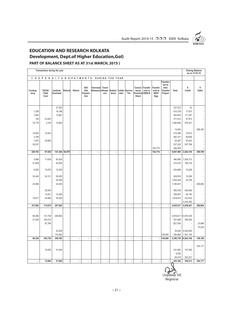

## **EDUCATION AND RESEARCH KOLKATA Development, Dept.of Higher Education,GoI)**

#### **PART OF BALANCE SHEET AS AT 31st MARCH, 2015 )**

|                          | Transactions during the year |                       |        |                          |                                        |                                      |                      |                          |                          |                          |                          |                                                |                                              |                                                            |           | <b>Closing Balance</b><br>as on 31.03.15 |                           |
|--------------------------|------------------------------|-----------------------|--------|--------------------------|----------------------------------------|--------------------------------------|----------------------|--------------------------|--------------------------|--------------------------|--------------------------|------------------------------------------------|----------------------------------------------|------------------------------------------------------------|-----------|------------------------------------------|---------------------------|
|                          | 7. EXPENDITURE/PAYMENTS      |                       |        |                          |                                        |                                      | DURING THE YEAR      |                          |                          |                          |                          |                                                |                                              |                                                            |           |                                          |                           |
| Conting-<br>ency         | TA/DA/<br>Field<br>Cost      | Institute<br>Overhead | Refund | Others                   | <b>AVC</b><br>Site<br>Prepara-<br>tion | Overseas Travel<br>Allowance Allowa- | nce                  | Subsis-<br>tence         | rator                    | Collab-Service<br>Tex    | tancy/<br>Share          | Consul-Transfe-<br>rred to<br>Personal IISER-K | Transfe-<br>rred to<br><b>ISI/IIT</b><br>Kgp | Transfer-<br>red to<br>Inter<br><b>Transfer</b><br>Project | Total     | 8<br>Credit                              | $\boldsymbol{9}$<br>Debit |
|                          |                              | 37,553                |        |                          |                                        |                                      |                      |                          |                          |                          |                          |                                                |                                              |                                                            | 337,510   | 43                                       |                           |
| 7,208                    |                              |                       |        |                          |                                        |                                      |                      |                          |                          |                          |                          |                                                |                                              |                                                            | 610,729   |                                          |                           |
|                          |                              | 16,166                |        |                          |                                        |                                      |                      |                          |                          |                          |                          |                                                |                                              |                                                            |           | 17,437                                   |                           |
| 7,600                    |                              | 13,961                |        |                          |                                        |                                      |                      |                          |                          |                          |                          |                                                |                                              |                                                            | 402,634   | 111,327                                  |                           |
| 100                      | 23,825                       |                       |        |                          |                                        |                                      |                      |                          |                          |                          |                          |                                                |                                              |                                                            | 371,812   | 57,973                                   |                           |
| 70,774                   | 4,100                        | 10,682                |        |                          |                                        |                                      |                      |                          |                          |                          |                          |                                                |                                              |                                                            | 1,080,985 | 278,331                                  |                           |
|                          |                              |                       |        |                          |                                        |                                      |                      |                          |                          |                          |                          |                                                |                                              |                                                            |           |                                          |                           |
|                          |                              |                       |        |                          |                                        |                                      |                      |                          |                          |                          |                          |                                                |                                              |                                                            | 14,550    |                                          | 288,353                   |
| 10,000                   | 12,843                       |                       |        |                          |                                        |                                      |                      |                          |                          |                          |                          |                                                |                                              |                                                            | 510,388   | 74,612                                   |                           |
| 3,169                    |                              |                       |        |                          |                                        |                                      |                      |                          |                          |                          |                          |                                                |                                              |                                                            | 861,011   | 90,656                                   |                           |
| 7,870                    | 35,695                       |                       |        |                          |                                        |                                      |                      |                          |                          |                          |                          |                                                |                                              |                                                            | 52,067    | 97,933                                   |                           |
| 26,237                   |                              |                       |        |                          |                                        |                                      |                      |                          |                          |                          |                          |                                                |                                              |                                                            | 237,232   | 557,768                                  |                           |
|                          |                              |                       |        |                          |                                        |                                      |                      |                          |                          |                          |                          |                                                | 162,774                                      |                                                            | 282,000   |                                          |                           |
| 229,763                  | 97,930                       | 141,384 50,079        |        | $\overline{\phantom{a}}$ | $\overline{\phantom{a}}$               | $\overline{\phantom{a}}$             | $\ddot{\phantom{0}}$ | $\overline{\phantom{a}}$ | $\overline{\phantom{a}}$ | $\overline{\phantom{a}}$ | $\overline{\phantom{a}}$ | ۰                                              | 162,774                                      |                                                            | 6,657,885 | 2,262,105                                | 309,780                   |
|                          |                              |                       |        |                          |                                        |                                      |                      |                          |                          |                          |                          |                                                |                                              |                                                            |           |                                          |                           |
| 5,998                    | 11,639                       | 50,000                |        |                          |                                        |                                      |                      |                          |                          |                          |                          |                                                |                                              |                                                            | 480,985   | 1,030,313                                |                           |
| 21,809                   |                              | 50,000                |        |                          |                                        |                                      |                      |                          |                          |                          |                          |                                                |                                              |                                                            | 214,476   | 158,124                                  |                           |
| 6,000                    | 10,078                       | 12,000                |        |                          |                                        |                                      |                      |                          |                          |                          |                          |                                                |                                              |                                                            | 224,689   | 16,206                                   |                           |
| 32,444                   | 24,131                       | 50,000                |        |                          |                                        |                                      |                      |                          |                          |                          |                          |                                                |                                              |                                                            | 629,918   | 15,309                                   |                           |
|                          |                              | 50,000                |        |                          |                                        |                                      |                      |                          |                          |                          |                          |                                                |                                              |                                                            | 1,044,348 | 54,748                                   |                           |
|                          |                              |                       |        |                          |                                        |                                      |                      |                          |                          |                          |                          |                                                |                                              |                                                            |           |                                          |                           |
| 20,994                   |                              | 25,000                |        |                          |                                        |                                      |                      |                          |                          |                          |                          |                                                |                                              |                                                            | 1,180,041 |                                          | 269,894                   |
|                          | 20,000                       |                       |        |                          |                                        |                                      |                      |                          |                          |                          |                          |                                                |                                              |                                                            | 492,349   | 253,646                                  |                           |
|                          | 14,021                       | 10,000                |        |                          |                                        |                                      |                      |                          |                          |                          |                          |                                                |                                              |                                                            | 559,591   | 64,183                                   |                           |
| 19,817                   | 35,806                       | 50,000                |        |                          |                                        |                                      |                      |                          |                          |                          |                          |                                                |                                              |                                                            | 1,818,614 | 223,932                                  |                           |
|                          |                              |                       |        |                          |                                        |                                      |                      |                          |                          |                          |                          |                                                |                                              |                                                            |           |                                          |                           |
|                          |                              |                       |        |                          | ÷,                                     | ÷,                                   |                      |                          |                          |                          | ÷,                       |                                                |                                              |                                                            |           | 4,432,000                                |                           |
| 107,062                  | 115,675                      | 297,000               |        | l,                       |                                        |                                      |                      | $\overline{\phantom{a}}$ | ÷,                       | ×                        |                          | l,                                             | $\blacksquare$                               | ÷,                                                         | 6,645,011 | 6,248,461                                | 269,894                   |
|                          |                              |                       |        |                          |                                        |                                      |                      |                          |                          |                          |                          |                                                |                                              |                                                            |           |                                          |                           |
| 65,299                   | 131,738                      | 208,560               |        |                          |                                        |                                      |                      |                          |                          |                          |                          |                                                |                                              |                                                            | 3,916,617 | 13,974,435                               |                           |
| 21,029                   | 164,212                      |                       |        |                          |                                        |                                      |                      |                          |                          |                          |                          |                                                |                                              |                                                            | 531,699   | 246,593                                  |                           |
|                          | 87,788                       |                       |        |                          |                                        |                                      |                      |                          |                          |                          |                          |                                                |                                              |                                                            | 627,354   |                                          |                           |
|                          |                              |                       |        |                          |                                        |                                      |                      |                          |                          |                          |                          |                                                |                                              |                                                            |           |                                          | 33,948                    |
|                          |                              |                       |        |                          |                                        |                                      |                      |                          |                          |                          |                          |                                                |                                              |                                                            |           |                                          | 75,220                    |
|                          |                              | 30,200                |        |                          |                                        |                                      |                      |                          |                          |                          |                          |                                                |                                              |                                                            | 30,200    | 8,302,000                                |                           |
|                          |                              | 110,000               |        |                          |                                        |                                      |                      |                          |                          |                          |                          |                                                |                                              | 138,060                                                    | 284,860   | 1,301,140                                |                           |
| 86,328                   | 383,738                      | 348,760               |        | l,                       | $\overline{a}$                         | ÷.                                   |                      | $\overline{\phantom{a}}$ | $\overline{\phantom{a}}$ | $\overline{\phantom{a}}$ | $\overline{\phantom{a}}$ | l,                                             | $\blacksquare$                               | 138,060                                                    | 5,390,730 | 23,824,168                               | 109,168                   |
|                          |                              |                       |        |                          |                                        |                                      |                      |                          |                          |                          |                          |                                                |                                              |                                                            |           |                                          | 304,177                   |
|                          | 15,000                       | 51,000                |        |                          |                                        |                                      |                      |                          |                          |                          |                          |                                                |                                              |                                                            | 331,854   | 107,282                                  |                           |
|                          |                              |                       |        |                          |                                        |                                      |                      |                          |                          |                          |                          |                                                |                                              |                                                            | 6,083     |                                          |                           |
|                          |                              |                       |        |                          |                                        |                                      |                      |                          |                          |                          |                          |                                                |                                              |                                                            | 65,419    | 252,231                                  |                           |
| $\overline{\phantom{a}}$ | 15,000                       | 51,000                |        | $\blacksquare$           | $\blacksquare$                         | $\blacksquare$                       | $\blacksquare$       | $\blacksquare$           | $\overline{\phantom{a}}$ | $\overline{\phantom{a}}$ | $\blacksquare$           | ÷,                                             | $\blacksquare$                               | $\blacksquare$                                             | 403,356   | 359,513                                  | 304,177                   |
|                          |                              |                       |        |                          |                                        |                                      |                      |                          |                          |                          |                          |                                                |                                              |                                                            |           |                                          |                           |

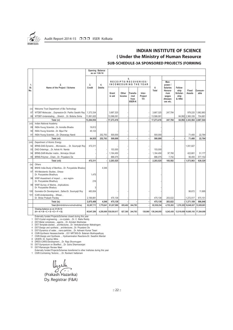

#### **INDIAN INSTITUTE OF SCIENCE ( Under the Ministry of Human Resource SUB-SCHEDULE-3A SPONSORED PROJECTS (FORMING**

|            |                                                                     |            | Opening Balance<br>as on 1.04.14 |                       |                 |                                            |                                               |                     |                                                                     |                                              |                                  |                 |
|------------|---------------------------------------------------------------------|------------|----------------------------------|-----------------------|-----------------|--------------------------------------------|-----------------------------------------------|---------------------|---------------------------------------------------------------------|----------------------------------------------|----------------------------------|-----------------|
| 1.         | $\mathfrak{p}$                                                      | 3.         | $\overline{4}$ .                 |                       |                 | 5.                                         | RECEIPTS/RECOVERIES/<br>INCOMEDURING THE YEAR |                     | Man-<br>power /                                                     |                                              |                                  |                 |
| SI.<br>No. | Name of the Project / Scheme                                        | Credit     | <b>Debits</b>                    | Grant<br>in aid       | Other<br>Income | Transfe-<br>rred<br>from<br><b>IISER-K</b> | Inter-<br>Project<br>Trf.                     | 6<br>Total          | <b>Salaries</b><br>Honora-<br>rium<br>wages<br>Allowan-<br>ces etc. | Fellow-<br>ship<br>Scholar-<br>ship<br>& HRA | Fixed<br>Assets                  | Consum-<br>able |
| (vi)       | Welcome Trust Department of Bio Technology                          |            |                                  |                       |                 |                                            |                                               |                     |                                                                     |                                              |                                  |                 |
| 87         | WTDBT-MolecularExpression-Dr. Partho Sarathi Ray                    | 1.373.334  |                                  | 3.687.325             |                 |                                            |                                               | 3.687.325           | 247.784                                                             |                                              | 978.225                          | 1.982.863       |
| 88         | WTDBT-UnderstadingStretchDr. Bidisha Sinha                          | 11,891,620 |                                  | 13,586,091            |                 |                                            |                                               | 13,586,091          |                                                                     |                                              | 64,992 2,365,339                 | 704,681         |
|            | Total (vi)                                                          | 13,264,954 |                                  | 17,273,416            |                 |                                            |                                               | 17,273,416          | 247,784                                                             |                                              | 64,992 3,343,564                 | 2,687,544       |
| (vii)      | Indian National Academy                                             |            |                                  |                       |                 |                                            |                                               |                     |                                                                     |                                              |                                  |                 |
| 89         | INSA-Young ScientistDr. Anindita Bhadra                             | 19.812     |                                  |                       |                 |                                            |                                               |                     |                                                                     |                                              |                                  |                 |
| 90         | INSA-Young ScientistDr. Bipul Pal                                   | 45,123     |                                  |                       |                 |                                            |                                               |                     |                                                                     |                                              |                                  |                 |
| 91         | INSA-Young ScientistDr. Dhananjay Nandi                             |            | 252,763                          | 500.000               |                 |                                            |                                               | 500.000             |                                                                     |                                              | 71,400                           | 22,764          |
|            | Total (vii)                                                         | 64.935     | 252.763                          | 500,000               |                 |                                            |                                               | 500.000             |                                                                     |                                              | 71.400                           | 22,764          |
| (viii)     | Department of Atomic Energy                                         |            |                                  |                       |                 |                                            |                                               |                     |                                                                     |                                              |                                  |                 |
| 92         | BRNS-DAE-DynamicMicrowave Dr. Soumyajit Roy                         | 472,311    |                                  |                       |                 |                                            |                                               |                     |                                                                     |                                              | 1,051,827                        |                 |
| 93         | DAE-OrderingsDr. Ashok Kr. Nanda                                    |            |                                  | 153,000               |                 |                                            |                                               | 153.000             |                                                                     |                                              |                                  |                 |
| 94         | BRNS-DAR-Mucller matrixNirmalya Ghosh                               |            |                                  | 1.164.450             |                 |                                            |                                               | 1.164.450           | 97.760                                                              |                                              | 422.681                          | 51.177          |
| 95         | BRNS-PolymerChainDr. Priyadarsi De                                  |            |                                  | 886,075               |                 |                                            |                                               | 886,075             | 7,742                                                               |                                              | 99,455                           | 577,152         |
|            | Total (viii)                                                        | 472,311    |                                  | 2,203,525             |                 |                                            |                                               | 2,203,525           | 105,502                                                             |                                              | 1,573,963                        | 628.329         |
| (ix)       | Others                                                              |            |                                  |                       |                 |                                            |                                               |                     |                                                                     |                                              |                                  |                 |
| 96         | BNHS India-Study of BenthosDr. Punyasloke Bhadury                   |            | 4.546                            |                       |                 |                                            |                                               |                     |                                                                     |                                              |                                  |                 |
| 97         | WII-Meiobentic StudiesOrissa-<br>Dr. Punyasloke Bhadhury            | 1,475      |                                  |                       |                 |                                            |                                               |                     |                                                                     |                                              |                                  |                 |
| 98         | WWF-Assestment of impact  eco region-<br>Dr. Punyasloke Bhadhury    | 216        |                                  |                       |                 |                                            |                                               |                     |                                                                     |                                              |                                  |                 |
| 99         | WWF-Survey of MarineImplications-<br>Dr. Punyasloke Bhadury         | 3          |                                  |                       |                 |                                            |                                               |                     |                                                                     |                                              |                                  |                 |
| 100        | Gunnebo-On DevelopmentSafes-Dr. Soumyajit Roy                       | 483.834    |                                  |                       |                 |                                            |                                               |                     |                                                                     |                                              | 98,672                           | 11,695          |
| 101        | ICAR-UnderstandingWheat<br>Dr. Shree Prakash Pandey                 | 2,189,881  |                                  | 475,139               |                 |                                            |                                               | 475,139             | 203,022                                                             |                                              | 1,272,517                        | 875,151         |
|            | Total (ix)                                                          | 2,675,409  | 4.546                            | 475.139               |                 |                                            |                                               | 475.139             | 203.022                                                             |                                              | 1,371,189                        | 886.846         |
|            | Total (G=i+ii+iii+iv+v+vi+vii+viii+ix)                              | 32,267,711 | 1,770,641                        | 81.637.989            | 655,462         | 244,783                                    |                                               | 82,538,234          | 4,753,202                                                           |                                              | 1,376,325 16,040,637             | 13,929,801      |
|            | Closing balance as on 31.03.14<br>$(H = A + B + C + D + E + F + G)$ | 45,847,299 |                                  | 4,258,069 138,030,617 | 827,395         | 244,783                                    |                                               | 138,060 139,240,855 | 9,243,438                                                           |                                              | 12,519,659 18,885,193 17,264,809 |                 |

Externally funded Projects/Schemes closed during this year 1 DST-Crystal engineering…..co-crystals….Dr. C. Malla Reddy 2 DST-Metal complexes….agents….Dr. Arindam Mukherjee 3 DST-Template-assited….architectures…Dr. Venkataramanan Mahalingam 4 DST-Design and syntheisi….architectures…Dr. Priyadarsi De 5 DST-Dynamics of water….nano-particles….Dr. Ashwani Kumar Tiwari 6 CSIR-Synthesis Hexasaccharide ...031 NRT36S-Dr. Balaram Mukhopadhyay

7 CSIR-Design and Synthesis ... Hydroamination Reactions-Dr. Swadhin Mandal 8 UKIERI- Dr. Supriyo Mitra

9 DRDO-CARS-Development….Dr. Raja Shunmugam 10 DST-Symposium on Bioeffect….Dr. Guha Dharmaranjan

11 DST-Ramanujan Review Meet

Externally funded Projects/Schemes transferred to other Institutes during this year 1 CSIR-Contraining Tectonic…..Dr. Ravikant Vadlamani

zouli Ô (Prakash Hazarika)

Dy. Registrar (F&A)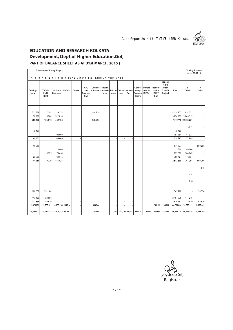

## **EDUCATION AND RESEARCH KOLKATA Development, Dept.of Higher Education,GoI)**

#### **PART OF BALANCE SHEET AS AT 31st MARCH, 2015 )**

|                              | Transactions during the year |                               |                          |        |                                        |                               |                 |       |                                |     |                 |                                                |                                              |                                                            |                                           | <b>Closing Balance</b>                                  | as on 31.03.15 |
|------------------------------|------------------------------|-------------------------------|--------------------------|--------|----------------------------------------|-------------------------------|-----------------|-------|--------------------------------|-----|-----------------|------------------------------------------------|----------------------------------------------|------------------------------------------------------------|-------------------------------------------|---------------------------------------------------------|----------------|
|                              | 7. EXPENDITURE/PAYMENTS      |                               |                          |        |                                        |                               | DURING THE YEAR |       |                                |     |                 |                                                |                                              |                                                            |                                           |                                                         |                |
| Conting-<br>ency             | TA/DA/<br>Field<br>Cost      | Institute<br>Overhead         | Refund                   | Others | <b>AVC</b><br>Site<br>Prepara-<br>tion | Overseas<br>Allowance Allowa- | Travel<br>nce   | tence | Subsis-Collab-Service<br>rator | Tex | tancy/<br>Share | Consul-Transfe-<br>rred to<br>Personal IISER-K | Transfe-<br>rred to<br><b>ISI/IIT</b><br>Kgp | Transfer-<br>red to<br>Inter<br><b>Transfer</b><br>Project | Total                                     | 8<br>Credit                                             | 9<br>Debit     |
| 331,379<br>58,106<br>389,485 | 7,354<br>118,264<br>125,618  | 139,378<br>322,810<br>462,188 | $\overline{\phantom{a}}$ |        | $\overline{\phantom{a}}$               | 448,944<br>448,944            |                 |       | $\blacksquare$                 |     |                 |                                                |                                              | $\overline{\phantom{a}}$                                   | 4,135,927                                 | 924,732<br>3,634,192 21,843,519<br>7,770,119 22,768,251 |                |
|                              |                              |                               |                          |        |                                        |                               |                 |       |                                |     |                 |                                                |                                              |                                                            |                                           |                                                         |                |
| 45,123                       |                              | 100,000                       |                          |        |                                        |                               |                 |       |                                |     |                 |                                                |                                              |                                                            | 45,123<br>194,164                         | 19,812<br>53,073                                        |                |
| 45.123                       |                              | 100,000                       |                          |        | $\blacksquare$                         | $\overline{a}$                |                 |       | $\blacksquare$                 |     |                 |                                                |                                              |                                                            | 239,287                                   | 72,885                                                  |                |
| 19,750<br>25,000             | 9,739                        | 13,000<br>78,450<br>60,075    |                          |        |                                        |                               |                 |       |                                |     |                 |                                                |                                              |                                                            | 1,071,577<br>13,000<br>659,807<br>769,424 | 140,000<br>504,643<br>116,651                           | 599,266        |
| 44,750                       | 9,739                        | 151,525                       |                          |        | ä,                                     | ÷.                            |                 |       | ä,                             |     |                 |                                                |                                              |                                                            | 2,513,808                                 | 761,294                                                 | 599,266        |
|                              |                              |                               |                          |        |                                        |                               |                 |       |                                |     |                 |                                                |                                              |                                                            |                                           | 1,475<br>216                                            | 4,546          |
| 100,657<br>113,199           | 331,184<br>23,886            |                               |                          |        |                                        |                               |                 |       |                                |     |                 |                                                |                                              |                                                            | 542,208<br>2,487,775                      | 3<br>177,245                                            | 58,374         |
| 213,856                      | 355,070                      |                               |                          |        | ÷.                                     | ÷                             |                 |       | ÷,                             |     |                 |                                                |                                              |                                                            | 3,029,983                                 | 178,939                                                 | 62,920         |
| 1,474,279                    | 2,088,511                    | 4, 135, 189 134, 714          |                          |        | ٠                                      | 448,944                       |                 |       | $\blacksquare$                 |     |                 |                                                | 261,192                                      | 138,060                                                    | 44,780,854                                | 70,390,112                                              | 2,135,662      |
| 10,898,537                   | 8,030,534                    | 5,503,875 957,957             |                          |        |                                        | 448,944                       |                 |       | 138,060 1,202,796 57,968       |     | 390,435         | 34,000                                         | 342,064                                      | 138,060                                                    |                                           | 86,056,329 100,512,556                                  | 5,738,800      |

(Joydeep Sil) Registrar

:: 23 ::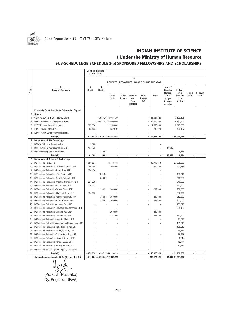

#### **INDIAN INSTITUTE OF SCIENCE ( Under the Ministry of Human Resource**

#### **SUB-SCHEDULE-3B SCHEDULE 3(b) SPONSORED FELLOWSHIPS AND SCHOLARSHIPS**

|                            |                                                    | <b>Opening Balance</b><br>as on 1.04.14 |                     |                                  |                 |                                            |                                                |             |                                                                                |                                              |                        |                 |
|----------------------------|----------------------------------------------------|-----------------------------------------|---------------------|----------------------------------|-----------------|--------------------------------------------|------------------------------------------------|-------------|--------------------------------------------------------------------------------|----------------------------------------------|------------------------|-----------------|
|                            |                                                    |                                         |                     |                                  |                 | 5.                                         |                                                |             |                                                                                |                                              |                        |                 |
|                            |                                                    |                                         |                     |                                  |                 |                                            | RECEIPTS / RECOVERIES / INCOME DURING THE YEAR |             |                                                                                |                                              |                        |                 |
| $\mathbf{1}$<br>SI.<br>No. | 2.<br>Name of Sponsers                             | 3.<br>Credit                            | 4.<br><b>Debits</b> | Grant<br>in aid                  | Other<br>Income | Transfe-<br>rred<br>from<br><b>IISER-K</b> | Inter-<br>Project<br>Trf.                      | Total       | power /<br><b>Salaries</b><br>Honora-<br>rium<br>wages<br>Allowan-<br>ces etc. | Fellow-<br>ship<br>Scholar-<br>ship<br>& HRA | Fixed<br><b>Assets</b> | Consum-<br>able |
|                            | Externally Funded Students Fellowship / Stipend    |                                         |                     |                                  |                 |                                            |                                                |             |                                                                                |                                              |                        |                 |
| Α                          | <b>Others</b>                                      |                                         |                     |                                  |                 |                                            |                                                |             |                                                                                |                                              |                        |                 |
| 1                          | CSIR Fellowship & Contingency Grant                |                                         |                     | 15,397,126   18,061,429          |                 |                                            |                                                | 18,061,429  |                                                                                | 17,699,598                                   |                        |                 |
| $\overline{2}$             | UGC Fellowship & Contingency Grant                 |                                         |                     | 25,951,703 42,000,000            |                 |                                            |                                                | 42,000,000  |                                                                                | 19,233,704                                   |                        |                 |
| 3                          | KVPY Fellowship & Contingency                      | 377,054                                 |                     | 2,553,000                        |                 |                                            |                                                | 2,553,000   |                                                                                | 2,615,000                                    |                        |                 |
| 4                          | ICMR- ICMR Fellowship                              | 58,803                                  |                     | 232,979                          |                 |                                            |                                                | 232,979     |                                                                                | 486,497                                      |                        |                 |
| 5                          | ICMR- ICMR Contingency (Provision).                |                                         |                     |                                  |                 |                                            |                                                |             |                                                                                |                                              |                        |                 |
|                            | Total (A)                                          |                                         | 435,857 41,348,829  | 62,847,408                       | ÷.              | $\blacksquare$                             | ÷,                                             | 62,847,408  |                                                                                | $-40,034,799$                                |                        |                 |
| в                          | Department of Bio Technology                       |                                         |                     |                                  |                 |                                            |                                                |             |                                                                                |                                              |                        |                 |
| 6                          | DBT-RA Tithankar Banhopadhyay                      | 1,320                                   |                     |                                  |                 |                                            |                                                |             |                                                                                |                                              |                        |                 |
| $\overline{7}$             | DBT-RA Avik Kumar Chowdhury, JRF                   | 101,070                                 |                     |                                  |                 |                                            |                                                |             | 15,947                                                                         |                                              |                        |                 |
| 8                          | DBT Fellowship and Contingency                     |                                         | 115,097             |                                  |                 |                                            |                                                |             |                                                                                | 8,774                                        |                        |                 |
|                            | Total (B)                                          | 102,390                                 | 115,097             |                                  | ÷,              | ÷,                                         | Ĭ.                                             |             | 15,947                                                                         | 8,774                                        | J.                     |                 |
| С                          | Department of Science & Technology                 |                                         |                     |                                  |                 |                                            |                                                |             |                                                                                |                                              |                        |                 |
| 9                          | <b>DST-Inspire Fellowship</b>                      | 3,086,587                               |                     | 46,713,413                       |                 |                                            |                                                | 46,713,413  |                                                                                | 27,905,000                                   |                        |                 |
| 10                         | DST-Inspire Fellowship - Devanita Ghosh, JRF       | 246,165                                 |                     | 300,800                          |                 |                                            |                                                | 300,800     |                                                                                | 290,756                                      |                        |                 |
| 11                         | DST-Inspire Fellowship-Sujata Roy, JRF             | 250,400                                 |                     |                                  |                 |                                            |                                                |             |                                                                                |                                              |                        |                 |
| 12                         | DST-Inspire FellowshipRia Biswas, JRF              |                                         | 186.400             |                                  |                 |                                            |                                                |             |                                                                                | 163,716                                      |                        |                 |
| 13                         | DST-Inspire Fellowship-Bharati Debnath, JRF        |                                         | 64,026              |                                  |                 |                                            |                                                |             |                                                                                | 340,600                                      |                        |                 |
| 14                         | DST-Inspire Fellowship-Anamika Srivastava, JRF     | 228,000                                 |                     |                                  |                 |                                            |                                                |             |                                                                                | 246,000                                      |                        |                 |
| 15                         | DST-Inspire Fellowship-Pinku saha, JRF             | 130,503                                 |                     |                                  |                 |                                            |                                                |             |                                                                                | 340,600                                      |                        |                 |
| 16                         | DST-Inspire Fellowship-Saurav Dutta, JRF           |                                         | 115,097             | 269,600                          |                 |                                            |                                                | 269,600     |                                                                                | 262,000                                      |                        |                 |
| 17                         | DST-Inspire Fellowship -Subhani Rath, JRF          | 135,303                                 |                     |                                  |                 |                                            |                                                |             |                                                                                | 262,000                                      |                        |                 |
| 18                         | DST-Inspire Fellowship-Rafiqul Rahaman, JRF        |                                         | 35,097              | 269,600                          |                 |                                            |                                                | 269,600     |                                                                                | 262,000                                      |                        |                 |
| 19                         | DST-Inspire Fellowship-Spriha Kumari, JRF          |                                         | 35,097              | 269,600                          |                 |                                            |                                                | 269,600     |                                                                                | 262,000                                      |                        |                 |
| 20                         | DST-Inspire Fellowship-Ahishek Pan, JRF            |                                         |                     |                                  |                 |                                            |                                                |             |                                                                                | 185,613                                      |                        |                 |
| 21                         | DST-Inspire Fellowship-Debottam Bhattacharjee, JRF |                                         |                     |                                  |                 |                                            |                                                |             |                                                                                | 208,466                                      |                        |                 |
| 22                         | DST-Inspire Fellowship-Manami Roy, JRF             |                                         |                     | 269,600                          |                 |                                            |                                                | 269,600     |                                                                                |                                              |                        |                 |
| 23                         | DST-Inspire Fellowship-Mandira Pal, JRF            |                                         |                     | 231,200                          |                 |                                            |                                                | 231,200     |                                                                                | 382,200                                      |                        |                 |
| 24                         | DST-Inspire Fellowship-Moumita Mistri, JRF         |                                         |                     |                                  |                 |                                            |                                                |             |                                                                                | 83,097                                       |                        |                 |
| 25                         | DST-Inspire Fellowship-Narottam Mukhopadhyay, JRF  |                                         |                     |                                  |                 |                                            |                                                |             |                                                                                | 185,613                                      |                        |                 |
| 26                         | DST-Inspire Fellowship-Neha Rani Kumar, JRF        |                                         |                     |                                  |                 |                                            |                                                |             |                                                                                | 185,613                                      |                        |                 |
| 27                         | DST-Inspire Fellowship-Soumyajit Seth, JRF         |                                         |                     |                                  |                 |                                            |                                                |             |                                                                                | 79,839                                       |                        |                 |
| 28                         | DST-Inspire Fellowship-Tiasha Saha Roy, JRF        |                                         |                     |                                  |                 |                                            |                                                |             |                                                                                | 79,839                                       |                        |                 |
| 29                         | DST-Inspire Fellowship-Himadri Shekar, JRF         |                                         |                     |                                  |                 |                                            |                                                |             |                                                                                | 3,214                                        |                        |                 |
| 30                         | DST-Inspire Fellowship-Kannan Asha, JRF            |                                         |                     |                                  |                 |                                            |                                                |             |                                                                                | 12,774                                       |                        |                 |
| 31                         | DST-Inspire Fellowship-Anurag Kumar, JRF           |                                         |                     |                                  |                 |                                            |                                                |             |                                                                                | 17,419                                       |                        |                 |
| 32                         | DST-Inspire Fellowship-Contingency (Provision)     |                                         |                     |                                  |                 |                                            |                                                |             |                                                                                |                                              |                        |                 |
|                            | Total (C)                                          | 4,076,958                               |                     | 435,717 48,323,813               | ÷.              | $\overline{a}$                             | ÷                                              | 48,323,813  |                                                                                | $-31,758,359$                                |                        |                 |
|                            | Closing balance as on $31.03.14$ (D = A + B + C)   |                                         |                     | 4,615,205 41,899,643 111,171,221 |                 |                                            | Ĭ.                                             | 111,171,221 |                                                                                | 15,947 71,801,932                            | l,                     |                 |

ulu (Prakash Hazarika)

Dy. Registrar (F&A)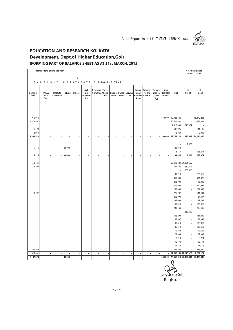

## **EDUCATION AND RESEARCH KOLKATA Development, Dept.of Higher Education,GoI)**

#### **(FORMING PART OF BALANCE SHEET AS AT 31st MARCH, 2015 )**

|                                |                         |                          | Transactions during the year |        |                          |                                 |                               |                          |                          |                          |                          |                          |                                                |                                              |                              |                                                                                                         |                                                                                                                          | <b>Closing Balance</b><br>as on 31.03.15                                                    |
|--------------------------------|-------------------------|--------------------------|------------------------------|--------|--------------------------|---------------------------------|-------------------------------|--------------------------|--------------------------|--------------------------|--------------------------|--------------------------|------------------------------------------------|----------------------------------------------|------------------------------|---------------------------------------------------------------------------------------------------------|--------------------------------------------------------------------------------------------------------------------------|---------------------------------------------------------------------------------------------|
|                                |                         |                          |                              |        | 6.                       |                                 |                               |                          |                          |                          |                          |                          |                                                |                                              |                              |                                                                                                         |                                                                                                                          |                                                                                             |
|                                |                         |                          |                              |        | EXPENDITURE/PAYMENTS     |                                 |                               | DURING THE YEAR          |                          |                          |                          |                          |                                                |                                              |                              |                                                                                                         |                                                                                                                          |                                                                                             |
| Conting-<br>ency               | TA/DA/<br>Field<br>Cost |                          | Institute<br>Overhead        | Refund | Others                   | AVC<br>Site<br>Prepara-<br>tion | Overseas<br>Allowance Allowa- | Travel<br>nce            | Subsis-<br>tence         | Collab-<br>rator         | Service<br>Tex           | tancy/<br>Share          | Consul-Transfe-<br>rred to<br>Personal IISER-K | Transfe-<br>rred to<br><b>ISI/IIT</b><br>Kgp | Inter<br>Transfer<br>Project | Total                                                                                                   | 8<br>Credit                                                                                                              | $\boldsymbol{9}$<br>Debit                                                                   |
| 976,938<br>1,372,597<br>16,428 |                         |                          |                              |        |                          |                                 |                               |                          |                          |                          |                          |                          |                                                |                                              | 360,000                      | 19,036,536<br>20,606,301<br>2,615,000<br>502,925                                                        | ÷,<br>315,054                                                                                                            | 16,372,233<br>4,558,004<br>211,143                                                          |
| 2,960                          |                         |                          |                              |        |                          |                                 |                               |                          |                          |                          |                          |                          |                                                |                                              |                              | 2,960                                                                                                   |                                                                                                                          | 2,960                                                                                       |
| 2,368,923                      |                         | ł,                       |                              |        |                          | $\overline{\phantom{a}}$        | ٠                             | Ĭ.                       | $\overline{\phantom{a}}$ | l,                       | $\overline{\phantom{a}}$ |                          | $\overline{\phantom{a}}$                       | ÷.                                           | 360,000                      | 42,763,722                                                                                              | 315,054                                                                                                                  | 21,144,340                                                                                  |
| 2,114                          |                         |                          |                              | 83,009 |                          |                                 |                               |                          |                          |                          |                          |                          |                                                |                                              |                              | J,<br>101,070<br>8,774                                                                                  | 1,320<br>ä,                                                                                                              | 123,871                                                                                     |
| 2,114                          |                         | $\overline{\phantom{a}}$ | ٠                            | 83,009 | $\overline{\phantom{a}}$ | $\overline{\phantom{a}}$        | $\blacksquare$                | $\overline{\phantom{a}}$ | $\overline{\phantom{a}}$ | $\overline{\phantom{a}}$ | $\blacksquare$           | $\overline{\phantom{a}}$ | ÷,                                             | $\blacksquare$                               | $\overline{\phantom{a}}$     | 109,844                                                                                                 | 1,320                                                                                                                    | 123,871                                                                                     |
| 513,434<br>16,800              |                         |                          |                              |        |                          |                                 |                               |                          |                          |                          |                          |                          |                                                |                                              |                              | 28,418,434 21,381,566<br>307,556<br>163,716<br>340,600<br>246,000<br>340,600                            | 239,409<br>250,400<br>÷,<br>×                                                                                            | 350,116<br>404,626<br>18,000<br>210,097                                                     |
| 14,797                         |                         |                          |                              |        |                          |                                 |                               |                          |                          |                          |                          |                          |                                                |                                              |                              | 262,000<br>276,797<br>262,000<br>262,000<br>185,613<br>208,466<br>382,200<br>83,097                     | $\overline{\phantom{a}}$<br>i,<br>$\overline{\phantom{a}}$<br>$\overline{\phantom{a}}$<br>l,<br>ä,<br>269,600<br>×,<br>÷ | 107,497<br>141,494<br>27,497<br>27,497<br>185,613<br>208,466<br>151,000<br>83,097           |
| 281,860<br>826,891             |                         | $\overline{\phantom{a}}$ | ٠                            |        | $\overline{\phantom{a}}$ | $\overline{\phantom{a}}$        | $\blacksquare$                | $\blacksquare$           | $\overline{\phantom{a}}$ | $\overline{\phantom{a}}$ | $\blacksquare$           | $\overline{\phantom{a}}$ | $\overline{\phantom{a}}$                       | $\overline{\phantom{a}}$                     |                              | 185,613<br>185,613<br>79,839<br>79,839<br>3,214<br>12,774<br>17,419<br>281,860<br>32,585,250 22,140,975 | $\overline{\phantom{a}}$<br>ä,<br>ä,<br>ä,<br>÷,<br>$\overline{\phantom{a}}$<br>÷,<br>ä,                                 | 185,613<br>185,613<br>79,839<br>79,839<br>3,214<br>12,774<br>17,419<br>281,860<br>2,761,171 |
| 3,197,928                      |                         | ÷                        | ä,                           | 83,009 |                          | $\blacksquare$                  | ÷,                            | ÷,                       | ÷,                       | $\overline{\phantom{a}}$ | $\overline{\phantom{a}}$ | $\overline{a}$           | ÷,                                             | $\blacksquare$                               | 360,000                      | 75,458,816 22,457,349                                                                                   |                                                                                                                          | 24,029,382                                                                                  |
|                                |                         |                          |                              |        |                          |                                 |                               |                          |                          |                          |                          |                          |                                                |                                              |                              |                                                                                                         |                                                                                                                          |                                                                                             |

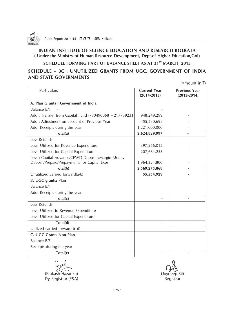

#### **INDIAN INSTITUTE OF SCIENCE EDUCATION AND RESEARCH KOLKATA ( Under the Ministry of Human Resource Development, Dept.of Higher Education,GoI)**

#### **SCHEDULE FORMING PART OF BALANCE SHEET AS AT 31ST MARCH, 2015**

#### **SCHEDULE – 3C : UNUTILIZED GRANTS FROM UGC, GOVERNMENT OF INDIA AND STATE GOVERNMENTS**

(Amount in  $\bar{\tau}$ )

| <b>Particulars</b>                                                                               | <b>Current Year</b><br>$(2014 - 2015)$ | <b>Previous Year</b><br>$(2013 - 2014)$ |
|--------------------------------------------------------------------------------------------------|----------------------------------------|-----------------------------------------|
| A. Plan Grants : Government of India                                                             |                                        |                                         |
| Balance B/F                                                                                      |                                        |                                         |
| Add: Transfer from Capital Fund (730490068 +217759231)                                           | 948,249,299                            |                                         |
| Add : Adjustment on account of Previous Year                                                     | 455,580,698                            |                                         |
| Add: Receipts during the year                                                                    | 1,221,000,000                          |                                         |
| Total(a)                                                                                         | 2,624,829,997                          |                                         |
| Less Refunds                                                                                     |                                        |                                         |
| Less: Utilized for Revenue Expenditure                                                           | 397,266,015                            |                                         |
| Less: Utilized for Capital Expenditure                                                           | 207,684,253                            |                                         |
| Less: Capital Advance/CPWD Deposits/Margin Money<br>Deposit/Prepaid/Prepayments for Capital Exps | 1,964,324,800                          |                                         |
| Total(b)                                                                                         | 2,569,275,068                          |                                         |
| Unutilized carried forward(a-b)                                                                  | 55,554,929                             |                                         |
| <b>B. UGC grants: Plan</b>                                                                       |                                        |                                         |
| Balance B/F                                                                                      |                                        |                                         |
| Add: Receipts during the year                                                                    |                                        |                                         |
| Total(c)                                                                                         |                                        |                                         |
| Less Refunds                                                                                     |                                        |                                         |
| Less: Utilized fo Revenue Expenditure                                                            |                                        |                                         |
| Less: Utilized for Capital Expenditure                                                           |                                        |                                         |
| Total(d)                                                                                         |                                        |                                         |
| Utilized carried forward (c-d)                                                                   |                                        |                                         |
| C. UGC Grants Non Plan                                                                           |                                        |                                         |
| <b>Balance B/F</b>                                                                               |                                        |                                         |
| Receipts during the year                                                                         |                                        |                                         |
| Total(e)                                                                                         |                                        |                                         |

(Prakash Hazarika) (Joydeep Sil) Dy. Registrar (F&A) and a set of the control of the Registrar Registrar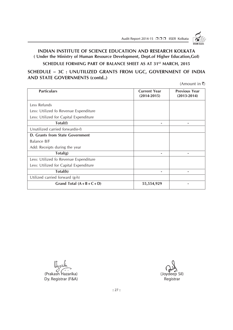

#### **INDIAN INSTITUTE OF SCIENCE EDUCATION AND RESEARCH KOLKATA ( Under the Ministry of Human Resource Development, Dept.of Higher Education,GoI)**

SCHEDULE FORMING PART OF BALANCE SHEET AS AT 31<sup>st</sup> MARCH, 2015

**SCHEDULE – 3C : UNUTILIZED GRANTS FROM UGC, GOVERNMENT OF INDIA AND STATE GOVERNMENTS (contd..)**

(Amount in  $\bar{x}$ )

| <b>Particulars</b>                     | <b>Current Year</b><br>$(2014 - 2015)$ | <b>Previous Year</b><br>$(2013 - 2014)$ |
|----------------------------------------|----------------------------------------|-----------------------------------------|
| Less Refunds                           |                                        |                                         |
| Less: Utilized fo Revenue Expenditure  |                                        |                                         |
| Less: Utilized for Capital Expenditure |                                        |                                         |
| Total(f)                               |                                        |                                         |
| Unutilized carried forward(e-f)        |                                        |                                         |
| D. Grants from State Government        |                                        |                                         |
| Balance B/F                            |                                        |                                         |
| Add: Receipts during the year          |                                        |                                         |
| Total(g)                               |                                        |                                         |
| Less: Utilized fo Revenue Expenditure  |                                        |                                         |
| Less: Utilized for Capital Expenditure |                                        |                                         |
| Total(h)                               |                                        |                                         |
| Utilized carried forward (g-h)         |                                        |                                         |
| Grand Total $(A + B + C + D)$          | 55,554,929                             |                                         |

(Prakash Hazarika) (Joydeep Sil) Dy. Registrar (F&A) Registrar (F&A)

:: 27 ::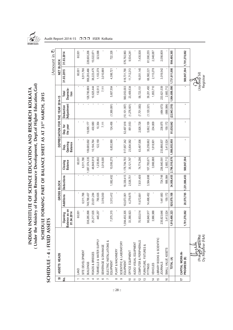

**INDIAN INSTITUTE OF SCIENCE EDUCATION AND RESEARCH KOLKATA ( Under the Ministry of Human Resource Development, Dept.of Higher Education,GoI) SCHEDULE FORMING PART OF BALANCE SHEET AS AT 31ST MARCH, 2015**

(Under the Ministry of Human Resource Development, Dept.of Higher Education, Gol) INDIAN INSTITUTE OF SCIENCE EDUCATION AND RESEARCH KOLKATA

SCHEDULE FORMING PART OF BALANCE SHEET AS AT 31ST MARCH, 2015

Audit Report 2014-15 □□□ IISER Kolkata

| $\overline{\omega}$      | ASSETS HEADS                              |                                          |             | GROSS BLOCK       |                           |                                   | DEPRECIATION FOR THE YEAR 2014-15 |                         |                            | NET BLOCK                           | Amount in ₹   |
|--------------------------|-------------------------------------------|------------------------------------------|-------------|-------------------|---------------------------|-----------------------------------|-----------------------------------|-------------------------|----------------------------|-------------------------------------|---------------|
| <u>ś</u>                 |                                           | Balance as on<br>.04.2014<br>pening<br>ξ | Additions   | <b>Deductions</b> | <b>Balance</b><br>Closing | Opening<br><b>Balance</b><br>Dep. | Dep. for<br>the year              | Adjustment<br>Deduction | Deprecia-<br>Total<br>tion | 31.03.2015                          | 31.03.2014    |
|                          | LAND                                      | 60,001                                   |             |                   | 60,001                    |                                   |                                   |                         |                            | 60,001                              | 60,001        |
| $\sim$                   | SITE DEVELOPMENT                          |                                          | 6,511,766   |                   | 6,511,766                 |                                   |                                   |                         |                            | 6,511,766                           |               |
| 3                        | BUILDINGS                                 | 338,285,898                              | 748,788,437 |                   | 1,087,074,335             | 109,685,692                       | 19,095,177                        |                         | 128,780,869                | 958,293,466                         | 228,600,206   |
| 4                        | ROADS & BRIDGES                           | 25,217,635                               | 23,631,284  |                   | 48,848,919                | 10, 194, 764                      | 430,680                           |                         | 10,625,444                 | 38,223,475                          | 15,022,871    |
| ပ                        | TUBWELLS & WATER SUPPLY                   | 445,257                                  | 790,635     |                   | 1,235,892                 | 122, 159                          | 10,354                            |                         | 132,513                    | 1,103,379                           | 323,098       |
| $\circ$                  | SEWERAGE & DRAINAGE                       |                                          | 3,018,000   |                   | 3,018,000                 |                                   | 7,111                             |                         | 7,111                      | 3,010,889                           |               |
| $\overline{ }$           | ELECTRIC INSTALLATIONS &<br>EQUIPMENT     | 7,575,315                                | 3,513,412   | 1,082,452         | 10,006,275                | 6,852,989                         | 124,456                           | (1,369,891)             | 5,607,554                  | 4,398,721                           | 722,326       |
| $\infty$                 | PLANT & MACHINERY                         |                                          |             |                   |                           |                                   |                                   |                         |                            |                                     |               |
| တ                        | SCIENTIFIC & LABORATORY<br>EQUIPMENT      | 1,094,450,305                            | 102,673,901 | 18,339,413        | 1,178,784,793             | 517, 657, 342                     | 52,497,618                        | (10, 101, 957)          | 560,053,003                | 618,731,790                         | 576,792,963   |
| $\overline{C}$           | OFFICE EQUIPMENT                          | 33,368,823                               | 4,279,675   | 2,526,751         | 35, 121, 747              | 23,834,582                        | 851,553                           | (1,276,601)             | 23,409,534                 | 11,712,213                          | 9,534,241     |
| $\overline{\phantom{0}}$ | AUDIO VISUAL EQUIPMENT                    |                                          |             |                   |                           |                                   |                                   |                         |                            |                                     |               |
| $\overline{2}$           | COMPUTER & PERIPHERALS                    | 70,933,014                               | 11,672,691  | 7,831,409         | 74,774,296                | 63,497,506                        | 2,926,728                         | (7,701,083)             | 58,723,151                 | 16,051,145                          | 7,435,508     |
| $\frac{3}{2}$            | FURNITURE, FIXTURES &<br>FITTINGS         | 96,849,917                               | 14,498,452  | 3,564,698         | 107,783,671               | 35,259,662                        | 5,062,109                         | (1, 120, 321)           | 39,201,450                 | 68,582,221                          | 61,590,255    |
| $\overline{4}$           | <b>VEHICLES</b>                           | 3,966,988                                |             |                   | 3,966,988                 | 1,618,901                         | 234,809                           |                         | 1,853,710                  | 2,113,278                           | 2,348,087     |
| 15                       | LIBRARY BOOKS & SCIENTIFIC<br>JOURNALS    | 235,923,646                              | 1,441,683   | 724,748           | 236,640,581               | 233,866,837                       | 238,875                           | (484, 673)              | 233,621,039                | 3,019,542                           | 2,056,809     |
| $\frac{6}{2}$            | SMALL VALUE ASSETS                        | 3,413,524                                | 159,172     | 888,984           | 2,683,712                 | 3,413,524                         | 159,172                           | (888, 984)              | 2,683,712                  |                                     |               |
|                          | TOTAL (A)                                 | 1,910,490,323                            | 920,979,108 | 34,958,455        | 2,796,510,976             | 1,006,003,958                     | 81,638,642                        | (22, 943, 510)          | 1,064,699,090              | 1,731,811,886                       | 904,486,365   |
| $\overline{1}$           | CAPITAL WORK-IN-<br>PROGRESS (B)          | 1,781,278,062                            | 20,575,785  | 1,231,886,453     | 569,967,394               |                                   |                                   |                         | $\blacksquare$             | 569,967,394                         | 1,781,278,062 |
|                          | Dy. Registrar (F&A)<br>(Prak <sub>ĝ</sub> |                                          |             |                   |                           |                                   |                                   |                         |                            | ် ကား<br>(Joydeep Sil)<br>Registrar |               |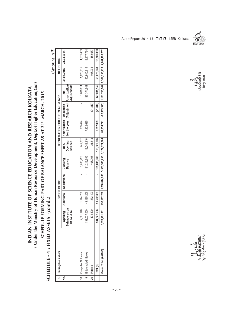| INDIAN INSTITUTE OF SCIENCE EDUCATION AND RESEARCH KOLKATA | (Under the Ministry of Human Resource Development, Dept.of Higher Education, Gol) | SCHEDULE FORMING PART OF BALANCE SHEET AS AT 31 <sup>ST</sup> MARCH, 2015 |
|------------------------------------------------------------|-----------------------------------------------------------------------------------|---------------------------------------------------------------------------|
|------------------------------------------------------------|-----------------------------------------------------------------------------------|---------------------------------------------------------------------------|

SCHEDULE - 4 : FIXED ASSETS (contd..) **SCHEDULE - 4 : FIXED ASSETS (contd..)**

 $(Amount in 7)$ (Amount in  $\bar{\mathbf{z}}$ )

|               | SI. Intangible assets  |                                            |              | GROSS BLOCK                                                                |                            |                                   | DEPRECIATION FOR THE YEAR 2014-15                                     |           |                             | NET BLOCK                                                         |            |
|---------------|------------------------|--------------------------------------------|--------------|----------------------------------------------------------------------------|----------------------------|-----------------------------------|-----------------------------------------------------------------------|-----------|-----------------------------|-------------------------------------------------------------------|------------|
| .<br>چ        |                        | alance as on<br>Opening<br>01.04.2014<br>ഇ |              | Additions   Deductions                                                     | Closeing<br><b>Balance</b> | Opening<br>Dep.<br><b>Balance</b> | for the year   / Adjustment   Amortization/<br>Amortization Deduction |           | Adjustments<br>Total        | 31.03.2015                                                        | 31.03.2014 |
|               | 18   Computer Software | 2,321,146                                  | 1,144,780    |                                                                            | 3,465,926                  | 749,737                           | 889,474                                                               |           | 1,639,211                   | 1,826,715                                                         | 1,571,409  |
| $\frac{1}{9}$ | E-Journals/E-Books     | 132,027,050                                | 49, 185, 206 |                                                                            | 181,212,256                | 118,049,316                       | 7,322,625                                                             |           | 125,371,941                 | 55,840,315                                                        | 13,977,734 |
| 20            | Patents                | 174,500                                    | 232,403      |                                                                            | 406,903                    | 21,813                            |                                                                       | (21, 813) |                             | 406,903                                                           | 152,687    |
|               | Total (C)              | 134,522,696                                | 50,562,389   |                                                                            | 185,085,085                | 118,820,866                       | 8,212,099                                                             |           | $(21, 813)$ $127, 011, 152$ | 58,073,933                                                        | 15,701,830 |
|               | Grand Total (A+B+C)    |                                            |              | ,826,291,081   992,117,282   1,266,844,908   3,551,563,455   1,124,824,824 |                            |                                   |                                                                       |           |                             | 89,850,741 (22,965,323) 1,191,710,242 2,359,853,213 2,701,466,257 |            |



၂၀ydeep Sil)<br>Registrar

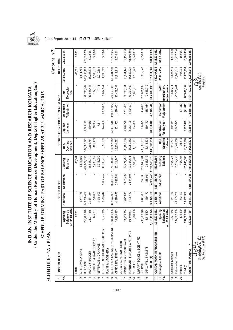

**INDIAN INSTITUTE OF SCIENCE EDUCATION AND RESEARCH KOLKATA ( Under the Ministry of Human Resource Development, Dept.of Higher Education,GoI) SCHEDULE FORMING PART OF BALANCE SHEET AS AT 31ST MARCH, 2015**

(Under the Ministry of Human Resource Development, Dept.of Higher Education, Gol) INDIAN INSTITUTE OF SCIENCE EDUCATION AND RESEARCH KOLKATA

SCHEDULE FORMING PART OF BALANCE SHEET AS AT 31<sup>5T</sup> MARCH, 2015

Audit Report 2014-15 □□□ IISER Kolkata

|                          | SCHEDULE - 4A : PLAN                          |                                                         |               |                           |                             |                                   |                                   |                                |                                 |               | 、<br>Amount in |
|--------------------------|-----------------------------------------------|---------------------------------------------------------|---------------|---------------------------|-----------------------------|-----------------------------------|-----------------------------------|--------------------------------|---------------------------------|---------------|----------------|
| <u>ತ</u>                 | ASSETS HEADS                                  |                                                         |               | GROSS BLOCK               |                             |                                   | DEPRECIATION FOR THE YEAR 2014-15 |                                |                                 | Li<br>当       | <b>BLOCK</b>   |
| ş                        |                                               | 01.04.2014<br>lance as<br>pening<br>ු<br>$\overline{5}$ | Additions     | <b>Deductions</b>         | Closeing<br><b>Balance</b>  | Opening<br><b>Balance</b><br>Dep. | Dep. for<br>the year              | <b>Adjustment</b><br>Deduction | Deprecia-<br>Total<br>tion      | 31.03.2015    | 31.03.2014     |
|                          | LAND                                          | 60,001                                                  |               |                           | 60,001                      |                                   |                                   |                                |                                 | 60,001        | 60,001         |
| $\sim$                   | SITE DEVELOPMENT                              |                                                         | 6,511,766     |                           | 6,511,766                   |                                   |                                   |                                |                                 | 6,511,766     |                |
| S                        | <b>BUILDINGS</b>                              | 338,285,898                                             | 748,788,437   |                           | 1,087,074,335               | 09,685,692                        | 19,095,177                        |                                | 128,780,869                     | 958,293,466   | 228,600,206    |
| 4                        | ROADS & BRIDGES                               | 25,217,635                                              | 23,631,284    |                           | 48,848,919                  | 10, 194, 764                      | 430,680                           |                                | 10,625,444                      | 38,223,475    | 15,022,871     |
| 5                        | TUBWELLS & WATER SUPPLY                       | 445,257                                                 | 790,635       |                           | 1,235,892                   | 122, 159                          | 10,354                            |                                | 132,513                         | 1,103,379     | 323,098        |
| $\rm \Omega$             | SEWERAGE & DRAINAGE                           |                                                         | 3,018,000     |                           | 3,018,000                   |                                   | 7,111                             |                                | 7,111                           | 3,010,889     |                |
|                          | ELECTRIC INSTALLATIONS & EQUIPMENT            | 7,575,315                                               | 3,513,412     | 1,082,452                 | 10,006,275                  | 6,852,989                         | 124,456                           | (1,369,891)                    | 5,607,554                       | 4,398,721     | 722,326        |
| $\infty$                 | PLANT & MACHINERY                             |                                                         |               |                           |                             |                                   |                                   |                                |                                 |               |                |
| တ                        | SCIENTIFIC & LABORATORY EQUIPMENT             | 1,094,450,305                                           | 102,673,901   | 18,339,413                | 1,178,784,793               | 517,657,342                       | 52,497,618                        | (10, 101, 957)                 | 560,053,003                     | 618,731,790   | 576,792,963    |
| $\overline{C}$           | OFFICE EQUIPMENT                              | 33,368,823                                              | 4,279,675     | 2,526,751                 | 35, 121, 747                | 23,834,582                        | 851,553                           | (1,276,601)                    | 23,409,534                      | 11,712,213    | 9,534,241      |
| $\overline{\phantom{0}}$ | AUDIO VISUAL EQUIPMENT                        |                                                         |               |                           |                             |                                   |                                   |                                |                                 |               |                |
| $\overline{c}$           | COMPUTER & PERIPHERALS                        | 70,933,014                                              | 11,672,691    | 7,831,409                 | 74,774,296                  | 63,497,506                        | 2,926,728                         | (7, 701, 083)                  | 58,723,151                      | 16,051,145    | 7,435,508      |
| $\tilde{c}$              | FURNITURE, FIXTURES & FITTINGS                | 96,849,917                                              | 14,498,452    | 3,564,698                 | 107,783,671                 | 35,259,662                        | 5,062,109                         | (1, 120, 321)                  | 39,201,450                      | 68,582,221    | 61,590,255     |
| $\overline{4}$           | <b>VEHICLES</b>                               | 3,966,988                                               |               |                           | 3,966,988                   | 1,618,901                         | 234,809                           |                                | 1,853,710                       | 2,113,278     | 2,348,087      |
| $\frac{5}{2}$            | LIBRARY BOOKS & SCIENTIFIC                    |                                                         |               |                           |                             |                                   |                                   |                                |                                 |               |                |
|                          | <b>JOURNALS</b>                               | 235,923,646                                             | 1,441,683     | 724,748                   | 236,640,581                 | 233,866,837                       | 238,875                           | (484, 673)                     | 233,621,039                     | 3,019,542     | 2,056,809      |
| $\frac{6}{5}$            | SMALL VALUE ASSETS                            | 3,413,524                                               | 159,172       | 888,984                   | 2,683,712                   | 3,413,524                         | 159,172                           | (888, 984)                     | 2,683,712                       |               |                |
|                          | TOTAL (A)                                     | 10,490,323<br>1,91                                      | 920, 979, 108 | 34,958,455                | 2,796,510,976               | 1,006,003,958                     | 81,638,642                        | (22, 943, 510)                 | 1,064,699,090                   | 1,731,811,886 | 904,486,365    |
| $\overline{1}$           | CAPITAL WORK-IN-PROGRESS (B)                  | 1,781,278,062                                           | 20,575,785    | 1,231,886,453             | 569,967,394                 |                                   |                                   |                                |                                 | 569,967,394   | 1,781,278,062  |
| $\vec{a}$ $\vec{e}$      | Intangible Assets                             | Opening                                                 | Additions     | Deductions                | Closeing                    | Dep.                              | Amortization                      | Deduction                      | Total                           | 31.03.2015    | 31.03.2014     |
|                          |                                               | Balance as<br>on 01.04.2014                             |               |                           | Balance                     | Opening<br><b>Balance</b>         | for the year                      | Adjustment Amortization/       | Adjustments                     |               |                |
| $\frac{8}{1}$            | Computer Software                             | 2,321,146                                               | 1,144,780     |                           | 3,465,926                   | 749,737                           | 889,474                           |                                | 1,639,211                       | 1,826,715     | 1,571,409      |
| $\overline{9}$           | E-Journals/E-Books                            | 132,027,050                                             | 49, 185, 206  |                           | 181,212,256                 | 118,049,316                       | 7,322,625                         |                                | 125,371,941                     | 55,840,315    | 13,977,734     |
| 20                       | Patents                                       | 174,500                                                 | 232,403       |                           | 406,903                     | 21,813                            |                                   | (21, 813)                      |                                 | 406.903       | 152,687        |
|                          | Total (C)                                     | 134,522,696                                             | 50,562,389    |                           | 185,085,085                 | 118,820,866                       | 8,212,099                         | (21, 813)                      | 127,011,152                     | 58,073,933    | 15,701,830     |
|                          | Grand Total (A <sub>1</sub> R <sub>+C</sub> ) | 3,826,291,081                                           |               | 992,117,282 1,266,844,908 | 3,551,563,455 1,124,824,824 |                                   | 89,850,741                        |                                | $(22,965,323)$ $ 1,191,710,242$ | 2,359,853,213 | 2,701,466,257  |
|                          | (Prakosh Mazarika)<br>さら                      |                                                         |               |                           |                             |                                   |                                   |                                |                                 | (Joydeep Sil) |                |
|                          | Dy. Registrar (F&A)                           |                                                         |               |                           |                             |                                   |                                   |                                |                                 | Registrar     |                |

**SCHEDULE - 4A : PLAN**  $\overline{\mathbf{s}}$ 

:: 30 ::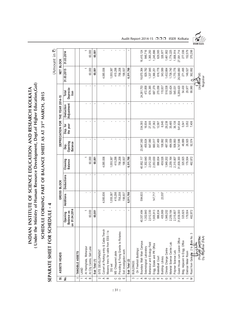(Under the Ministry of Human Resource Development, Dept.of Higher Education, Gol) **( Under the Ministry of Human Resource Development, Dept.of Higher Education,GoI)** INDIAN INSTITUTE OF SCIENCE EDUCATION AND RESEARCH KOLKATA **INDIAN INSTITUTE OF SCIENCE EDUCATION AND RESEARCH KOLKATA** SCHEDULE FORMING PART OF BALANCE SHEET AS AT 31ST MARCH, 2015 **SCHEDULE FORMING PART OF BALANCE SHEET AS AT 31ST MARCH, 2015**

## SEPARATE SHEET FOR SCHEDULE - 4 **SEPARATE SHEET FOR SCHEDULE - 4**

 $(Am$ ount in  $\overline{z}$ (Amount in  $\bar{z}$ )

|                         |                                               |                                                       |           |                   |                            |                                   |                      |                                   |                            |                            | Vill Numer III N |
|-------------------------|-----------------------------------------------|-------------------------------------------------------|-----------|-------------------|----------------------------|-----------------------------------|----------------------|-----------------------------------|----------------------------|----------------------------|------------------|
| $\overline{5}$          | ASSETS HEADS                                  |                                                       |           | GROSS BLOCK       |                            |                                   |                      | DEPRECIATION FOR THE YEAR 2014-15 |                            | NET BLOCK                  |                  |
| ş                       |                                               | 01.04.2014<br>Balance as<br>Opening<br>$\overline{5}$ | Additions | <b>Deductions</b> | Closeing<br><b>Balance</b> | Opening<br><b>Balance</b><br>Dep. | the year<br>Dep. for | Adjustment<br>Deduction           | Deprecia-<br>Total<br>tion | 31.03.2015                 | 31.03.2014       |
|                         | TANGIBLE ASSETS                               |                                                       |           |                   |                            |                                   |                      |                                   |                            |                            |                  |
|                         | LAND                                          |                                                       |           |                   |                            |                                   |                      |                                   |                            |                            |                  |
| $\prec$                 | At Haringhata, Mohanpur                       |                                                       |           |                   |                            |                                   |                      |                                   |                            |                            |                  |
| $\mathbf{m}$            | At City Centre, Salt Lake                     | 60,000                                                |           |                   | 60,000                     |                                   |                      |                                   |                            | 60,000                     | 60,000           |
|                         | Sub Total (1)                                 | 60,001                                                |           |                   | 60,001                     | ٠                                 | ٠                    |                                   | ٠                          | 60,001                     | 60,001           |
|                         | SITE DEVELOPMENT                              |                                                       |           |                   |                            |                                   |                      |                                   |                            |                            |                  |
| $\sim$ $\leq$ $\approx$ | Culvert at Parking entry & Cable Trench       |                                                       | 4,085,936 |                   | 4,085,936                  |                                   |                      |                                   | $\blacksquare$             | 4,085,936                  | $\blacksquare$   |
|                         | Masonry trenc for cable from ESS- I to        |                                                       |           |                   |                            |                                   |                      |                                   |                            |                            |                  |
|                         | DG set                                        |                                                       | 1,055,387 |                   | 1,055,387                  |                                   |                      |                                   |                            | 055,387                    |                  |
|                         | MS Chequered plate                            |                                                       | 415,298   |                   | 415,298                    |                                   |                      |                                   |                            | 415,298                    |                  |
| <b>O Q W</b>            | Providing & Fixing Granite to Rotaries        |                                                       | 756,208   |                   | 756,208                    |                                   |                      |                                   |                            | 756,208                    |                  |
|                         | Soil investigation work                       |                                                       | 198,937   |                   | 198,937                    |                                   |                      |                                   |                            | 198,937                    |                  |
|                         | Sub Total (2)                                 |                                                       | 6,511,766 |                   | 6,511,766                  |                                   |                      |                                   | ٠                          | 6,511,766                  |                  |
| S                       | BUILDINGS:                                    |                                                       |           |                   |                            |                                   |                      |                                   |                            |                            |                  |
|                         | On Freehold Buildings:                        |                                                       |           |                   |                            |                                   |                      |                                   |                            |                            |                  |
| $\prec$                 | Boundary Wall- Main Campus                    | 40,357,484                                            | 594,633   |                   | 10,952,117                 | 23,947,360                        | 334,393              |                                   | 24,281,753                 | 16,670,364                 | 16,410,124       |
|                         | Seismological Laboratory                      | 1,302,640                                             |           |                   | 1,302,640                  | 455,924                           | 16,934               |                                   | 472,858                    | 829,782                    | 846,716          |
|                         | Behaviour and Ecology Field                   | 2,012,330                                             |           |                   | 2,012,330                  | 647,080                           | 27,305               |                                   | 674,385                    | 1,337,945                  | ,365,250         |
|                         | Engg. Estate and PR Office                    | 1,905,913                                             | 147,717   |                   | 2,053,630                  | 660,017                           | 27,362               |                                   | 687,379                    | 1,366,251                  | ,245,896         |
|                         | Basketball Court                              | 886,834                                               |           |                   | 886,834                    | 257,469                           | 12,587               |                                   | 270,056                    | 616,778                    | 629,365          |
|                         | Building-Library                              | 435,969                                               | 23,557    |                   | 459,526                    | 108,992                           | 6,945                |                                   | 115,937                    | 343,589                    | 326,977          |
| 0                       | Climate Change Centre                         | ,949,202                                              |           |                   | 1,949,202                  | 487,300                           | 29,238               |                                   | 516,538                    | ,432,664                   | 1,461,902        |
| $\top$                  | Material Science Centre Lab                   | 2,259,164                                             |           |                   | 2,259,164                  | 484,939                           | 35,485               |                                   | 520,424                    | 1,738,740                  | 1,774,225        |
|                         | Polymer Science Lab.                          | 2,315,807                                             |           |                   | 2,315,807                  | 508,893                           | 36,138               |                                   | 545,031                    | 1,770,776                  | 1,806,914        |
|                         | Guest House cum Liasion Office                | 31,839,300                                            |           |                   | 31,839,300                 | 4,747,586                         | 541,834              |                                   | 5,289,420                  | 26,549,880                 | 27,091,714       |
|                         | Bldg. Adjacent to Engg. Office                | 325,925                                               |           |                   | 325,925                    | 48,889                            | 5,541                |                                   | 54,430                     | 271,495                    | 277,036          |
|                         | Eletrical Meter Room                          | 179,504                                               |           |                   | 179,504                    | 26,925                            | 3,052                |                                   | 29,977                     | 149,527                    | 152,579          |
|                         | S<br>Road from Gate No. 2 to <i>faate</i> No. | 462,872                                               |           |                   | 462,872                    | 92,574                            | 7,406                |                                   | 99,980                     | 362,892                    | 370,298          |
|                         | Dy. Registrar (F&A)<br>n<br>Fra               |                                                       |           |                   |                            |                                   |                      |                                   |                            | (Joydeep Sil)<br>Registrar |                  |

Audit Report 2014-15 □□□ IISER Kolkata

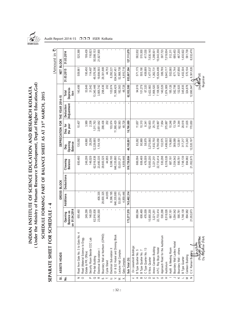

(Under the Ministry of Human Resource Development, Dept.of Higher Education, Gol) INDIAN INSTITUTE OF SCIENCE EDUCATION AND RESEARCH KOLKATA

SCHEDULE FORMING PART OF BALANCE SHEET AS AT 31<sup>5T</sup> MARCH, 2015

### Audit Report 2014-15 □□□ IISER Kolkata

|                                                                                                              | SEPARATE SHEET FOR SCHE            | DULE                                                    | ₹            |             |                            |                                   |                      |                                   |                            |                            | 、<br>Amount in |
|--------------------------------------------------------------------------------------------------------------|------------------------------------|---------------------------------------------------------|--------------|-------------|----------------------------|-----------------------------------|----------------------|-----------------------------------|----------------------------|----------------------------|----------------|
| ີທີ່                                                                                                         | ASSETS HEADS                       |                                                         |              | GROSS BLOCK |                            |                                   |                      | DEPRECIATION FOR THE YEAR 2014-15 |                            | <b>NET BLOCK</b>           |                |
| <u>ي</u>                                                                                                     |                                    | 1.04.2014<br>Balance as<br>pening<br>o<br>$\frac{0}{5}$ | Additions    | Deductions  | Closeing<br><b>Balance</b> | Opening<br><b>Balance</b><br>Dep. | Dep. for<br>the year | Adjustment<br>Deduction           | Deprecia-<br>Total<br>tion | 31.03.2015                 | 31.03.2014     |
|                                                                                                              | Road from Gate No. 3 to Gate No. 4 | 650,460                                                 |              |             | 650,460                    | 130,092                           | 10,407               |                                   | 140,499                    | 509,961                    | 520,368        |
| $\geq$ 0                                                                                                     | Road (Material Science to Engg.    |                                                         |              |             |                            |                                   |                      |                                   |                            |                            |                |
|                                                                                                              | Estate & PR. Office)               | 249,299                                                 |              |             | 249,299                    | 49,860                            | 3,989                |                                   | 53,849                     | 195,450                    | 199,439        |
|                                                                                                              | Security Room Beside CCC Lab       | 146,029                                                 |              |             | 146,029                    | 29,206                            | 2,336                |                                   | 31,542                     | 114,487                    | 116,823        |
|                                                                                                              | Pre-fab Building                   | 62,916,838                                              |              |             | 62,916,838                 | 12,328,685                        | 1,011,763            |                                   | 13,340,448                 | 49,576,390                 | 50,588,153     |
| $\begin{array}{ccc} \mathbb{L} & \mathbb{C} & \mathbb{C} & \mathbb{C} & \mathbb{C} & \mathbb{H} \end{array}$ | Electrical Sub-station I           | 23,082,000                                              | 408,335      |             | 23,490,335                 | 1,154,100                         | 2,651,642            |                                   | 3,805,742                  | 19,684,593                 | 21,927,900     |
|                                                                                                              | Boundary Wall at Northern (CPWD)   |                                                         | 29,600,325   |             | 29,600,325                 |                                   | 298,436              |                                   | 298,436                    | 29,301,889                 |                |
|                                                                                                              | Cycle Stand                        |                                                         | 44,955       |             | 44,955                     |                                   | 202                  |                                   | 202                        | 44,753                     |                |
| $\Rightarrow$                                                                                                | Electrical Sub-station II          |                                                         | 8,396,195    |             | 8,396,195                  |                                   | 103,974              |                                   | 103,974                    | 8,292,221                  |                |
| $\leq$                                                                                                       | G1 & G2 Hostel and Dinning Block   |                                                         | 646,335,880  |             | 646,335,880                |                                   | 11,368,429           |                                   | 11,368,429                 | 634, 967, 451              |                |
| $\leq$                                                                                                       | Lecture Hall Complex               |                                                         | 53,051,271   |             | 53,051,271                 |                                   | 182,563              |                                   | 182,563                    | 52,868,708                 |                |
| $\dot{\times}$                                                                                               | Gate Complex                       |                                                         | 4,859,446    |             | 4,859,446                  |                                   | 48,728               |                                   | 48,728                     | 4,810,718                  |                |
|                                                                                                              | Sub Total (3i)                     | 173,277,570                                             | 743,462,314  |             | 916,739,884                | 46,165,891                        | 16,766,689           | ٠                                 | 62,932,580                 | 853,807,304                | 127,111,679    |
|                                                                                                              | On Leasehold Buildings:            |                                                         |              |             |                            |                                   |                      |                                   |                            |                            |                |
| $\prec$                                                                                                      | B Type Quarter No. 5               | 666,094                                                 | ٠            |             | 666,094                    | 83,262                            | 11,657               |                                   | 94,919                     | 571,175                    | 582,832        |
|                                                                                                              | B Type Quarter No. 7               | 606,469                                                 |              |             | 606,469                    | 90,969                            | 10,310               |                                   | 101,279                    | 505,190                    | 515,500        |
|                                                                                                              | C Type Quarter No. 13              | 476,009                                                 | ٠            |             | 476,009                    | 58,979                            | 8,341                |                                   | 67,320                     | 408,689                    | 417,030        |
|                                                                                                              | 8 Nos. Quarter                     | 10,900,200                                              | $\mathbf{I}$ |             | 10,900,200                 | 3,270,060                         | 52,603               |                                   | 3,422,663                  | 7,477,537                  | 7,630,140      |
| $\begin{array}{c} 0 \cup 0 \cup \mathbb{R} \end{array}$                                                      | Annex Canteen Building             | 3,221,251                                               | $\mathbf{I}$ |             | 3,221,251                  | 1,932,750                         | 25,770               |                                   | 1,958,520                  | 1,262,731                  | 1,288,501      |
|                                                                                                              | A.P.C. Roy Boys Hostel             | 22,733,414                                              |              |             | 22,733,414                 | 6,790,058                         | 318,867              |                                   | 7,108,925                  | 5,624,489                  | 15,943,356     |
| O                                                                                                            | Approach Road for the Auditorium   | 530,298                                                 | ٠            |             | 530,298                    | 132,575                           | 7,954                |                                   | 140,529                    | 389,769                    | 397,723        |
| 工                                                                                                            | Auditorium                         | 8,518,026                                               | ٠            |             | 8,518,026                  | 1,499,022                         | 375,887              |                                   | ,874,909                   | 6,643,117                  | 7,019,004      |
|                                                                                                              | Audit & Meeting Room               | 687,191                                                 | ٠            |             | 687,191                    | 174,880                           | 10,246               |                                   | 185,126                    | 502,065                    | 512,311        |
| $\overline{\phantom{a}}$                                                                                     | Boundary Wall Ladies Hostel        | 1,054,542                                               | ×            |             | ,054,542                   | 369,089                           | 13,709               |                                   | 382,798                    | 671,744                    | 685,453        |
| $\!\! \simeq$                                                                                                | Boundary Wall - others             | 590,781                                                 | ٠            |             | 590,781                    | 123,581                           | 9,344                |                                   | 132,925                    | 457,856                    | 467,200        |
|                                                                                                              | <b>B</b> Type Quarter              | 1,748,139                                               | ٠            |             | ,748,139                   | 317,217                           | 28,618               |                                   | 345,835                    | ,402,304                   | ,430,922       |
| $\geq$                                                                                                       | Canteen Building                   | 894,982                                                 | ٠            |             | 894,982                    | 313,243                           | 11,635               |                                   | 324,878                    | 570,104                    | 581,739        |
|                                                                                                              | C.V. Raman Bujidung                | 21,052,673                                              |              |             | 21,052,673                 | 12,520, 197                       | 170,650              |                                   | 12,690,847                 | 8,361,826<br>C             | 8,532,476      |
|                                                                                                              | Dy. Registrar (F&A)<br>Teral)      |                                                         |              |             |                            |                                   |                      |                                   |                            | (Joydeep'sil)<br>Registrar |                |

:: 32 ::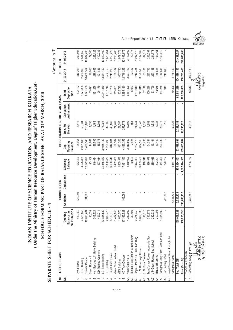(Under the Ministry of Human Resource Development, Dept.of Higher Education, Gol) **( Under the Ministry of Human Resource Development, Dept.of Higher Education,GoI)** INDIAN INSTITUTE OF SCIENCE EDUCATION AND RESEARCH KOLKATA **INDIAN INSTITUTE OF SCIENCE EDUCATION AND RESEARCH KOLKATA** SCHEDULE FORMING PART OF BALANCE SHEET AS AT 31<sup>5T</sup> MARCH, 2015 **SCHEDULE FORMING PART OF BALANCE SHEET AS AT 31ST MARCH, 2015**

## SEPARATE SHEET FOR SCHEDULE - 4 **SEPARATE SHEET FOR SCHEDULE - 4**

| Audit Report 2014-15 □□□ IISER Kolkata |  |  |
|----------------------------------------|--|--|
|                                        |  |  |



|                |                                     |                                                                |             |             |                            |                                   |                      |                                   |                                   |                            | ĺ۳<br>(Amount in |
|----------------|-------------------------------------|----------------------------------------------------------------|-------------|-------------|----------------------------|-----------------------------------|----------------------|-----------------------------------|-----------------------------------|----------------------------|------------------|
| $\overline{5}$ | ASSETS HEADS                        |                                                                |             | GROSS BLOCK |                            |                                   |                      | DEPRECIATION FOR THE YEAR 2014-15 |                                   | <b>NET BLOCK</b>           |                  |
| غ<br>ع         |                                     | 01.04.2014<br>lance as<br>pening<br><b>Ba</b><br>$\frac{1}{5}$ | Additions   | Deductions  | Closeing<br><b>Balance</b> | Opening<br><b>Balance</b><br>Dep. | Dep. for<br>the year | Adjustment<br>Deduction           | <b>Deprecia-</b><br>Total<br>tion | 31.03.2015                 | 31.03.2014       |
| O              | Cycle Shed                          | 489,160                                                        | 123,240     |             | 612,400                    | 195,664                           | 6,518                |                                   | 202,182                           | 410,218                    | 293,496          |
|                | GLFS Building                       | 4,525,855                                                      |             |             | 4,525,855                  | 2,021,805                         | 50,081               |                                   | 2,071,886                         | 2,453,969                  | 2,504,050        |
| O              | Gowala Quarter                      | 2,090,784                                                      | 31,306      |             | 12, 122, 090               | 1,458,348                         | 213,188              |                                   | 1,671,536                         | 10,450,554                 | 10,632,436       |
| $\simeq$       | Guest House -                       | 93,539                                                         |             |             | 93,539                     | 14,031                            | 1,590                |                                   | 15,621                            | 77,918                     | 79,508           |
| ပ              | Hut (Besides J.C. Bose Building)    | 349,924                                                        |             |             | 349,924                    | 126,795                           | 4,463                |                                   | 131,258                           | 218,666                    | 223,129          |
|                | <b>IDD</b> Trainee Quarters         | 497,014                                                        |             |             | 497,014                    | 86,978                            | 8,201                |                                   | 95,179                            | 401,835                    | 410,036          |
|                | J.C. Bose Building                  | 33,845,532                                                     |             |             | 33,845,532                 | 20,035,132                        | 276,208              |                                   | 20,311,340                        | 13,534,192                 | 13,810,400       |
| $\geq$         | LEL Building                        | 2,880,473                                                      |             |             | 2,880,473                  | 1,255,209                         | 32,505               |                                   | 1,287,714                         | 1,592,759                  | 1,625,264        |
| $\geq$         | Lilavati Girls Hostel               | 3,100,510                                                      |             |             | 3,100,510                  | 842,081                           | 45,169               |                                   | 887,250                           | 2,213,260                  | 2,258,429        |
| $\times$       | Marie Curie Ladies Hostel           | 1,402,858                                                      |             |             | 1,402,858                  | 189,392                           | 24,269               |                                   | 213,661                           | 1,189,197                  | 1,213,466        |
|                | MTS Building                        | 1,660,576                                                      |             |             | 1,660,576                  | 581,203                           | 21,587               |                                   | 602,790                           | 1,057,786                  | 1,079,373        |
|                | ND Type Quarter                     | 17,325,328                                                     | 106,065     |             | 7,431,393                  | 4,425,352                         | 259,778              |                                   | 4,685,130                         | 12,746,263                 | 12,899,976       |
| ₹              | Road Gate No. 2                     | 4,239,000                                                      |             |             | 4,239,000                  | 2,119,500                         | 42,390               |                                   | 2,161,890                         | 2,077,110                  | 2,119,500        |
| ₽              | Seismic Field Station at Bakreswar  | 30,500                                                         |             |             | 30,500                     | 7,625                             | 458                  |                                   | 8,083                             | 22,417                     | 22,875           |
| $\overline{a}$ | Single Storied Gr. Floor Lab Bldg.  | 2,474,353                                                      |             |             | 2,474,353                  | 1,237,175                         | 24,744               |                                   | ,261,919                          | 1,212,434                  | 1,237,178        |
| $\overline{P}$ | S. N. Bose Boys Hostel              | 3,869,530                                                      |             |             | 3,869,530                  | 677,168                           | 63,847               |                                   | 741,015                           | 3,128,515                  | 3,192,362        |
|                | S. N. Bose Canteen                  | 118,310                                                        |             |             | 118,310                    | 35,493                            | 1,656                |                                   | 37,149                            | 81,161                     | 82,817           |
|                | Transformer Room / Accounts Sec.    | 396,978                                                        |             |             | 396,978                    | 154,384                           | 4,852                |                                   | 159,236                           | 237,742                    | 242,594          |
| Q              | VIP Guest House, Bud School         | 280,935                                                        |             |             | 280,935                    | 49,164                            | 4,635                |                                   | 53,799                            | 227,136                    | 231,771          |
| H              | BIRLA BUILDING                      | 202,201                                                        |             |             | 202,201                    | 40,440                            | 3,235                |                                   | 43,675                            | 158,526                    | 161,761          |
|                | Haringhata Diary Plant-Canteen Hall | ,454,899                                                       |             |             | ,454,899                   | 290,980                           | 23,278               |                                   | 314,258                           | ,140,641                   | ,163,919         |
|                | Car Parking Shed                    |                                                                | 220,737     |             | 220,737                    |                                   | 919                  |                                   | 919                               | 219,818                    |                  |
|                | Road(Bituminus Road through the     |                                                                |             |             |                            |                                   |                      |                                   |                                   |                            |                  |
|                | Haringhata Farm)                    |                                                                | 4,844,775   |             | 4,844,775                  |                                   | 59,326               |                                   | 59,326                            | 4,785,449                  |                  |
|                | Sub Total (3ii)                     | 165,008,328                                                    | 5,326,123   |             | 170,334,451                | 63,519,801                        | 2,328,488            |                                   | 65,848,289                        | 104,486,162                | 101,488,527      |
|                | Total $(3i + 3ii)$                  | 338,285,898                                                    | 748,788,437 |             | 1,087,074,335              | 109,685,692                       | 19,095,177           |                                   | 128,780,869                       | 958,293,466                | 228,600,206      |
| 4              | ROADS & BRIDGES                     |                                                                |             |             |                            |                                   |                      |                                   |                                   |                            |                  |
| $\prec$        | Connecting Road to Pre-Fab          |                                                                | 3,736,752   |             | 3,736,752                  |                                   | 43,613               |                                   | 43,613                            | 3,693,139                  |                  |
|                | Dv. Registrar (F&A)<br>(Prak        |                                                                |             |             |                            |                                   |                      |                                   |                                   | (Joydeep Sil)<br>Registrar |                  |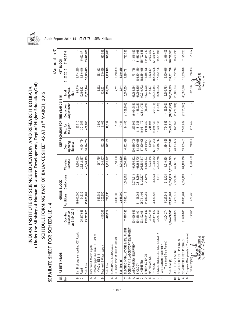

(Amount in  $\bar{\mathbf{z}}$ )

 $(Amount in 7)$ 

(Under the Ministry of Human Resource Development, Dept.of Higher Education, Gol) **( Under the Ministry of Human Resource Development, Dept.of Higher Education,GoI)** INDIAN INSTITUTE OF SCIENCE EDUCATION AND RESEARCH KOLKATA **INDIAN INSTITUTE OF SCIENCE EDUCATION AND RESEARCH KOLKATA** SCHEDULE FORMING PART OF BALANCE SHEET AS AT 31<sup>5T</sup> MARCH, 2015 **SCHEDULE FORMING PART OF BALANCE SHEET AS AT 31ST MARCH, 2015**

## SEPARATE SHEET FOR SCHEDULE - 4 **SEPARATE SHEET FOR SCHEDULE - 4**

| ສ່                                                   | ASSETS HEADS                                         |                                                         |              | GROSS BLOCK       |                            |                                   |                      | DEPRECIATION FOR THE YEAR 2014-15 |                            | NET BLOCK                 |             |
|------------------------------------------------------|------------------------------------------------------|---------------------------------------------------------|--------------|-------------------|----------------------------|-----------------------------------|----------------------|-----------------------------------|----------------------------|---------------------------|-------------|
| غ<br>2                                               |                                                      | 1.04.2014<br>Balance as<br>pening<br>o<br>$\frac{1}{2}$ | Additions    | <b>Deductions</b> | Closeing<br><b>Balance</b> | Opening<br><b>Balance</b><br>Dep. | the year<br>Dep. for | Adjustment<br>Deduction           | Deprecia-<br>Total<br>tion | 31.03.2015                | 31.03.2014  |
| $\omega$                                             | Ext. Drainage surrounding CC Roads                   |                                                         | 19,800,000   |                   | 19,800,000                 |                                   | 85,710               |                                   | 85,710                     | 19,714,290                |             |
|                                                      | Road                                                 | 25,217,635                                              | 94,532       |                   | 25,312,167                 | 10,194,764                        | 301,357              |                                   | 10,496,121                 | 14,816,046                | 15,022,871  |
|                                                      | Sub Total                                            | 25,217,635                                              | 23,631,284   |                   | 48,848,919                 | 10,194,764                        | 430,680              |                                   | 10,625,444                 | 38,223,475                | 15,022,871  |
| 5a                                                   | Tube well & Water supply                             |                                                         |              |                   |                            |                                   |                      |                                   |                            |                           |             |
|                                                      | Softwater pipe line from UG Tank to<br>HVAC at ESS-1 |                                                         | 587,785      |                   | 587,785                    |                                   | 3,892                | f,                                | 3,892                      | 583,893                   |             |
| $\mathbf{m}$                                         | Tube well & Water supply                             | 445,257                                                 | 202,850      |                   | 648,107                    | 122,159                           | 6,462                | $\,$                              | 128,621                    | 519,486                   | 323,098     |
|                                                      | Sub Total                                            | 445,257                                                 | 790,635      |                   | 1,235,892                  | 122,159                           | 10,354               |                                   | 132,513                    | 1,103,379                 | 323,098     |
| ပ                                                    | SEWERAGE & DRAINAGE                                  |                                                         |              |                   |                            |                                   |                      |                                   |                            |                           |             |
| $\prec$                                              | CC Drain from RD03B to Cannal                        |                                                         | 3,018,000    |                   | 3,018,000                  |                                   | 7,111                |                                   | 7,111                      | 3,010,889                 |             |
|                                                      | Sub Total (6)                                        |                                                         | 3,018,000    |                   | 3,018,000                  |                                   | 7,111                |                                   | 7,111                      | 3,010,889                 |             |
|                                                      | ELECTRIC INSTALLATIONS & EQUIPMENT                   | 7,575,315                                               | 3,513,412    | 1,082,452         | 10,006,275                 | 6,852,989                         | 124,456              | (1,369,891)                       | 5,607,554                  | 4,398,721                 | 722,326     |
| တ                                                    | SCIENTIFIC & LABORATORY EQUIPMENT                    |                                                         |              |                   |                            |                                   |                      |                                   |                            |                           |             |
| $\prec$                                              | LABORATORY EQUIPMENT                                 | 204,026,535                                             |              | 9,271,213         | 194,755,322                | 200,680,706                       | 267,666              | (6,964,788)                       | 93,983,584                 | 771,738                   | 3,345,829   |
| $\mathfrak{a} \circ \mathfrak{a} \circ \mathfrak{m}$ | <b>BIOLOGY</b>                                       | 134,858,991                                             | 31, 125, 063 | 2,818,259         | 163, 165, 795              | 53,325,055                        | 8,131,306            | (165, 026)                        | 61,291,335                 | 101,874,460               | 81,533,936  |
|                                                      | <b>CHEMISTRY</b>                                     | 273, 192, 651                                           | 25,741,493   | 5,129,527         | 293,804,617                | 87,399,995                        | 16,051,179           | (2,531,472)                       | 100,919,702                | 92,884,915                | 185,792,656 |
|                                                      | EARTH SCIENCE                                        | 149,884,880                                             | 14,029,269   | 248,746           | 163,665,403                | 39,510,091                        | 9,535,789            | (66, 905)                         | 48,978,975                 | 114,686,428               | 110,374,789 |
|                                                      | MATHEMATICS                                          | 3,223,448                                               |              |                   | 3,223,448                  | 529,621                           | 215,506              |                                   | 745,127                    | 2,478,32                  | 2,693,827   |
| ட                                                    | <b>PHYSICS</b>                                       | 292,811,867                                             | 26,550,528   | 354,333           | 319,008,062                | 21,281,296                        | 14,965,133           | (201, 975)                        | 136,044,454                | 82,963,608                | 171,530,57  |
| ပ                                                    | SINGLE MOLECULE MICROSCOPY                           | 32,247,659                                              |              | 4,911             | 32,242,748                 | 13,045,713                        | 1,536,156            | (1,826)                           | 14,580,043                 | 17,662,705                | 19,201,946  |
| H                                                    | LABORATORY EQUIPMENT                                 |                                                         |              |                   |                            |                                   |                      |                                   |                            |                           |             |
|                                                      | Transferred from Project)                            | 4,204,274                                               | 5,227,548    | 512,424           | 8,919,398                  | 1,884,865                         | 1,794,883            | (169, 965)                        | 3,509,783                  | 5,409,615                 | 2,319,409   |
|                                                      | Sub Total (9)                                        | 1,094,450,305                                           | 102,673,901  | 18,339,413        | 1,178,784,793              | 517,657,342                       | 52,497,618           | (10, 101, 957)                    | 560,053,003                | 618,731,790               | 576,792,963 |
| $\Rightarrow$                                        | OFFICE EQUIPMENT                                     | 33,368,823                                              | 4,279,675    | 2,526,751         | 35,121,747                 | 23,834,582                        | 851,553              | (1,276,601)                       | 23,409,534                 | 11,712,213                | 9,534,241   |
| $\tilde{c}$                                          | COMPUTER & PERIPHERALS                               |                                                         |              |                   |                            |                                   |                      |                                   |                            |                           |             |
| $\prec$                                              | COMPUTER & PERIPHERALS                               | 61,058,661                                              | 10,935,964   | 7,831,409         | 64,163,216                 | 53,933,461                        | 2,570,962            | (7,701,083)                       | 48,803,340                 | 15,359,876                | 7,125,200   |
| $\mathbf{m}$                                         | Transferred<br>Computer/Pheripherals (               |                                                         |              |                   |                            |                                   |                      |                                   |                            |                           |             |
|                                                      | from Project)                                        | 732,361                                                 | 476,238      |                   | 1,208,599                  | 710,994                           | 281,242              |                                   | 992,236                    | 216,363                   | 21,367      |
|                                                      | Dv. Registrar (F&A)                                  |                                                         |              |                   |                            |                                   |                      |                                   |                            | Uoydeep Sill<br>Registrar |             |

:: 34 ::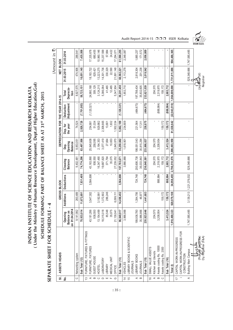(Under the Ministry of Human Resource Development, Dept.of Higher Education, Gol) **( Under the Ministry of Human Resource Development, Dept.of Higher Education,GoI)** INDIAN INSTITUTE OF SCIENCE EDUCATION AND RESEARCH KOLKATA **INDIAN INSTITUTE OF SCIENCE EDUCATION AND RESEARCH KOLKATA** SCHEDULE FORMING PART OF BALANCE SHEET AS AT 31<sup>5T</sup> MARCH, 2015 **SCHEDULE FORMING PART OF BALANCE SHEET AS AT 31ST MARCH, 2015**

## SEPARATE SHEET FOR SCHEDULE - 4 **SEPARATE SHEET FOR SCHEDULE - 4**

| ĥ.     |
|--------|
| E      |
|        |
| j      |
|        |
| .<br>^ |
|        |
|        |
|        |
|        |
|        |
|        |
|        |
|        |
|        |
|        |
|        |
|        |
|        |
|        |

| 5i                                     | ASSETS HEADS                                 |                                                               |               | GROSS BLOCK                    |                            |                                   | DEPRECIATION FOR THE YEAR 2014-15 |                         |                                                  | NET BLOCK                  |                |
|----------------------------------------|----------------------------------------------|---------------------------------------------------------------|---------------|--------------------------------|----------------------------|-----------------------------------|-----------------------------------|-------------------------|--------------------------------------------------|----------------------------|----------------|
| ş                                      |                                              | 01.04.2014<br>alance as<br>Opening<br>œ<br>$\overline{\bf s}$ | Additions     | <b>Deductions</b>              | Closeing<br><b>Balance</b> | Opening<br><b>Balance</b><br>Dep. | the year<br>Dep. for              | Adjustment<br>Deduction | Deprecia-<br>Total<br>tion                       | 31.03.2015                 | 31.03.2014     |
| $\circ$                                | Networking system                            | 9,141,992                                                     | 260,489       |                                | 9,402,481                  | 8,853,051                         | 74,524                            |                         | 8,927,575                                        | 474,906                    | 288,941        |
|                                        | Sub Total (12)                               | 70,933,014                                                    | 11,672,691    | 7,831,409                      | 74,774,296                 | 63,497,506                        | 2,926,728                         | (7,701,083)             | 58,723,151                                       | 16,051,145                 | 7,435,508      |
| $\infty$                               | FURNITURE, FIXTURES & FITTINGS               |                                                               |               |                                |                            |                                   |                                   |                         |                                                  |                            |                |
| ⋖                                      | FURNITURE, FIXTURES                          | 43,181,286                                                    | 3,547,302     | 3,564,698                      | 43,163,890                 | 25,845,608                        | 254,881                           | (1, 120, 321)           | 24,980,168                                       | 18, 183, 722               | 17,335,678     |
| $\mathbf{m}$                           | GUEST HOUSE                                  | 938,550                                                       |               |                                | 938,550                    | 258,095                           | 51,034                            |                         | 309,129                                          | 629,421                    | 680,455        |
| $\circ$                                | <b>HOSTEL</b>                                | 13, 154, 499                                                  | 3, 192, 991   |                                | 16,347,490                 | 2, 194, 353                       | 929,862                           |                         | 3, 124, 215                                      | 13,223,275                 | 10,960,146     |
|                                        | LABORATORY                                   | 18,315,018                                                    | 1,372,802     |                                | 19,687,820                 | 3,077,419                         | 2,308,665                         |                         | 5,386,084                                        | 14,301,736                 | 15,237,599     |
| $\begin{array}{c} \square \end{array}$ | LIBRARY                                      | 85,548                                                        | 286,246       |                                | 371,794                    | 27,664                            | 13,801                            |                         | 41,465                                           | 330,329                    | 57,884         |
|                                        | MEDICAL UNIT                                 | 35,075                                                        |               |                                | 35,075                     | 10,653                            | 1,832                             |                         | 12,485                                           | 22,590                     | 24,422         |
| O                                      | OFFICE                                       | 21,139,941                                                    | 6,099,111     |                                | 27,239,052                 | 3,845,870                         | ,502,034                          |                         | 5,347,904                                        | 21,891,148                 | 17,294,071     |
|                                        | Sub Total (13)                               | 96,849,917                                                    | 14,498,452    | 3,564,698                      | 107,783,671                | 35,259,662                        | 5,062,109                         | (1, 120, 321)           | 39,201,450                                       | 68,582,221                 | 61,590,255     |
| $\overline{4}$                         | <b>VEHICLES</b>                              | 3,966,988                                                     |               |                                | 3,966,988                  | 1,618,901                         | 234,809                           |                         | 1,853,710                                        | 2,113,278                  | 2,348,087      |
| $\frac{1}{2}$                          | LIBRARY BOOKS & SCIENTIFIC                   |                                                               |               |                                |                            |                                   |                                   |                         |                                                  |                            |                |
|                                        | <b>JOURNALS</b>                              |                                                               |               |                                |                            |                                   |                                   |                         |                                                  |                            |                |
| $\prec$                                | LIBRARY BOOKS                                | 199,936,780                                                   | 1,394,706     | 724,748                        | 200,606,738                | 198,051,543                       | 221,564                           | (484, 673)              | 197,788,434                                      | 2,818,304                  | 1,885,237      |
| $\infty$                               | <b>JOURNALS</b>                              | 35,986,866                                                    | 46,977        |                                | 36,033,843                 | 35,815,294                        | 17,311                            |                         | 35,832,605                                       | 201,238                    | 171,572        |
|                                        | Sub Total (15)                               | 35,923,646                                                    | 1,441,683     | 724,748                        | 236,640,581                | 233,866,837                       | 238,875                           | (484, 673)              | 233,621,039                                      | 3,019,542                  | 2,056,809      |
| $\frac{6}{5}$                          | SMALL VALUE ASSETS                           |                                                               |               |                                |                            |                                   |                                   |                         |                                                  |                            |                |
| $\prec$                                | Kitchen and Utencils                         | 204,570                                                       |               |                                | 204,570                    | 204,570                           |                                   |                         | 204,570                                          |                            | $\blacksquare$ |
| $\Omega$                               | Assets costing Rs. 10000                     | 3,208,954                                                     |               | 888,984                        | 2,319,970                  | 3,208,954                         |                                   | (888, 984)              | 2,319,970                                        |                            |                |
| $\circ$                                | Assets costing Rs. 2000                      |                                                               | 159, 172      |                                | 159,172                    |                                   | 159,172                           |                         | 159, 172                                         |                            |                |
|                                        | Sub Total (16)                               | 3,413,524                                                     | 159,172       | 888.984                        | 2,683,712                  | 3,413,524                         | 159,172                           | (888, 984)              | 2,683,712                                        |                            |                |
|                                        | Total (I)                                    | 1,910,490,323                                                 | 920, 979, 108 | 34,958,455                     | 2,796,510,976              | 1,006,003,958                     | 81,638,642                        |                         | $(22,943,510)$ $ 1,064,699,090$ $ 1,731,811,886$ |                            | 904,486.365    |
| $\overline{1}$                         | CAPITAL WORK-IN-PROGRESS                     |                                                               |               |                                |                            |                                   |                                   |                         |                                                  |                            |                |
|                                        | CAPITAL WORK-IN-PROGRESS FOR<br>CONSTRUCTION |                                                               |               |                                |                            |                                   |                                   |                         |                                                  |                            |                |
| ⋖                                      | <b>Building Main Campus</b>                  | 47,585,485                                                    |               | 3, 139, 213   1, 221, 376, 032 | 529,348,666                | ı                                 | ı                                 | ı                       | ï                                                | 529,348,666 1,747,585,485  |                |
|                                        | Dy. Registrar (F&A)                          |                                                               |               |                                |                            |                                   |                                   |                         |                                                  | (Joydeep Sil)<br>Registrar |                |

Audit Report 2014-15 □□□ IISER Kolkata

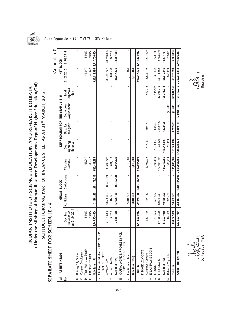

(Under the Ministry of Human Resource Development, Dept.of Higher Education, Gol) **( Under the Ministry of Human Resource Development, Dept.of Higher Education,GoI)** INDIAN INSTITUTE OF SCIENCE EDUCATION AND RESEARCH KOLKATA **INDIAN INSTITUTE OF SCIENCE EDUCATION AND RESEARCH KOLKATA** SCHEDULE FORMING PART OF BALANCE SHEET AS AT 31<sup>5T</sup> MARCH, 2015 **SCHEDULE FORMING PART OF BALANCE SHEET AS AT 31ST MARCH, 2015**

SEPARATE SHEET FOR SCHEDULE - 4 **SEPARATE SHEET FOR SCHEDULE - 4**

| ĺ₩         |                                   |                                                 | ï                    |                    |                       |                   |                 |                                                |                |                 |                  |                                                      |                     |                   |                            |                   |                   |                    |           |             |                |                    |             |                                                |
|------------|-----------------------------------|-------------------------------------------------|----------------------|--------------------|-----------------------|-------------------|-----------------|------------------------------------------------|----------------|-----------------|------------------|------------------------------------------------------|---------------------|-------------------|----------------------------|-------------------|-------------------|--------------------|-----------|-------------|----------------|--------------------|-------------|------------------------------------------------|
| (Amount in | NET BLOCK                         | 31.03.2014                                      |                      |                    | 54,047                | 80,972            | 1,747,720,504   |                                                | 33,210,326     | 347,232         | 33,557,558       |                                                      |                     |                   | 569,967,394 1,781,278,062  |                   | 1,571,409         |                    | 773,165   | 13,204,569  | 13,977,734     | 152,687            | 15,701,830  | 2,701,466,257                                  |
|            |                                   | 31.03.2015                                      |                      |                    | 54,047                | 80,972            | 529,483,685     |                                                | 36,205,727     | 461,598         | 36,667,325       |                                                      | 3,816,384           | 3,816,384         |                            |                   | 1,826,715         |                    | 968,432   | 54,871,883  | 55,840,315     | 406,903            | 58,073,933  | 2,359,853,213                                  |
|            |                                   | Deprecia-<br>Total<br>tion                      |                      |                    |                       |                   |                 |                                                | ł.             | J.              |                  |                                                      |                     |                   | í,                         |                   | 1,639,211         |                    | 8,137,727 | 117,234,214 | 125,371,94     |                    | 127,011,152 | 1,191,710,242                                  |
|            |                                   | Adjustment<br>Deduction                         |                      |                    |                       |                   | ٠               |                                                |                |                 | ٠                |                                                      |                     |                   | ٠                          |                   |                   |                    |           |             |                | (21, 813)          | (21, 813)   | (22, 965, 323)                                 |
|            | DEPRECIATION FOR THE YEAR 2014-15 | Dep. for<br>the year                            |                      |                    |                       |                   |                 |                                                |                |                 | ٠                |                                                      |                     |                   |                            |                   | 889,474           |                    | 329,390   | 6,993,235   | 7,322,625      |                    | 8,212,099   | 89,850,741                                     |
|            |                                   | Opening<br><b>Balance</b><br>Dep.               |                      |                    |                       |                   |                 |                                                |                |                 | ٠                |                                                      |                     |                   |                            |                   | 749,737           |                    | 7,808,337 | 110,240,979 | 118,049,316    | 21,813             | 118,820,866 | 1,124,824,824                                  |
|            |                                   | Closeing<br><b>Balance</b>                      |                      |                    | 54,047                | 80,972            | 529,483,685     |                                                | 36,205,727     | 461,598         | 36,667,325       |                                                      | 3,816,384           | 3,816,384         | 569,967,394                |                   | 3,465,926         |                    | 9,106,159 | 172,106,097 | 181,212,256    | 406,903            | 185,085,085 | 3,551,563,455                                  |
|            | GROSS BLOCK                       | <b>Deductions</b>                               | ï                    |                    |                       |                   | 1,221,376,032   |                                                | 10,510,421     |                 | 10,510,421       |                                                      | $\mathbf{r}$        |                   | 20,575,785   1,231,886,453 |                   | ×,                |                    |           | f,          |                |                    |             | 1,266,844,908                                  |
|            |                                   | Additions                                       |                      |                    |                       |                   | 3,139,213       |                                                | 13,505,822     | 114,366         | 13,620,188       |                                                      | 3,816,384           | 3,816,384         |                            |                   | 1,144,780         |                    | 524,657   | 48,660,549  | 49,185,206     | 232,403            | 50,562,389  | 992, 117, 282                                  |
|            |                                   | 01.04.2014<br><b>Balance</b> as<br>Opening<br>δ |                      |                    | 54,047                | 80,972            | 47,720,504<br>÷ |                                                | 33,210,326     | 347,232         | 33,557,558       |                                                      |                     |                   | 1,781,278,062              |                   | 2,321,146         |                    | 8,581,502 | 23,445,548  | 32,027,050     | 174,500            | 34,522,696  | 3,826,291,081                                  |
|            | ASSETS HEADS                      |                                                 | Building City Office | Campus Development | Tube Well & W. Supply | For other payment | Sub Total (17i) | CAPITAL WORK-IN-PROGRESS FOR<br>ARCHITECT FEES | Architect Fees | Architect TA/DA | Sub Total (17ii) | CAPITAL WORK-IN-PROGRESS FOR<br>FURNITURE & FIXTURES | Fur. & Fix.- Office | Sub Total (17iii) | Total (17)                 | INTANGIBLE ASSETS | Computer Software | E-JOUNRALS/E-BOOKS | E-BOOKS   | E-JOUNRALS  | Sub Total (19) | Patent & Copyright | Total (II)  | Grand Total ( <sup>1</sup> 17 <sup>+1</sup> l) |
|            | 5                                 | <u>ş</u>                                        | $\bf{m}$             | $\circ$            | $\Box$                | Ш                 |                 | $=$                                            | $\overline{ }$ | $\sim$          |                  | ≔:                                                   | 4                   |                   |                            |                   | $\frac{8}{10}$    | $\overline{6}$     | $\prec$   | $\infty$    |                | 20                 |             |                                                |

(Prak*ash Hazarika*) (Joydéep Sil) Dy. Registrar (F&A) Registrar ုပြ و و د الله و د الله (Prakgs)<br>(Prakgs) ႔Fazarika)<br>Dy. Registrar (F&A)

(Joydeep Sil)<br>(Joydeep Sil)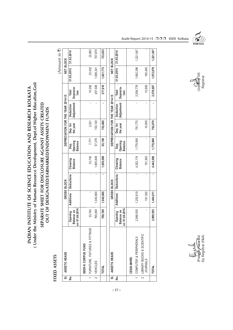(Under the Ministry of Human Resource Development, Dept.of Higher Education, Gol) **( Under the Ministry of Human Resource Development, Dept.of Higher Education,GoI)** INDIAN INSTITUTE OF SCIENCE EDUCATION AND RESEARCH KOLKATA **INDIAN INSTITUTE OF SCIENCE EDUCATION AND RESEARCH KOLKATA**

### SEPARATE SHEET FOR DISCLOSURE AGAINST ASSETS CREATED **SEPARATE SHEET FOR DISCLOSURE AGAINST ASSETS CREATED** OUT OF DESIGNATED/EARMARKED/ENDOWMENT FUNDS **OUT OF DESIGNATED/EARMARKED/ENDOWMENT FUNDS**

### FIXED ASSETS **FIXED ASSETS**

(Amount in ₹) (Amount in  $\bar{\mathbf{z}}$ )

| ಹ   | ASSETS HEADS                                    |                                           |                  | GROSS BLOCK       |                            |                                   |                      | DEPRECIATION FOR THE YEAR 2014-15 |                            | NET BLOCK  |            |  |
|-----|-------------------------------------------------|-------------------------------------------|------------------|-------------------|----------------------------|-----------------------------------|----------------------|-----------------------------------|----------------------------|------------|------------|--|
| Νo. |                                                 | 01.04.2014<br>Balance as<br>Opening<br>ទី | <b>Additions</b> | <b>Deductions</b> | Closeing<br><b>Balance</b> | Opening<br><b>Balance</b><br>Dep. | the year<br>Dep. for | <b>Adjustment</b><br>Deduction    | Deprecia-<br>Total<br>tion | 31.03.2015 | 31.03.2014 |  |
|     | ISER-K CORPUS FUND                              |                                           |                  |                   |                            |                                   |                      |                                   |                            |            |            |  |
|     | FURNITURE, FIXTURES & FITTINGS                  | 33,740                                    | ı                |                   | 33,740                     | 7,777                             | 2,531                | $\overline{\phantom{a}}$          | 10,308                     | 23,432     | 25,963     |  |
|     | <b>VEHICLES</b>                                 | 765,049                                   | 1,040,800        |                   | ,805,849                   | 57,379                            | 150,129              |                                   | 207,508                    | 1,598,341  | 707,670    |  |
|     | <b>TOTAL</b>                                    | 798,789                                   | 1,040,800        |                   | 1,839,589                  | 65,156                            | 152,660              |                                   | 217,816                    | 1,621,773  | 733,633    |  |
| ಹ   | ASSETS HEADS                                    |                                           |                  | GROSS BLOCK       |                            |                                   |                      | DEPRECIATION FOR THE YEAR 2014-15 |                            | NET BLOCK  |            |  |
| No. |                                                 | 01.04.2014<br>Balance as<br>Opening<br>ទី | <b>Additions</b> | <b>Deductions</b> | Closeing<br><b>Balance</b> | Opening<br><b>Balance</b><br>Dep. | the year<br>Dep. for | <b>Adjustment</b><br>Deduction    | Deprecia-<br>Total<br>tion | 31.03.2015 | 31.03.2014 |  |
|     | CESSI-MHRD                                      |                                           |                  |                   |                            |                                   |                      |                                   |                            |            |            |  |
|     | COMPUTER & PERIPHERALS                          | 2,999,555                                 | 1,252,619        |                   | 4,252,174                  | 1,778,008                         | 781,770              | ï                                 | 2,559,778                  | 1,692,396  | 1,221,547  |  |
|     | 2 LIBRARY BOOKS & SCIENTIFIC<br><b>JOURNALS</b> |                                           | 191,392          |                   | 191,392                    |                                   | 10,909               | 1                                 | 10,909                     | 180,483    |            |  |
|     | TOTAL                                           | 2,999,555                                 | 1,444,011        |                   | 4,443,566                  | 1,778,008                         | 792,679              |                                   | 2,570,687                  | 1,872,879  | 1,221,547  |  |



(Joydeep Sil)<br>Registrar

Audit Report 2014-15 □□□ IISER Kolkata

(Prak*ash Hazarika*) (Joydéep Sil) Dy. Registrar (F&A) Registrar(Prak**ası́r** *K***azarik**a)<br>Dy. Registrar (F&A) يشده جللا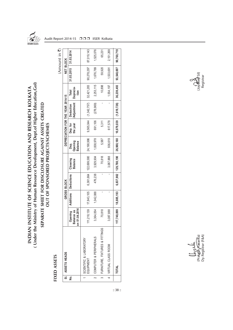

(Under the Ministry of Human Resource Development, Dept.of Higher Education, Gol) **( Under the Ministry of Human Resource Development, Dept.of Higher Education,GoI)** INDIAN INSTITUTE OF SCIENCE EDUCATION AND RESEARCH KOLKATA **INDIAN INSTITUTE OF SCIENCE EDUCATION AND RESEARCH KOLKATA**

## SEPARATE SHEET FOR DISCLOSURE AGAINST ASSETS CREATED<br>OUT OF SPONSORED PROJECTS/SCHEMES **SEPARATE SHEET FOR DISCLOSURE AGAINST ASSETS CREATED OUT OF SPONSORED PROJECTS/SCHEMES**

### FIXED ASSETS **FIXED ASSETS**

|   |                                      |                                                               |            |             |                            |                                   |                      |                                       |                            |                  | (Amount in 3) |
|---|--------------------------------------|---------------------------------------------------------------|------------|-------------|----------------------------|-----------------------------------|----------------------|---------------------------------------|----------------------------|------------------|---------------|
|   | SI. ASSETS HEADS                     |                                                               |            | GROSS BLOCK |                            |                                   |                      | DEPRECIATION FOR THE YEAR 2014-15     |                            | <b>NET BLOCK</b> |               |
| ş |                                      | 1.04.2014<br><b>Balance</b> as<br>Opening<br>cm <sub>01</sub> | Additions  | Deductions  | Closeing<br><b>Balance</b> | Opening<br><b>Balance</b><br>Dep. | Dep. for<br>the year | <b>Adjustment</b><br><b>Deduction</b> | Deprecia-<br>Total<br>tion | 31.03.2015       | 31.03.2014    |
|   | SCIENTIFIC & LABORATORY<br>EQUIPMENT | 111,218,139                                                   | 17,843,105 |             | 6,361,664   122,699,580    | 24,198,996                        |                      | $9,565,044$ $(1,342,757)$             | 32,421,283                 | 90,278,297       | 87,019,143    |
|   | COMPUTER & PERIPHERALS               | 3,364,054                                                     | 1,042,088  | 476,238     | 3,929,904                  | 1,838,978                         | 691,106              | (276, 969)                            | 2,253,115                  | 1,676,789        | 525,076       |
| 3 | FURNITURE, FIXTURES & FITTINGS       | 70,818                                                        |            |             | 70,818                     | 5,587                             | 5,311                |                                       | 10,898                     | 59,920           | 65,231        |
|   | VIRTUAL CLASS ROOM                   | ,087,888<br>S                                                 |            |             | 3,087,888                  | 936,619                           | 617,578              |                                       | 1,554,197                  | 1,533,691        | 2,151,269     |
|   | TOTAL                                | 117,740,899                                                   | 18,885,193 |             | 6,837,902   129,788,190    | 26,980,180                        |                      | $10,879,039$ $(1,619,726)$            | 36,239,493                 | 93,548,697       | 90,760,719    |



(Prak*ash Hazarika*) (Joydéep Sil) Dy. Registrar (F&A) RegistrarЏо*р Орш*<br>(Prakg\$h *∤*fazarika)<br>Dy. Registrar (F&A)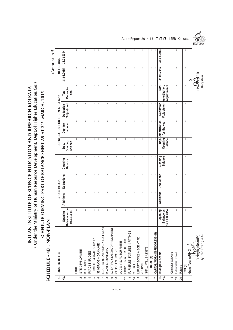(Under the Ministry of Human Resource Development, Dept.of Higher Education, Gol) **( Under the Ministry of Human Resource Development, Dept.of Higher Education,GoI)** INDIAN INSTITUTE OF SCIENCE EDUCATION AND RESEARCH KOLKATA **INDIAN INSTITUTE OF SCIENCE EDUCATION AND RESEARCH KOLKATA** SCHEDULE - 4B : NON-PLAN<br>SCHEDULE - 4B : NON-PLAN **SCHEDULE FORMING PART OF BALANCE SHEET AS AT 31ST MARCH, 2015**

# **SCHEDULE - 4B : NON-PLAN**

 $(Amount in 7)$ (Amount in  $\bar{z}$ )

|                                 | ASSETS HEADS<br>$\overline{\mathbf{5}}$ |                                        |              | GROSS BLOCK              |                                                                                                                                                                                                                                                                                                                                                                                  |                                   |                                                                                                                                                                                                                                                                                                                                                                                  | DEPRECIATION FOR THE YEAR 2014-15 |                            |              | <b>NET BLOCK</b> |
|---------------------------------|-----------------------------------------|----------------------------------------|--------------|--------------------------|----------------------------------------------------------------------------------------------------------------------------------------------------------------------------------------------------------------------------------------------------------------------------------------------------------------------------------------------------------------------------------|-----------------------------------|----------------------------------------------------------------------------------------------------------------------------------------------------------------------------------------------------------------------------------------------------------------------------------------------------------------------------------------------------------------------------------|-----------------------------------|----------------------------|--------------|------------------|
| غ<br>ع                          |                                         | Balance as on<br>01.04.2014<br>Opening | Additions    | Deductions               | Closeing<br><b>Balance</b>                                                                                                                                                                                                                                                                                                                                                       | Opening<br><b>Balance</b><br>Dep. | the year<br>Dep. for                                                                                                                                                                                                                                                                                                                                                             | Adjustment<br>Deduction           | Deprecia-<br>Total<br>tion | 31.03.2015   | 31.03.2014       |
|                                 | LAND                                    | T.                                     | T            | т                        | T.                                                                                                                                                                                                                                                                                                                                                                               | T.                                | T                                                                                                                                                                                                                                                                                                                                                                                | т                                 | J.                         | J.           |                  |
| $\sim$                          | SITE DEVELOPMENT                        | I.                                     | I.           |                          | т                                                                                                                                                                                                                                                                                                                                                                                | I.                                | ı                                                                                                                                                                                                                                                                                                                                                                                | I                                 |                            |              |                  |
| က                               | <b>BUILDINGS</b>                        | T                                      | ı            | $\overline{\phantom{a}}$ | ı                                                                                                                                                                                                                                                                                                                                                                                | ı                                 | ı                                                                                                                                                                                                                                                                                                                                                                                | $\mathbf{I}$                      |                            | ı            |                  |
| 4                               | ROADS & BRIDGES                         | T                                      | T            | J.                       | T                                                                                                                                                                                                                                                                                                                                                                                | T                                 | T                                                                                                                                                                                                                                                                                                                                                                                | T                                 | п                          | т            |                  |
| LO                              | TUBWELLS & WATER SUPPLY                 | T                                      | т            | Ť                        | T                                                                                                                                                                                                                                                                                                                                                                                | T                                 | T                                                                                                                                                                                                                                                                                                                                                                                | т                                 | ı                          | J.           |                  |
| $\circ$                         | SEWERAGE & DRAINAGE                     | -1                                     | I.           | I                        | J.                                                                                                                                                                                                                                                                                                                                                                               | J.                                | J.                                                                                                                                                                                                                                                                                                                                                                               | I.                                |                            | J.           |                  |
|                                 | ELECTRIC INSTALLATIONS & EQUIPMENT      | $\mathbf{I}$                           | ı            | I                        | ı                                                                                                                                                                                                                                                                                                                                                                                | ı                                 | I                                                                                                                                                                                                                                                                                                                                                                                | ı                                 | ı                          | I.           |                  |
| $\infty$                        | PLANT & MACHINERY                       | $\mathsf I$                            | ı            | ı                        | $\sf I$                                                                                                                                                                                                                                                                                                                                                                          | ı                                 | I.                                                                                                                                                                                                                                                                                                                                                                               | ı                                 | ı                          | ı            |                  |
| တ                               | SCIENTIFIC & LABORATORY EQUIPMENT       | $\mathsf I$                            | т            | I.                       | I                                                                                                                                                                                                                                                                                                                                                                                | T                                 | $\mathsf I$                                                                                                                                                                                                                                                                                                                                                                      | т                                 | I.                         | т            |                  |
| $\Rightarrow$                   | OFFICE EQUIPMENT                        | J.                                     | ı            | $\overline{\phantom{a}}$ | $\mathsf{I}$                                                                                                                                                                                                                                                                                                                                                                     | J.                                | $\mathsf{I}$                                                                                                                                                                                                                                                                                                                                                                     | $\overline{\phantom{a}}$          |                            | J.           |                  |
| $\rightleftarrows$              | AUDIO VISUAL EQUIPMENT                  | J.                                     | ı            | ı                        | ı                                                                                                                                                                                                                                                                                                                                                                                | $\mathbf{I}$                      | ı                                                                                                                                                                                                                                                                                                                                                                                | ı                                 | ı                          | ı            |                  |
| $\overline{2}$                  | COMPUTER & PERIPHERALS                  | I.                                     | т            | т                        | I                                                                                                                                                                                                                                                                                                                                                                                | т                                 | I                                                                                                                                                                                                                                                                                                                                                                                | т                                 | т                          | т            |                  |
| $\frac{3}{2}$                   | FURNITURE, FIXTURES & FITTINGS          | $\mathsf I$                            | I.           | f,                       | $\begin{array}{c} \rule{0pt}{2.5ex} \rule{0pt}{2.5ex} \rule{0pt}{2.5ex} \rule{0pt}{2.5ex} \rule{0pt}{2.5ex} \rule{0pt}{2.5ex} \rule{0pt}{2.5ex} \rule{0pt}{2.5ex} \rule{0pt}{2.5ex} \rule{0pt}{2.5ex} \rule{0pt}{2.5ex} \rule{0pt}{2.5ex} \rule{0pt}{2.5ex} \rule{0pt}{2.5ex} \rule{0pt}{2.5ex} \rule{0pt}{2.5ex} \rule{0pt}{2.5ex} \rule{0pt}{2.5ex} \rule{0pt}{2.5ex} \rule{0$ | J.                                | $\begin{array}{c} \rule{0pt}{2.5ex} \rule{0pt}{2.5ex} \rule{0pt}{2.5ex} \rule{0pt}{2.5ex} \rule{0pt}{2.5ex} \rule{0pt}{2.5ex} \rule{0pt}{2.5ex} \rule{0pt}{2.5ex} \rule{0pt}{2.5ex} \rule{0pt}{2.5ex} \rule{0pt}{2.5ex} \rule{0pt}{2.5ex} \rule{0pt}{2.5ex} \rule{0pt}{2.5ex} \rule{0pt}{2.5ex} \rule{0pt}{2.5ex} \rule{0pt}{2.5ex} \rule{0pt}{2.5ex} \rule{0pt}{2.5ex} \rule{0$ | т                                 | Ť                          | т            |                  |
| $\overline{4}$                  | VEHICLES                                | $\mathsf I$                            | $\mathsf I$  | I.                       | $\mathbf{I}$                                                                                                                                                                                                                                                                                                                                                                     | J.                                | I                                                                                                                                                                                                                                                                                                                                                                                | I.                                | I                          | ı            |                  |
| $\overline{5}$                  | LIBRARY BOOKS & SCIENTIFIC              |                                        |              |                          |                                                                                                                                                                                                                                                                                                                                                                                  |                                   |                                                                                                                                                                                                                                                                                                                                                                                  |                                   |                            |              |                  |
|                                 | <b>JOURNALS</b>                         | $\mathsf I$                            | T.           | I                        | L                                                                                                                                                                                                                                                                                                                                                                                | T.                                | т                                                                                                                                                                                                                                                                                                                                                                                | L                                 | т                          | L            |                  |
| $\frac{6}{5}$                   | SMALL VALUE ASSETS                      | J.                                     | $\mathbf{I}$ | $\mathbf{I}$             | J.                                                                                                                                                                                                                                                                                                                                                                               | $\mathbf{I}$                      | J.                                                                                                                                                                                                                                                                                                                                                                               | J.                                | $\mathbf{I}$               | $\mathbf{I}$ |                  |
|                                 | TOTAL (A)                               | Т                                      | $\mathsf I$  | J.                       | Т                                                                                                                                                                                                                                                                                                                                                                                | J.                                | T                                                                                                                                                                                                                                                                                                                                                                                | T                                 | T                          | J.           | J.               |
| $\overline{1}$                  | CAPITAL WORK-IN-PROGRESS (B)            | ı                                      | J.           | J.                       | J.                                                                                                                                                                                                                                                                                                                                                                               | $\mathbf{I}$                      | J.                                                                                                                                                                                                                                                                                                                                                                               | п                                 | J.                         | -1           |                  |
| $\frac{1}{2}$                   | Intangible Assets                       | Opening                                | Additions    | Deductions               | Closeing                                                                                                                                                                                                                                                                                                                                                                         | Dep.                              | Amortization                                                                                                                                                                                                                                                                                                                                                                     | Deduction                         | Total                      | 31.03.2015   | 31.03.2014       |
|                                 |                                         | Balance as<br>on 01.04.2014            |              |                          | <b>Balance</b>                                                                                                                                                                                                                                                                                                                                                                   | Opening<br><b>Balance</b>         | for the year                                                                                                                                                                                                                                                                                                                                                                     | Adjustment Amortization/          | Adjustments                |              |                  |
| $\overset{\infty}{\rightarrow}$ | Computer Software                       | т                                      | T            | J.                       | T                                                                                                                                                                                                                                                                                                                                                                                | J.                                | J.                                                                                                                                                                                                                                                                                                                                                                               | т                                 | I.                         | J.           | J.               |
| $\overline{9}$                  | E-Journals/E-Books                      | $\mathsf I$                            | T            | I                        | $\mathsf I$                                                                                                                                                                                                                                                                                                                                                                      | т                                 | $\begin{array}{c} \rule{0pt}{2.5ex} \rule{0pt}{2.5ex} \rule{0pt}{2.5ex} \rule{0pt}{2.5ex} \rule{0pt}{2.5ex} \rule{0pt}{2.5ex} \rule{0pt}{2.5ex} \rule{0pt}{2.5ex} \rule{0pt}{2.5ex} \rule{0pt}{2.5ex} \rule{0pt}{2.5ex} \rule{0pt}{2.5ex} \rule{0pt}{2.5ex} \rule{0pt}{2.5ex} \rule{0pt}{2.5ex} \rule{0pt}{2.5ex} \rule{0pt}{2.5ex} \rule{0pt}{2.5ex} \rule{0pt}{2.5ex} \rule{0$ | I.                                | T                          | T            |                  |
| 20                              | Patents                                 | $\mathbf I$                            | $\mathsf I$  | т                        | $\mathsf I$                                                                                                                                                                                                                                                                                                                                                                      | J.                                | J.                                                                                                                                                                                                                                                                                                                                                                               | J.                                | $\mathbf{I}$               | T            |                  |
|                                 | Total (C)                               | J.                                     | $\mathsf I$  | ı                        | $\mathbf{I}$                                                                                                                                                                                                                                                                                                                                                                     | $\mathbf{I}$                      | J.                                                                                                                                                                                                                                                                                                                                                                               | J.                                | T                          | $\mathbf{I}$ |                  |
|                                 | Grand Total (ARB+C)                     | J.                                     | $\mathbf{I}$ | J.                       | $\mathbf{I}$                                                                                                                                                                                                                                                                                                                                                                     | $\mathsf I$                       | J.                                                                                                                                                                                                                                                                                                                                                                               | J.                                | J.                         | J.           |                  |
|                                 |                                         |                                        |              |                          |                                                                                                                                                                                                                                                                                                                                                                                  |                                   |                                                                                                                                                                                                                                                                                                                                                                                  |                                   |                            |              |                  |
|                                 | (Prak <b>ash / f</b> azarika)           |                                        |              |                          |                                                                                                                                                                                                                                                                                                                                                                                  |                                   |                                                                                                                                                                                                                                                                                                                                                                                  |                                   |                            | Uoydeep Sil  |                  |
|                                 | Dy. Registrar (F&A)                     |                                        |              |                          |                                                                                                                                                                                                                                                                                                                                                                                  |                                   |                                                                                                                                                                                                                                                                                                                                                                                  |                                   |                            | Registrar    |                  |

Audit Report 2014-15 □□□ IISER Kolkata

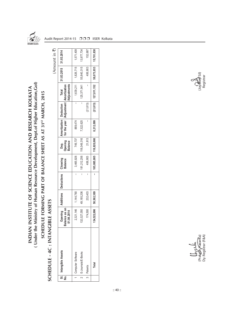

(Amount in  $\bar{z}$ )

 $(Amount in 7)$ 

(Under the Ministry of Human Resource Development, Dept.of Higher Education, Gol) **( Under the Ministry of Human Resource Development, Dept.of Higher Education,GoI)** INDIAN INSTITUTE OF SCIENCE EDUCATION AND RESEARCH KOLKATA **INDIAN INSTITUTE OF SCIENCE EDUCATION AND RESEARCH KOLKATA** SCHEDULE FORMING PART OF BALANCE SHEET AS AT 31ST MARCH, 2015 **SCHEDULE FORMING PART OF BALANCE SHEET AS AT 31ST MARCH, 2015**

## SCHEDULE - 4C : INTANGIBLE ASSETS **SCHEDULE - 4C : INTANGIBLE ASSETS**

| <u>ؤ</u> | SI. Intangible Assets  | Opening<br>ce as on<br>01.04.2014<br>Balan | <b>Additions</b> | <b>Deductions</b> | Closeing<br><b>Balance</b> | Dep.<br>Opening<br>Balance | Amortization Deduction Total<br>for the year /Adjustment Amortization |           | Adjustments                            | 31.03.2015 31.03.2014 |            |
|----------|------------------------|--------------------------------------------|------------------|-------------------|----------------------------|----------------------------|-----------------------------------------------------------------------|-----------|----------------------------------------|-----------------------|------------|
|          | Computer Software      | 2,321,146                                  | 1,144,780        |                   | 3,465,926                  | 749,737                    | 889,474                                                               |           | 1,639,211                              | 1,826,715             | ,571,409   |
|          | 2   E-Journals/E-Books | 132,027,050                                | 49,185,206       |                   | 181,212,256                | 118,049,316                | 7,322,625                                                             |           | 125,371,941                            | 55,840,315            | 13,977,734 |
|          | Patents                | 174,500                                    | 232,403          |                   | 406,903                    | 21,813                     | I                                                                     | (21, 813) |                                        | 406,903               | 152,687    |
|          | Total                  | 522,696<br>134,                            | 50,562,389       |                   |                            | 185,085,085   118,820,866  | 8,212,099                                                             |           | $(21, 813)$ $127, 011, 152$ 58,073,933 |                       | 15,701,830 |



(Prakash Hazarika) (Joydeep Sil) Dy. Registrar (F&A) Registrarုပြည*ုနှုပ်မို့*<br>(Prakash *Mazar*ika)<br>Dy. Registrar (F&A)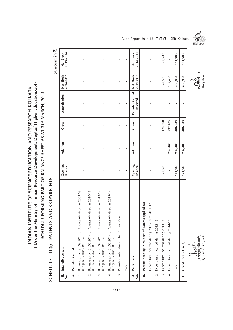( Under the Ministry of Human Resource Development, Dept.of Higher Education, Gol) **( Under the Ministry of Human Resource Development, Dept.of Higher Education,GoI)** INDIAN INSTITUTE OF SCIENCE EDUCATION AND RESEARCH KOLKATA **INDIAN INSTITUTE OF SCIENCE EDUCATION AND RESEARCH KOLKATA** SCHEDULE FORMING PART OF BALANCE SHEET AS AT 31<sup>ST</sup> MARCH, 2015 **SCHEDULE FORMING PART OF BALANCE SHEET AS AT 31ST MARCH, 2015**

## SCHEDULE - 4C(i) : PATENTS AND COPYRIGHTS **SCHEDULE - 4C(i) : PATENTS AND COPYRIGHTS**

(Amount in  $\overline{z}$ ) (Amount in  $\bar{\mathbf{z}}$ )

| $\frac{1}{\overline{2}}$      | Intangible Assets                                                                              | Opening<br><b>Balance</b> | Addition     | Gross          | Amortization                       | <b>Net Block</b><br>2014-2015    | 2013-2014<br>Net Block |  |
|-------------------------------|------------------------------------------------------------------------------------------------|---------------------------|--------------|----------------|------------------------------------|----------------------------------|------------------------|--|
| $\dot{\mathbf{z}}$            | Patents Granted                                                                                |                           |              |                |                                    |                                  |                        |  |
|                               | Balance as on 31.03.2014 of Patents obtained in 2008-09<br>(Original Value - Rs/-)             |                           |              |                |                                    |                                  |                        |  |
|                               | Balance as on 31.03.2014 of Patents obtained in 2010-11<br>(Original Value - Rs/-)<br>$\sim$   |                           | $\mathbf{I}$ | $\overline{1}$ |                                    |                                  |                        |  |
|                               | Balance as on 31.03.2014 of Patents obtained in 2012-13<br>(Original Value - Rs/-)<br>$\infty$ |                           |              |                |                                    |                                  |                        |  |
|                               | Balance as on 31.03.2014 of Patents obtained in 2013-14<br>(Original Value - Rs/-)<br>4        |                           |              |                |                                    | ı                                |                        |  |
|                               | 'ear<br>Patents granted during the Current \<br>LO,                                            |                           |              |                |                                    |                                  |                        |  |
|                               | <b>Total</b>                                                                                   | f,                        | ×            |                | $\mathbf{r}$                       | ×                                | ×,                     |  |
| $\frac{1}{2}$ , $\frac{1}{2}$ | Particulars                                                                                    | Opening<br><b>Balance</b> | Addition     | Gross          | Patents Granted<br><b>Rejected</b> | 2014-2015<br>Net Block           | 2013-2014<br>Net Block |  |
| B.                            | Patents Pending in respect of Patents applied for                                              |                           |              |                |                                    |                                  |                        |  |
|                               | Expenditure incurred during 2009-10 to 2011-12<br>$\overline{a}$                               |                           |              |                |                                    |                                  |                        |  |
|                               | Expenditure incurred during 2012-1<br>$\sim$                                                   |                           | $\mathbf{I}$ |                |                                    |                                  |                        |  |
|                               | 4<br>Expenditure incurred during 2013-1<br>$\infty$                                            | 174,500                   |              | 174,500        |                                    | 174,500                          | 174,500                |  |
|                               | 5<br>Expenditure incurred during 2014-1<br>4                                                   | f,                        | 232,403      | 232,403        | $\mathbf{I}$                       | 232,403                          | f,                     |  |
|                               | <b>Total</b>                                                                                   | 174,500                   | 232,403      | 406,903        | ٠                                  | 406,903                          | 174,500                |  |
| ن<br>                         | ଢ<br>Grand Total (A +                                                                          | 174,500                   | 232,403      | 406,903        | $\blacksquare$                     | 406,903                          | 174,500                |  |
|                               | (Un o Llú<br>(Prakgón <i>Hazar</i> ika)<br>Dy. Registrar (F&A)                                 |                           |              |                |                                    | <b>Coydeep</b> Sil)<br>Registrar |                        |  |

Audit Report 2014-15 □ □ □ IISER Kolkata

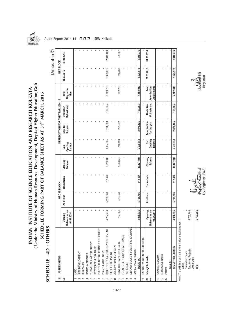

(Amount in  $\bar{\mathbf{z}}$ )

 $(Amount in 7)$ 

Audit Report 2014-15 □□□ IISER Kolkata

(Under the Ministry of Human Resource Development, Dept.of Higher Education, Gol) **( Under the Ministry of Human Resource Development, Dept.of Higher Education,GoI)** INDIAN INSTITUTE OF SCIENCE EDUCATION AND RESEARCH KOLKATA **INDIAN INSTITUTE OF SCIENCE EDUCATION AND RESEARCH KOLKATA** SCHEDULE FORMING PART OF BALANCE SHEET AS AT 31ST MARCH, 2015 **SCHEDULE FORMING PART OF BALANCE SHEET AS AT 31ST MARCH, 2015**

### SCHEDULE - 4D: OTHERS **SCHEDULE - 4D : OTHERS**

| 5                          | ASSETS HEADS                                                         |                                            |           | GROSS BLOCK |                            |                                   |                      | DEPRECIATION FOR THE YEAR 2014-15 |                              | <b>NET BLOCK</b> |            |  |
|----------------------------|----------------------------------------------------------------------|--------------------------------------------|-----------|-------------|----------------------------|-----------------------------------|----------------------|-----------------------------------|------------------------------|------------------|------------|--|
| ş                          |                                                                      | alance as on<br>01.04.2014<br>Opening<br>∞ | Additions | Deductions  | Closeing<br><b>Balance</b> | Opening<br><b>Balance</b><br>Dep. | Dep. for<br>the year | Deduction<br>/Adjustment          | Deprecia-<br>tion<br>Total   | 31.03.2015       | 31.03.2014 |  |
|                            | LAND                                                                 |                                            |           |             |                            |                                   |                      |                                   |                              |                  |            |  |
|                            | SITE DEVELOPMENT                                                     |                                            |           |             |                            |                                   |                      |                                   |                              |                  |            |  |
|                            | BUILDINGS                                                            |                                            |           |             |                            |                                   |                      |                                   |                              |                  |            |  |
| 4                          | ROADS & BRIDGES                                                      |                                            |           |             |                            |                                   |                      |                                   |                              |                  |            |  |
| $\mathfrak{S}$             | TUBWELLS & WATER SUPPLY                                              |                                            |           |             |                            |                                   |                      |                                   |                              |                  |            |  |
|                            | SEWERAGE & DRAINAGE                                                  |                                            |           |             |                            |                                   |                      |                                   |                              |                  |            |  |
| $\circ$ $\sim$             | ELECTRIC INSTALLATIONS & EQUIPMENT                                   |                                            |           |             |                            |                                   |                      |                                   |                              |                  |            |  |
| $\infty$                   | PLANT & MACHINERY                                                    |                                            |           |             |                            |                                   |                      |                                   |                              |                  |            |  |
|                            | SCIENTIFIC & LABORATORY EQUIPMENT                                    | 4,204,274                                  | 5,227,548 | 512,424     | 8,919,398                  | 1,884,865                         | 1,794,883            | (169, 965)                        | 3,509,783                    | 5,409,615        | 2,319,409  |  |
| ≘                          | OFFICE EQUIPMENT                                                     |                                            |           |             |                            |                                   |                      |                                   |                              |                  |            |  |
|                            | AUDIO VISUAL EQUIPMENT                                               |                                            |           |             |                            |                                   |                      |                                   |                              |                  |            |  |
| $\overline{2}$             | COMPUTER & PERIPHERALS                                               | 732,361                                    | 476,238   |             | 1,208,599                  | 710,994                           | 281,242              |                                   | 992,236                      | 216,363          | 21,367     |  |
| $\mathbf{r}$               | FURNITURE, FIXTURES & FITTINGS                                       |                                            |           |             |                            |                                   |                      |                                   |                              |                  |            |  |
| 4                          | VEHICLES                                                             |                                            |           |             |                            |                                   |                      |                                   |                              |                  |            |  |
| 15                         | BRARY BOOKS & SCIENTIFIC JOURNALS                                    |                                            |           |             |                            |                                   |                      |                                   |                              |                  |            |  |
| $\frac{6}{2}$              | SMALL VALUE ASSETS                                                   |                                            |           |             |                            |                                   |                      |                                   |                              |                  |            |  |
|                            | TOTAL (A)                                                            | 4,936,635                                  | 5,703,786 | 512,424     | 10,127,997                 | 2,595,859                         | 2,076,125            | (169, 965)                        | 4,502,019                    | 5,625,978        | 2,340,776  |  |
| 17                         | CAPITAL WORK-IN-PROGRESS (B)                                         |                                            |           |             |                            |                                   |                      |                                   |                              |                  |            |  |
| 5                          | Intangible Assets                                                    | Opening                                    | Additions | Deductions  | Closeing                   | Bep.<br>D                         | Amortization         | Deduction                         | Total                        | 31.03.2015       | 31.03.2014 |  |
| <u>يٰ</u>                  |                                                                      | alance as on<br>01.04.2014<br>œ            |           |             | <b>Balance</b>             | Opening<br><b>Balance</b>         | for the year         | Adjustment                        | Adjustments<br>Amortization/ |                  |            |  |
| $\overset{\infty}{\equiv}$ | Computer Software                                                    |                                            |           |             |                            |                                   |                      |                                   |                              |                  |            |  |
| <u>စု</u>                  | E-Journals/E-Books                                                   |                                            |           |             |                            |                                   |                      |                                   |                              |                  |            |  |
| $\infty$                   | Patents                                                              |                                            |           |             |                            |                                   |                      |                                   |                              |                  |            |  |
|                            | Total (C)                                                            |                                            |           |             |                            |                                   |                      |                                   |                              |                  |            |  |
|                            | Grand Total (A+B+C)                                                  | 4,936,635                                  | 5,703,786 | 512,424     | 10,127,997                 | 2,595,859                         | 2,076,125            | (169, 965)                        | 4,502,019                    | 5,625,978        | 2,340,776  |  |
|                            | Note: The additions during the Year include additions from<br>Gifted |                                            |           |             |                            |                                   |                      |                                   |                              |                  |            |  |
|                            | Earmarked Funds                                                      |                                            |           |             |                            |                                   |                      |                                   |                              |                  |            |  |
|                            | Sponsored Projects<br>Own Funds                                      | 5,703,786                                  |           |             |                            |                                   |                      |                                   |                              |                  |            |  |
|                            | Total                                                                | 5,703,786                                  |           |             |                            |                                   |                      |                                   |                              | スこ               |            |  |

(Joydeed Sil)<br>Registrar

Total<br>5,703,786 (Prakash Hazarika) (Prakash Hazarika) (Prakash Hazarika) Dy. Registrar(F&A) (Pr<mark>a⁄gas/r Haza</mark>rika)<br>Dy. Registrar (F&A)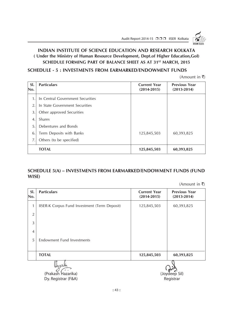Audit Report 2014-15 □□□ IISER Kolkata

### **INDIAN INSTITUTE OF SCIENCE EDUCATION AND RESEARCH KOLKATA ( Under the Ministry of Human Resource Development, Dept.of Higher Education,GoI) SCHEDULE FORMING PART OF BALANCE SHEET AS AT 31ST MARCH, 2015**

### **SCHEDULE - 5 : INVESTMENTS FROM EARMARKED/ENDOWMENT FUNDS**

(Amount in  $\bar{\tau}$ )

| SI.<br>No.     | <b>Particulars</b>               | <b>Current Year</b><br>$(2014 - 2015)$ | <b>Previous Year</b><br>$(2013 - 2014)$ |
|----------------|----------------------------------|----------------------------------------|-----------------------------------------|
| $\mathbf 1$ .  | In Central Government Securities |                                        |                                         |
| 2.             | In State Government Securities   |                                        |                                         |
| 3.             | Other approved Securities        |                                        |                                         |
| $\overline{4}$ | <b>Shares</b>                    |                                        |                                         |
| 5.             | Debentures and Bonds             |                                        |                                         |
| 6.             | Term Deposits with Banks         | 125,845,503                            | 60,393,825                              |
| 7.             | Others (to be specified)         |                                        |                                         |
|                | <b>TOTAL</b>                     | 125,845,503                            | 60,393,825                              |

### **SCHEDULE 5(A) – INVESTMENTS FROM EARMARKED/ENDOWMENT FUNDS (FUND WISE)**

(Amount in  $\bar{\tau}$ )

| SI.<br>No.     | <b>Particulars</b>                            | <b>Current Year</b><br>$(2014 - 2015)$ | <b>Previous Year</b><br>$(2013 - 2014)$ |
|----------------|-----------------------------------------------|----------------------------------------|-----------------------------------------|
| $\mathbf{1}$   | IISER-K Corpus Fund Investment (Term Deposit) | 125,845,503                            | 60,393,825                              |
| $\overline{2}$ |                                               |                                        |                                         |
| 3              |                                               |                                        |                                         |
| $\overline{4}$ |                                               |                                        |                                         |
| 5              | <b>Endowment Fund Investments</b>             |                                        |                                         |
|                |                                               |                                        |                                         |
|                | <b>TOTAL</b>                                  | 125,845,503                            | 60,393,825                              |
|                |                                               |                                        |                                         |

 $\left(\begin{matrix} \mathbf{A} & \mathbf{A} \\ \mathbf{A} & \mathbf{B} \end{matrix}\right)$  (Prakash Hazarika) (Joydeep Sil) Dy. Registrar (F&A) Registrar (F&A)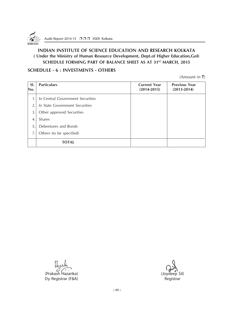

### **INDIAN INSTITUTE OF SCIENCE EDUCATION AND RESEARCH KOLKATA ( Under the Ministry of Human Resource Development, Dept.of Higher Education,GoI)** SCHEDULE FORMING PART OF BALANCE SHEET AS AT 31<sup>ST</sup> MARCH, 2015

### **SCHEDULE - 6 : INVESTMENTS - OTHERS**

(Amount in  $\bar{\tau}$ )

| SI.<br>No.     | <b>Particulars</b>               | <b>Current Year</b><br>$(2014 - 2015)$ | <b>Previous Year</b><br>$(2013 - 2014)$ |
|----------------|----------------------------------|----------------------------------------|-----------------------------------------|
| 1 <sub>1</sub> | In Central Government Securities |                                        |                                         |
| 2.             | In State Government Securities   |                                        |                                         |
| 3.             | Other approved Securities        |                                        |                                         |
| $\overline{4}$ | Shares                           |                                        |                                         |
| 5.             | Debentures and Bonds             |                                        |                                         |
| 7.             | Others (to be specified)         |                                        |                                         |
|                | <b>TOTAL</b>                     |                                        |                                         |

(Prakash Hazarika) (Joydeep Sil) Dy. Registrar (F&A) and a set of the control of the Registrar Registrar

:: 44 ::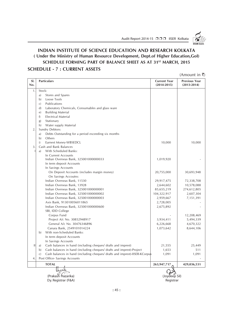Audit Report 2014-15 □□□ IISER Kolkata

**ISER KOLKATI** 

### **INDIAN INSTITUTE OF SCIENCE EDUCATION AND RESEARCH KOLKATA ( Under the Ministry of Human Resource Development, Dept.of Higher Education,GoI)** SCHEDULE FORMING PART OF BALANCE SHEET AS AT 31<sup>ST</sup> MARCH, 2015 **SCHEDULE - 7 : CURRENT ASSETS**

|                  |                                                                                              |                                        | $(A$ mount in ₹)                        |
|------------------|----------------------------------------------------------------------------------------------|----------------------------------------|-----------------------------------------|
| SI.<br>No.       | <b>Particulars</b>                                                                           | <b>Current Year</b><br>$(2014 - 2015)$ | <b>Previous Year</b><br>$(2013 - 2014)$ |
| 1.               | Stock:                                                                                       |                                        |                                         |
|                  | Stores and Spares<br>a)                                                                      |                                        |                                         |
|                  | Loose Tools<br>b)                                                                            |                                        |                                         |
|                  | Publications<br>C)                                                                           |                                        |                                         |
|                  | Laboratory Chemicals, Consumables and glass ware<br>$\mathbf{d}$                             |                                        |                                         |
|                  | <b>Building Material</b><br>$\epsilon$                                                       |                                        |                                         |
|                  | f)<br><b>Electrical Material</b>                                                             |                                        |                                         |
|                  | Stationary<br>(g)                                                                            |                                        |                                         |
|                  | h)<br>Water supply Material                                                                  |                                        |                                         |
| $\overline{2}$ . | Sundry Debtors:                                                                              |                                        |                                         |
|                  | Debts Outstanding for a period exceeding six months<br>a)                                    |                                        |                                         |
|                  | b)<br>Others                                                                                 |                                        |                                         |
|                  | Earnest Money-WBSEDCL<br>i)                                                                  | 10,000                                 | 10,000                                  |
| 3.               | Cash and Bank Balances                                                                       |                                        |                                         |
|                  | With Scheduled Banks:<br>a)                                                                  |                                        |                                         |
|                  | In Current Accounts                                                                          |                                        |                                         |
|                  | Indian Overseas Bank, 325001000000033                                                        | 1,019,920                              |                                         |
|                  | In term deposit Accounts                                                                     |                                        |                                         |
|                  | In Savings Accounts                                                                          |                                        |                                         |
|                  | On Deposit Accounts (includes margin money)                                                  | 20,755,000                             | 30,693,948                              |
|                  | On Savings Accoutns:                                                                         |                                        |                                         |
|                  | Indian Overseas Bank, 11530                                                                  | 29,917,475                             | 72,338,708                              |
|                  | Indian Overseas Bank, 13928                                                                  | 2,644,602                              | 10,578,088                              |
|                  | Indian Overseas Bank, 325001000000001                                                        | 85,655,219                             | 274,612,805                             |
|                  | Indian Overseas Bank, 325001000000002                                                        | 104,322,917                            | 2,607,304                               |
|                  | Indian Overseas Bank, 325001000000003                                                        | 2,959,667                              | 7,151,391                               |
|                  | Axis Bank, 913010056011865                                                                   | 2,728,005                              |                                         |
|                  | Indian Overseas Bank, 325001000000600                                                        | 2,675,892                              |                                         |
|                  | SBI, IDD College                                                                             |                                        |                                         |
|                  | Corpus Fund                                                                                  |                                        | 12,208,469                              |
|                  | Project A/c No. 30852948917                                                                  | 3,934,411                              | 5,494,339                               |
|                  | General A/c No. 30476346896                                                                  | 6,226,668                              | 4,670,322                               |
|                  | Canara Bank, 2549101014224                                                                   | 1,073,642                              | 8,644,106                               |
|                  | With non-Scheduled Banks:<br>b)                                                              |                                        |                                         |
|                  | In term deposit Accounts                                                                     |                                        |                                         |
|                  | In Savings Accounts                                                                          |                                        |                                         |
| Ш                | Cash balances in hand (including cheques/ drafts and imprest)<br>a)                          | 21,555                                 | 25,449                                  |
|                  | Cash balances in hand (including cheques/ drafts and imprest)-Project<br>b)                  | 1,653                                  | 511                                     |
|                  | Cash balances in hand (including cheques/ drafts and imprest)-IISER-KCorpus<br>$\mathcal{C}$ | 1,091                                  | 1,091                                   |
| 4.               | Post Office- Savings Accounts                                                                |                                        |                                         |
|                  | <b>TOTAL</b>                                                                                 | 263,947,717                            | 429,036,531                             |
|                  | lboute                                                                                       |                                        |                                         |
|                  | (Prakash Hazarika)                                                                           | (Joydeep Sil)                          |                                         |
|                  | Dy. Registrar (F&A)                                                                          | Registrar                              |                                         |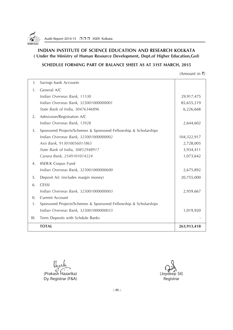

### **INDIAN INSTITUTE OF SCIENCE EDUCATION AND RESEARCH KOLKATA ( Under the Ministry of Human Resource Development, Dept.of Higher Education,GoI)**

### **SCHEDULE FORMING PART OF BALANCE SHEET AS AT 31ST MARCH, 2015**

| $(A$ mount in ₹) |  |
|------------------|--|
|                  |  |

| I.   | Savings bank Accounts                                            |             |
|------|------------------------------------------------------------------|-------------|
| 1.   | General A/C                                                      |             |
|      | Indian Overseas Bank, 11530                                      | 29,917,475  |
|      | Indian Overseas Bank, 325001000000001                            | 85,655,219  |
|      | State Bank of India, 30476346896                                 | 6,226,668   |
| 2.   | Admission/Registration A/C                                       |             |
|      | Indian Overseas Bank, 13928                                      | 2,644,602   |
| 3.   | Sponsored Projects/Schemes & Sponsored Fellowship & Scholarships |             |
|      | Indian Overseas Bank, 325001000000002                            | 104,322,917 |
|      | Axis Bank, 913010056011865                                       | 2,728,005   |
|      | State Bank of India, 30852948917                                 | 3,934,411   |
|      | Canara Bank, 2549101014224                                       | 1,073,642   |
| 4.   | <b>IISER-K Corpus Fund</b>                                       |             |
|      | Indian Overseas Bank, 325001000000600                            | 2,675,892   |
| 5.   | Deposit A/c (includes margin money)                              | 20,755,000  |
| 6.   | <b>CESSI</b>                                                     |             |
|      | Indian Overseas Bank, 325001000000003                            | 2,959,667   |
| II.  | <b>Current Account</b>                                           |             |
| 1.   | Sponsored Projects/Schemes & Sponsored Fellowship & Scholarships |             |
|      | Indian Overseas Bank, 325001000000033                            | 1,019,920   |
| III. | Term Deposits with Schdule Banks                                 |             |
|      | <b>TOTAL</b>                                                     | 263,913,418 |

(Prakash Hazarika) (Joydeep Sil) Dy. Registrar (F&A) Registrar (F&A)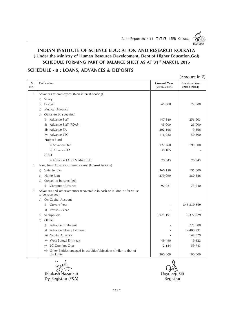Audit Report 2014-15 □□□ IISER Kolkata

### **INDIAN INSTITUTE OF SCIENCE EDUCATION AND RESEARCH KOLKATA ( Under the Ministry of Human Resource Development, Dept.of Higher Education,GoI)** SCHEDULE FORMING PART OF BALANCE SHEET AS AT 31<sup>ST</sup> MARCH, 2015

### **SCHEDULE - 8 : LOANS, ADVANCES & DEPOSITS**

|            |                                                                                           |                                        | $(A$ mount in ₹)                        |
|------------|-------------------------------------------------------------------------------------------|----------------------------------------|-----------------------------------------|
| SI.<br>No. | <b>Particulars</b>                                                                        | <b>Current Year</b><br>$(2014 - 2015)$ | <b>Previous Year</b><br>$(2013 - 2014)$ |
| 1.         | Advances to employees: (Non-interest bearing)                                             |                                        |                                         |
|            | Salary<br>a)                                                                              |                                        |                                         |
|            | Festival<br>b)                                                                            | 45,000                                 | 22,500                                  |
|            | Medical Advance<br>$\mathcal{C}$                                                          |                                        |                                         |
|            | Other (to be specified)<br>$\mathbf{d}$                                                   |                                        |                                         |
|            | Advance Staff<br>i)                                                                       | 147,380                                | 256,603                                 |
|            | Advance Staff (PDAP)<br>ii)                                                               | 45,000                                 | 25,000                                  |
|            | iii) Advance TA                                                                           | 202,196                                | 9,566                                   |
|            | iv) Advance LTC                                                                           | 116,022                                | 50,300                                  |
|            | Project Fund                                                                              |                                        |                                         |
|            | i) Advance Staff                                                                          | 127,360                                | 190,000                                 |
|            | ii) Advance TA                                                                            | 38,105                                 |                                         |
|            | <b>CESSI</b>                                                                              |                                        |                                         |
|            | i) Advance TA (CESSI-Indo US)                                                             | 20,043                                 | 20,043                                  |
| 2.         | Long Term Advances to employees: (Interest bearing)                                       |                                        |                                         |
|            | Vehicle loan<br>a)                                                                        | 360,158                                | 155,000                                 |
|            | Home loan<br>b)                                                                           | 279,090                                | 380,586                                 |
|            | Others (to be specified)<br>$\mathcal{C}$                                                 |                                        |                                         |
|            | i) Computer Advance                                                                       | 97,021                                 | 73,240                                  |
| 3.         | Advances and other amounts recoverable in cash or in kind or for value<br>to be received: |                                        |                                         |
|            | On Capital Account<br>a)                                                                  |                                        |                                         |
|            | i) Current Year                                                                           |                                        | 845,330,569                             |
|            | ii) Previous Year                                                                         |                                        |                                         |
|            | to suppliers<br>b)                                                                        | 6,971,191                              | 8,377,929                               |
|            | Others<br>$\mathcal{C}$                                                                   |                                        |                                         |
|            | Advance to Student<br>i)                                                                  |                                        | 275,000                                 |
|            | Advance Library E-Journal<br>ii)                                                          |                                        | 32,480,291                              |
|            | iii) Capital Advance                                                                      |                                        | 149,879                                 |
|            | iv) West Bengal Entry tax                                                                 | 49,490                                 | 19,322                                  |
|            | LC Opening Chgs<br>V)                                                                     | 12,184                                 | 59,783                                  |
|            | vi) Other Entities engaged in activities/objectives similar to that of<br>the Entity      | 300,000                                | 100,000                                 |

(Prakash Hazarika) (Joydeep Sil) Dy. Registrar (F&A) and a set of the control of the Registrar Registrar

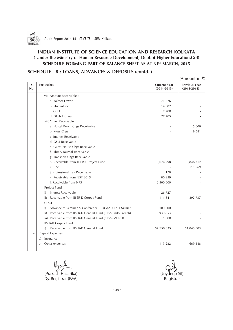

### **INDIAN INSTITUTE OF SCIENCE EDUCATION AND RESEARCH KOLKATA ( Under the Ministry of Human Resource Development, Dept.of Higher Education,GoI)** SCHEDULE FORMING PART OF BALANCE SHEET AS AT 31<sup>st</sup> MARCH, 2015

### **SCHEDULE - 8 : LOANS, ADVANCES & DEPOSITS (contd..)**

 $(Am$ <sub>ount in</sub>  $\bar{z}$ )

| SI.<br>No. | <b>Particulars</b>                                              | <b>Current Year</b><br>$(2014 - 2015)$ | <b>Previous Year</b><br>$(2013 - 2014)$ |
|------------|-----------------------------------------------------------------|----------------------------------------|-----------------------------------------|
|            | vii) Amount Receivable :                                        |                                        |                                         |
|            | a. Balmer Lawrie                                                | 71,776                                 |                                         |
|            | b. Student etc.                                                 | 14,582                                 |                                         |
|            | c. GSLI                                                         | 2,700                                  |                                         |
|            | d. GIST- Library                                                | 77,705                                 |                                         |
|            | viii) Other Receivable:                                         |                                        |                                         |
|            | a. Hostel Room Chgs Receiavble                                  |                                        | 5,600                                   |
|            | b. Mess Chgs                                                    |                                        | 6,581                                   |
|            | c. Interest Receivable                                          |                                        |                                         |
|            | d. GSLI Receivable                                              |                                        |                                         |
|            | e. Guest House Chgs Receivable                                  |                                        |                                         |
|            | f. Library Journal Receivable                                   |                                        |                                         |
|            | g. Transport Chgs Receivable                                    |                                        |                                         |
|            | h. Receivable from IISER-K Project Fund                         | 9,074,298                              | 8,846,312                               |
|            | i. CESSI                                                        |                                        | 111,969                                 |
|            | j. Professional Tax Receivable                                  | 170                                    |                                         |
|            | k. Receivable from JEST 2015                                    | 80,959                                 |                                         |
|            | I. Receivable from NPS                                          | 2,500,000                              |                                         |
|            | Project Fund                                                    |                                        |                                         |
|            | Interest Receivable<br>i)                                       | 26,727                                 |                                         |
|            | Receivable from IISER-K Corpus Fund<br>ii)                      | 111,841                                | 892,737                                 |
|            | <b>CESSI</b>                                                    |                                        |                                         |
|            | Advance to Seminar & Conference : IUCAA (CESSI-MHRD)<br>i)      | 100,000                                |                                         |
|            | Receivable from IISER-K General Fund (CESSI-Indo French)<br>ii) | 939,853                                |                                         |
|            | iii) Receivable from IISER-K General Fund (CESSI-MHRD)          | 1,000                                  |                                         |
|            | <b>IISER-K Corpus Fund</b>                                      |                                        |                                         |
|            | Receivable from IISER-K General Fund<br>i)                      | 57,950,635                             | 51,845,503                              |
| 4.         | Prepaid Expenses                                                |                                        |                                         |
|            | Insurance<br>a)                                                 |                                        |                                         |
|            | Other expenses<br>b)                                            | 113,282                                | 669,548                                 |

(Prakash Hazarika) (Joydeep Sil) Dy. Registrar (F&A) and a set of the control of the Registrar Registrar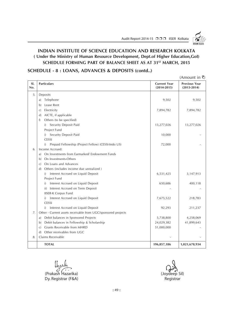Audit Report 2014-15 □□□ IISER Kolkata

### **INDIAN INSTITUTE OF SCIENCE EDUCATION AND RESEARCH KOLKATA ( Under the Ministry of Human Resource Development, Dept.of Higher Education,GoI) SCHEDULE FORMING PART OF BALANCE SHEET AS AT 31ST MARCH, 2015**

### **SCHEDULE - 8 : LOANS, ADVANCES & DEPOSITS (contd..)**

|            |                                                               |                                        | $(A$ mount in ₹)                        |
|------------|---------------------------------------------------------------|----------------------------------------|-----------------------------------------|
| SI.<br>No. | <b>Particulars</b>                                            | <b>Current Year</b><br>$(2014 - 2015)$ | <b>Previous Year</b><br>$(2013 - 2014)$ |
| 5.         | Deposits                                                      |                                        |                                         |
|            | Telephone<br>a)                                               | 9,502                                  | 9,502                                   |
|            | Lease Rent<br>b)                                              |                                        |                                         |
|            | Electricity<br>$\mathcal{C}$                                  | 7,894,782                              | 7,894,782                               |
|            | AICTE, if applicable<br>$\mathbf{d}$                          |                                        |                                         |
|            | Others (to be specified)<br>f)                                |                                        |                                         |
|            | Security Deposit Paid<br>i)                                   | 13,277,026                             | 13,277,026                              |
|            | Project Fund                                                  |                                        |                                         |
|            | Security Deposit Paid<br>i)                                   | 10,000                                 |                                         |
|            | <b>CESSI</b>                                                  |                                        |                                         |
|            | Prepaid Fellowship (Project Fellow) (CESSI-Indo US)<br>i)     | 72,000                                 |                                         |
| 6.         | Income Accrued:                                               |                                        |                                         |
|            | On Investments from Earmarked/Endowment Funds<br>a)           |                                        |                                         |
|            | On Investments-Others<br>b)                                   |                                        |                                         |
|            | On Loans and Advances<br>$\mathcal{C}$                        |                                        |                                         |
|            | Others (includes income due unrealized)<br>(d)                |                                        |                                         |
|            | Interest Accrued on Liquid Deposit<br>i)                      | 6,531,425                              | 3,147,913                               |
|            | Project Fund                                                  |                                        |                                         |
|            | Interest Accrued on Liquid Deposit<br>i)                      | 650,686                                | 400,118                                 |
|            | Interest Accrued on Term Deposit<br>ii)                       |                                        |                                         |
|            | <b>IISER-K Corpus Fund</b>                                    |                                        |                                         |
|            | Interest Accrued on Liquid Deposit<br>i)                      | 7,675,522                              | 218,783                                 |
|            | <b>CESSI</b>                                                  |                                        |                                         |
|            | Interest Accrued on Liquid Deposit<br>i)                      | 92,293                                 | 211,237                                 |
| 7.         | Other - Current assets receivable from UGC/sponsored projects |                                        |                                         |
|            | Debit balances in Sponsored Projects<br>a)                    | 5,738,800                              | 4,258,069                               |
|            | Debit balances in Fellowship & Scholarship<br>b)              | 24,029,382                             | 41,899,643                              |
|            | Grants Receivable from MHRD<br>$\mathcal{C}$                  | 51,000,000                             |                                         |
|            | Other receivables from UGC<br>$\mathbf{d}$                    |                                        |                                         |
| 8.         | Claims Receivable                                             |                                        |                                         |
|            | <b>TOTAL</b>                                                  | 196,857,186                            | 1,021,670,934                           |

(Prakash Hazarika) (Joydeep Sil) Dy. Registrar (F&A) Registrar (F&A)

:: 49 ::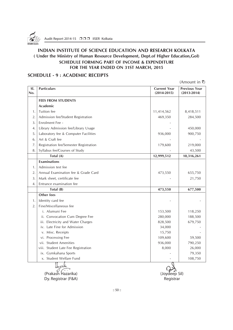

### **SCHEDULE - 9 : ACADEMIC RECEIPTS**

(Amount in  $\bar{\tau}$ )

| SI.<br>No. | <b>Particulars</b>                     | <b>Current Year</b><br>$(2014 - 2015)$ | <b>Previous Year</b><br>$(2013 - 2014)$ |
|------------|----------------------------------------|----------------------------------------|-----------------------------------------|
|            |                                        |                                        |                                         |
|            | <b>FEES FROM STUDENTS</b><br>Academic  |                                        |                                         |
| 1.         | Tuition fee                            |                                        |                                         |
|            |                                        | 11,414,562                             | 8,418,511                               |
| 2.         | Admission fee/Student Registration     | 469,350                                | 284,500                                 |
| 3.         | Enrolment Fee -                        |                                        |                                         |
| 4.         | Library Admission fee/Library Usage    |                                        | 450,000                                 |
| 5.         | Laboratory fee & Computer Facilities   | 936,000                                | 900,750                                 |
| 6.         | Art & Craft fee                        |                                        |                                         |
| 7.         | Registration fee/Semester Registration | 179,600                                | 219,000                                 |
| 8.         | Syllabus fee/Courses of Study          |                                        | 43,500                                  |
|            | Total (A)                              | 12,999,512                             | 10,316,261                              |
|            | <b>Examinations</b>                    |                                        |                                         |
| 1.         | Admission test fee                     |                                        |                                         |
| 2.         | Annual Examination fee & Grade Card    | 473,550                                | 655,750                                 |
| 3.         | Mark sheet, certificate fee            |                                        | 21,750                                  |
| 4.         | Entrance examination fee               |                                        |                                         |
|            | Total (B)                              | 473,550                                | 677,500                                 |
|            | Other fees                             |                                        |                                         |
| 1.         | Identity card fee                      |                                        |                                         |
| 2.         | Fine/Miscellaneous fee                 |                                        |                                         |
|            | i. Alumuni Fee                         | 153,500                                | 118,250                                 |
|            | ii. Convocation Cum Degree Fee         | 280,000                                | 188,500                                 |
|            | iii. Electricity and Water Charges     | 828,500                                | 679,750                                 |
|            | iv. Late Fine for Admission            | 34,000                                 |                                         |
|            | v. Misc. Receipts                      | 15,750                                 |                                         |
|            | vi. Processing Fee                     | 109,600                                | 59,500                                  |
|            | vii. Student Amenities                 | 936,000                                | 790,250                                 |
|            | viii. Student Late Fee Registration    | 8,000                                  | 26,000                                  |
|            | ix. Gymkahana Sports                   |                                        | 79,350                                  |
|            | x. Student Welfare Fund                |                                        | 108,750                                 |
|            |                                        | U                                      |                                         |

(Prakash Hazarika) (Joydeep Sil) Dy. Registrar (F&A) Registrar (F&A)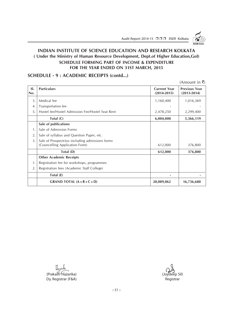Audit Report 2014-15 □□□ IISER Kolkata



 $\lambda$  (Amount in  $\lambda$ ) in  $\lambda$  (Amount in  $\lambda$ )

### **INDIAN INSTITUTE OF SCIENCE EDUCATION AND RESEARCH KOLKATA ( Under the Ministry of Human Resource Development, Dept.of Higher Education,GoI) SCHEDULE FORMING PART OF INCOME & EXPENDITURE FOR THE YEAR ENDED ON 31ST MARCH, 2015**

### **SCHEDULE - 9 : ACADEMIC RECEIPTS (contd...)**

|            |                                                                                   |                                        | (Amount in ۲)                           |
|------------|-----------------------------------------------------------------------------------|----------------------------------------|-----------------------------------------|
| SI.<br>No. | <b>Particulars</b>                                                                | <b>Current Year</b><br>$(2014 - 2015)$ | <b>Previous Year</b><br>$(2013 - 2014)$ |
| 3.         | Medical fee                                                                       | 1,160,400                              | 1,016,369                               |
| 4.         | Transportation fee                                                                |                                        |                                         |
| 5.         | Hostel fee/Hostel Admission Fee/Hostel Seat Rent                                  | 2,478,250                              | 2,299,400                               |
|            | Total (C)                                                                         | 6,004,000                              | 5,366,119                               |
|            | Sale of publications                                                              |                                        |                                         |
| 1.         | Sale of Admission Forms                                                           |                                        |                                         |
| 2.         | Sale of syllabus and Question Paper, etc.                                         |                                        |                                         |
| 3.         | Sale of Prospectctus including admissions forms<br>(Councelling Application Form) | 612,000                                | 376,800                                 |
|            | Total (D)                                                                         | 612,000                                | 376,800                                 |
|            | <b>Other Academic Receipts</b>                                                    |                                        |                                         |
| 1.         | Registration fee for workshops, programmes                                        |                                        |                                         |
| 2.         | Registration fees (Academic Staff College)                                        |                                        |                                         |
|            | Total (E)                                                                         |                                        |                                         |
|            | GRAND TOTAL $(A + B + C + D)$                                                     | 20,089,062                             | 16,736,680                              |

(Prakash Hazarika) (Joydeep Sil) Dy. Registrar (F&A) Registrar (F&A)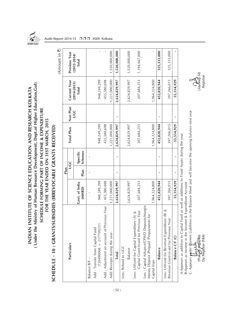

( Under the Ministry of Human Resource Development, Dept.of Higher Education, Gol) INDIAN INSTITUTE OF SCIENCE EDUCATION AND RESEARCH KOLKATA

SCHEDULE FORMING PART OF INCOME & EXPENDITURE FOR THE YEAR ENDED ON 31ST MARCH, 2015

|                                                                                                       |                          | Plan         |                            |               |          |                                 |                          |
|-------------------------------------------------------------------------------------------------------|--------------------------|--------------|----------------------------|---------------|----------|---------------------------------|--------------------------|
| Particulars                                                                                           |                          |              | UGC                        | Total Plan    | Non Plan | Current Year                    | Previous Year            |
|                                                                                                       | Govt. of India<br>(MHRD) | Plan         | <b>Schemes</b><br>Specific |               | UGC      | $(2014 - 2015)$<br><b>Total</b> | $(2013 - 2014)$<br>Total |
| Balance B/F -                                                                                         |                          | $\mathbf{I}$ |                            |               |          |                                 |                          |
| $(730490068 + 217759231)$<br>Add: Transfer from Capital Fund                                          | 948,249,299              |              |                            | 948,249,299   |          | 948,249,299                     |                          |
| Add: Adjustment on account of Previous Year                                                           | 455,580,698              |              |                            | 455,580,698   |          | 455,580,698                     |                          |
| Add: Receipts during the year                                                                         | 1,221,000,000            |              |                            | 1,221,000,000 |          | 1,221,000,000                   | 1,520,000,000            |
| <b>Total</b>                                                                                          | 2,624,829,997            | ı            |                            | 2,624,829,997 |          | 2,624,829,997                   | 1,520,000,000            |
| Less: Refund to UGC                                                                                   |                          |              |                            |               |          |                                 |                          |
| Balance                                                                                               | 2,624,829,997            |              |                            | 2,624,829,997 |          | 2,624,829,997                   | 1,520,000,000            |
| Capital Grant-in-aid for Previous Year<br>Less: Utilized for Capital Expenditure (A) &                | 207,684,253              |              |                            | 207,684,253   |          | 207,684,253                     | 1,194,667,000            |
| Less: Capital Advance/CPWD Deposits/Margin<br>Money Deposit /Prepaid /Prepayments for<br>Capital Exps | 1,964,324,800            |              |                            | 1,964,324,800 |          | 1,964,324,800                   |                          |
| Balance                                                                                               | 452,820,944              |              |                            | 452,820,944   | ×        | 452,820,944                     | 325,333,000              |
| Less: Utilized for Revenue Expenditure (B) &<br>Revenue Grant-in-aid for Previous Year                | 397,266,015              |              |                            | 397,266,015   |          | 397,266,015                     | 325,333,000              |
| Balance CF (C)                                                                                        | 55,554,929               |              |                            | 55,554,929    |          | 55,554,929                      |                          |

į

**၂** ကား<br>(Joydeep Sil)<br>Registrar

(Prak*ash Haz*ārīka) (Joydeep Sil) Dy. Registrar (F&A) Registrar(Praká<del>s)</del> <del>Jdazarik</del>a)<br>Dy. Registrar (F&A)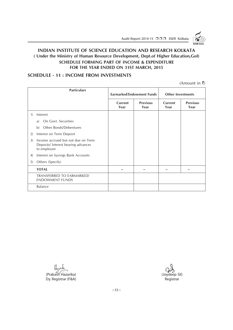Audit Report 2014-15 □□□ IISER Kolkata

### **INDIAN INSTITUTE OF SCIENCE EDUCATION AND RESEARCH KOLKATA ( Under the Ministry of Human Resource Development, Dept.of Higher Education,GoI) SCHEDULE FORMING PART OF INCOME & EXPENDITURE FOR THE YEAR ENDED ON 31ST MARCH, 2015**

### **SCHEDULE - 11 : INCOME FROM INVESTMENTS**

|    | <b>Particulars</b>                                                                       |                 | <b>Earmarked/Endowment Funds</b> | <b>Other Investments</b> |                         |
|----|------------------------------------------------------------------------------------------|-----------------|----------------------------------|--------------------------|-------------------------|
|    |                                                                                          | Current<br>Year | <b>Previous</b><br>Year          | Current<br>Year          | <b>Previous</b><br>Year |
| 1) | Interest                                                                                 |                 |                                  |                          |                         |
|    | On Govt. Securities<br>a)                                                                |                 |                                  |                          |                         |
|    | Other Bonds/Debentures<br>b)                                                             |                 |                                  |                          |                         |
| 2) | Interest on Term Deposit                                                                 |                 |                                  |                          |                         |
| 3) | Income accrued but not due on Term<br>Deposits/ Interest bearing advances<br>to employee |                 |                                  |                          |                         |
| 4) | Interest on Savings Bank Accounts                                                        |                 |                                  |                          |                         |
| 5) | Others (Specify)                                                                         |                 |                                  |                          |                         |
|    | <b>TOTAL</b>                                                                             |                 |                                  |                          |                         |
|    | <b>TRANSFERRED TO EARMARKED/</b><br><b>ENDOWMENT FUNDS</b>                               |                 |                                  |                          |                         |
|    | <b>Balance</b>                                                                           |                 |                                  |                          |                         |

lhoule (Prakash Hazarika) (Joydeep Sil) Dy. Registrar (F&A) Registrar (F&A)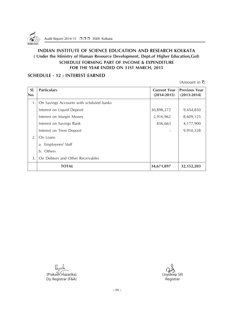

### **SCHEDULE - 12 : INTEREST EARNED**

| SI.<br>No. | <b>Particulars</b>                      | <b>Current Year</b><br>$(2014 - 2015)$ | <b>Previous Year</b><br>$(2013 - 2014)$ |
|------------|-----------------------------------------|----------------------------------------|-----------------------------------------|
| 1.         | On Savings Accounts with schduled banks |                                        |                                         |
|            | Interest on Liquid Deposit              | 30,898,272                             | 9,454,850                               |
|            | Interest on Margin Money                | 2,916,962                              | 8,609,125                               |
|            | Interest on Savings Bank                | 856,663                                | 4,177,900                               |
|            | Interest on Term Deposit                |                                        | 9,910,328                               |
| 2.         | On Loans                                |                                        |                                         |
|            | a. Employees/ Staff                     |                                        |                                         |
|            | Others<br>$\mathbf{b}$ .                |                                        |                                         |
| 3.         | On Debtors and Other Receivables        |                                        |                                         |
|            | TOTAL                                   | 34,671,897                             | 32, 152, 203                            |

(Prakash Hazarika) (Joydeep Sil) Dy. Registrar (F&A)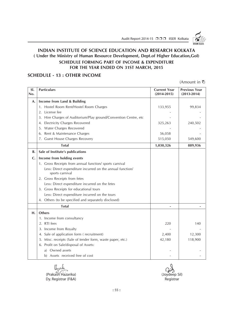Audit Report 2014-15 □□□ IISER Kolkata



### **INDIAN INSTITUTE OF SCIENCE EDUCATION AND RESEARCH KOLKATA ( Under the Ministry of Human Resource Development, Dept.of Higher Education,GoI) SCHEDULE FORMING PART OF INCOME & EXPENDITURE FOR THE YEAR ENDED ON 31ST MARCH, 2015**

### **SCHEDULE - 13 : OTHER INCOME**

| SI.<br>No.     | <b>Particulars</b>                                                           | <b>Current Year</b><br>$(2014 - 2015)$ | <b>Previous Year</b><br>$(2013 - 2014)$ |
|----------------|------------------------------------------------------------------------------|----------------------------------------|-----------------------------------------|
| A.             | Income from Land & Building                                                  |                                        |                                         |
|                | 1. Hostel Room Rent/Hostel Room Charges                                      | 133,955                                | 99,834                                  |
|                | 2. License fee                                                               |                                        |                                         |
|                | 3. Hire Charges of Auditorium/Play ground/Convention Centre, etc             |                                        |                                         |
|                | 4. Electricity Charges Recovered                                             | 325,263                                | 240,502                                 |
|                | 5. Water Charges Recovered                                                   |                                        |                                         |
|                | 6. Rent & Maintenance Charges                                                | 56,058                                 |                                         |
|                | 7. Guest House Charges Recovery                                              | 515,050                                | 549,600                                 |
|                | <b>Total</b>                                                                 | 1,030,326                              | 889,936                                 |
| B.             | Sale of Institute's publications                                             |                                        |                                         |
| $\mathsf{C}$ . | Income from holding events                                                   |                                        |                                         |
|                | 1. Gross Receipts from annual function/ sports carnival                      |                                        |                                         |
|                | Less: Direct expenditure incurred on the annual function/<br>sports carnival |                                        |                                         |
|                | 2. Gross Receipts from fetes                                                 |                                        |                                         |
|                | Less: Direct expenditure incurred on the fetes                               |                                        |                                         |
|                | 3. Gross Receipts for educational tours                                      |                                        |                                         |
|                | Less: Direct expenditure incurred on the tours                               |                                        |                                         |
|                | 4. Others (to be specified and separately disclosed)                         |                                        |                                         |
|                | <b>Total</b>                                                                 |                                        |                                         |
| н.             | <b>Others</b>                                                                |                                        |                                         |
|                | 1. Income from consultancy                                                   |                                        |                                         |
|                | 2. RTI fees                                                                  | 220                                    | 140                                     |
|                | 3. Income from Royalty                                                       |                                        |                                         |
|                | 4. Sale of application form (recruitment)                                    | 2,400                                  | 12,300                                  |
|                | 5. Misc. receipts (Sale of tender form, waste paper, etc.)                   | 42,180                                 | 118,900                                 |
|                | 6. Profit on Sale/disposal of Assets:                                        |                                        |                                         |
|                | a) Owned assets                                                              |                                        |                                         |
|                | b) Assets received free of cost                                              |                                        |                                         |

Unoule (Prakash Hazarika) (Joydeep Sil)<br>
Dy Registrar (F&A) (Joydeep Sil) Dy. Registrar (F&A)

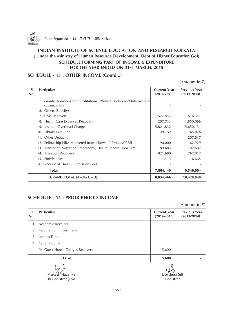

### **SCHEDULE - 13 : OTHER INCOME (Contd...)**

(Amount in  $\bar{\tau}$ )

| SI.<br>No. | <b>Particulars</b>                                                                       | <b>Current Year</b><br>$(2014 - 2015)$ | <b>Previous Year</b><br>$(2013 - 2014)$ |
|------------|------------------------------------------------------------------------------------------|----------------------------------------|-----------------------------------------|
|            | 7. Grants/Donations from Institutions, Welfare Bodies and International<br>organizations |                                        |                                         |
|            | 8. Others (Specify)                                                                      |                                        |                                         |
|            | 7. CMS Recovery                                                                          | 577,847                                | 616,341                                 |
|            | 8. Health Care Expenses Recovery                                                         | 207,733                                | 1,850,066                               |
|            | 9. Institute Overhead Charges                                                            | 5,821,832                              | 5,650,131                               |
|            | 10. Library Late Fine                                                                    | 49,152                                 | 65,076                                  |
|            | 11. Other Deduction                                                                      |                                        | 207,837                                 |
|            | 12. Fellowship HRA recovered from fellows of Project/CESSI                               | 90,000                                 | 162,929                                 |
|            | 13. Transcript, Migration, Photocopy, Health Record Book etc.                            | 89,683                                 | 82,602                                  |
|            | 14. Transport Recovery                                                                   | 921,680                                | 767,017                                 |
|            | 15. Fine/Penalty                                                                         | 1,413                                  | 6,665                                   |
|            | 16. Receipt of Thesis Submission Fees                                                    |                                        |                                         |
|            | <b>Total</b>                                                                             | 7,804,140                              | 9,540,004                               |
|            | GRAND TOTAL $(A + B + C + D)$                                                            | 8,834,466                              | 10,429,940                              |

### **SCHEDULE - 14 : PRIOR PERIOD INCOME**

(Amount in  $\bar{x}$ )

| SI.<br>No.     | <b>Particulars</b>                         | <b>Current Year</b><br>$(2014 - 2015)$ | <b>Previous Year</b><br>$(2013 - 2014)$ |
|----------------|--------------------------------------------|----------------------------------------|-----------------------------------------|
| $\mathbf{1}$ . | Academic Receipts                          |                                        |                                         |
| 2.             | Income from Investments                    |                                        |                                         |
| 3              | Interest Earned                            |                                        |                                         |
| $\overline{4}$ | Other Income                               |                                        |                                         |
|                | <b>Guest House Charges Recovery</b><br>(i) | 5,600                                  |                                         |
|                | <b>TOTAL</b>                               | 5,600                                  |                                         |

(Prakash Hazarika) (Joydeep Sil) Dy. Registrar (F&A) Registrar (F&A)

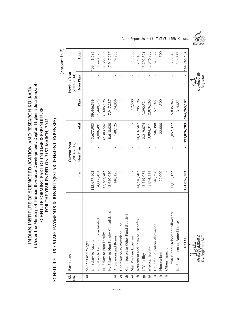( Under the Ministry of Human Resource Development, Dept.of Higher Education, Gol) **( Under the Ministry of Human Resource Development, Dept.of Higher Education,GoI)** INDIAN INSTITUTE OF SCIENCE EDUCATION AND RESEARCH KOLKATA **INDIAN INSTITUTE OF SCIENCE EDUCATION AND RESEARCH KOLKATA** SCHEDULE FORMING PART OF INCOME & EXPENDITURE **SCHEDULE FORMING PART OF INCOME & EXPENDITURE** FOR THE YEAR ENDED ON 31ST MARCH, 2015 **FOR THE YEAR ENDED ON 31ST MARCH, 2015**

SCHEDULE - 15 : STAFF PAYMENTS & BENEFITS(ESTABLISHMENT EXPENSES) **SCHEDULE - 15 : STAFF PAYMENTS & BENEFITS(ESTABLISHMENT EXPENSES)**

(Amount in ₹) (Amount in  $\bar{\mathbf{z}}$ )

| S1.<br>.<br>2           | Particulars                                       |             | Current Year<br>$(2014 - 2015)$ |             |             | Previous Year<br>$(2013 - 2014)$ |              |
|-------------------------|---------------------------------------------------|-------------|---------------------------------|-------------|-------------|----------------------------------|--------------|
|                         |                                                   | Plan        | Non Plan                        | Total       | Plan        | Non Plan                         | <b>Total</b> |
| $\widehat{a}$           | Salaries and Wages                                |             |                                 |             |             |                                  |              |
|                         | i. Salary to Faculty                              | 113,677,903 |                                 | 113,677,903 | 109,446,536 |                                  | 109,446,536  |
|                         | ii. Salary to Faculty Consolidated                | 4,006,491   |                                 | 4,006,491   | 1,440,323   |                                  | 1,440,323    |
|                         | iii. Salary to Non-Faculty                        | 32,383,582  |                                 | 32,383,582  | 31,685,498  |                                  | 31,685,498   |
|                         | iv. Salary to Non-Faculty Consolidated            | 8,610,020   |                                 | 8,610,020   | 7,917,287   |                                  | 7,917,287    |
| $\hat{\mathbf{p}}$      | Allowances and Bonus                              | 148,125     |                                 | 148,125     | 74,956      |                                  | 74,956       |
| $\overline{C}$          | Contribution to Provident Fund                    |             |                                 |             |             |                                  |              |
| $\overline{\Theta}$     | Contribution to Other Fund (Specify)              |             |                                 |             |             |                                  |              |
| $\Theta$                | Staff Welfare Expenses                            |             |                                 |             | 12,500      |                                  | 12,500       |
| $\widehat{\phantom{a}}$ | Retirement and Terminal Benefits                  | 14,316,507  |                                 | 14,316,507  | 795,196     |                                  | 795,196      |
| $\widehat{\mathbf{g}}$  | LTC facility                                      | 2,219,074   |                                 | 2,219,074   | 3,292,521   |                                  | 1,292,521    |
| $\overline{h}$          | Medical facility                                  | 3,894,311   |                                 | 3,894,311   | 2,876,265   |                                  | 2,876,265    |
| $\widehat{=}$           | Children Education Allowance                      | 746,398     |                                 | 746,398     | 571,927     |                                  | 571,927      |
|                         | Honorarium                                        | 22,000      |                                 | 22,000      | 1,500       |                                  | 1,500        |
|                         | Others (specify)                                  |             |                                 |             |             |                                  |              |
|                         | i. Professional Delopment Allowance               | 11,052,372  |                                 | 11,052,372  | 5,835,945   |                                  | 5,835,945    |
|                         | ii. Encashment of Earned Leave                    |             |                                 |             | 314,653     |                                  | 314,653      |
|                         | <b>TOTAL</b>                                      | 191,076,783 |                                 | 191,076,783 | 164,265,107 |                                  | 164,265,107  |
|                         | (Prakað) <i>Ha</i> zarika)<br>Dy. Registrar (F&A) |             |                                 |             |             | (Joydeep Sil)<br>Registrar       |              |

Audit Report 2014-15 □ □ □ IISER Kolkata

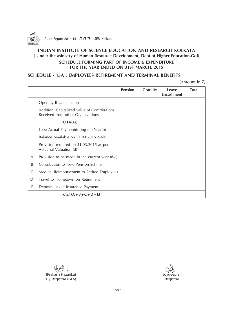

### **SCHEDULE - 15A : EMPLOYEES RETIREMENT AND TERMINAL BENEFITS**

|    |                                                                                   | <b>Pension</b> | <b>Gratuity</b> | Leave<br><b>Encashment</b> | <b>Total</b> |
|----|-----------------------------------------------------------------------------------|----------------|-----------------|----------------------------|--------------|
|    | Opening Balance as on                                                             |                |                 |                            |              |
|    | Addition: Capitalized value of Contributions<br>Received from other Organizations |                |                 |                            |              |
|    | <b>TOTAL(a)</b>                                                                   |                |                 |                            |              |
|    | Less: Actual Paymentduring the Year(b)                                            |                |                 |                            |              |
|    | Balance Available on 31.03.2015 c(a-b)                                            |                |                 |                            |              |
|    | Provision required on 31.03.2015 as per<br>Actuarial Valuation (d)                |                |                 |                            |              |
| A. | Provision to be made in the current year (d-c)                                    |                |                 |                            |              |
| Β. | Contribution to New Pension Schme                                                 |                |                 |                            |              |
| C. | Medical Reimbursement to Retired Employees                                        |                |                 |                            |              |
| D. | Travel to Hometown on Retirement                                                  |                |                 |                            |              |
| Е. | Deposit Linked Insurance Payment                                                  |                |                 |                            |              |
|    | Total $(A+B+C+D+E)$                                                               |                |                 |                            |              |

Uppulie (Prakash Hazarika) (Joydeep Sil)<br>
Dy Registrar (F&A) (Joydeep Sil) Dy. Registrar (F&A)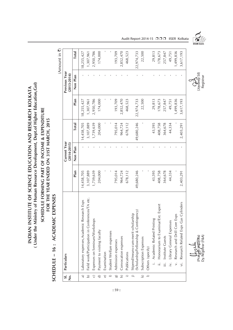(Under the Ministry of Human Resource Development, Dept.of Higher Education, Gol) **( Under the Ministry of Human Resource Development, Dept.of Higher Education,GoI)** INDIAN INSTITUTE OF SCIENCE EDUCATION AND RESEARCH KOLKATA **INDIAN INSTITUTE OF SCIENCE EDUCATION AND RESEARCH KOLKATA**

### SCHEDULE FORMING PART OF INCOME & EXPENDITURE **SCHEDULE FORMING PART OF INCOME & EXPENDITURE** FOR THE YEAR ENDED ON 31ST MARCH, 2015 **FOR THE YEAR ENDED ON 31ST MARCH, 2015**

## SCHEDULE - 16 : ACADEMIC EXPENSES **SCHEDULE – 16 : ACADEMIC EXPENSES**

(Amount in  $\overline{z}$ ) (Amount in  $\bar{\mathbf{z}}$ )

| s.<br>$\dot{\tilde{z}}$ | Particulars                                                                   |            | Current Year<br>$(2014 - 2015)$ |              |            | Previous Year<br>$(2013 - 2014)$ |              |  |
|-------------------------|-------------------------------------------------------------------------------|------------|---------------------------------|--------------|------------|----------------------------------|--------------|--|
|                         |                                                                               | Plan       | Non Plan                        | <b>Total</b> | Plan       | Non Plan                         | <b>Total</b> |  |
| $\widehat{\sigma}$      | Research Exps<br>Laboratory expenses, Academic                                | 14,458,705 |                                 | 14,458,705   | 18,255,427 |                                  | 18,255,427   |  |
| $\frac{1}{2}$           | Field work/Participation in Conferences/TA etc.                               | 3,107,889  |                                 | 3,107,889    | 1,307,961  |                                  | 1,307,961    |  |
| $\widehat{\circ}$       | Expenses on Seminars/Workshops                                                | 1,739,639  |                                 | 1,739,639    | 2,950,786  |                                  | 2,950,786    |  |
| $\widehat{\sigma}$      | Payment to visiting faculty                                                   | 204,000    |                                 | 204,000      | 174,000    |                                  | 174,000      |  |
| $\widehat{\mathbf{e}}$  | Examination                                                                   |            |                                 |              |            |                                  |              |  |
| $\oplus$                | Student Welfare expenses                                                      |            |                                 |              |            |                                  |              |  |
| බ                       | Admission expenses                                                            | 795,014    |                                 | 795,014      | 193,709    |                                  | 193,709      |  |
| $\overline{c}$          | Convocation expenses                                                          | 964,724    |                                 | 964,724      | 2,852,470  |                                  | 2,852,470    |  |
| $\widehat{\phantom{a}}$ | Publications                                                                  | 678,112    |                                 | 678,112      | 468,523    |                                  | 468,523      |  |
|                         | (Scholarship/Fellowship & Contingency)<br>Stipend/means-cum-merit scholarship | 49,680,246 |                                 | 49,680,246   | 22,974,733 |                                  | 22,974,733   |  |
| $\overline{2}$          | Subscription Expenses                                                         |            |                                 |              | 22,500     |                                  | 22,500       |  |
|                         | Others (specify)                                                              |            |                                 |              |            |                                  |              |  |
|                         | i. Academic Related Printing                                                  | 43,595     |                                 | 43,595       | 29,813     |                                  | 29,813       |  |
|                         | ii. Honorarium to Examinar/Ext. Expert                                        | 408,758    |                                 | 408,758      | 178,673    |                                  | 178,673      |  |
|                         | iii. Institute Guests                                                         | 364,678    |                                 | 364,678      | 257,847    |                                  | 257,847      |  |
|                         | iv. Library General Expenses                                                  | 44,334     |                                 | 44,334       | 49,751     |                                  | 49,751       |  |
|                         | v. Research and Drill Core Exps                                               |            |                                 |              | 1,499,836  |                                  | 1,499,836    |  |
|                         | vi. Research Related Exps Gas Cylinders                                       | 2,403,291  |                                 | 2,403,291    | 3,617,193  |                                  | 3,617,193    |  |
|                         |                                                                               |            |                                 |              |            |                                  |              |  |

Audit Report 2014-15 □□□ IISER Kolkata



 $\left(\begin{array}{c}\n\downarrow \\
\downarrow\n\downarrow\n\end{array}\right)$ <br>  $\left(\begin{array}{c}\downarrow \\
\downarrow\n\end{array}\right)$ <br>  $\left(\begin{array}{c}\downarrow \\
\downarrow\n\end{array}\right)$ 

(Prakash Hazārīka) (Joydeep Sil) Dy. Registrar (F&A) Registrar

(Praka<del>)</del> *Hazar*ika)<br>Dy. Registrar (F&A)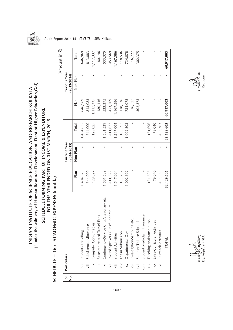

(Under the Ministry of Human Resource Development, Dept.of Higher Education, Gol) INDIAN INSTITUTE OF SCIENCE EDUCATION AND RESEARCH KOLKATA

SCHEDULE FORMING PART OF INCOME & EXPENDITURE FOR THE YEAR ENDED ON 31ST MARCH, 2015

Audit Report 2014-15 □□□ IISER Kolkata

|                                      |                    | SCHEDULE - 16: ACADEMIC EXPENSES (contd)      |            |                                 |              |             |                                  | (Amount in 3) |
|--------------------------------------|--------------------|-----------------------------------------------|------------|---------------------------------|--------------|-------------|----------------------------------|---------------|
| $\overline{\mathsf{sl}}$ .<br>.<br>2 | Particulars        |                                               |            | Current Year<br>$(2014 - 2015)$ |              |             | Previous Year<br>$(2013 - 2014)$ |               |
|                                      |                    |                                               | Plan       | Non Plan                        | <b>Total</b> | Plan        | Non Plan                         | <b>Total</b>  |
|                                      | $\ddot{=}$         | Students Travelling                           | 1,404,675  |                                 | 1,404,675    | 646,969     |                                  | 646,969       |
|                                      | viii.              | Subsistence Allowance                         | 644,000    |                                 | 644,000      | 813,083     |                                  | 813,083       |
|                                      | $\dot{\mathbf{z}}$ | Computer Consumables                          | 129,027    |                                 | 129,027      | 1, 117, 337 |                                  | 1, 117, 337   |
|                                      |                    | Exps<br>Research related Travel               |            |                                 |              | 180,146     |                                  | 180,146       |
|                                      | $\frac{1}{\times}$ | ngs/Stationary etc.<br>Contingency/Service Ch | 1,581,539  |                                 | 1,581,539    | 533,375     |                                  | 533,375       |
|                                      | $\ddot{x}$         | Invited Speakers Guest/Honorarium             | 411,677    |                                 | 411,677      | 453,569     |                                  | 453,569       |
|                                      | xiii.              | <b>Student Activities</b>                     | 1,547,004  |                                 | 1,547,004    | 1,167,586   |                                  | 1,167,586     |
|                                      | $\overline{x}$ iv. | Thesis Submission                             | 108,797    |                                 | 108,797      | 118,536     |                                  | 118,536       |
|                                      | $\times$ .         | Departmental Day                              | 1,002,802  |                                 | 1,002,802    | 734,078     |                                  | 734,078       |
|                                      | xvi.               | etc.<br>Investigation/Sampling                |            |                                 |              | 16,727      |                                  | 16,727        |
|                                      | xvii.              | Summer Trainee Stipend                        |            |                                 |              | 302,375     |                                  | 302,375       |
|                                      | xviii.             | Student Mediclaim Insurance                   |            |                                 |              |             |                                  |               |
|                                      | $\overline{x}$ ix. | Teaching Assistanship etc.                    | 131,696    |                                 | 131,696      |             |                                  |               |
|                                      | xx.                | Extra-Curricular Activities                   | 79,040     |                                 | 79,040       |             |                                  |               |
|                                      | $\ddot{x}$         | Outreach Activities                           | 496,363    |                                 | 496,363      |             |                                  |               |
|                                      |                    | <b>TOTAL</b>                                  | 82,429,605 |                                 | 82,429,605   | 60,917,003  |                                  | 60,917,003    |

 $O$ <br>(Joydeep Sil)<br>Registrar

(Prak*as*h Hazārīka) (Joydeep Sil) Dy. Registrar (F&A) Registrar (Praka<del>s)</del> <del>Jazarik</del>a)<br>Dy. Registrar (F&A)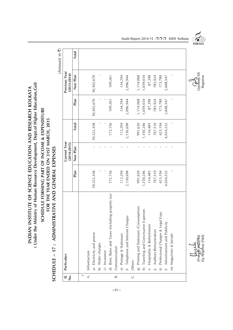( Under the Ministry of Human Resource Development, Dept.of Higher Education, Gol) **( Under the Ministry of Human Resource Development, Dept.of Higher Education,GoI)** INDIAN INSTITUTE OF SCIENCE EDUCATION AND RESEARCH KOLKATA **INDIAN INSTITUTE OF SCIENCE EDUCATION AND RESEARCH KOLKATA**

### SCHEDULE FORMING PART OF INCOME & EXPENDITURE **SCHEDULE FORMING PART OF INCOME & EXPENDITURE** FOR THE YEAR ENDED ON 31ST MARCH, 2015 **FOR THE YEAR ENDED ON 31ST MARCH, 2015**

SCHEDULE - 17: ADMINISTRATIVE AND GENERAL EXPENSES **SCHEDULE – 17 : ADMINISTRATIVE AND GENERAL EXPENSES**

(Amount in  $\overline{z}$ ) (Amount in  $\bar{\mathbf{z}}$ )

| S.<br>ż          | Particulars                                           |            | Current Year<br>$(2014 - 2015)$ |              |            | Previous Year<br>$(2013 - 2014)$ |              |
|------------------|-------------------------------------------------------|------------|---------------------------------|--------------|------------|----------------------------------|--------------|
|                  |                                                       | Plan       | Non Plan                        | Total        | Plan       | Non Plan                         | <b>Total</b> |
|                  |                                                       |            |                                 |              |            |                                  |              |
|                  | A.   Infrastracture                                   |            |                                 |              |            |                                  |              |
|                  | a) Electricity and power                              | 39,322,438 |                                 | 39, 322, 438 | 30,502,670 | 30,502,670                       |              |
|                  | b) Water charges                                      |            |                                 |              |            |                                  |              |
|                  | c) Insurance -                                        |            |                                 |              |            |                                  |              |
|                  | d) Rent, Rates and Taxes (including property tax)     | 172,156    |                                 | 172,156      | 109,261    | 109,261                          |              |
| $\overline{B}$ . | Communication                                         |            |                                 |              |            |                                  |              |
|                  | e) Postage & Stationary                               | 112,294    |                                 | 112,294      | 134,294    | 134,294                          |              |
|                  | f) Telephone and Internet Charges                     | 2,130,698  |                                 | 2,130,698    | 2,096,944  | 2,096,944                        |              |
|                  | C. Others                                             |            |                                 |              |            |                                  |              |
|                  | g) Printing and Stationary (Consumption)              | 991,620    |                                 | 991,620      | 1,114,068  | 1,114,068                        |              |
|                  | Expenses<br>Traveling and Conveyance<br>$\widehat{z}$ | 1,350,246  |                                 | 1,350,246    | 1,059,034  | 1,059,034                        |              |
|                  | Hospitality & Refreshment                             | 134,485    |                                 | 134,485      | 87,398     | 87,398                           |              |
|                  | Auditors Remuneration<br>$\frac{1}{2}$                | 767,510    |                                 | 767,510      | 785,924    | 785,924                          |              |
|                  | Professional Charges & Legal Exps<br>$\overline{2}$   | 423,194    |                                 | 423,194      | 173,780    | 173,780                          |              |
|                  | I) Advertisement and Publicity                        | 4,024,532  |                                 | 4,024,532    | 2,608,547  | 2,608,547                        |              |
|                  | m) Magazines & Jornals                                |            |                                 |              |            |                                  |              |
|                  |                                                       |            |                                 |              |            |                                  |              |
|                  |                                                       |            |                                 |              |            |                                  |              |

Audit Report 2014-15 □□□ IISER Kolkata



 $\left(\begin{array}{c}\n\downarrow \\
\downarrow\n\downarrow\n\end{array}\right)$ <br>  $\left(\begin{array}{c}\downarrow \\
\downarrow\n\end{array}\right)$ <br>  $\left(\begin{array}{c}\downarrow \\
\downarrow\n\end{array}\right)$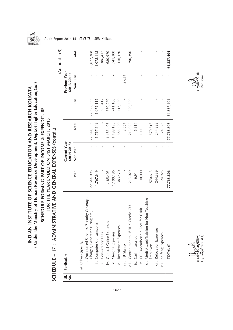

(Under the Ministry of Human Resource Development, Dept.of Higher Education, Gol) INDIAN INSTITUTE OF SCIENCE EDUCATION AND RESEARCH KOLKATA

SCHEDULE FORMING PART OF INCOME & EXPENDITURE FOR THE YEAR ENDED ON 31ST MARCH, 2015

Audit Report 2014-15 □□□ IISER Kolkata

Amount in ₹) (Amount in  $\bar{\mathbf{z}}$ ) 680,970 741,100 **Total** 22,622,368 1,075,115 386,417 416,470 290,390 64,887,404 n) Others (specify)<br>
i. Outsourced Services (Security Coverage 22,644,095 - 22,644,095 22,622,368 - 22,622,368<br>
ii. Computer Consumables<br>
iii. Computer Consumables<br>
iv. General Office Expenses<br>
v. Meeting Expenses<br>
v. Meet vi. Recruitment Expenses 383,470 - 383,470 416,470 - 416,470 viii. Contribution to IISER-K Creche-CU 213,029 - 213,029 290,390 - 290,390 ix. Cash Insurance 6,914 - 6,914 - - - - CCCCCCC (Membership Feest for Grid Color Color Color Color Color Color Color (100,000 - 100,000 - 100,000 - 1 Employee 570,613 - 570,613 - - xii. Relocation Expenses 244,339 - 244,339 - - xiii. Shifting Expenses 24,925 - 24,925 - - - **TOTAL (I) 77,768,806 - 77,768,806 64,887,404 - 64,887,404 Plan Non Plan Total Plan Non Plan Total Previous Year Sl. Particulars Current Year Previous Year**  $(2013 - 2014)$ **No. (2014-2015) (2013-2014)** 2,654 Non Plan vii. TB Stamp - - 2,654 - 2,654 386,417 680,970 741,100 Plan 22,622,368 1,075,115 416,470 290,390 64,887,404 22,644,095 213,029 6,914 244,339 77,768,806 **Total** 1,767,649 2,654 24,925 ,199,196 383,470 100,000 570,613 1,185,403 **SCHEDULE – 17 : ADMINISTRATIVE AND GENERAL EXPENSES (contd..)** SCHEDULE - 17: ADMINISTRATIVE AND GENERAL EXPENSES (contd..) **Current Year**  $(2014 - 2015)$ l, Non Plan 383,470 213,029 6,914 100,000 244,339 24,925 570,613 Plan 1,767,649 1,185,403 1,199,196 22,644,095 77,768,806 i. Outsourced Services (Security Coverage Merit Award/Training for Non-Teaching xi. Merit Award/Training for Non-Teaching /iii. Contribution to IISER-K Creche-CU CCC (Membership Fees for Grid) Charges, Generator Hiring etc.) General Office Expenses Computer Consumables Recruitment Expenses Relocation Expenses Meeting Expenses iii. Consultancy Fees Shifting Expenses Cash Insurance n) Others (specify) **TB** Stamp Employee TOTAL<sup>(I)</sup> Particulars  $\overline{\mathbf{v}}$  $\geq$  $\overline{z}$  $\overline{z}$  $\ddot{\times}$  $\ddot{x}$  $\ddot{x}$  $x$ iii.  $\equiv$  $\dot{x}$  $\overline{\overline{\mathsf{si}}}\overline{\mathsf{g}}$ 

 $Q_{\text{cycle}}^{\lambda}$ <br>(Joydeep Sil) Registrar

(Prakash Hazārīka) (Joydeep Sil) Dy. Registrar (F&A) RegistrarDy. Registrar (F&A) (Praki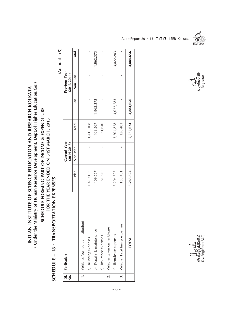(Under the Ministry of Human Resource Development, Dept.of Higher Education, Gol) **( Under the Ministry of Human Resource Development, Dept.of Higher Education,GoI)** INDIAN INSTITUTE OF SCIENCE EDUCATION AND RESEARCH KOLKATA **INDIAN INSTITUTE OF SCIENCE EDUCATION AND RESEARCH KOLKATA**

### SCHEDULE FORMING PART OF INCOME & EXPENDITURE **SCHEDULE FORMING PART OF INCOME & EXPENDITURE** FOR THE YEAR ENDED ON 31ST MARCH, 2015 **FOR THE YEAR ENDED ON 31ST MARCH, 2015**

SCHEDULE - 18: TRANSPORTATION EXPENSES **SCHEDULE – 18 : TRANSPORTATION EXPENSES**

 $(A$ mount in  $\bar{z}$ (Amount in  $\bar{\mathbf{z}}$ )

| 1. Vehicles (owned by institution)<br>Vehicle (Taxi) hiring expenses<br>Vehicles taken on rent/lease<br>b) Repairs & maintenance<br>a) Rent/lease expenses<br>c) Insurance expenses<br>a) Running expenses<br><b>TOTAL</b><br>$\overline{2}$ .<br>$\frac{1}{3}$ |           | Current Year<br>$(2014 - 2015)$ |              |              | Previous Year<br>$(2013 - 2014)$ |              |
|-----------------------------------------------------------------------------------------------------------------------------------------------------------------------------------------------------------------------------------------------------------------|-----------|---------------------------------|--------------|--------------|----------------------------------|--------------|
|                                                                                                                                                                                                                                                                 | Plan      | Non Plan                        | <b>Total</b> | Plan         | Non Plan                         | <b>Total</b> |
|                                                                                                                                                                                                                                                                 |           |                                 |              |              |                                  |              |
|                                                                                                                                                                                                                                                                 | 1,419,108 |                                 | 1,419,108    | $\mathbf{I}$ |                                  | $\mathbf{I}$ |
|                                                                                                                                                                                                                                                                 | 409,567   |                                 | 409,567      | 1,862,373    |                                  | 1,862,373    |
|                                                                                                                                                                                                                                                                 | 81,640    |                                 | 81,640       |              |                                  |              |
|                                                                                                                                                                                                                                                                 |           |                                 |              |              |                                  |              |
|                                                                                                                                                                                                                                                                 | 3,204,828 |                                 | 3,204,828    | 3,022,283    |                                  | 3,022,283    |
|                                                                                                                                                                                                                                                                 | 150,481   |                                 | 150,481      |              |                                  |              |
|                                                                                                                                                                                                                                                                 | 5,265,624 |                                 | 5,265,624    | 4,884,656    |                                  | 4,884,656    |



Audit Report 2014-15 □□□ IISER Kolkata

 $O$ <br>(Joydeep Sil)<br>Registrar

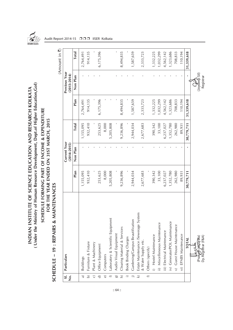

## (Under the Ministry of Human Resource Development, Dept.of Higher Education, Gol) **( Under the Ministry of Human Resource Development, Dept.of Higher Education,GoI)** INDIAN INSTITUTE OF SCIENCE EDUCATION AND RESEARCH KOLKATA **INDIAN INSTITUTE OF SCIENCE EDUCATION AND RESEARCH KOLKATA**

### SCHEDULE FORMING PART OF INCOME & EXPENDITURE **SCHEDULE FORMING PART OF INCOME & EXPENDITURE** FOR THE YEAR ENDED ON 31ST MARCH, 2015 **FOR THE YEAR ENDED ON 31ST MARCH, 2015**

SCHEDULE - 19 : REPAIRS & MAINTENANCES **SCHEDULE – 19 : REPAIRS & MAINTENANCES**

| $\overline{\mathsf{sl}}$ .<br>$\dot{\mathsf{z}}$ | Particulars                               |            | Current Year<br>$(2014 - 2015)$ |              |            | Previous Year<br>$(2013 - 2014)$ |            |
|--------------------------------------------------|-------------------------------------------|------------|---------------------------------|--------------|------------|----------------------------------|------------|
|                                                  |                                           | Plan       | Non Plan                        | <b>Total</b> | Plan       | Non Plan                         | Total      |
| ন্ত                                              | <b>Buildings</b>                          | 1,155,095  |                                 | 1,155,095    | 2,764,491  |                                  | 2,764,491  |
| $\widehat{\mathbf{d}}$                           | Furniture & Fixture                       | 932,410    |                                 | 932,410      | 914,135    |                                  | 914,135    |
| $\bigcirc$                                       | Plant & Machinery                         |            |                                 |              |            |                                  |            |
| $\widehat{\sigma}$                               | Office Equipment                          | 253,625    |                                 | 253,625      | 6,175,396  |                                  | 6,175,396  |
| $\widehat{\mathbf{e}}$                           | Computers                                 | 8,000      |                                 | 8,000        |            |                                  |            |
| $\widehat{\phantom{a}}$                          | Laboratory & Scientific Equipment         | 5,205,808  |                                 | 5,205,808    |            |                                  |            |
| $\widehat{\mathbf{g}}$                           | Audio Visual Equipment                    |            |                                 |              |            |                                  |            |
| $\widehat{=}$                                    | Clearing Material & Services              | 9,236,896  |                                 | 9,236,896    | 8,494,835  |                                  | 8,494,835  |
| ≘                                                | Book Binding Charges                      |            |                                 |              |            |                                  |            |
|                                                  | Gardening/Campus Beautification           | 2,944,034  |                                 | 2,944,034    | 1,587,659  |                                  | 1,587,659  |
| $\mathbf{Q}$                                     | Estate Maintenance /Sewerage System       |            |                                 |              |            |                                  |            |
|                                                  | & Water Supply etc.                       | 2,677,683  |                                 | 2,677,683    | 2,333,723  |                                  | 2,333,723  |
| $\oplus$                                         | Others (specify)                          |            |                                 |              |            |                                  |            |
|                                                  | Hostel Maintenance                        | 390,342    |                                 | 390,342      | 1,332,225  |                                  | 1,332,225  |
|                                                  | ii) Miscelleneous Maintenance             | 33,100     |                                 | 33,100       | 1,032,299  |                                  | 1,032,299  |
|                                                  | iii) Electrical Maintenance               | 6,237,027  |                                 | 6,237,027    | 4,562,142  |                                  | 4,562,142  |
|                                                  | iv) Generator/POL Maintenance             | 1,352,780  |                                 | 1,352,780    | 1,323,686  |                                  | 1,323,686  |
|                                                  | v) Guest House Maintenance                | 262,980    |                                 | 262,980      | 708,833    |                                  | 708,833    |
|                                                  | vi) EPABX Maintenance                     | 89,931     |                                 | 89,931       | 110,194    |                                  | 110,194    |
|                                                  | <b>TOTAL</b>                              | 30,779,711 |                                 | 30,779,711   | 31,339,618 |                                  | 31,339,618 |
|                                                  | Dy. Registrar (F&A)<br>(Prakast Hazarika) |            |                                 |              |            | (Joydeep Sil)<br>Registrar       |            |

Audit Report 2014-15 □□□ IISER Kolkata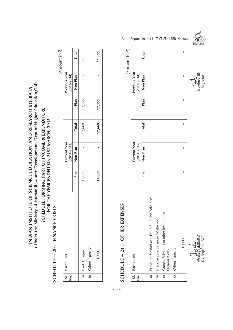( Under the Ministry of Human Resource Development, Dept.of Higher Education, Gol) **( Under the Ministry of Human Resource Development, Dept.of Higher Education,GoI)** INDIAN INSTITUTE OF SCIENCE EDUCATION AND RESEARCH KOLKATA **INDIAN INSTITUTE OF SCIENCE EDUCATION AND RESEARCH KOLKATA**

### SCHEDULE FORMING PART OF INCOME & EXPENDITURE **SCHEDULE FORMING PART OF INCOME & EXPENDITURE** FOR THE YEAR ENDED ON 31ST MARCH, 2015 **FOR THE YEAR ENDED ON 31ST MARCH, 2015**

### SCHEDULE - 20: FINANCE COSTS **SCHEDULE – 20 : FINANCE COSTS**

(Amount in ₹) (Amount in  $\bar{z}$ )

| $\dot{\mathsf{z}}$ | SI. Particulars     |        | Current Year<br>(2014-2015) |              |        | Previous Year<br>$(2013 - 2014)$ |              |
|--------------------|---------------------|--------|-----------------------------|--------------|--------|----------------------------------|--------------|
|                    |                     | Plan   | Non Plan                    | <b>Total</b> | Plan   | Non Plan                         | <b>Total</b> |
| $\overline{a}$     | <b>Bank Charges</b> | 17,669 |                             | 17,669       | 17,355 |                                  | 17,355       |
| $\overline{\circ}$ | (Others (specify)   |        |                             |              |        |                                  |              |
|                    | <b>TOTAL</b>        | 17,669 |                             | 17,669       | 17,355 |                                  | 17,355       |

### SCHEDULE - 21: OTHER EXPENSES **SCHEDULE – 21 : OTHER EXPENSES**

|                |                                                           |      |                             |       |      |                                                                                                                                                                                                                                                                                                                                                                                                                                                                                                                           | (Amount in ₹) |                      |
|----------------|-----------------------------------------------------------|------|-----------------------------|-------|------|---------------------------------------------------------------------------------------------------------------------------------------------------------------------------------------------------------------------------------------------------------------------------------------------------------------------------------------------------------------------------------------------------------------------------------------------------------------------------------------------------------------------------|---------------|----------------------|
| 。<br>2         | Sl. Particulars                                           |      | Current Year<br>(2014-2015) |       |      | Previous Year<br>(2013-2014)                                                                                                                                                                                                                                                                                                                                                                                                                                                                                              |               |                      |
|                |                                                           | Plan | Non Plan                    | Total | Plan | Non Plan                                                                                                                                                                                                                                                                                                                                                                                                                                                                                                                  | Total         |                      |
| $\overline{a}$ | Provision for Bad and Doubtful Debts/Advances             |      |                             |       |      |                                                                                                                                                                                                                                                                                                                                                                                                                                                                                                                           |               |                      |
| $\overline{a}$ | Irrecoverable Balances Written-off                        |      |                             |       |      |                                                                                                                                                                                                                                                                                                                                                                                                                                                                                                                           |               |                      |
| $\overline{c}$ | Grants/ Subsidies to other institutions/<br>Organizations |      |                             |       |      |                                                                                                                                                                                                                                                                                                                                                                                                                                                                                                                           |               |                      |
| $\overline{C}$ | Others (specify)                                          |      |                             |       |      |                                                                                                                                                                                                                                                                                                                                                                                                                                                                                                                           |               |                      |
|                | <b>TOTAL</b>                                              | I    | ı                           | ı     | I    | I                                                                                                                                                                                                                                                                                                                                                                                                                                                                                                                         | I             |                      |
|                | Dy. Registrar (F&A)<br>Prakast Hazarika)                  |      |                             |       |      | $\left(\bigcup_{\substack{1 \text{ by deep S11}}} \left(\bigcup_{\substack{1 \text{ by deep S11}}} \left(\bigcup_{\substack{1 \text{ by } 1 \text{ by } 1}} \left(\bigcup_{\substack{1 \text{ by } 1 \text{ by } 1}} \left(\bigcup_{\substack{1 \text{ by } 1}} \left(\bigcup_{\substack{1 \text{ by } 1}} \left(\bigcup_{\substack{1 \text{ by } 1}} \left(\bigcup_{\substack{1 \text{ by } 1}} \left(\bigcup_{\substack{1 \text{ by } 1}} \left(\bigcup_{\substack{1 \text{ by } 1}} \left(\bigcup_{\substack{1 \text{$ |               | <b>IISER KOLKATA</b> |

Audit Report 2014-15 □□□ IISER Kolkata



 $:: 65 ::$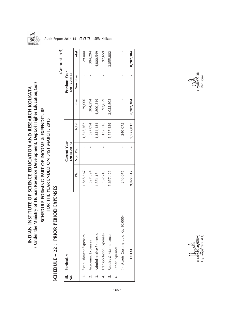

(Under the Ministry of Human Resource Development, Dept.of Higher Education, Gol) INDIAN INSTITUTE OF SCIENCE EDUCATION AND RESEARCH KOLKATA

SCHEDULE FORMING PART OF INCOME & EXPENDITURE FOR THE YEAR ENDED ON 31ST MARCH, 2015

Audit Report 2014-15 □□□ IISER Kolkata

|                  | PERIOD EXPENSES<br>SCHEDULE - 22 : PRIOR |           |                                 |           |           |                                         |                             |
|------------------|------------------------------------------|-----------|---------------------------------|-----------|-----------|-----------------------------------------|-----------------------------|
|                  |                                          |           |                                 |           |           |                                         | (Amount in $\overline{z}$ ) |
| 。<br>2           | SI.   Particulars                        |           | Current Year<br>$(2014 - 2015)$ |           |           | <b>Previous Year</b><br>$(2013 - 2014)$ |                             |
|                  |                                          | Plan      | Non Plan                        | Total     | Plan      | Non Plan                                | <b>Total</b>                |
|                  | 1.   Establishment Expenses              | 1,848,567 |                                 | 1,848,567 | 29,000    |                                         | 29,000                      |
|                  | 2.   Academic Expenses                   | 697,894   |                                 | 697,894   | 304,294   |                                         | 304,294                     |
|                  | Administrative Expenses                  | 1,351,134 |                                 | 1,351,134 | 4,800,549 |                                         | 4,800,549                   |
| $\frac{1}{4}$    | Transportation Expenses                  | 132,718   |                                 | 132,718   | 92,659    |                                         | 92,659                      |
| $\overline{5}$ . | Repairs & Maintenance                    | 5,657,429 |                                 | 5,657,429 | 3,055,802 |                                         | 3,055,802                   |
|                  | 6. Other Expenses                        |           |                                 |           |           |                                         |                             |
|                  | (i) Assets Costing upto Rs. 10,000/-     | 240,075   |                                 | 240,075   |           |                                         |                             |
|                  | <b>TOTAL</b>                             | 9,927,817 |                                 | 9,927,817 | 8,282,304 |                                         | 8,282,304                   |



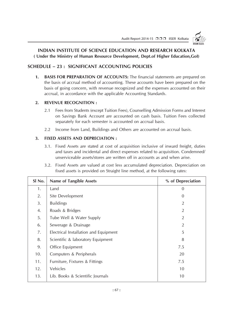

### **INDIAN INSTITUTE OF SCIENCE EDUCATION AND RESEARCH KOLKATA ( Under the Ministry of Human Resource Development, Dept.of Higher Education,GoI)**

### **SCHEDULE – 23 : SIGNIFICANT ACCOUNTING POLICIES**

**1. BASIS FOR PREPARATION OF ACCOUNTS:** The financial statements are prepared on the basis of accrual method of accounting. These accounts have been prepared on the basis of going concern, with revenue recognized and the expenses accounted on their accrual, in accordance with the applicable Accounting Standards.

### **2. REVENUE RECOGNITION :**

- 2.1 Fees from Students (except Tuition Fees), Counselling Admission Forms and Interest on Savings Bank Account are accounted on cash basis. Tuition Fees collected separately for each semester is accounted on accrual basis.
- 2.2 Income from Land, Buildings and Others are accounted on accrual basis.

### **3. FIXED ASSETS AND DEPRECIATION :**

- 3.1. Fixed Assets are stated at cost of acquisition inclusive of inward freight, duties and taxes and incidental and direct expenses related to acquisition. Condemned/ unserviceable assets/stores are written off in accounts as and when arise.
- 3.2. Fixed Assets are valued at cost less accumulated depreciation. Depreciation on fixed assets is provided on Straight line method, at the following rates:

| SI No. | <b>Name of Tangible Assets</b>        | % of Depreciation |
|--------|---------------------------------------|-------------------|
| 1.     | Land                                  | $\Omega$          |
| 2.     | Site Development                      | 0                 |
| 3.     | <b>Buildings</b>                      | $\overline{2}$    |
| 4.     | Roads & Bridges                       | $\overline{2}$    |
| 5.     | Tube Well & Water Supply              | $\overline{2}$    |
| 6.     | Sewerage & Drainage                   | $\overline{2}$    |
| 7.     | Electrical Installation and Equipment | 5                 |
| 8.     | Scientific & laboratory Equipment     | 8                 |
| 9.     | Office Equipment                      | 7.5               |
| 10.    | Computers & Peripherals               | 20                |
| 11.    | Furniture, Fixtures & Fittings        | 7.5               |
| 12.    | Vehicles                              | 10                |
| 13.    | Lib. Books & Scientific Journals      | 10                |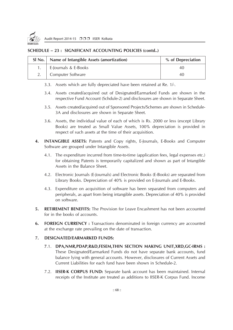

### **SCHEDULE – 23 : SIGNIFICANT ACCOUNTING POLICIES (contd..)**

| SI No.   Name of Intangible Assets (amortization) | % of Depreciation |
|---------------------------------------------------|-------------------|
| E-Journals & E-Books                              | 40                |
| Computer Software                                 | 40                |

- 3.3. Assets which are fully depreciated have been retained at Re. 1/-.
- 3.4. Assets created/acquired out of Designated/Earmarked Funds are shown in the respective Fund Account (Schdule-2) and disclosures are shown in Separate Sheet.
- 3.5. Assets created/acquired out of Sponsored Projects/Schemes are shown in Schedule-3A and disclosures are shown in Separate Sheet.
- 3.6. Assets, the individual value of each of which is Rs. 2000 or less (except Library Books) are treated as Small Value Assets, 100% depreciation is provided in respect of such assets at the time of their acquisition.
- **4. INTANGIBLE ASSETS:** Patents and Copy rights, E-Journals, E-Books and Computer Software are grouped under Intangible Assets.
	- 4.1. The expenditure incurred from time-to-time (application fees, legal expenses etc.) for obtaining Patents is temporarily capitalized and shown as part of Intangible Assets in the Balance Sheet.
	- 4.2. Electronic Journals (E-Journals) and Electronic Books (E-Books) are separated from Library Books. Depreciation of 40% is provided on E-Journals and E-Books.
	- 4.3. Expenditure on acquisition of software has been separated from computers and peripherals, as apart from being intangible assets. Depreciation of 40% is provided on software.
- **5. RETIREMENT BENEFITS:** The Provision for Leave Encashment has not been accounted for in the books of accounts.
- **6. FOREIGN CURRENCY :** Transactions denominated in foreign currency are accounted at the exchange rate prevailing on the date of transaction.

### **7. DESIGNATED/EARMARKED FUNDS:**

- **7**.1. **DPA,NMR,PDAP,R&D,FESEM,THIN SECTION MAKING UNIT,XRD,GC-IRMS :** These Designated/Earmarked Funds do not have separate bank accounts, fund balance lying with general accounts. However, disclosures of Current Assets and Current Liabilities for each fund have been shown in Schedule-2.
- 7.2. **IISER-K CORPUS FUND:** Separate bank account has been maintained. Internal receipts of the Institute are treated as additions to IISER-K Corpus Fund. Income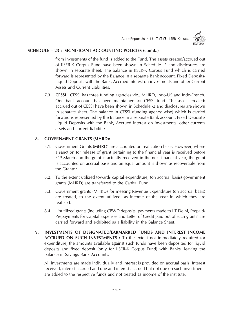Audit Report 2014-15 □□□ IISER Kolkata



### **SCHEDULE – 23 : SIGNIFICANT ACCOUNTING POLICIES (contd..)**

from investments of the fund is added to the Fund. The assets created/accrued out of IISER-K Corpus Fund have been shown in Schedule -2 and disclosures are shown in separate sheet. The balance in IISER-K Corpus Fund which is carried forward is represented by the Balance in a separate Bank account, Fixed Deposits/ Liquid Deposits with the Bank, Accrued interest on investments and other Current Assets and Current Liabilities.

7.3. **CESSI :** CESSI has three funding agencies viz., MHRD, Indo-US and Indo-French. One bank account has been maintained for CESSI fund. The assets created/ accrued out of CESSI have been shown in Schedule -2 and disclosures are shown in separate sheet. The balance in CESSI (funding agency wise) which is carried forward is represented by the Balance in a separate Bank account, Fixed Deposits/ Liquid Deposits with the Bank, Accrued interest on investments, other currents assets and current liabilities.

### **8. GOVERNMENT GRANTS (MHRD):**

- 8.1. Government Grants (MHRD) are accounted on realization basis. However, where a sanction for release of grant pertaining to the financial year is received before 31st March and the grant is actually received in the next financial year, the grant is accounted on accrual basis and an equal amount is shown as recoverable from the Grantor.
- 8.2. To the extent utilized towards capital expenditure, (on accrual basis) government grants (MHRD) are transferred to the Capital Fund.
- 8.3. Government grants (MHRD) for meeting Revenue Expenditure (on accrual basis) are treated, to the extent utilized, as income of the year in which they are realized.
- 8.4. Unutilized grants (including CPWD deposits, payments made to IIT Delhi, Prepaid/ Prepayments for Capital Expenses and Letter of Credit paid out of such grants) are carried forward and exhibited as a liability in the Balance Sheet.
- **9. INVESTMENTS OF DESIGNATED/EARMARKED FUNDS AND INTEREST INCOME ACCRUED ON SUCH INVESTMENTS :** To the extent not immediately required for expenditure, the amounts available against such funds have been deposited for liquid deposits and fixed deposit (only for IISER-K Corpus Fund) with Banks, leaving the balance in Savings Bank Accounts.

All investments are made individually and interest is provided on accrual basis. Interest received, interest accrued and due and interest accrued but not due on such investments are added to the respective funds and not treated as income of the institute.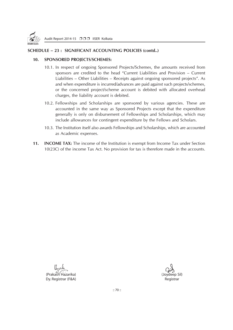

### **SCHEDULE – 23 : SIGNIFICANT ACCOUNTING POLICIES (contd..)**

### **10. SPONSORED PROJECTS/SCHEMES:**

- 10.1. In respect of ongoing Sponsored Projects/Schemes, the amounts received from sponsors are credited to the head "Current Liabilities and Provision – Current Liabilities – Other Liabilities – Receipts against ongoing sponsored projects". As and when expenditure is incurred/advances are paid against such projects/schemes, or the concerned project/scheme account is debited with allocated overhead charges, the liability account is debited.
- 10.2. Fellowships and Scholarships are sponsored by various agencies. These are accounted in the same way as Sponsored Projects except that the expenditure generally is only on disbursement of Fellowships and Scholarships, which may include allowances for contingent expenditure by the Fellows and Scholars.
- 10.3. The Institution itself also awards Fellowships and Scholarships, which are accounted as Academic expenses.
- **11. INCOME TAX:** The income of the Institution is exempt from Income Tax under Section 10(23C) of the income Tax Act. No provision for tax is therefore made in the accounts.

Uppulie (Prakash Hazarika) (Joydeep Sil) Dy. Registrar (F&A) Registrar (F&A)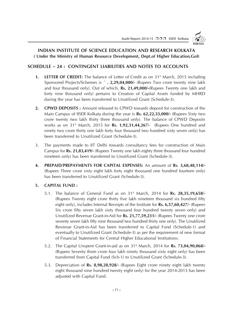

### **INDIAN INSTITUTE OF SCIENCE EDUCATION AND RESEARCH KOLKATA ( Under the Ministry of Human Resource Development, Dept.of Higher Education,GoI)**

### **SCHEDULE – 24 : CONTINGENT LIABILITIES AND NOTES TO ACCOUNTS**

- **1. LETTER OF CREDIT:** The balance of Letter of Credit as on 31<sup>st</sup> March, 2015 including Sponsored Projects/Schemes is **¨ . 2,29,04,000/-** (Rupees Two crore twenty nine lakh and four thousand only). Out of which, **Rs. 21,49,000/-**(Rupees Twenty one lakh and forty nine thousand only) pertains to Creation of Capital Assets funded by MHRD during the year has been transferred to Unutilized Grant (Schedule-3).
- **2. CPWD DEPOSITS :** Amount released to CPWD towards deposit for construction of the Main Campus of IISER Kolkata during the year is **Rs. 62,22,33,000/-** (Rupees Sixty two crore twenty two lakh thirty three thousand only). The balance of CPWD Deposits works as on 31st March, 2015 for **Rs. 1,92,31,44,267/**- (Rupees One hundred and ninety two crore thirty one lakh forty four thousand two hundred sixty seven only) has been transferred to Unutilized Grant (Schedule-3).
- 3. The payments made to IIT Delhi towards consultancy fees for construction of Main Campus for **Rs. 21,83,419/-** (Rupees Twenty one lakh eighty three thousand four hundred nineteen only) has been transferred to Unutilized Grant (Schedule-3).
- **4. PREPAID/PREPAYMENTS FOR CAPITAL EXPENSES:** An amount of **Rs. 3,68,48,114/-** (Rupees Three crore sixty eight lakh forty eight thousand one hundred fourteen only) has been transferred to Unutilized Grant (Schedule-3).

### **5. CAPITAL FUND :**

- 5.1. The balance of General Fund as on 31st March, 2014 for **Rs. 28,35,19,658/-** (Rupees Twenty eight crore thirty five lakh nineteen thousand six hundred fifty eight only), includes Internal Receipts of the Institute for **Rs. 6,57,60,427/-** (Rupees Six crore fifty seven lakh sixty thousand four hundred twenty seven only) and Unutilized Revenue Grant-in-Aid for **Rs. 21,77,59,231/-** (Rupees Twenty one crore seventy seven lakh fifty nine thousand two hundred thirty one only). The Unutilized Revenue Grant-in-Aid has been transferred to Capital Fund (Schedule-1) and eventually to Unutilized Grant (Schedule-3) as per the requirement of new format of Financial Statements for Central Higher Educational Institutions.
- 5.2. The Capital Unspent Grant-in-aid as on 31st March, 2014 for **Rs. 73,04,90,068/-** (Rupees Seventy three crore four lakh ninety thousand sixty eight only) has been transferred from Capital Fund (Sch-1) to Unutilized Grant (Schedule-3).
- 5.3. Depreciation of **Rs. 8,98,28,928/-** (Rupees Eight crore ninety eight lakh twenty eight thousand nine hundred twenty eight only) for the year 2014-2015 has been adjusted with Capital Fund.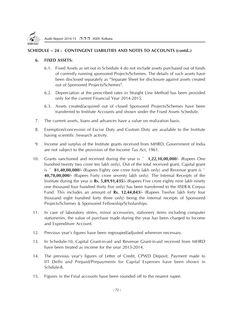

### **SCHEDULE – 24 : CONTINGENT LIABILITIES AND NOTES TO ACCOUNTS (contd..)**

### **6. FIXED ASSETS:**

- 6.1. Fixed Assets as set out in Schedule 4 do not include assets purchased out of funds of currently running sponsored Projects/Schemes. The details of such assets have been disclosed separately as "Separate Sheet for disclosure against assets created out of Sponsored Projects/Schemes".
- 6.2. Depreciation at the prescribed rates in Straight Line Method has been provided only for the current Financial Year 2014-2015.
- 6.3. Assets created/acquired out of closed Sponsored Projects/Schemes have been transferred to Institute Accounts and shown under the Fixed Assets Schedule.
- 7. The current assets, loans and advances have a value on realization basis.
- 8. Exemption/concession of Excise Duty and Custom Duty are available to the Institute having scientific /research activity.
- 9. Income and surplus of the Institute grants received from MHRD, Government of India are not subject to the provision of the Income Tax Act, 1961.
- 10. Grants sanctioned and received during the year is **¨ 1,22,10,00,000**/- (Rupees One hundred twenty two crore ten lakh only), Out of the total received grant, Capital grant is **¨ 81,40,00,000/-** (Rupees Eighty one crore forty lakh only) and Revenue grant is **¨ 40,70,00,000/-** (Rupees Forty crore seventy lakh only). The Internal Receipts of the Institute during the year is **Rs. 5,89,91,435/-** (Rupees Five crore eighty nine lakh ninety one thousand four hundred thirty five only) has been transferred to the IISER-K Corpus Fund. This includes an amount of **Rs. 12,44,843/-** (Rupees Twelve lakh forty four thousand eight hundred forty three only) being the internal receipts of Sponsored Projects/Schemes & Sponsored Fellowship/Scholarships.
- 11. In case of laboratory stores, minor accessories, stationery items including computer stationeries, the value of purchase made during the year has been charged to Income and Expenditure Account.
- 12. Previous year's figures have been regrouped/adjusted wherever necessary.
- 13. In Schedule-10, Capital Grant-in-aid and Revenue Grant-in-aid received from MHRD have been treated as income for the year 2013-2014.
- 14. The previous year's figures of Letter of Credit, CPWD Deposit, Payment made to IIT Delhi and Prepaid/Prepayments for Capital Expenses have been shown in Schdule-8.
- 15. Figures in the Final accounts have been rounded off to the nearest rupee.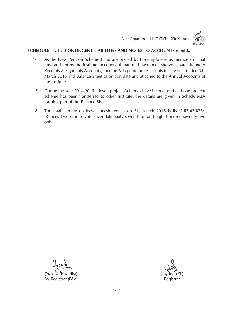Audit Report 2014-15 □□□ IISER Kolkata



### **SCHEDULE – 24 : CONTINGENT LIABILITIES AND NOTES TO ACCOUNTS (contd..)**

- 16. As the New Pension Scheme Fund are owned by the employees as members of that fund and not by the Institute, accounts of that fund have been shown separately under Receipts & Payments Accounts, Income & Expenditure Accounts for the year ended 31<sup>st</sup> March 2015 and Balance Sheet as on that date and attached to the Annual Accounts of the Institute.
- 17. During the year 2014-2015, eleven projects/schemes have been closed and one project/ scheme has been transferred to other Institute; the details are given in Schedule-3A forming part of the Balance Sheet.
- 18. The total liability on leave encashment as on 31st March 2015 is **Rs. 2,87,67,875/-** (Rupees Two crore eighty seven lakh sixty seven thousand eight hundred seventy five only).

(Prakash Hazarika) (Joydeep Sil) Dy. Registrar (F&A) Registrar (F&A)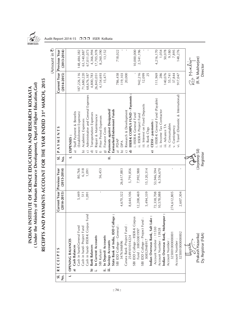

### RECEIPTS AND PAYMENTS ACCOUNT FOR THE YEAR ENDED 31st MARCH, 2015 **RECEIPTS AND PAYMENTS ACCOUNT FOR THE YEAR ENDED 31st MARCH, 2015** INDIAN INSTITUTE OF SCIENCE EDUCATION AND RESEARCH KOLKATA<br>( Under the Ministry of Human Resource Development, Dept.of Higher Education, Gol) **( Under the Ministry of Human Resource Development, Dept.of Higher Education,GoI) INDIAN INSTITUTE OF SCIENCE EDUCATION AND RESEARCH KOLKATA**

 $(Am$ ount in  $\overline{z}$ )

| ż | <b>RECEIPTS</b><br>$\overline{\mathbf{s}}$ .   | Current Year<br>$(2014 - 2015)$ | <b>Previous Year</b><br>$(2013 - 2014)$ | si.<br>ż                 | S<br>PAYMENT                                            | Current Year<br>$(2014 - 2015)$ | Previous Year<br>$(2013 - 2014)$ |
|---|------------------------------------------------|---------------------------------|-----------------------------------------|--------------------------|---------------------------------------------------------|---------------------------------|----------------------------------|
|   | <b>OPENING BALANCES</b><br>$\overline{a}$      |                                 |                                         | $\overline{\phantom{a}}$ | EXPENSES :                                              |                                 |                                  |
|   | a) Cash Balances                               |                                 |                                         |                          | Staff Payment & Benefits<br>କ                           |                                 |                                  |
|   | Cash in hand-General Fund                      | 5,449                           | 80,766                                  |                          | (Establishment Expenses)                                | 187,226,116                     | 148,484,382                      |
|   | Cash in hand-Project Fund                      | 511                             | 6,318                                   |                          | Academic Expenses<br>$\widehat{\mathbf{p}}$             | 71,680,220                      | 63,140,887                       |
|   | Cash in hand- IISER-K Corpus Fund              | 1,091                           | 1,091                                   |                          | Administrative and General Expenses<br>⊙                | 68,676,187                      | 67,011,073                       |
|   | <b>Bank Balances</b><br>$\widehat{\mathbf{p}}$ |                                 |                                         |                          | Transportation Expenses<br>তি                           | 4,800,783                       | 4,366,994                        |
|   | n Current Accounts                             |                                 |                                         |                          | Repair & Maintenance<br>จ                               | 26,843,051                      | 17,705,978                       |
|   | SBI Kalyani                                    | $\mathbf I$                     | 56,453                                  |                          | Prior Period Expenses                                   | 4,154,693                       | 8,260,390                        |
|   | In Deposit Accounts<br>$:=$                    |                                 |                                         |                          | Finance Costs<br>ඹ                                      | 15,471                          | 13,152                           |
|   | Savings Accounts<br>Ë                          |                                 |                                         | Ξ                        | Payments against Designated/                            |                                 |                                  |
|   | <br>ق<br>State Bank of India, IDD Colleg       |                                 |                                         |                          | Earmarked/Endowment Funds                               |                                 |                                  |
|   | SBI IDD College - General:                     |                                 |                                         |                          | <b>PDAP</b><br>କ                                        | 786,458                         | 718,022                          |
|   | 3476346896                                     | 4,670,322                       | 26,617,883                              |                          | DPA<br>$\widehat{\mathbf{D}}$                           | 119,103                         |                                  |
|   | Canara Bank -Project Fund:                     |                                 |                                         |                          | Research & Development<br>$\widehat{\mathbf{C}}$        | 20,000                          |                                  |
|   | 2549101014224                                  | 8,644,106                       | 5,791,856                               |                          | <b>IISER-K CORPUS FUND - Payments</b><br>$\hat{\sigma}$ |                                 |                                  |
|   | S<br>SBI IDD College - IISER-K Corpu           |                                 |                                         |                          | . IISER-K General Fund                                  |                                 | 10,000,000                       |
|   | Fund: 30853001997                              | 12,208,469                      | 7,992,988                               |                          | ii. IISER-K Project Fund                                | 942,216                         | 2,541,196                        |
|   | SBI IDD College - Project Fund                 |                                 |                                         |                          | iii. Interest on Fixed Deposits                         | 12,099                          |                                  |
|   | 30852948917                                    | 5,494,339                       | 15,120,314                              |                          | iv. Bank Chgs                                           | 25                              |                                  |
|   | Indian Overseas Bank, Salt Lake                |                                 |                                         |                          | CESSI - payments :<br>ಠ                                 |                                 |                                  |
|   | Account Number: 11530                          | 72,338,708                      | 53,946,594                              |                          | . IISER-K General Fund (Payable)                        | 111,969                         | 4,216,170                        |
|   | Account Number: 13928                          | 10,578,088                      | 6,556,670                               |                          | ii. Income Tax Contractor                               | 286                             | 1,054                            |
|   | Indian Overseas Bank, Mohanpur                 |                                 |                                         |                          | iii. Advance TA                                         | 140,076                         | 50,078                           |
|   | Account Number                                 |                                 |                                         |                          | iv. Consumables                                         | 55,741                          | 9,180                            |
|   | 325001000000001                                | 274,612,805                     |                                         |                          | v. Contingency                                          | 37,844                          | 7,895                            |
|   | Account Number                                 |                                 |                                         |                          | vi. Travel (Domestic & International)                   | 917,047                         | 148,276                          |
|   | 325001000000002                                | 2,607,304                       |                                         |                          |                                                         |                                 |                                  |
|   |                                                |                                 |                                         |                          |                                                         |                                 | Ra Murliga                       |
|   |                                                |                                 |                                         | そこ                       |                                                         |                                 |                                  |
|   | (Prakash Hazarika)                             |                                 |                                         | (Joydeep Sil)            |                                                         |                                 | (R. N. Mukherjee)                |
|   | Dy. Registrar (F&A)                            |                                 |                                         | Registrar                |                                                         |                                 | Director                         |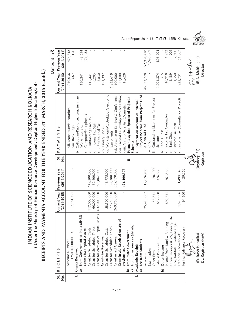RECEIPTS AND PAYMENTS ACCOUNT FOR THE YEAR ENDED 31st MARCH, 2015 (contd..) **RECEIPTS AND PAYMENTS ACCOUNT FOR THE YEAR ENDED 31st MARCH, 2015 (contd..)** INDIAN INSTITUTE OF SCIENCE EDUCATION AND RESEARCH KOLKATA<br>( Under the Ministry of Human Resource Development, Dept.of Higher Education, Gol) **( Under the Ministry of Human Resource Development, Dept.of Higher Education,GoI) INDIAN INSTITUTE OF SCIENCE EDUCATION AND RESEARCH KOLKATA**

|   |                                            |                 |                 |                           |                                                      |                 | (Amount in $\bar{\mathbf{z}}$ ) |
|---|--------------------------------------------|-----------------|-----------------|---------------------------|------------------------------------------------------|-----------------|---------------------------------|
|   | <b>RECEIPTS</b><br>$\overline{\mathbf{s}}$ | Current Year    | Previous Year   | $\overline{\mathbf{s}}$ . | S<br>PAYMENT                                         | Current Year    | <b>Previous Year</b>            |
| ż |                                            | $(2014 - 2015)$ | $(2013 - 2014)$ | ż                         |                                                      | $(2014 - 2015)$ | $(2013 - 2014)$                 |
|   | Account Number:                            |                 |                 |                           | vii. Manpower/Honorarium                             | 1,950,036       | 474,648                         |
|   | 325001000000003                            | 7,151,391       |                 |                           | viii. Bank Chgs                                      | 667             | 150                             |
|   | <b>Grants Received</b><br>$\equiv$         |                 |                 |                           | Colloquim/Public Lectures/Seminar/<br>$\dot{\times}$ |                 |                                 |
|   | HRD<br>From Government of India-MI         |                 |                 |                           | Workshops etc.                                       | 180,241         | 43,554                          |
|   | <b>Grants for Capital Assets:</b>          |                 |                 |                           | Computer/Pheripherals<br>$\dot{\times}$              |                 | 71,483                          |
|   | Grant for Scheduled Caste                  | 117,000,000     | 179,200,000     |                           | Outstanding Liability<br>$\ddot{x}$                  | 115,441         |                                 |
|   | <b>Grant for Scheduled Tribes</b>          | 60,000,000      | 89,600,000      |                           | xii. Income Tax Staff                                | 6,200           |                                 |
|   | Grant for creation of Capital Assets       | 637,000,000     | 925,867,000     |                           | xiii. Professional Tax                               | 2,030           |                                 |
|   | <b>Grants for Revenue:</b>                 |                 |                 |                           | xiv. Library Books                                   | 191,392         |                                 |
|   | <b>Grant for Scheduled Caste</b>           | 58,500,000      | 48,775,000      |                           | xv. Workstation/AV/Desktops/Electronic               |                 |                                 |
|   | Grant for Scheduled Tribes                 | 27,750,000      | 24,388,000      |                           | Equipments                                           | 1,252,619       |                                 |
|   | Grant in aid General                       | 269,750,000     | 252,170,000     |                           | xvi. Advance to Seminar & Conference                 | 100,000         |                                 |
|   | Grant-in-aid Received on a/c of            |                 |                 |                           | xvii. Prepaid Fellowship (Project Fellow)            | 72,000          |                                 |
|   | previous year                              |                 | 191,100,575     |                           | xviii. Visiting Scientist (Domestic)                 | 16,628          |                                 |
|   | From State Government<br>ه                 |                 |                 | $\equiv$                  | Payments against Sponsored Projects/                 |                 |                                 |
|   | c) From other sources (details)            |                 |                 |                           | Schemes                                              |                 |                                 |
|   | <b>Academic Receipts</b><br>$\equiv$       |                 |                 |                           | Payment on account of External                       |                 |                                 |
|   | Fee from Students                          |                 |                 |                           | Project /Scheme from Project Fund                    |                 |                                 |
|   | Academic                                   | 25,423,007      | 19,076,906      |                           | & General Fund                                       | 46,073,278      | 52,961,418                      |
|   | Examination                                |                 |                 |                           | <b>CESSI</b>                                         |                 | 1,595,069                       |
|   | Other Fees                                 | 156,851         | 70,100          |                           | Outstanding Liabilities for Project<br>:≟            |                 |                                 |
|   | Sale of Publications                       | 612,000         | 376,800         |                           | Scheme                                               | 1,001,374       | 896,904                         |
|   | Other Income<br>ه                          |                 |                 |                           | Labour Cess<br>$\dot{\ge}$                           | 515             |                                 |
|   | Income from Land & Building                | 897,751         | 761,564         |                           | Income Tax Contractor<br>$\dot{v}$                   | 10,918          | 1,972                           |
|   | late<br>Others receipts (CMS, Library      |                 |                 |                           | <b>Bank Chgs</b><br>$\overline{z}$                   | 4,189           | 4,209                           |
|   | Fine, Institute Overhead Chgs,             |                 |                 |                           | vii. Income Tax Staff                                | 1,550           | 2,500                           |
|   | Transport Recovery etc.)                   | 1,829,506       | 1,490,346       |                           | viii.Income Tax (Consultancy Project)                | 222,731         | 51,067                          |
|   | Festival Advance Recovery                  | 94,500          | 29,250          |                           |                                                      |                 |                                 |
|   |                                            |                 |                 |                           |                                                      | 2a Murlin       |                                 |
|   |                                            |                 |                 | ېږي<br>رخ                 |                                                      |                 |                                 |
|   | (Prakash Hazarika)                         |                 |                 | (Joydeep Sil)             |                                                      |                 | (R. N. Mukherjee)               |
|   | Dy. Registrar (F&A)                        |                 |                 | Registrar                 |                                                      |                 | Director                        |



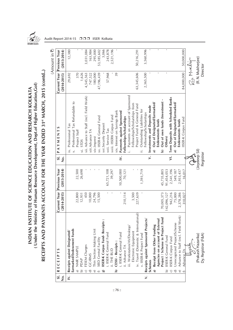

(Under the Ministry of Human Resource Development, Dept.of Higher Education, Gol) **( Under the Ministry of Human Resource Development, Dept.of Higher Education,GoI)** INDIAN INSTITUTE OF SCIENCE EDUCATION AND RESEARCH KOLKATA **INDIAN INSTITUTE OF SCIENCE EDUCATION AND RESEARCH KOLKATA**

RECEIPTS AND PAYMENTS ACCOUNT FOR THE YEAR ENDED 31<sup>st</sup> MARCH, 2015 (contd..) **RECEIPTS AND PAYMENTS ACCOUNT FOR THE YEAR ENDED 31st MARCH, 2015 (contd..)**

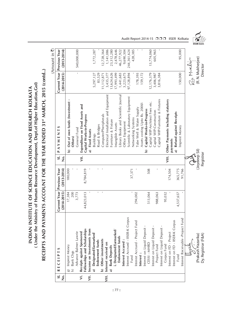(Under the Ministry of Human Resource Development, Dept.of Higher Education, Gol) **( Under the Ministry of Human Resource Development, Dept.of Higher Education,GoI)** INDIAN INSTITUTE OF SCIENCE EDUCATION AND RESEARCH KOLKATA **INDIAN INSTITUTE OF SCIENCE EDUCATION AND RESEARCH KOLKATA**

RECEIPTS AND PAYMENTS ACCOUNT FOR THE YEAR ENDED 31<sup>st</sup> MARCH, 2015 (contd..) **RECEIPTS AND PAYMENTS ACCOUNT FOR THE YEAR ENDED 31st MARCH, 2015 (contd..)**

|                           |                                              |                 |                      |               |                                                |                 | Amount in $\bar{x}$  |
|---------------------------|----------------------------------------------|-----------------|----------------------|---------------|------------------------------------------------|-----------------|----------------------|
| $\overline{\mathbf{s}}$ . | S<br>RECEIPT                                 | Current Year    | <b>Previous Year</b> | si.           | S<br>PAYMENT                                   | Current Year    | <b>Previous Year</b> |
| ż                         |                                              | $(2014 - 2015)$ | $(2013 - 2014)$      | ف<br>Z        |                                                | $(2014 - 2015)$ | $(2013 - 2014)$      |
|                           | Imprest Money<br>b)                          | 17,384          | 180,000              |               | Out of own funds (Investment -<br>6            |                 |                      |
|                           | <b>Bank Chgs</b><br>$\hat{z}$                | 200             |                      |               | Others)                                        |                 |                      |
|                           | Advance Balmer Lawrie                        | 3,773           |                      |               | General Fund                                   | $\mathbf{I}$    | 540,000,000          |
| $\overline{z}$            | Receipts against Sponsored                   |                 |                      | $\equiv$      | Expenditure on Fixed Assets and                |                 |                      |
|                           | Fellowships and Scholarships                 | 44,823,013      | 8,784,819            |               | Capital Works-in-Progress                      |                 |                      |
| $\equiv$                  | Income on Investments from                   |                 |                      |               | <b>Fixed Assets</b><br>ನ                       |                 |                      |
|                           | Designated/Earmarked/                        |                 |                      |               | Buildings                                      | 5,297,127       | 1,772,287            |
|                           | Endowment funds                              | r.              |                      |               | Road & Bridges                                 | 83,529          |                      |
|                           | Other investments<br>ه                       | $\,$ 1          |                      |               | Computer/Pheripherals                          | 11, 112, 871    | 12,728,364           |
| $\frac{1}{2}$             | Interest received on                         |                 |                      |               | Electrical Installation and Equipment          | 3,435,377       | 1,141,086            |
|                           | <b>Bank Deposits</b>                         |                 |                      |               | Furniture & Fixture                            | 3,624,626       | 23,312,280           |
|                           | i. Designated/Earmarked/                     |                 |                      |               | ntangible Assets                               | 17,993,499      | 2,478,646            |
|                           | Endowment funds                              |                 |                      |               | Library Books and Scientific Journal           | 1,441,683       | 46,277,922           |
|                           | Interest Accured:                            |                 |                      |               | Office Equipment                               | 3,223,675       | 9,690,304            |
|                           | Interest Accrued - IISER-K Corpus            |                 |                      |               | Scientific & Laboratory Equipment              | 97,128,894      | 244,361,624          |
|                           | Fund                                         |                 | 37,371               |               | Networking Systems                             |                 | 428,385              |
|                           | Interest Accrued - Project Fund              | 294,002         |                      |               | <b>Tube Well &amp; Water Supply</b>            | 178,393         |                      |
|                           | Interest:                                    |                 |                      |               | Assets costing Upto Rs. 2000/-                 | 159,172         |                      |
|                           | Interest on Liquid Deposit -                 |                 |                      |               | Capital Works-in-Progress<br>$\hat{a}$         |                 |                      |
|                           | CESSI: MHRD                                  | 513,064         | 508                  |               | Capital WIP-Architect Fees etc.                | 12,176,379      | 13,774,060           |
|                           | Interest on Liquid Deposit -<br>Project Fund | 988,063         |                      |               | Capital WIP-Construction                       | 3,406,987       | 605,965              |
|                           | Interest on Liquid Deposit -                 |                 |                      |               | Capital WIP-Furniture & Fixtures               | 3,816,384       |                      |
|                           | Corpus Fund                                  | 95,032          |                      |               |                                                |                 |                      |
|                           | Interest on FD - Project                     |                 | 174,504              | $\equiv$      | Other Payments including statutory<br>payments |                 |                      |
|                           | Interest on FD - IISER-K Corpus              |                 |                      |               |                                                |                 |                      |
|                           | Fund                                         | 4,537,657       | 365,775              |               | a) Refund against Receipts<br>Imprest Money    | 150,000         | 95,000               |
|                           | Interest Receivable -Project Fund            |                 | 91,766               |               |                                                |                 |                      |
|                           | لناهبه                                       |                 |                      |               |                                                | 2a Murliga      |                      |
|                           |                                              |                 |                      | Coydeep Sill) |                                                |                 |                      |
|                           | (Prakash Hazarika)                           |                 |                      |               |                                                |                 | (R. N. Mukherjee)    |
|                           | Dy. Registrar (F&A)                          |                 |                      | Registrar     |                                                |                 | Director             |

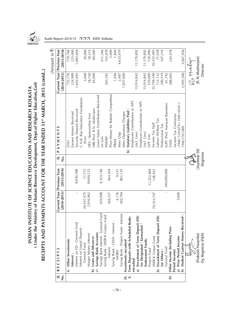

INDIAN INSTITUTE OF SCIENCE EDUCATION AND RESEARCH KOLKATA<br>( Under the Ministry of Human Resource Development, Dept.of Higher Education, Gol) **( Under the Ministry of Human Resource Development, Dept.of Higher Education,GoI) INDIAN INSTITUTE OF SCIENCE EDUCATION AND RESEARCH KOLKATA**

RECEIPTS AND PAYMENTS ACCOUNT FOR THE YEAR ENDED 31<sup>st</sup> MARCH, 2015 (contd..) **RECEIPTS AND PAYMENTS ACCOUNT FOR THE YEAR ENDED 31st MARCH, 2015 (contd..)**

| Prize Money for Robotic Competition<br>Leave Salary Contribution Received<br>C.N.R. Rao Education Foundation<br>Employees Contribution to NPS<br>Employers Contribution to NPS<br>$(194C:1241679 + 1941:10341 +$<br>JUPF (Prof. Narayan Banerjee)<br>HBL:Prof. R.N. Mukherjee<br>Security Deposit Received<br>Statutory Liabilities Paid<br>Mess Operation Charges<br>Earnest Money Received<br>DES : Sponsorship Fees<br>Income Tax Contractor<br>abour Welfare Tax<br>Income Tax Staff<br>Professional Tax<br>(0811.1741280)<br><b>PAYMENTS</b><br>Mess Chgs<br>(incl. Lien)<br>(incl. Lien)<br><b>GPF Lien</b><br>Prize<br>on Lien<br>PMNRF<br><b>PRMS</b><br><b>STDS</b><br>LISC<br>$\widehat{\mathbf{p}}$<br>si.<br>مبر<br>ح<br>$\frac{\dot{\circ}}{Z}$<br><b>Previous Year</b><br>$(2013 - 2014)$<br>9,323,746<br>540,000,000<br>9,050,388<br>17,715<br>8,609,125<br>861,135<br>11,252,469<br>464,204<br>128,922<br>9,531<br>Current Year<br>$\mathbf I$<br>$(2014 - 2015)$<br>4,176<br>185,704<br>70,522,747<br>26,547,475<br>2,916,962<br>670,998<br>5,600<br>266,327<br>Savings Bank Interest : General Fund<br>Saving Bank - Project Fund - Interest<br>Saving Bank - IISER-K Corpus Fund<br>a) Encashment of Term Deposit (FD)<br>Term Deposits with Scheduled Banks<br>Encashment of Term Deposit (FD)<br><b>Student Caution Money Received</b><br>Saving Bank - CESSI - Interest :<br>Interest on FD - General Fund<br>for Designated / Earmarked<br>Interest on Liquid Deposit -<br>Other Income (including Prior<br>Savings Bank Accounts<br>Margin Money Interest<br>a) Prior Period Income<br>IISER-K Corpus Fund<br>Loans and Advances<br>Endowment Funds:<br>Other Investments<br>Investments encashed<br>General Fund<br>General Fund<br>- Interest<br>Project Fund<br><b>RECEIPTS</b><br>for Others:<br>Period Income)<br><b>MHRD</b><br>Interest:<br>encashed<br>$\hat{\mathbf{a}}$<br>$:=$<br>$\hat{a}$<br>$\hat{a}$<br>Ô<br>IX.<br>$\overline{\mathsf{x}}$ .<br>$\overline{\mathbf{s}}$ .<br>ż |                    |  |  |                 | (Amount in $\bar{\mathbf{z}}$ )               |
|------------------------------------------------------------------------------------------------------------------------------------------------------------------------------------------------------------------------------------------------------------------------------------------------------------------------------------------------------------------------------------------------------------------------------------------------------------------------------------------------------------------------------------------------------------------------------------------------------------------------------------------------------------------------------------------------------------------------------------------------------------------------------------------------------------------------------------------------------------------------------------------------------------------------------------------------------------------------------------------------------------------------------------------------------------------------------------------------------------------------------------------------------------------------------------------------------------------------------------------------------------------------------------------------------------------------------------------------------------------------------------------------------------------------------------------------------------------------------------------------------------------------------------------------------------------------------------------------------------------------------------------------------------------------------------------------------------------------------------------------------------------------------------------------------------------------------------------------------------------------------------------------------------------------------------------------------------------------------------------------------------------------|--------------------|--|--|-----------------|-----------------------------------------------|
|                                                                                                                                                                                                                                                                                                                                                                                                                                                                                                                                                                                                                                                                                                                                                                                                                                                                                                                                                                                                                                                                                                                                                                                                                                                                                                                                                                                                                                                                                                                                                                                                                                                                                                                                                                                                                                                                                                                                                                                                                        |                    |  |  | $(2014 - 2015)$ | Current Year Previous Year<br>$(2013 - 2014)$ |
|                                                                                                                                                                                                                                                                                                                                                                                                                                                                                                                                                                                                                                                                                                                                                                                                                                                                                                                                                                                                                                                                                                                                                                                                                                                                                                                                                                                                                                                                                                                                                                                                                                                                                                                                                                                                                                                                                                                                                                                                                        |                    |  |  | 722,776         | 710,766                                       |
|                                                                                                                                                                                                                                                                                                                                                                                                                                                                                                                                                                                                                                                                                                                                                                                                                                                                                                                                                                                                                                                                                                                                                                                                                                                                                                                                                                                                                                                                                                                                                                                                                                                                                                                                                                                                                                                                                                                                                                                                                        |                    |  |  | 324,989         | 225,000                                       |
|                                                                                                                                                                                                                                                                                                                                                                                                                                                                                                                                                                                                                                                                                                                                                                                                                                                                                                                                                                                                                                                                                                                                                                                                                                                                                                                                                                                                                                                                                                                                                                                                                                                                                                                                                                                                                                                                                                                                                                                                                        |                    |  |  | 1,692,092       | 1,883,604                                     |
|                                                                                                                                                                                                                                                                                                                                                                                                                                                                                                                                                                                                                                                                                                                                                                                                                                                                                                                                                                                                                                                                                                                                                                                                                                                                                                                                                                                                                                                                                                                                                                                                                                                                                                                                                                                                                                                                                                                                                                                                                        |                    |  |  |                 |                                               |
|                                                                                                                                                                                                                                                                                                                                                                                                                                                                                                                                                                                                                                                                                                                                                                                                                                                                                                                                                                                                                                                                                                                                                                                                                                                                                                                                                                                                                                                                                                                                                                                                                                                                                                                                                                                                                                                                                                                                                                                                                        |                    |  |  | 5,000           | 20,000                                        |
|                                                                                                                                                                                                                                                                                                                                                                                                                                                                                                                                                                                                                                                                                                                                                                                                                                                                                                                                                                                                                                                                                                                                                                                                                                                                                                                                                                                                                                                                                                                                                                                                                                                                                                                                                                                                                                                                                                                                                                                                                        |                    |  |  | 18,720          | 18,315                                        |
|                                                                                                                                                                                                                                                                                                                                                                                                                                                                                                                                                                                                                                                                                                                                                                                                                                                                                                                                                                                                                                                                                                                                                                                                                                                                                                                                                                                                                                                                                                                                                                                                                                                                                                                                                                                                                                                                                                                                                                                                                        |                    |  |  | 65,000          | 60,000                                        |
|                                                                                                                                                                                                                                                                                                                                                                                                                                                                                                                                                                                                                                                                                                                                                                                                                                                                                                                                                                                                                                                                                                                                                                                                                                                                                                                                                                                                                                                                                                                                                                                                                                                                                                                                                                                                                                                                                                                                                                                                                        |                    |  |  |                 |                                               |
|                                                                                                                                                                                                                                                                                                                                                                                                                                                                                                                                                                                                                                                                                                                                                                                                                                                                                                                                                                                                                                                                                                                                                                                                                                                                                                                                                                                                                                                                                                                                                                                                                                                                                                                                                                                                                                                                                                                                                                                                                        |                    |  |  |                 | 411,366                                       |
|                                                                                                                                                                                                                                                                                                                                                                                                                                                                                                                                                                                                                                                                                                                                                                                                                                                                                                                                                                                                                                                                                                                                                                                                                                                                                                                                                                                                                                                                                                                                                                                                                                                                                                                                                                                                                                                                                                                                                                                                                        |                    |  |  | 363,592         | 163,078                                       |
|                                                                                                                                                                                                                                                                                                                                                                                                                                                                                                                                                                                                                                                                                                                                                                                                                                                                                                                                                                                                                                                                                                                                                                                                                                                                                                                                                                                                                                                                                                                                                                                                                                                                                                                                                                                                                                                                                                                                                                                                                        |                    |  |  |                 | 5,000                                         |
|                                                                                                                                                                                                                                                                                                                                                                                                                                                                                                                                                                                                                                                                                                                                                                                                                                                                                                                                                                                                                                                                                                                                                                                                                                                                                                                                                                                                                                                                                                                                                                                                                                                                                                                                                                                                                                                                                                                                                                                                                        |                    |  |  | 1,950           | 1,800                                         |
|                                                                                                                                                                                                                                                                                                                                                                                                                                                                                                                                                                                                                                                                                                                                                                                                                                                                                                                                                                                                                                                                                                                                                                                                                                                                                                                                                                                                                                                                                                                                                                                                                                                                                                                                                                                                                                                                                                                                                                                                                        |                    |  |  | 2,687           | 4,623,019                                     |
|                                                                                                                                                                                                                                                                                                                                                                                                                                                                                                                                                                                                                                                                                                                                                                                                                                                                                                                                                                                                                                                                                                                                                                                                                                                                                                                                                                                                                                                                                                                                                                                                                                                                                                                                                                                                                                                                                                                                                                                                                        |                    |  |  | 1,837,000       |                                               |
|                                                                                                                                                                                                                                                                                                                                                                                                                                                                                                                                                                                                                                                                                                                                                                                                                                                                                                                                                                                                                                                                                                                                                                                                                                                                                                                                                                                                                                                                                                                                                                                                                                                                                                                                                                                                                                                                                                                                                                                                                        |                    |  |  |                 |                                               |
|                                                                                                                                                                                                                                                                                                                                                                                                                                                                                                                                                                                                                                                                                                                                                                                                                                                                                                                                                                                                                                                                                                                                                                                                                                                                                                                                                                                                                                                                                                                                                                                                                                                                                                                                                                                                                                                                                                                                                                                                                        |                    |  |  |                 |                                               |
|                                                                                                                                                                                                                                                                                                                                                                                                                                                                                                                                                                                                                                                                                                                                                                                                                                                                                                                                                                                                                                                                                                                                                                                                                                                                                                                                                                                                                                                                                                                                                                                                                                                                                                                                                                                                                                                                                                                                                                                                                        |                    |  |  | 13,914,842      | 11,170,892                                    |
|                                                                                                                                                                                                                                                                                                                                                                                                                                                                                                                                                                                                                                                                                                                                                                                                                                                                                                                                                                                                                                                                                                                                                                                                                                                                                                                                                                                                                                                                                                                                                                                                                                                                                                                                                                                                                                                                                                                                                                                                                        |                    |  |  |                 |                                               |
|                                                                                                                                                                                                                                                                                                                                                                                                                                                                                                                                                                                                                                                                                                                                                                                                                                                                                                                                                                                                                                                                                                                                                                                                                                                                                                                                                                                                                                                                                                                                                                                                                                                                                                                                                                                                                                                                                                                                                                                                                        |                    |  |  | 13,914,842      | 11,170,892                                    |
|                                                                                                                                                                                                                                                                                                                                                                                                                                                                                                                                                                                                                                                                                                                                                                                                                                                                                                                                                                                                                                                                                                                                                                                                                                                                                                                                                                                                                                                                                                                                                                                                                                                                                                                                                                                                                                                                                                                                                                                                                        |                    |  |  | 570,000         | 720,000                                       |
|                                                                                                                                                                                                                                                                                                                                                                                                                                                                                                                                                                                                                                                                                                                                                                                                                                                                                                                                                                                                                                                                                                                                                                                                                                                                                                                                                                                                                                                                                                                                                                                                                                                                                                                                                                                                                                                                                                                                                                                                                        |                    |  |  | 22,704,340      | 16,432,483                                    |
|                                                                                                                                                                                                                                                                                                                                                                                                                                                                                                                                                                                                                                                                                                                                                                                                                                                                                                                                                                                                                                                                                                                                                                                                                                                                                                                                                                                                                                                                                                                                                                                                                                                                                                                                                                                                                                                                                                                                                                                                                        |                    |  |  | 112,132         | 71,028                                        |
|                                                                                                                                                                                                                                                                                                                                                                                                                                                                                                                                                                                                                                                                                                                                                                                                                                                                                                                                                                                                                                                                                                                                                                                                                                                                                                                                                                                                                                                                                                                                                                                                                                                                                                                                                                                                                                                                                                                                                                                                                        |                    |  |  | 390,519         | 347,310                                       |
|                                                                                                                                                                                                                                                                                                                                                                                                                                                                                                                                                                                                                                                                                                                                                                                                                                                                                                                                                                                                                                                                                                                                                                                                                                                                                                                                                                                                                                                                                                                                                                                                                                                                                                                                                                                                                                                                                                                                                                                                                        |                    |  |  | 61,792          |                                               |
|                                                                                                                                                                                                                                                                                                                                                                                                                                                                                                                                                                                                                                                                                                                                                                                                                                                                                                                                                                                                                                                                                                                                                                                                                                                                                                                                                                                                                                                                                                                                                                                                                                                                                                                                                                                                                                                                                                                                                                                                                        |                    |  |  | 388,603         | 243,478                                       |
|                                                                                                                                                                                                                                                                                                                                                                                                                                                                                                                                                                                                                                                                                                                                                                                                                                                                                                                                                                                                                                                                                                                                                                                                                                                                                                                                                                                                                                                                                                                                                                                                                                                                                                                                                                                                                                                                                                                                                                                                                        |                    |  |  |                 |                                               |
|                                                                                                                                                                                                                                                                                                                                                                                                                                                                                                                                                                                                                                                                                                                                                                                                                                                                                                                                                                                                                                                                                                                                                                                                                                                                                                                                                                                                                                                                                                                                                                                                                                                                                                                                                                                                                                                                                                                                                                                                                        |                    |  |  |                 |                                               |
|                                                                                                                                                                                                                                                                                                                                                                                                                                                                                                                                                                                                                                                                                                                                                                                                                                                                                                                                                                                                                                                                                                                                                                                                                                                                                                                                                                                                                                                                                                                                                                                                                                                                                                                                                                                                                                                                                                                                                                                                                        |                    |  |  | 2,993,300       | 3,067,956                                     |
|                                                                                                                                                                                                                                                                                                                                                                                                                                                                                                                                                                                                                                                                                                                                                                                                                                                                                                                                                                                                                                                                                                                                                                                                                                                                                                                                                                                                                                                                                                                                                                                                                                                                                                                                                                                                                                                                                                                                                                                                                        |                    |  |  |                 |                                               |
|                                                                                                                                                                                                                                                                                                                                                                                                                                                                                                                                                                                                                                                                                                                                                                                                                                                                                                                                                                                                                                                                                                                                                                                                                                                                                                                                                                                                                                                                                                                                                                                                                                                                                                                                                                                                                                                                                                                                                                                                                        |                    |  |  |                 | Ra Murliga                                    |
| (Joydeep Sil)                                                                                                                                                                                                                                                                                                                                                                                                                                                                                                                                                                                                                                                                                                                                                                                                                                                                                                                                                                                                                                                                                                                                                                                                                                                                                                                                                                                                                                                                                                                                                                                                                                                                                                                                                                                                                                                                                                                                                                                                          | (Prakash Hazarika) |  |  |                 | (R. N. Mukherjee)                             |
| Registrar<br>Dy. Registrar (F&A)                                                                                                                                                                                                                                                                                                                                                                                                                                                                                                                                                                                                                                                                                                                                                                                                                                                                                                                                                                                                                                                                                                                                                                                                                                                                                                                                                                                                                                                                                                                                                                                                                                                                                                                                                                                                                                                                                                                                                                                       |                    |  |  |                 | Director                                      |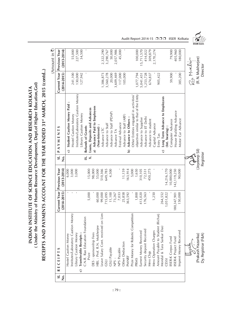(Under the Ministry of Human Resource Development, Dept.of Higher Education, Gol) **( Under the Ministry of Human Resource Development, Dept.of Higher Education,GoI)** INDIAN INSTITUTE OF SCIENCE EDUCATION AND RESEARCH KOLKATA **INDIAN INSTITUTE OF SCIENCE EDUCATION AND RESEARCH KOLKATA**

# RECEIPTS AND PAYMENTS ACCOUNT FOR THE YEAR ENDED 31<sup>st</sup> MARCH, 2015 (contd..) **RECEIPTS AND PAYMENTS ACCOUNT FOR THE YEAR ENDED 31st MARCH, 2015 (contd..)**

|   |     |                                        |                 |                      |                    |                                              |                 | Amount in $\bar{\zeta}$ |
|---|-----|----------------------------------------|-----------------|----------------------|--------------------|----------------------------------------------|-----------------|-------------------------|
|   | si. | <b>RECEIPTS</b>                        | Current Year    | <b>Previous Year</b> | $\overline{S}$ .   | S<br>PAYMENT                                 | Current Year    | Previous Year           |
| ż |     |                                        | $(2014 - 2015)$ | $(2013 - 2014)$      | $\dot{\mathsf{z}}$ |                                              | $(2014 - 2015)$ | $(2013 - 2014)$         |
|   |     | Hostel Caution Money                   |                 | 6,000                |                    | <b>Student Caution Money Paid</b><br>G       |                 |                         |
|   |     | Institutes/Laboratory Caution Money    | f.              | 3,000                |                    | <b>Hostel Caution Money</b>                  | 241,100         | 55,000                  |
|   |     | -ibrary Caution Money                  | $\mathfrak{g}$  | 3,000                |                    | Institutes/Laboratory Caution Money          | 130,000         | 227,500                 |
|   |     | Transferable Receipts:<br>ි            |                 |                      |                    | Library Caution Money                        | 127,942         | 34,500                  |
|   |     | C.N.R. Rao Education Foundation        |                 |                      | ×.                 | Refunds of Grants                            | f,              |                         |
|   |     | Prize                                  | 5,000           | 15,000               | $\dot{\times}$     | Loans, Deposits and Advances                 |                 |                         |
|   |     | DES : sponsorship Fees                 |                 | 98,000               |                    | Advance Paid to Employees<br>ನ               |                 |                         |
|   |     | HBL: Prof. R.N. Mukherjee              | 60,000          | 55,000               |                    | (Non-Interest):                              |                 |                         |
|   |     | Lien<br>Leave Salary Cont. received on | 99,000          | 510,366              |                    | Advance LTC                                  | 1,386,873       | 2,322,290               |
|   |     | <b>USD</b>                             | 715,095         | 649,785              |                    | Advance to Staff                             | 3,560,278       | 3,290,767               |
|   |     | GSLI Payable                           | 11,100          | 4,500                |                    | Advance to Staff (PDAP)                      | 20,000          | 50,000                  |
|   |     | NPS-                                   | 73,267          |                      |                    | Advance TA                                   | 3,609,469       | 2,057,986               |
|   |     | NPS Payable                            | 7,033           |                      |                    | Festival Advance                             | 117,000         | 45,000                  |
|   |     | Other Deduction                        | 25,858          | 11,159               |                    | Advance to Staff (ARF)                       | 105,000         |                         |
|   |     | PMNRF                                  | 363,592         | 163,914              |                    | Advance to Others:<br>$\widehat{\mathbf{p}}$ |                 |                         |
|   |     | Prize Money for Robotic Competition    |                 | 5,000                |                    | Other Entities engaged in activities/        |                 |                         |
|   |     | <b>PRMS</b>                            | 1,800           | 1,650                |                    | objectives similar to that of the Entity     | 1,077,794       | 100,000                 |
|   |     | Earnest Money Received                 | 413,020         | 310,105              |                    | Advance to Supplier                          | 5,041,451       | 15,711,570              |
|   |     | Security deposit Received              | 176,563         | 72,531               |                    | Advance to IIT Delhi                         | 1,253,728       | 414,022                 |
|   |     | Mess Chgs                              |                 | 450,275              |                    | Advance to student                           | 674,837         | 309,879                 |
|   |     | Mess Operation Charges                 | 1,250           |                      |                    | Capital Advance                              |                 | 2,170,274               |
|   |     | Amount Payable to Student (Richarj     |                 |                      |                    | Intry Tax                                    | 905,422         |                         |
|   |     | Mondal & Tara Sankar Das)              | 264,552         |                      |                    | Long Term Advance to Employees<br>ಾ          |                 |                         |
|   |     | <b>CESSI</b>                           | 1,051,822       | 14,216,170           |                    | Int. bearing):                               |                 |                         |
|   |     | ISER-K Corpus Fund                     |                 | 10,000,000           |                    | Computer Advance                             | 59,900          | 79,900                  |
|   |     | ISER-K Project Fund                    | 180, 347, 901   | 142, 119, 250        |                    | House Building Advance                       |                 | 405,960                 |
|   |     | Imprest Money Received                 | 150,000         | 90,000               |                    | Motor Car Advance                            | 385,200         | 180,000                 |
|   |     |                                        |                 |                      |                    |                                              |                 |                         |
|   |     |                                        |                 |                      |                    |                                              |                 | 2a Murliga              |
|   |     |                                        |                 |                      |                    |                                              |                 |                         |
|   |     | (Prakash Hazarika)                     |                 |                      | Coydeep Sil)       |                                              |                 | (R. N. Mukherjee)       |
|   |     | Dy. Registrar (F&A)                    |                 |                      | Registrar          |                                              |                 | Director                |

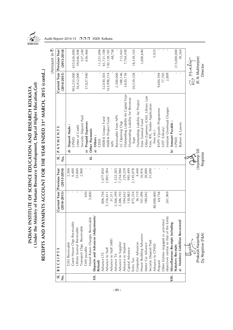

## RECEIPTS AND PAYMENTS ACCOUNT FOR THE YEAR ENDED 31<sup>st</sup> MARCH, 2015 (contd..) **RECEIPTS AND PAYMENTS ACCOUNT FOR THE YEAR ENDED 31st MARCH, 2015 (contd..)** INDIAN INSTITUTE OF SCIENCE EDUCATION AND RESEARCH KOLKATA<br>( Under the Ministry of Human Resource Development, Dept.of Higher Education, Gol) **( Under the Ministry of Human Resource Development, Dept.of Higher Education,GoI) INDIAN INSTITUTE OF SCIENCE EDUCATION AND RESEARCH KOLKATA**

 $\hat{r}$  $\cdot$ <sup>1</sup>  $\sim$ 

| Current Year Previous Year<br>65,721,108<br>130, 128, 185<br>5,925<br>215,000,000<br>$(2013 - 2014)$<br>655,626,000<br>59,646,948<br>527,240<br>656,466<br>11,231,099<br>48,758<br>112,443<br>7,764,458<br>1,000,690<br>18,339,103<br>18,264<br>(R. N. Mukherjee)<br>2a Murliga<br>Director<br>$\mathbb{L}$<br>37,027,940<br>163,998,314<br>188,146<br>3,620,736<br>20,539,328<br>77,705<br>2,809<br>902,233,000<br>56,412,000<br>52,030,303<br>2,500,000<br>9,604,594<br>$(2014 - 2015)$<br>Outstanding Liability for Capital Exps<br>Other Expenses (CMS, Library Late<br>Outstanding Liability for Revenue<br>Outstanding Liability for Project<br>Fine, RTI, Tender Application<br>nstitute Overhead Charges<br>KVPY Vijyoshi Programme<br>Receivable From NPS<br>Security Deposit Paid<br>ISER-K Corpus Fund<br>IISER-K Project Fund<br>from General Fund<br>LC Opening Chgs<br>Prepaid Expenses<br>Amount Payable<br>Balmer & Lawrie<br>Deposit Made:<br>Letter of Credit<br>S<br>GIST (Library)<br>Other Payments<br>PAYMENT<br>Fees etc.)<br>Others:<br>Exps<br><b>GWP</b><br>CPWD<br><b>CESSI</b><br><b>NPS</b><br>(Joydeep Sil)<br>$\widehat{\mathbf{e}}$<br>ನ<br>€<br>$\hat{a}$<br>Registrar<br>si.<br>$\overline{\mathsf{x}}$ l.<br>天了<br>。<br>2<br>53,840<br>2,900<br>7,254,984<br>229,239<br>995,499<br>4,440<br>16,916<br>20,000<br>6,400<br>1,477,850<br>2,801,584<br>1,322,205<br>2,145,078<br>51,690<br>2,500<br><b>Previous Year</b><br>$(2013 - 2014)$<br>Current Year<br>36,119<br>101,496<br>650<br>2,566,399<br>594,632<br>130,083<br>875,254<br>180,042<br>69,758<br>261,969<br>5,600<br>806,744<br>3,386,193<br>80,000,000<br>3,156,611<br>$(2014 - 2015)$<br>31,511<br>Deposits and Advances (Adjustments/<br>objectives similar to that of the Entity<br>Hostel Room Charges Receivable<br>Other Entities engaged in activities/<br>Statutory Liabilities Recovered/<br>Guest House Chgs Receivable<br>Miscellaneous Receipts including<br>Transport Chgs. Receivable<br>Library Journal Receivable<br>House Building Advances<br>(Prakash Hazarika)<br>Dy. Registrar (F&A)<br>Advance to Staff (ARF)<br>Security Deposit Paid<br><b>CSLI Receivable</b><br>Advance to Supplier<br>Computer Advances<br>Motor Car Advance<br>Advance to Student<br><b>Statutory Receipts</b><br>Advance to CPWD<br>CMS payable<br>Capital Advance<br>Advance to Staff<br>S<br>RECEIPT<br>Advance LTC<br>Advance TA<br>Entry Tax<br>Refund)<br>Prepaid<br>si.<br>XIII.<br>$\overline{\mathsf{x}}$<br>ż |  |  |  |  |
|------------------------------------------------------------------------------------------------------------------------------------------------------------------------------------------------------------------------------------------------------------------------------------------------------------------------------------------------------------------------------------------------------------------------------------------------------------------------------------------------------------------------------------------------------------------------------------------------------------------------------------------------------------------------------------------------------------------------------------------------------------------------------------------------------------------------------------------------------------------------------------------------------------------------------------------------------------------------------------------------------------------------------------------------------------------------------------------------------------------------------------------------------------------------------------------------------------------------------------------------------------------------------------------------------------------------------------------------------------------------------------------------------------------------------------------------------------------------------------------------------------------------------------------------------------------------------------------------------------------------------------------------------------------------------------------------------------------------------------------------------------------------------------------------------------------------------------------------------------------------------------------------------------------------------------------------------------------------------------------------------------------------------------------------------------------------------------------------------------------------------------------------------------------------------------------------------------------------------------------------------------------------------------------------------------------------------------------------------------------------------------------------------------------------------------------------------------------------------------------------------------------|--|--|--|--|
|                                                                                                                                                                                                                                                                                                                                                                                                                                                                                                                                                                                                                                                                                                                                                                                                                                                                                                                                                                                                                                                                                                                                                                                                                                                                                                                                                                                                                                                                                                                                                                                                                                                                                                                                                                                                                                                                                                                                                                                                                                                                                                                                                                                                                                                                                                                                                                                                                                                                                                                  |  |  |  |  |
|                                                                                                                                                                                                                                                                                                                                                                                                                                                                                                                                                                                                                                                                                                                                                                                                                                                                                                                                                                                                                                                                                                                                                                                                                                                                                                                                                                                                                                                                                                                                                                                                                                                                                                                                                                                                                                                                                                                                                                                                                                                                                                                                                                                                                                                                                                                                                                                                                                                                                                                  |  |  |  |  |
|                                                                                                                                                                                                                                                                                                                                                                                                                                                                                                                                                                                                                                                                                                                                                                                                                                                                                                                                                                                                                                                                                                                                                                                                                                                                                                                                                                                                                                                                                                                                                                                                                                                                                                                                                                                                                                                                                                                                                                                                                                                                                                                                                                                                                                                                                                                                                                                                                                                                                                                  |  |  |  |  |
|                                                                                                                                                                                                                                                                                                                                                                                                                                                                                                                                                                                                                                                                                                                                                                                                                                                                                                                                                                                                                                                                                                                                                                                                                                                                                                                                                                                                                                                                                                                                                                                                                                                                                                                                                                                                                                                                                                                                                                                                                                                                                                                                                                                                                                                                                                                                                                                                                                                                                                                  |  |  |  |  |
|                                                                                                                                                                                                                                                                                                                                                                                                                                                                                                                                                                                                                                                                                                                                                                                                                                                                                                                                                                                                                                                                                                                                                                                                                                                                                                                                                                                                                                                                                                                                                                                                                                                                                                                                                                                                                                                                                                                                                                                                                                                                                                                                                                                                                                                                                                                                                                                                                                                                                                                  |  |  |  |  |
|                                                                                                                                                                                                                                                                                                                                                                                                                                                                                                                                                                                                                                                                                                                                                                                                                                                                                                                                                                                                                                                                                                                                                                                                                                                                                                                                                                                                                                                                                                                                                                                                                                                                                                                                                                                                                                                                                                                                                                                                                                                                                                                                                                                                                                                                                                                                                                                                                                                                                                                  |  |  |  |  |
|                                                                                                                                                                                                                                                                                                                                                                                                                                                                                                                                                                                                                                                                                                                                                                                                                                                                                                                                                                                                                                                                                                                                                                                                                                                                                                                                                                                                                                                                                                                                                                                                                                                                                                                                                                                                                                                                                                                                                                                                                                                                                                                                                                                                                                                                                                                                                                                                                                                                                                                  |  |  |  |  |
|                                                                                                                                                                                                                                                                                                                                                                                                                                                                                                                                                                                                                                                                                                                                                                                                                                                                                                                                                                                                                                                                                                                                                                                                                                                                                                                                                                                                                                                                                                                                                                                                                                                                                                                                                                                                                                                                                                                                                                                                                                                                                                                                                                                                                                                                                                                                                                                                                                                                                                                  |  |  |  |  |
|                                                                                                                                                                                                                                                                                                                                                                                                                                                                                                                                                                                                                                                                                                                                                                                                                                                                                                                                                                                                                                                                                                                                                                                                                                                                                                                                                                                                                                                                                                                                                                                                                                                                                                                                                                                                                                                                                                                                                                                                                                                                                                                                                                                                                                                                                                                                                                                                                                                                                                                  |  |  |  |  |
|                                                                                                                                                                                                                                                                                                                                                                                                                                                                                                                                                                                                                                                                                                                                                                                                                                                                                                                                                                                                                                                                                                                                                                                                                                                                                                                                                                                                                                                                                                                                                                                                                                                                                                                                                                                                                                                                                                                                                                                                                                                                                                                                                                                                                                                                                                                                                                                                                                                                                                                  |  |  |  |  |
|                                                                                                                                                                                                                                                                                                                                                                                                                                                                                                                                                                                                                                                                                                                                                                                                                                                                                                                                                                                                                                                                                                                                                                                                                                                                                                                                                                                                                                                                                                                                                                                                                                                                                                                                                                                                                                                                                                                                                                                                                                                                                                                                                                                                                                                                                                                                                                                                                                                                                                                  |  |  |  |  |
|                                                                                                                                                                                                                                                                                                                                                                                                                                                                                                                                                                                                                                                                                                                                                                                                                                                                                                                                                                                                                                                                                                                                                                                                                                                                                                                                                                                                                                                                                                                                                                                                                                                                                                                                                                                                                                                                                                                                                                                                                                                                                                                                                                                                                                                                                                                                                                                                                                                                                                                  |  |  |  |  |
|                                                                                                                                                                                                                                                                                                                                                                                                                                                                                                                                                                                                                                                                                                                                                                                                                                                                                                                                                                                                                                                                                                                                                                                                                                                                                                                                                                                                                                                                                                                                                                                                                                                                                                                                                                                                                                                                                                                                                                                                                                                                                                                                                                                                                                                                                                                                                                                                                                                                                                                  |  |  |  |  |
|                                                                                                                                                                                                                                                                                                                                                                                                                                                                                                                                                                                                                                                                                                                                                                                                                                                                                                                                                                                                                                                                                                                                                                                                                                                                                                                                                                                                                                                                                                                                                                                                                                                                                                                                                                                                                                                                                                                                                                                                                                                                                                                                                                                                                                                                                                                                                                                                                                                                                                                  |  |  |  |  |
|                                                                                                                                                                                                                                                                                                                                                                                                                                                                                                                                                                                                                                                                                                                                                                                                                                                                                                                                                                                                                                                                                                                                                                                                                                                                                                                                                                                                                                                                                                                                                                                                                                                                                                                                                                                                                                                                                                                                                                                                                                                                                                                                                                                                                                                                                                                                                                                                                                                                                                                  |  |  |  |  |
|                                                                                                                                                                                                                                                                                                                                                                                                                                                                                                                                                                                                                                                                                                                                                                                                                                                                                                                                                                                                                                                                                                                                                                                                                                                                                                                                                                                                                                                                                                                                                                                                                                                                                                                                                                                                                                                                                                                                                                                                                                                                                                                                                                                                                                                                                                                                                                                                                                                                                                                  |  |  |  |  |
|                                                                                                                                                                                                                                                                                                                                                                                                                                                                                                                                                                                                                                                                                                                                                                                                                                                                                                                                                                                                                                                                                                                                                                                                                                                                                                                                                                                                                                                                                                                                                                                                                                                                                                                                                                                                                                                                                                                                                                                                                                                                                                                                                                                                                                                                                                                                                                                                                                                                                                                  |  |  |  |  |
|                                                                                                                                                                                                                                                                                                                                                                                                                                                                                                                                                                                                                                                                                                                                                                                                                                                                                                                                                                                                                                                                                                                                                                                                                                                                                                                                                                                                                                                                                                                                                                                                                                                                                                                                                                                                                                                                                                                                                                                                                                                                                                                                                                                                                                                                                                                                                                                                                                                                                                                  |  |  |  |  |
|                                                                                                                                                                                                                                                                                                                                                                                                                                                                                                                                                                                                                                                                                                                                                                                                                                                                                                                                                                                                                                                                                                                                                                                                                                                                                                                                                                                                                                                                                                                                                                                                                                                                                                                                                                                                                                                                                                                                                                                                                                                                                                                                                                                                                                                                                                                                                                                                                                                                                                                  |  |  |  |  |
|                                                                                                                                                                                                                                                                                                                                                                                                                                                                                                                                                                                                                                                                                                                                                                                                                                                                                                                                                                                                                                                                                                                                                                                                                                                                                                                                                                                                                                                                                                                                                                                                                                                                                                                                                                                                                                                                                                                                                                                                                                                                                                                                                                                                                                                                                                                                                                                                                                                                                                                  |  |  |  |  |
|                                                                                                                                                                                                                                                                                                                                                                                                                                                                                                                                                                                                                                                                                                                                                                                                                                                                                                                                                                                                                                                                                                                                                                                                                                                                                                                                                                                                                                                                                                                                                                                                                                                                                                                                                                                                                                                                                                                                                                                                                                                                                                                                                                                                                                                                                                                                                                                                                                                                                                                  |  |  |  |  |
|                                                                                                                                                                                                                                                                                                                                                                                                                                                                                                                                                                                                                                                                                                                                                                                                                                                                                                                                                                                                                                                                                                                                                                                                                                                                                                                                                                                                                                                                                                                                                                                                                                                                                                                                                                                                                                                                                                                                                                                                                                                                                                                                                                                                                                                                                                                                                                                                                                                                                                                  |  |  |  |  |
|                                                                                                                                                                                                                                                                                                                                                                                                                                                                                                                                                                                                                                                                                                                                                                                                                                                                                                                                                                                                                                                                                                                                                                                                                                                                                                                                                                                                                                                                                                                                                                                                                                                                                                                                                                                                                                                                                                                                                                                                                                                                                                                                                                                                                                                                                                                                                                                                                                                                                                                  |  |  |  |  |
|                                                                                                                                                                                                                                                                                                                                                                                                                                                                                                                                                                                                                                                                                                                                                                                                                                                                                                                                                                                                                                                                                                                                                                                                                                                                                                                                                                                                                                                                                                                                                                                                                                                                                                                                                                                                                                                                                                                                                                                                                                                                                                                                                                                                                                                                                                                                                                                                                                                                                                                  |  |  |  |  |
|                                                                                                                                                                                                                                                                                                                                                                                                                                                                                                                                                                                                                                                                                                                                                                                                                                                                                                                                                                                                                                                                                                                                                                                                                                                                                                                                                                                                                                                                                                                                                                                                                                                                                                                                                                                                                                                                                                                                                                                                                                                                                                                                                                                                                                                                                                                                                                                                                                                                                                                  |  |  |  |  |
|                                                                                                                                                                                                                                                                                                                                                                                                                                                                                                                                                                                                                                                                                                                                                                                                                                                                                                                                                                                                                                                                                                                                                                                                                                                                                                                                                                                                                                                                                                                                                                                                                                                                                                                                                                                                                                                                                                                                                                                                                                                                                                                                                                                                                                                                                                                                                                                                                                                                                                                  |  |  |  |  |
|                                                                                                                                                                                                                                                                                                                                                                                                                                                                                                                                                                                                                                                                                                                                                                                                                                                                                                                                                                                                                                                                                                                                                                                                                                                                                                                                                                                                                                                                                                                                                                                                                                                                                                                                                                                                                                                                                                                                                                                                                                                                                                                                                                                                                                                                                                                                                                                                                                                                                                                  |  |  |  |  |
|                                                                                                                                                                                                                                                                                                                                                                                                                                                                                                                                                                                                                                                                                                                                                                                                                                                                                                                                                                                                                                                                                                                                                                                                                                                                                                                                                                                                                                                                                                                                                                                                                                                                                                                                                                                                                                                                                                                                                                                                                                                                                                                                                                                                                                                                                                                                                                                                                                                                                                                  |  |  |  |  |
|                                                                                                                                                                                                                                                                                                                                                                                                                                                                                                                                                                                                                                                                                                                                                                                                                                                                                                                                                                                                                                                                                                                                                                                                                                                                                                                                                                                                                                                                                                                                                                                                                                                                                                                                                                                                                                                                                                                                                                                                                                                                                                                                                                                                                                                                                                                                                                                                                                                                                                                  |  |  |  |  |
|                                                                                                                                                                                                                                                                                                                                                                                                                                                                                                                                                                                                                                                                                                                                                                                                                                                                                                                                                                                                                                                                                                                                                                                                                                                                                                                                                                                                                                                                                                                                                                                                                                                                                                                                                                                                                                                                                                                                                                                                                                                                                                                                                                                                                                                                                                                                                                                                                                                                                                                  |  |  |  |  |
|                                                                                                                                                                                                                                                                                                                                                                                                                                                                                                                                                                                                                                                                                                                                                                                                                                                                                                                                                                                                                                                                                                                                                                                                                                                                                                                                                                                                                                                                                                                                                                                                                                                                                                                                                                                                                                                                                                                                                                                                                                                                                                                                                                                                                                                                                                                                                                                                                                                                                                                  |  |  |  |  |
|                                                                                                                                                                                                                                                                                                                                                                                                                                                                                                                                                                                                                                                                                                                                                                                                                                                                                                                                                                                                                                                                                                                                                                                                                                                                                                                                                                                                                                                                                                                                                                                                                                                                                                                                                                                                                                                                                                                                                                                                                                                                                                                                                                                                                                                                                                                                                                                                                                                                                                                  |  |  |  |  |
|                                                                                                                                                                                                                                                                                                                                                                                                                                                                                                                                                                                                                                                                                                                                                                                                                                                                                                                                                                                                                                                                                                                                                                                                                                                                                                                                                                                                                                                                                                                                                                                                                                                                                                                                                                                                                                                                                                                                                                                                                                                                                                                                                                                                                                                                                                                                                                                                                                                                                                                  |  |  |  |  |
|                                                                                                                                                                                                                                                                                                                                                                                                                                                                                                                                                                                                                                                                                                                                                                                                                                                                                                                                                                                                                                                                                                                                                                                                                                                                                                                                                                                                                                                                                                                                                                                                                                                                                                                                                                                                                                                                                                                                                                                                                                                                                                                                                                                                                                                                                                                                                                                                                                                                                                                  |  |  |  |  |
|                                                                                                                                                                                                                                                                                                                                                                                                                                                                                                                                                                                                                                                                                                                                                                                                                                                                                                                                                                                                                                                                                                                                                                                                                                                                                                                                                                                                                                                                                                                                                                                                                                                                                                                                                                                                                                                                                                                                                                                                                                                                                                                                                                                                                                                                                                                                                                                                                                                                                                                  |  |  |  |  |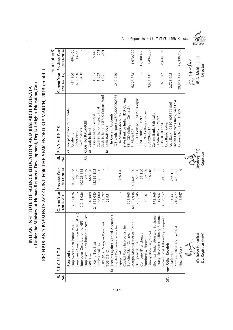(Under the Ministry of Human Resource Development, Dept.of Higher Education, Gol) **( Under the Ministry of Human Resource Development, Dept.of Higher Education,GoI)** INDIAN INSTITUTE OF SCIENCE EDUCATION AND RESEARCH KOLKATA **INDIAN INSTITUTE OF SCIENCE EDUCATION AND RESEARCH KOLKATA**

# RECEIPTS AND PAYMENTS ACCOUNT FOR THE YEAR ENDED 31<sup>st</sup> MARCH, 2015 (contd..) **RECEIPTS AND PAYMENTS ACCOUNT FOR THE YEAR ENDED 31st MARCH, 2015 (contd..)**

|      |                                       |                 |                      |                            |                                                |                 | Amount in $\bar{\mathbf{z}}$ |
|------|---------------------------------------|-----------------|----------------------|----------------------------|------------------------------------------------|-----------------|------------------------------|
| si.  | <b>RECEIPTS</b>                       | Current Year    | <b>Previous Year</b> | $\overline{\mathsf{sl}}$ . | PAYMENTS                                       | Current Year    | <b>Previous Year</b>         |
| ż    |                                       | $(2014 - 2015)$ | $(2013 - 2014)$      | ف<br>Z                     |                                                | $(2014 - 2015)$ | $(2013 - 2014)$              |
|      | Received:                             |                 |                      |                            | Fee paid back to Students<br>$\hat{c}$         |                 |                              |
|      | Employees Contribution to NPS         | 13,045,026      | 10,326,888           |                            | Academic                                       | 484,300         | 494,450                      |
|      | Employees Contribution to NPS(Lien)   |                 | 29,369               |                            | Other Fees                                     | 614,800         | 43,000                       |
|      | Employers Contribution to NPS         | 13,045,026      | 10,326,888           |                            | Examinations                                   | 9,450           |                              |
|      | Employers Contribution to NPS(Lien)   |                 | 29,369               | $\overline{\mathsf{x}}$    | <b>CLOSING BALANCES</b>                        |                 |                              |
|      | <b>GPF Lien</b>                       | 510,000         | 660,000              |                            | Cash in hand<br>ನ                              |                 |                              |
|      | Income Tax Staff                      | 21,364,040      | 15,386,105           |                            | Cash in hand -General                          | 1,555           | 5,449                        |
|      | Professional Tax                      | 358,000         | 319,200              |                            | Cash in hand-Project Fund                      | 1,653           | 511                          |
|      | JUPF (Prof. Narayan Banerjee)         | 61,792          |                      |                            | Cash in hand- IISER-K Corpus Fund              | 1,091           | 1,091                        |
|      | TDS (194C)                            | 29,951          |                      |                            | <b>Bank Balances</b><br>$\widehat{\mathbf{p}}$ |                 |                              |
|      | Receipts against Capital Account:     |                 |                      |                            | i. In Current Accounts :                       |                 |                              |
|      | Capital Work-in-progress for          |                 |                      |                            | OB, Mohanpur: 325002000000033                  | 1,019,920       | $\,$ I                       |
|      | Equipment                             | ĭ.              | 326,170              |                            | ii. In Savings Accounts :                      |                 |                              |
|      | Capital Work-in-progress for          |                 |                      |                            | State Bank of India, IDD College               |                 |                              |
|      | <b>Building Main Campus</b>           | 605,965         |                      |                            | SBI IDD College - General                      |                 |                              |
|      | Margin Money/Letter of Credit         | 64,201,948      | 201,606,400          |                            | 3476346896                                     | 6,226,668       | 4,670,322                    |
|      | LC Opening Chgs                       | 235,745         | 52,660               |                            | SBI IDD College - IISER-K Corpus               |                 |                              |
|      | Computer/Pheripherals                 |                 | 31,100               |                            | Fund: 30853001997                              |                 | 12,208,469                   |
|      | Furniture & Fixture                   | 59,101          | 39,000               |                            | SBI IDD College - Project                      |                 |                              |
|      | Library Books & Journal               |                 | 116,218              |                            | 30852948917                                    | 3,934,411       | 5,494,339                    |
|      | Electrical Installation and Equipment | 172,568         |                      |                            | Canara Bank, Salt Lake                         |                 |                              |
|      | Intangible Assest - Library E-Journal | 19,937          |                      |                            | Canara Bank -Project :                         |                 |                              |
|      | Sscientific & Laboratory Equipment    | 3,358,752       | 399,525              |                            | 2549101014224                                  | 1,073,642       | 8,644,106                    |
| XIV. | Any Other Receipts                    |                 |                      |                            | Axis Bank, Kalyani                             |                 |                              |
|      | Academic                              | 1,445,351       | 748,101              |                            | Axis Bank: 913010056011865                     | 2,728,005       |                              |
|      | Administrative and General            | 218,627         | 473,671              |                            | Indian Overseas Bank, Salt Lake                |                 |                              |
|      | Finance Costs                         | 1,847           | $\circ$              |                            | Account Number: 11530                          | 29,917,475      | 72,338,708                   |
|      |                                       |                 |                      |                            |                                                |                 |                              |
|      |                                       |                 |                      |                            |                                                |                 | 2a Murliga                   |
|      |                                       |                 |                      | 天上                         |                                                |                 |                              |
|      | (Prakash Hazarika)                    |                 |                      | (Joydeep Sil)              |                                                |                 | (R. N. Mukherjee)            |
|      | Dy. Registrar (F&A)                   |                 |                      | Registrar                  |                                                |                 | Director                     |

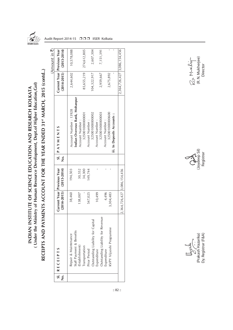

# INDIAN INSTITUTE OF SCIENCE EDUCATION AND RESEARCH KOLKATA<br>( Under the Ministry of Human Resource Development, Dept.of Higher Education, Gol) **( Under the Ministry of Human Resource Development, Dept.of Higher Education,GoI) INDIAN INSTITUTE OF SCIENCE EDUCATION AND RESEARCH KOLKATA**

RECEIPTS AND PAYMENTS ACCOUNT FOR THE YEAR ENDED 31<sup>st</sup> MARCH, 2015 (contd..) **RECEIPTS AND PAYMENTS ACCOUNT FOR THE YEAR ENDED 31st MARCH, 2015 (contd..)**

|   |                                                      |                             |                                                             |   |                                                         |                             | (Amount in 3)               |
|---|------------------------------------------------------|-----------------------------|-------------------------------------------------------------|---|---------------------------------------------------------|-----------------------------|-----------------------------|
| ż | $S.$ RECEIPTS                                        |                             | Current Year   Previous Year<br>$(2014-2015)$ $(2013-2014)$ | ż | SI. PAYMENTS                                            | Current Year Previous Year  | $(2014-2015)$ $(2013-2014)$ |
|   | Staff Payment & Benefits<br>Repair & Maintenance     | 38,460                      | 194,503                                                     |   | Indian Overseas Bank, Mohanpur<br>Account Number: 13928 | 2,644,602                   | 10,578,088                  |
|   | (Establishment)<br><b>Transportation</b>             | 138,007                     | 30,552<br>34,300                                            |   | 325001000000001<br>Account Number:                      | 85,655,219                  |                             |
|   | Prior Period                                         | 547,025                     | 149,744                                                     |   | Account Number:                                         |                             | 274,612,805                 |
|   | Outstanding Liability for Capital                    |                             |                                                             |   | 325001000000002<br>Account Number:                      | 104,322,917                 | 2,607,304                   |
|   | enue<br>Outstanding Liability for Rev<br>Expenditure | 10,499                      |                                                             |   | 325001000000003                                         | 2,959,667                   | 7,151,391                   |
|   | <i>Expenditure</i>                                   | 4,496                       |                                                             |   | Account Number:                                         |                             |                             |
|   | <b>XVPY Vijyoshi Programme</b>                       | 3,304,483                   |                                                             |   | 325001000000600<br>iii. In Deposits Accounts :          | 2,675,892                   |                             |
|   |                                                      | 2,364,726,427 3,086,154,456 |                                                             |   |                                                         | 2,364,726,427 3,086,154,456 |                             |

 $\mathcal{L}_{22}$ . Mukherjee)<br>(R. N. Mukherjee)<br>Director



(Prakash Hazarika) (Joydeep Sil) (R. N. Mukherjee) Dy. Registrar (F&A) Registrar Director $\bigcup_{\substack{\mathcal{O} \subset \mathcal{L} \\ \mathcal{O} \\ \mathcal{O} \\ \mathcal{O} \\ \mathcal{O} \\ \mathcal{O} \times \mathcal{V} \\ \mathcal{O} \times \mathcal{V} \\ \mathcal{O} \times \mathcal{V} \\ \mathcal{O} \times \mathcal{V} \\ \mathcal{O} \times \mathcal{V} \\ \mathcal{O} \times \mathcal{V} \\ \mathcal{V} \times \mathcal{V} \\ \mathcal{V} \times \mathcal{V} \\ \mathcal{V} \times \mathcal{V} \times \mathcal{V} \times \mathcal{V} \times \mathcal{V} \times \mathcal{V} \times \math$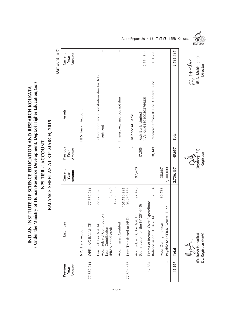(Under the Ministry of Human Resource Development, Dept.of Higher Education, Gol) **( Under the Ministry of Human Resource Development, Dept.of Higher Education,GoI)** INDIAN INSTITUTE OF SCIENCE EDUCATION AND RESEARCH KOLKATA **INDIAN INSTITUTE OF SCIENCE EDUCATION AND RESEARCH KOLKATA** NPS TIER -I ACCOUNT

### BALANCE SHEET AS AT 31<sup>st</sup> MARCH, 2015 **BALANCE SHEET AS AT 31st MARCH, 2015 NPS TIER -I ACCOUNT**

(Amount in  $\overline{\tau}$ ) (Amount in  $\bar{\mathbf{z}}$ )

| Previous<br>Amount<br>Year | Liabilities                                                                                                           | Current<br>Amount<br>Year | Previous<br>Amount<br>Year      | Assets                                                   | Current<br>Amount<br>Year |
|----------------------------|-----------------------------------------------------------------------------------------------------------------------|---------------------------|---------------------------------|----------------------------------------------------------|---------------------------|
|                            | NPS Tier-I Account                                                                                                    |                           |                                 | NPS Tier - I Account:                                    |                           |
| 77,882,211                 | 77,882,211<br>OPENING BALANCE                                                                                         |                           |                                 |                                                          |                           |
|                            | 27,976,095<br>97,470<br>Add: Sub + U Contribution<br>Less: Sub.For 3/2014<br>Less: Contribution<br>(PRAN not alloted) |                           |                                 | Subscription and Contribution due for 3/15<br>Investment | $\mathbf{I}$              |
|                            | 105,760,836<br>105,760,836<br>Add: Interest Credited                                                                  |                           | $\mathbf{I}$                    | Interest Accrued but not due                             | $\mathbf I$               |
| 77,894,438                 | 105,760,836<br>$\overline{\square}$<br>Less: Transferred to NS                                                        |                           | $\mathfrak{g}$                  | <b>Balance at Bank:</b>                                  |                           |
|                            | 97,470<br>(Contribution for the FY 2014-15)<br>Add: Sub+ UC for 3/2015                                                | 97,470                    | 17,308                          | (A/c No.913010050376982)<br>Axis Bank Limited            | 2,554,344                 |
| 57,884                     | 57,884<br>Excess of Income Over Expenditure<br>Balance as on 01.04.2014                                               |                           | 28,349                          | Receivable from IISER-K General Fund                     | 181,793                   |
| ĭ.                         | 80,783<br>Payable to IISER-K General Fund<br>Add: During the year                                                     | 138,667<br>2,500,000      |                                 |                                                          |                           |
| 45,657                     | <b>Total</b>                                                                                                          | 2,736,137                 | 45,657                          | <b>Total</b>                                             | 2,736,137                 |
|                            | Dy. Registrar (F&A)<br>(Prakash Hazarika)<br>ياس<br>مك                                                                |                           | $G_{\text{cycle}}$<br>Registrar | (R. N. Mukherjee)<br>Ra Murliga<br>Director              |                           |

Audit Report 2014-15 □□□ IISER Kolkata

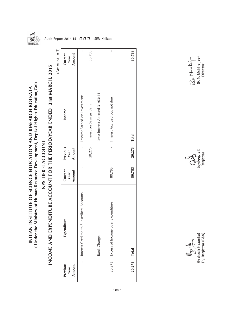

( Under the Ministry of Human Resource Development, Dept.of Higher Education, Gol) **( Under the Ministry of Human Resource Development, Dept.of Higher Education,GoI)** INDIAN INSTITUTE OF SCIENCE EDUCATION AND RESEARCH KOLKATA **INDIAN INSTITUTE OF SCIENCE EDUCATION AND RESEARCH KOLKATA**

## INCOME AND EXPENDITURE ACCOUNT FOR THE PERIOD/YEAR ENDED 31st MARCH, 2015 **INCOME AND EXPENDITURE ACCOUNT FOR THE PERIOD/YEAR ENDED 31st MARCH, 2015** NPS TIER -I ACCOUNT **NPS TIER -I ACCOUNT**

(Amount in  $\overline{z}$ ) (Amount in  $\bar{\mathbf{z}}$ )

Audit Report 2014-15 □□□ IISER Kolkata

| Previous<br>Amount<br>Year | Ľe<br>Expenditur                          | Current<br>Amount<br>Year | Previous<br>Amount<br>Year | Income                          | Current<br>Amount<br>Year |
|----------------------------|-------------------------------------------|---------------------------|----------------------------|---------------------------------|---------------------------|
|                            | Interest Credited to Subscribers Accounts |                           |                            | Interest Earned on Investment:  | $\mathbf{I}$              |
|                            |                                           |                           | 20,273                     | Interest on Savings Bank        | 80,783                    |
| $\mathbf{I}$               | <b>Bank Charges</b>                       | $\mathbf{I}$              | $\overline{1}$             | Less: Interest Accrued 31/03/14 | ı                         |
| 20,273                     | Expenditure<br>Excess of Income over      | 80,783                    | $\mathbf{I}$               | Interest Accrued but not due    | $\overline{1}$            |
|                            |                                           |                           |                            |                                 |                           |
| 20,273                     | Total                                     | 80,783                    | 20,273   Total             |                                 | 80,783                    |

r—<br>(R. N. Mukherjee)<br>Director Ra Murchign

 $\left(\begin{array}{c}\n\lambda \\
\lambda \\
\lambda \\
\lambda\n\end{array}\right)$ <br>
(Joydeep Sil)<br>
Registrar

(Prakash Hazarika) (Joydeep Sil) (R. N. Mukherjee) Dy. Registrar (F&A) Registrar Director $\bigcup_{\substack{\mathcal{O} \subset \mathcal{L} \\ \mathcal{O} \\ \mathcal{O} \\ \mathcal{O} \\ \mathcal{O} \\ \mathcal{O} \times \mathcal{V} \\ \mathcal{O} \times \mathcal{V} \\ \mathcal{O} \times \mathcal{V} \\ \mathcal{O} \times \mathcal{V} \\ \mathcal{O} \times \mathcal{V} \\ \mathcal{O} \times \mathcal{V} \\ \mathcal{V} \times \mathcal{V} \\ \mathcal{V} \times \mathcal{V} \\ \mathcal{V} \times \mathcal{V} \times \mathcal{V} \times \mathcal{V} \times \mathcal{V} \times \mathcal{V} \times \math$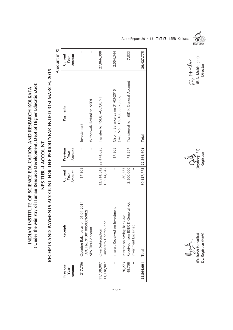(Under the Ministry of Human Resource Development, Dept.of Higher Education, Gol) **( Under the Ministry of Human Resource Development, Dept.of Higher Education,GoI)** INDIAN INSTITUTE OF SCIENCE EDUCATION AND RESEARCH KOLKATA **INDIAN INSTITUTE OF SCIENCE EDUCATION AND RESEARCH KOLKATA**

## RECEIPTS AND PAYMENTS ACCOUNT FOR THE PERIOD/YEAR ENDED 31st MARCH, 2015 **RECEIPTS AND PAYMENTS ACCOUNT FOR THE PERIOD/YEAR ENDED 31st MARCH, 2015** NPS TIER -1 ACCOUNT **NPS TIER -I ACCOUNT**

 $(Amount in 7)$ (Amount in  $\bar{z}$ )

| Previous<br>Amount<br>Year | <b>Receipts</b>                                                                         | Current<br>Amount<br>Year      | Previous<br>Amount<br>Year | Payments                                                      | Current<br>Amount<br>Year |
|----------------------------|-----------------------------------------------------------------------------------------|--------------------------------|----------------------------|---------------------------------------------------------------|---------------------------|
| 217,756                    | Opening Balance as on 01.04.2014<br>(A/C No. 913010050376982)                           | 17,308                         | I                          | Investement                                                   | I                         |
|                            | NPS Tier-I Account                                                                      |                                | I                          | Withdrwal/ Refund to NSDL                                     | I                         |
| 11,138,907<br>11,138,907   | University Contribution<br>Own Subscription                                             | 13,914,842                     | $13,914,842$ 22,474,026    | Transfer to NSDL ACCOUNT                                      | 27,866,398                |
| I                          | nvestment<br>Interest Received on I                                                     | $\begin{array}{c} \end{array}$ | 17,308                     | Clsoing Balance as on 31/03/2015<br>(A/C No. 913010050376982) | 2,554,344                 |
| 20,273<br>48,758           | Received from IISER K General A/c<br>Interest on saving bank a/c<br>Investment Encashed | 80,783<br>2,500,000            | 73,267                     | Transferred to IISER K General Account                        | 7,033                     |
| 22,564,601                 | Total                                                                                   |                                | $30,427,775$ 22,564,601    | <b>Total</b>                                                  | 30,427,775                |







Dy. Registrar (F&A) Registrar Director $\bigcup_{\substack{\mathcal{O} \subset \mathcal{L} \\ \mathcal{O} \\ \mathcal{O} \\ \mathcal{O} \\ \mathcal{O} \\ \mathcal{O} \times \mathcal{V} \\ \mathcal{O} \times \mathcal{V} \\ \mathcal{O} \times \mathcal{V} \\ \mathcal{H} = \mathcal{V} \\ \mathcal{H} = \mathcal{V} \\ \mathcal{H} = \mathcal{V} \\ \mathcal{H} = \mathcal{V} \\ \mathcal{H} = \mathcal{V} \\ \mathcal{H} = \mathcal{V} \\ \mathcal{H} = \mathcal{V} \\ \mathcal{H} = \mathcal{V} \\ \mathcal{H} = \mathcal{V}$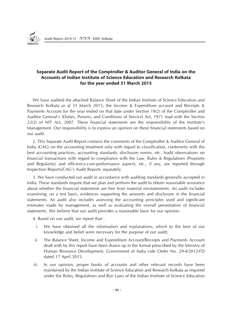

### **Separate Audit Report of the Comptroller & Auditor General of India on the Accounts of Indian Institute of Science Education and Research Kolkata for the year ended 31 March 2015**

We have audited the attached Balance Sheet of the Indian Institute of Science Education and Research Kolkata as at 31 March 2015, the Income & Expenditure account and Receipts & Payments Account for the year ended on that date under Section 19(2) of the Comptroller and Auditor General's (Duties, Powers, and Conditions of Service) Act, 1971 read with the Section 22(2) of NIT Act, 2007. These financial statements are the responsibility of the Institute's Management. Our responsibility is to express an opinion on these financial statements based on our audit.

2. This Separate Audit Report contains the comments of the Comptroller & Auditor General of India (CAG) on the accounting treatment only with regard to classification, conformity with the best accounting practices, accounting standards, disclosure norms, etc. Audit observations on financial transactions with regard to compliance with the Law, Rules & Regulations (Propriety and Regularity) and efficiency-cum-performance aspects, etc., if any, are reported through Inspection Reports/CAG's Audit Reports separately.

3. We have conducted our audit in accordance with auditing standards generally accepted in India. These standards require that we plan and perform the audit to obtain reasonable assurance about whether the financial statements are free from material misstatements. An audit includes examining, on a test basis, evidences supporting the amounts and disclosure in the financial statements. An audit also includes assessing the accounting principles used and significant estimates made by management, as well as evaluating the overall presentation of financial statements. We believe that our audit provides a reasonable basis for our opinion.

4. Based on our audit, we report that :

- i. We have obtained all the information and explanations, which to the best of our knowledge and belief were necessary for the purpose of our audit;
- ii. The Balance Sheet, Income and Expenditure Account/Receipts and Payments Account dealt with by this report have been drawn up in the format prescribed by the Ministry of Human Resource Development, Government of India vide Order No. 29-4/2012-FD dated 17 April 2015.
- iii. In our opinion, proper books of accounts and other relevant records have been maintained by the Indian Institute of Science Education and Research Kolkata as required under the Rules, Regulations and Bye Laws of the Indian Institute of Science Education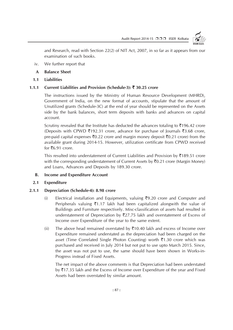

and Research, read with Section 22(2) of NIT Act, 2007, in so far as it appears from our examination of such books.

- iv. We further report that
- **A Balance Sheet**
- **1.1 Liabilities**

### **1.1.1 Current Liabilities and Provision (Schedule-3):** ` **30.25 crore**

The instructions issued by the Ministry of Human Resource Development (MHRD), Government of India, on the new format of accounts, stipulate that the amount of Unutilized grants (Schedule-3C) at the end of year should be represented on the Assets side by the bank balances, short term deposits with banks and advances on capital account.

Scrutiny revealed that the Institute has deducted the advances totaling to  $\overline{\tau}$ 196.42 crore (Deposits with CPWD  $\bar{\tau}$ 192.31 crore, advance for purchase of Journals  $\bar{\tau}$ 3.68 crore, pre-paid capital expenses  $\bar{z}$ 0.22 crore and margin money deposit  $\bar{z}$ 0.21 crore) from the available grant during 2014-15. However, utilization certificate from CPWD received for  $\bar{z}$ 6.91 crore.

This resulted into understatement of Current Liabilities and Provision by  $\bar{\tau}$ 189.51 crore with the corresponding understatement of Current Assets by  $\bar{\mathcal{F}}$ 0.21 crore (Margin Money) and Loans, Advances and Deposits by 189.30 crore.

**B. Income and Expenditure Account**

### **2.1 Expenditure**

### **2.1.1 Depreciation (Schedule-4): 8.98 crore**

- (i) Electrical installation and Equipments, valuing  $\bar{\mathcal{F}}9.20$  crore and Computer and Peripherals valuing  $\bar{\xi}$ 1.17 lakh had been capitalized alongwith the value of Buildings and Furniture respectively. Misc-classification of assets had resulted in understatement of Depreciation by  $\overline{3}27.75$  lakh and overstatement of Excess of Income over Expenditure of the year to the same extent.
- (ii) The above head remained overstated by  $\overline{\xi}10.40$  lakh and excess of Income over Expenditure remained understated as the depreciation had been charged on the asset (Time Correlated Single Photon Counting) worth  $\bar{\tau}$ 1.30 crore which was purchased and received in July 2014 but not put to use upto March 2015. Since, the asset was not put to use, the same should have been shown in Works-in-Progress instead of Fixed Assets.

The net impact of the above comments is that Depreciation had been understated by  $\overline{5}17.35$  lakh and the Excess of Income over Expenditure of the year and Fixed Assets had been overstated by similar amount.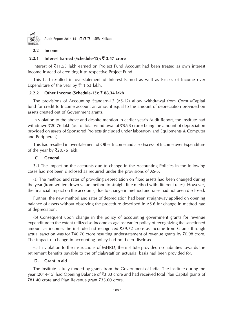

### **2.2 Income**

### **2.2.1 Interest Earned (Schedule-12):** ` **3.47 crore**

Interest of  $\bar{\tau}$ 11.53 lakh earned on Project Fund Account had been treated as own interest income instead of crediting it to respective Project Fund.

This had resulted in overstatement of Interest Earned as well as Excess of Income over Expenditure of the year by  $\overline{5}11.53$  lakh.

### **2.2.2 Other Income (Schedule-13):** ` **88.34 lakh**

The provisions of Accounting Standard-12 (AS-12) allow withdrawal from Corpus/Capital fund for credit to Income account an amount equal to the amount of depreciation provided on assets created out of Government grants.

In violation to the above and despite mention in earlier year's Audit Report, the Institute had withdrawn  $\bar{\xi}$ 20.76 lakh (out of total withdrawal of  $\bar{\xi}$ 8.98 crore) being the amount of depreciation provided on assets of Sponsored Projects (included under laboratory and Equipments & Computer and Peripherals).

This had resulted in overstatement of Other Income and also Excess of Income over Expenditure of the year by  $\overline{\mathfrak{r}}$  20.76 lakh.

### **C. General**

**3.1** The impact on the accounts due to change in the Accounting Policies in the following cases had not been disclosed as required under the provisions of AS-5.

(a) The method and rates of providing depreciation on fixed assets had been changed during the year (from written down value method to straight line method with different rates). However, the financial impact on the accounts, due to change in method and rates had not been disclosed.

Further, the new method and rates of depreciation had been straightway applied on opening balance of assets without observing the procedure described in AS-6 for change in method rate of depreciation.

(b) Consequent upon change in the policy of accounting government grants for revenue expenditure to the extent utilized as Income as against earlier policy of recognizing the sanctioned amount as income, the institute had recognized  $\overline{3}39.72$  crore as income from Grants through actual sanction was for  $\bar{\xi}40.70$  crore resulting understatement of revenue grants by  $\bar{\xi}0.98$  crore. The impact of change in accounting policy had not been disclosed.

(c) In violation to the instructions of MHRD, the institute provided no liabilities towards the retirement benefits payable to the officials/staff on actuarial basis had been provided for.

### **D. Grant-in-aid**

The Institute is fully funded by grants from the Government of India. The institute during the year (2014-15) had Opening Balance of  $\overline{3}3.83$  crore and had received total Plan Capital grants of  $\overline{581.40}$  crore and Plan Revenue grant  $\overline{535.60}$  crore.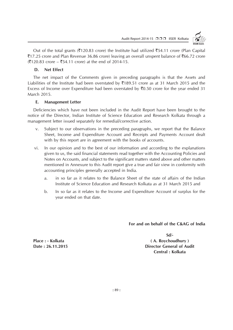

Out of the total grants ( $\overline{\xi}$ 120.83 crore) the Institute had utilized  $\overline{\xi}$ 54.11 crore (Plan Capital  $\overline{5}17.25$  crore and Plan Revenue 36.86 crore) leaving an overall unspent balance of  $\overline{5}66.72$  crore  $(20.83 \text{ core} - 54.11 \text{ core})$  at the end of 2014-15.

### **D. Net Effect**

The net impact of the Comments given in preceding paragraphs is that the Assets and Liabilities of the Institute had been overstated by  $\overline{3}189.51$  crore as at 31 March 2015 and the Excess of Income over Expenditure had been overstated by  $\bar{z}$ 0.50 crore for the year ended 31 March 2015.

### **E. Management Letter**

Deficiencies which have not been included in the Audit Report have been brought to the notice of the Director, Indian Institute of Science Education and Research Kolkata through a management letter issued separately for remedial/corrective action.

- v. Subject to our observations in the preceding paragraphs, we report that the Balance Sheet, Income and Expenditure Account and Receipts and Payments Account dealt with by this report are in agreement with the books of accounts.
- vi. In our opinion and to the best of our information and according to the explanations given to us, the said financial statements read together with the Accounting Policies and Notes on Accounts, and subject to the significant matters stated above and other matters mentioned in Annexure to this Audit report give a true and fair view in conformity with accounting principles generally accepted in India.
	- a. in so far as it relates to the Balance Sheet of the state of affairs of the Indian Institute of Science Education and Research Kolkata as at 31 March 2015 and
	- b. In so far as it relates to the Income and Expenditure Account of surplus for the year ended on that date.

### **For and on behalf of the C&AG of India**

**Sd/- Place : - Kolkata ( A. Roychoudhury ) Date : 26.11.2015 Director General of Audit Central : Kolkata**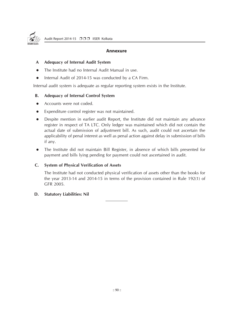

### **Annexure**

### **A Adequacy of Internal Audit System**

- The Institute had no Internal Audit Manual in use.
- Internal Audit of 2014-15 was conducted by a CA Firm.

Internal audit system is adequate as regular reporting system exists in the Institute.

### **B. Adequacy of Internal Control System**

- Accounts were not coded.
- Expenditure control register was not maintained.
- Despite mention in earlier audit Report, the Institute did not maintain any advance register in respect of TA LTC. Only ledger was maintained which did not contain the actual date of submission of adjustment bill. As such, audit could not ascertain the applicability of penal interest as well as penal action against delay in submission of bills if any.
- The Institute did not maintain Bill Register, in absence of which bills presented for payment and bills lying pending for payment could not ascertained in audit.

### **C. System of Physical Verification of Assets**

The Institute had not conducted physical verification of assets other than the books for the year 2013-14 and 2014-15 in terms of the provision contained in Rule 192(1) of GFR 2005.

### **D. Statutory Liabilities: Nil**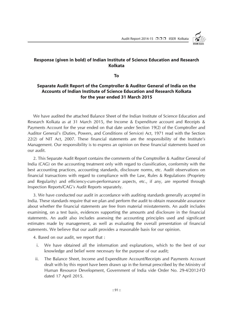

### **Response (given in bold) of Indian Institute of Science Education and Research Kolkata**

**To**

### **Separate Audit Report of the Comptroller & Auditor General of India on the Accounts of Indian Institute of Science Education and Research Kolkata for the year ended 31 March 2015**

We have audited the attached Balance Sheet of the Indian Institute of Science Education and Research Kolkata as at 31 March 2015, the Income & Expenditure account and Receipts & Payments Account for the year ended on that date under Section 19(2) of the Comptroller and Auditor General's (Duties, Powers, and Conditions of Service) Act, 1971 read with the Section 22(2) of NIT Act, 2007. These financial statements are the responsibility of the Institute's Management. Our responsibility is to express an opinion on these financial statements based on our audit.

2. This Separate Audit Report contains the comments of the Comptroller & Auditor General of India (CAG) on the accounting treatment only with regard to classification, conformity with the best accounting practices, accounting standards, disclosure norms, etc. Audit observations on financial transactions with regard to compliance with the Law, Rules & Regulations (Propriety and Regularity) and efficiency-cum-performance aspects, etc., if any, are reported through Inspection Reports/CAG's Audit Reports separately.

3. We have conducted our audit in accordance with auditing standards generally accepted in India. These standards require that we plan and perform the audit to obtain reasonable assurance about whether the financial statements are free from material misstatements. An audit includes examining, on a test basis, evidences supporting the amounts and disclosure in the financial statements. An audit also includes assessing the accounting principles used and significant estimates made by management, as well as evaluating the overall presentation of financial statements. We believe that our audit provides a reasonable basis for our opinion.

4. Based on our audit, we report that :

- i. We have obtained all the information and explanations, which to the best of our knowledge and belief were necessary for the purpose of our audit;
- ii. The Balance Sheet, Income and Expenditure Account/Receipts and Payments Account dealt with by this report have been drawn up in the format prescribed by the Ministry of Human Resource Development, Government of India vide Order No. 29-4/2012-FD dated 17 April 2015.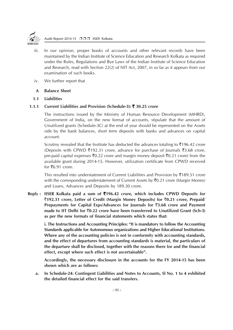

- iii. In our opinion, proper books of accounts and other relevant records have been maintained by the Indian Institute of Science Education and Research Kolkata as required under the Rules, Regulations and Bye Laws of the Indian Institute of Science Education and Research, read with Section 22(2) of NIT Act, 2007, in so far as it appears from our examination of such books.
- iv. We further report that

### **A Balance Sheet**

### **1.1 Liabilities**

### **1.1.1 Current Liabilities and Provision (Schedule-3):** ` **30.25 crore**

The instructions issued by the Ministry of Human Resource Development (MHRD), Government of India, on the new format of accounts, stipulate that the amount of Unutilized grants (Schedule-3C) at the end of year should be represented on the Assets side by the bank balances, short term deposits with banks and advances on capital account.

Scrutiny revealed that the Institute has deducted the advances totaling to  $\overline{\tau}$ 196.42 crore (Deposits with CPWD ₹192.31 crore, advance for purchase of Journals ₹3.68 crore, pre-paid capital expenses  $\bar{z}$ 0.22 crore and margin money deposit  $\bar{z}$ 0.21 crore) from the available grant during 2014-15. However, utilization certificate from CPWD received for  $\bar{z}$ 6.91 crore.

This resulted into understatement of Current Liabilities and Provision by  $\overline{\tau}$ 189.51 crore with the corresponding understatement of Current Assets by  $\bar{z}$ 0.21 crore (Margin Money) and Loans, Advances and Deposits by 189.30 crore.

**Reply : IISER Kolkata paid a sum of** `**196.42 crore, which includes CPWD Deposits for** `**192.31 crore, Letter of Credit (Margin Money Deposits) for** `**0.21 crore, Prepaid/ Prepayments for Capital Exps/Advances for Journals for** `**3.68 crore and Payment made to IIT Delhi for** `**0.22 crore have been transferred to Unutilized Grant (Sch-3) as per the new formats of financial statements which states that:**

**i. The Instructions and Accounting Principles: "It is mandatory to follow the Accounting Standards applicable for Autonomous organizations and Higher Educational Institutions. Where any of the accounting policies is not in conformity with accounting standards, and the effect of departures from accounting standards is material, the particulars of the departure shall be disclosed, together with the reasons there for and the financial effect, except where such effect is not ascertainable".**

**Accordingly, the necessary disclosure in the accounts for the FY 2014-15 has been shown which are as follows:**

**a. In Schedule-24: Contingent Liabilities and Notes to Accounts, Sl No. 1 to 4 exhibited the detailed financial effect for the said transfers.**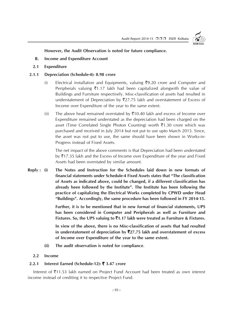

**However, the Audit Observation is noted for future compliance.**

- **B. Income and Expenditure Account**
- **2.1 Expenditure**

### **2.1.1 Depreciation (Schedule-4): 8.98 crore**

- (i) Electrical installation and Equipments, valuing  $\overline{5}9.20$  crore and Computer and Peripherals valuing  $\bar{\xi}$ 1.17 lakh had been capitalized alongwith the value of Buildings and Furniture respectively. Misc-classification of assets had resulted in understatement of Depreciation by  $\overline{2}27.75$  lakh and overstatement of Excess of Income over Expenditure of the year to the same extent.
- (ii) The above head remained overstated by  $\overline{\tau}10.40$  lakh and excess of Income over Expenditure remained understated as the depreciation had been charged on the asset (Time Correlated Single Photon Counting) worth  $\bar{z}1.30$  crore which was purchased and received in July 2014 but not put to use upto March 2015. Since, the asset was not put to use, the same should have been shown in Works-in-Progress instead of Fixed Assets.

The net impact of the above comments is that Depreciation had been understated by  $\overline{5}17.35$  lakh and the Excess of Income over Expenditure of the year and Fixed Assets had been overstated by similar amount.

**Reply : (i) The Notes and Instruction for the Schedules laid down in new formats of financial statements under Schedule-4 Fixed Assets states that "The classification of Assets as indicated above, could be changed, if a different classification has already been followed by the Institute". The Institute has been following the practice of capitalizing the Electrical Works completed by CPWD under Head "Buildings". Accordingly, the same procedure has been followed in FY 2014-15.**

> **Further, it is to be mentioned that in new format of financial statements, UPS has been considered in Computer and Peripherals as well as Furniture and Fixtures. So, the UPS valuing to** `**1.17 lakh were treated as Furniture & Fixtures.**

> **In view of the above, there is no Misc-classification of assets that had resulted in understatement of depreciation by** `**27.75 lakh and overstatement of excess of Income over Expenditure of the year to the same extent.**

**(ii) The audit observation is noted for compliance**.

### **2.2 Income**

### **2.2.1 Interest Earned (Schedule-12):** ` **3.47 crore**

Interest of ₹11.53 lakh earned on Project Fund Account had been treated as own interest income instead of crediting it to respective Project Fund.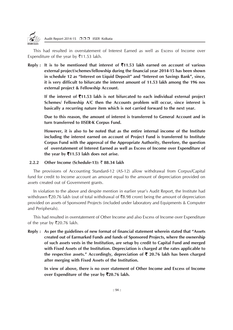

This had resulted in overstatement of Interest Earned as well as Excess of Income over Expenditure of the year by  $\bar{z}$ 11.53 lakh.

**Reply : It is to be mentioned that interest of** `**11.53 lakh earned on account of various external project/schemes/fellowship during the financial year 2014-15 has been shown in schedule 12 as "Interest on Liquid Deposit" and "Interest on Savings Bank", since, it is very difficult to bifurcate the interest amount of 11.53 lakh among the 196 nos external project & Fellowship Account.**

**If the interest of** `**11.53 lakh is not bifurcated to each individual external project Schemes/ Fellowship A/C then the Accounts problem will occur, since interest is basically a recurring nature item which is not carried forward to the next year.**

**Due to this reason, the amount of interest is transferred to General Account and in turn transferred to IISER-K Corpus Fund.**

**However, it is also to be noted that as the entire internal income of the Institute including the interest earned on account of Project Fund is transferred to Institute Corpus Fund with the approval of the Appropriate Authority, therefore, the question of overstatement of Interest Earned as well as Excess of Income over Expenditure of the year by** `**11.53 lakh does not arise.**

### **2.2.2 Other Income (Schedule-13):** ` **88.34 lakh**

The provisions of Accounting Standard-12 (AS-12) allow withdrawal from Corpus/Capital fund for credit to Income account an amount equal to the amount of depreciation provided on assets created out of Government grants.

In violation to the above and despite mention in earlier year's Audit Report, the Institute had withdrawn  $\bar{\xi}$ 20.76 lakh (out of total withdrawal of  $\bar{\xi}$ 8.98 crore) being the amount of depreciation provided on assets of Sponsored Projects (included under laboratory and Equipments & Computer and Peripherals).

This had resulted in overstatement of Other Income and also Excess of Income over Expenditure of the year by  $\overline{\mathfrak{r}}$ 20.76 lakh.

**Reply : As per the guidelines of new format of financial statement wherein stated that "Assets created out of Earmarked Funds and funds of Sponsored Projects, where the ownership of such assets vests in the Institution, are setup by credit to Capital Fund and merged with Fixed Assets of the Institution. Depreciation is charged at the rates applicable to the respective assets." Accordingly, depreciation of** ` **20.76 lakh has been charged after merging with Fixed Assets of the Institution.**

**In view of above, there is no over statement of Other Income and Excess of Income over Expenditure of the year by** `**20.76 lakh.**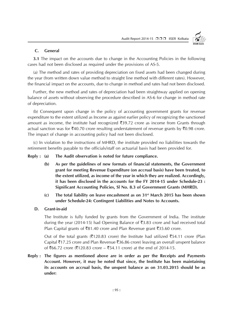

### **C. General**

**3.1** The impact on the accounts due to change in the Accounting Policies in the following cases had not been disclosed as required under the provisions of AS-5.

(a) The method and rates of providing depreciation on fixed assets had been changed during the year (from written down value method to straight line method with different rates). However, the financial impact on the accounts, due to change in method and rates had not been disclosed.

Further, the new method and rates of depreciation had been straightway applied on opening balance of assets without observing the procedure described in AS-6 for change in method rate of depreciation.

(b) Consequent upon change in the policy of accounting government grants for revenue expenditure to the extent utilized as Income as against earlier policy of recognizing the sanctioned amount as income, the institute had recognized  $\overline{3}39.72$  crore as income from Grants through actual sanction was for  $\bar{\mathcal{F}}40.70$  crore resulting understatement of revenue grants by  $\bar{\mathcal{F}}0.98$  crore. The impact of change in accounting policy had not been disclosed.

(c) In violation to the instructions of MHRD, the institute provided no liabilities towards the retirement benefits payable to the officials/staff on actuarial basis had been provided for.

**Reply : (a) The Audit observation is noted for future compliance.**

- **(b) As per the guidelines of new formats of financial statements, the Government grant for meeting Revenue Expenditure (on accrual basis) have been treated, to the extent utilized, as income of the year in which they are realized. Accordingly, it has been disclosed in the accounts for the FY 2014-15 under Schedule-23 : Significant Accounting Policies, Sl No. 8.3 of Government Grants (MHRD).**
- **(c) The total liability on leave encashment as on 31st March 2015 has been shown under Schedule-24: Contingent Liabilities and Notes to Accounts.**
- **D. Grant-in-aid**

The Institute is fully funded by grants from the Government of India. The institute during the year (2014-15) had Opening Balance of  $\bar{\mathfrak{Z}}3.83$  crore and had received total Plan Capital grants of  $\bar{z}81.40$  crore and Plan Revenue grant  $\bar{z}35.60$  crore.

Out of the total grants ( $\overline{\xi}120.83$  crore) the Institute had utilized  $\overline{\xi}54.11$  crore (Plan Capital ₹17.25 crore and Plan Revenue ₹36.86 crore) leaving an overall unspent balance of ₹66.72 crore (₹120.83 crore – ₹54.11 crore) at the end of 2014-15.

**Reply : The figures as mentioned above are in order as per the Receipts and Payments Account. However, it may be noted that since, the Institute has been maintaining its accounts on accrual basis, the unspent balance as on 31.03.2015 should be as under:**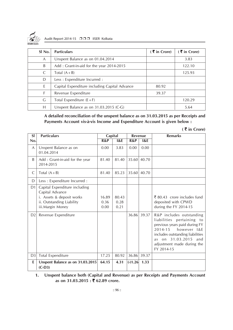

Audit Report 2014-15 □□□ IISER Kolkata

| $SI$ No.       | <b>Particulars</b>                            | $(5 \times 1)$ Crore) | $(5 \times 1)$ Crore) |
|----------------|-----------------------------------------------|-----------------------|-----------------------|
| $\overline{A}$ | Unspent Balance as on 01.04.2014              |                       | 3.83                  |
| B              | Add: Grant-in-aid for the year 2014-2015      |                       | 122.10                |
| C              | Total $(A + B)$                               |                       | 125.93                |
| D              | Less : Expenditure Incurred :                 |                       |                       |
| E              | Capital Expenditure including Capital Advance | 80.92                 |                       |
| F              | Revenue Expenditure                           | 39.37                 |                       |
| G              | Total Expenditure $(E + F)$                   |                       | 120.29                |
| Н              | Unspent Balance as on $31.03.2015$ (C-G)      |                       | 5.64                  |

### **A detailed reconciliation of the unspent balance as on 31.03.2015 as per Receipts and Payments Account vis-à-vis Income and Expenditure Account is given below :**

| $(5 \times 1)$ Crore) |                                                                                                                                |                       |                       |           |       |                                                                                                                                                                                                                                    |  |
|-----------------------|--------------------------------------------------------------------------------------------------------------------------------|-----------------------|-----------------------|-----------|-------|------------------------------------------------------------------------------------------------------------------------------------------------------------------------------------------------------------------------------------|--|
| SI                    | <b>Particulars</b>                                                                                                             | Capital               |                       | Revenue   |       | <b>Remarks</b>                                                                                                                                                                                                                     |  |
| No.                   |                                                                                                                                | R&P                   | 18E                   | R&P       | 18E   |                                                                                                                                                                                                                                    |  |
| A                     | Unspent Balance as on<br>01.04.2014                                                                                            | 0.00                  | 3.83                  | 0.00      | 0.00  |                                                                                                                                                                                                                                    |  |
| <sub>B</sub>          | Add: Grant-in-aid for the year<br>2014-2015                                                                                    | 81.40                 | 81.40                 | 35.60     | 40.70 |                                                                                                                                                                                                                                    |  |
| C                     | Total $(A + B)$                                                                                                                | 81.40                 | 85.23                 | 35.60     | 40.70 |                                                                                                                                                                                                                                    |  |
| D                     | Less : Expenditure Incurred :                                                                                                  |                       |                       |           |       |                                                                                                                                                                                                                                    |  |
| D <sub>1</sub>        | Capital Expenditure including<br>Capital Advance<br>i. Assets & deposit works<br>ii. Outstanding Liability<br>iii.Margin Money | 16.89<br>0.36<br>0.00 | 80.43<br>0.28<br>0.21 |           |       | ₹ 80.43 crore includes fund<br>deposited with CPWD<br>during the FY 2014-15                                                                                                                                                        |  |
| D <sub>2</sub>        | Revenue Expenditure                                                                                                            |                       |                       | 36.86     | 39.37 | R&P includes outstanding<br>liabilities pertaining to<br>previous years paid during FY<br>2014-15<br>however I&E<br>includes outstanding liabilities<br>31.03.2015<br>and<br>on<br>as.<br>adjustment made during the<br>FY 2014-15 |  |
| D <sub>3</sub>        | <b>Total Expenditure</b>                                                                                                       | 17.25                 | 80.92                 | 36.86     | 39.37 |                                                                                                                                                                                                                                    |  |
| E                     | Unspent Balance as on 31.03.2015<br>$(C-D3)$                                                                                   | 64.15                 | 4.31                  | $(-)1.26$ | 1.33  |                                                                                                                                                                                                                                    |  |

### **1. Unspent balance both (Capital and Revenue) as per Receipts and Payments Account as on 31.03.2015 :** ` **62.89 crore.**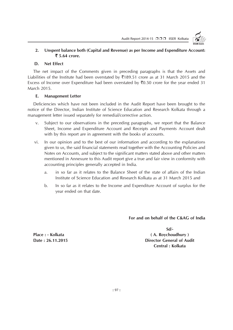

### **2. Unspent balance both (Capital and Revenue) as per Income and Expenditure Account:** ` **5.64 crore.**

### **D. Net Effect**

The net impact of the Comments given in preceding paragraphs is that the Assets and Liabilities of the Institute had been overstated by  $\overline{3}189.51$  crore as at 31 March 2015 and the Excess of Income over Expenditure had been overstated by  $\bar{z}0.50$  crore for the year ended 31 March 2015.

### **E. Management Letter**

Deficiencies which have not been included in the Audit Report have been brought to the notice of the Director, Indian Institute of Science Education and Research Kolkata through a management letter issued separately for remedial/corrective action.

- v. Subject to our observations in the preceding paragraphs, we report that the Balance Sheet, Income and Expenditure Account and Receipts and Payments Account dealt with by this report are in agreement with the books of accounts.
- vi. In our opinion and to the best of our information and according to the explanations given to us, the said financial statements read together with the Accounting Policies and Notes on Accounts, and subject to the significant matters stated above and other matters mentioned in Annexure to this Audit report give a true and fair view in conformity with accounting principles generally accepted in India.
	- a. in so far as it relates to the Balance Sheet of the state of affairs of the Indian Institute of Science Education and Research Kolkata as at 31 March 2015 and
	- b. In so far as it relates to the Income and Expenditure Account of surplus for the year ended on that date.

**For and on behalf of the C&AG of India**

**Sd/-**

Place : - Kolkata (A. Roychoudhury ) **Date : 26.11.2015 Director General of Audit Central : Kolkata**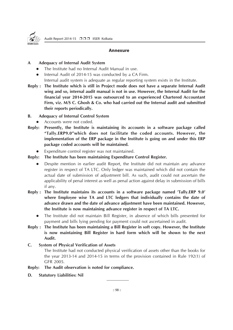

### **Annexure**

### **A Adequacy of Internal Audit System**

- The Institute had no Internal Audit Manual in use.
- Internal Audit of 2014-15 was conducted by a CA Firm.
- Internal audit system is adequate as regular reporting system exists in the Institute.
- **Reply : The Institute which is still in Project mode does not have a separate Internal Audit wing and so, internal audit manual is not in use. However, the Internal Audit for the financial year 2014-2015 was outsourced to an experienced Chartered Accountant Firm, viz. M/S C. Ghosh & Co. who had carried out the Internal audit and submitted their reports periodically.**
- **B. Adequacy of Internal Control System**
- Accounts were not coded.
- **Reply: Presently, the Institute is maintaining its accounts in a software package called "Tally.ERP9.0"which does not facilitate the coded accounts. However, the implementation of the ERP package in the Institute is going on and under this ERP package coded accounts will be maintained.**
	- Expenditure control register was not maintained.
- **Reply: The Institute has been maintaining Expenditure Control Register.**
	- Despite mention in earlier audit Report, the Institute did not maintain any advance register in respect of TA LTC. Only ledger was maintained which did not contain the actual date of submission of adjustment bill. As such, audit could not ascertain the applicability of penal interest as well as penal action against delay in submission of bills if any.
- **Reply : The Institute maintains its accounts in a software package named 'Tally.ERP 9.0' where Employee wise TA and LTC ledgers that individually contains the date of advance drawn and the date of advance adjustment have been maintained. However, the Institute is now maintaining advance register in respect of TA LTC.**
	- The Institute did not maintain Bill Register, in absence of which bills presented for payment and bills lying pending for payment could not ascertained in audit.
- **Reply : The Institute has been maintaining a Bill Register in soft copy. However, the Institute is now maintaining Bill Register in hard form which will be shown to the next Audit.**

### **C. System of Physical Verification of Assets**

The Institute had not conducted physical verification of assets other than the books for the year 2013-14 and 2014-15 in terms of the provision contained in Rule 192(1) of GFR 2005.

- **Reply: The Audit observation is noted for compliance.**
- **D. Statutory Liabilities: Nil**